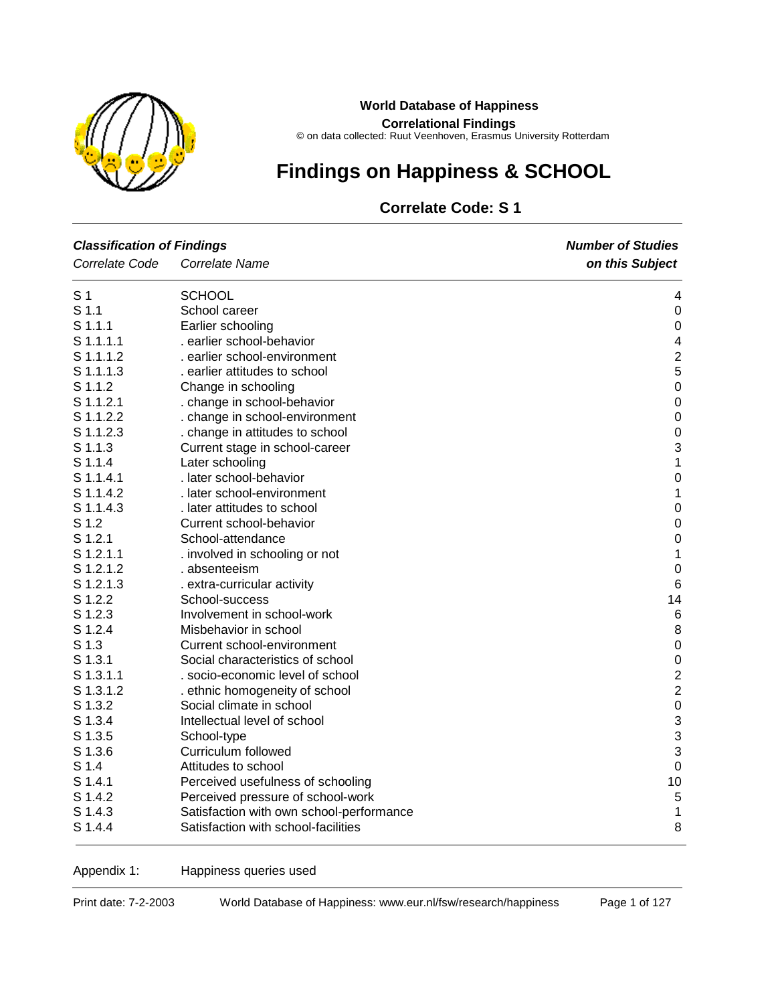

#### **World Database of Happiness**

**Correlational Findings**

© on data collected: Ruut Veenhoven, Erasmus University Rotterdam

# **Findings on Happiness & SCHOOL**

# **Correlate Code: S 1**

| <b>Classification of Findings</b> |                                          | <b>Number of Studies</b> |  |  |
|-----------------------------------|------------------------------------------|--------------------------|--|--|
| Correlate Code                    | Correlate Name                           | on this Subject          |  |  |
| S <sub>1</sub>                    | <b>SCHOOL</b>                            | 4                        |  |  |
| S <sub>1.1</sub>                  | School career                            | $\boldsymbol{0}$         |  |  |
| $S$ 1.1.1                         | Earlier schooling                        | $\boldsymbol{0}$         |  |  |
| S 1.1.1.1                         | . earlier school-behavior                | 4                        |  |  |
| S 1.1.1.2                         | . earlier school-environment             | $\overline{c}$           |  |  |
| S 1.1.1.3                         | . earlier attitudes to school            | 5                        |  |  |
| S 1.1.2                           | Change in schooling                      | $\mathbf 0$              |  |  |
| $S$ 1.1.2.1                       | . change in school-behavior              | $\mathbf 0$              |  |  |
| S 1.1.2.2                         | . change in school-environment           | $\mathbf 0$              |  |  |
| S 1.1.2.3                         | . change in attitudes to school          | $\mathbf 0$              |  |  |
| S 1.1.3                           | Current stage in school-career           | 3                        |  |  |
| S 1.1.4                           | Later schooling                          | 1                        |  |  |
| S 1.1.4.1                         | . later school-behavior                  | $\mathbf 0$              |  |  |
| S 1.1.4.2                         | . later school-environment               | $\mathbf 1$              |  |  |
| S 1.1.4.3                         | . later attitudes to school              | $\mathbf 0$              |  |  |
| S 1.2                             | Current school-behavior                  | $\boldsymbol{0}$         |  |  |
| $S$ 1.2.1                         | School-attendance                        | $\boldsymbol{0}$         |  |  |
| $S$ 1.2.1.1                       | . involved in schooling or not           | $\mathbf 1$              |  |  |
| S 1.2.1.2                         | . absenteeism                            | $\boldsymbol{0}$         |  |  |
| S 1.2.1.3                         | . extra-curricular activity              | $6\phantom{1}6$          |  |  |
| S 1.2.2                           | School-success                           | 14                       |  |  |
| S <sub>1.2.3</sub>                | Involvement in school-work               | $\,6$                    |  |  |
| S 1.2.4                           | Misbehavior in school                    | 8                        |  |  |
| S <sub>1.3</sub>                  | Current school-environment               | $\pmb{0}$                |  |  |
| S 1.3.1                           | Social characteristics of school         | $\mathbf 0$              |  |  |
| S 1.3.1.1                         | . socio-economic level of school         | $\frac{2}{2}$            |  |  |
| S 1.3.1.2                         | . ethnic homogeneity of school           |                          |  |  |
| S 1.3.2                           | Social climate in school                 | $\mathbf 0$              |  |  |
| S 1.3.4                           | Intellectual level of school             | 3                        |  |  |
| S 1.3.5                           | School-type                              | 3                        |  |  |
| S 1.3.6                           | Curriculum followed                      | 3                        |  |  |
| S 1.4                             | Attitudes to school                      | $\mathbf 0$              |  |  |
| $S$ 1.4.1                         | Perceived usefulness of schooling        | 10                       |  |  |
| S 1.4.2                           | Perceived pressure of school-work        | 5                        |  |  |
| S 1.4.3                           | Satisfaction with own school-performance | 1                        |  |  |
| S 1.4.4                           | Satisfaction with school-facilities      | 8                        |  |  |

Appendix 1: Happiness queries used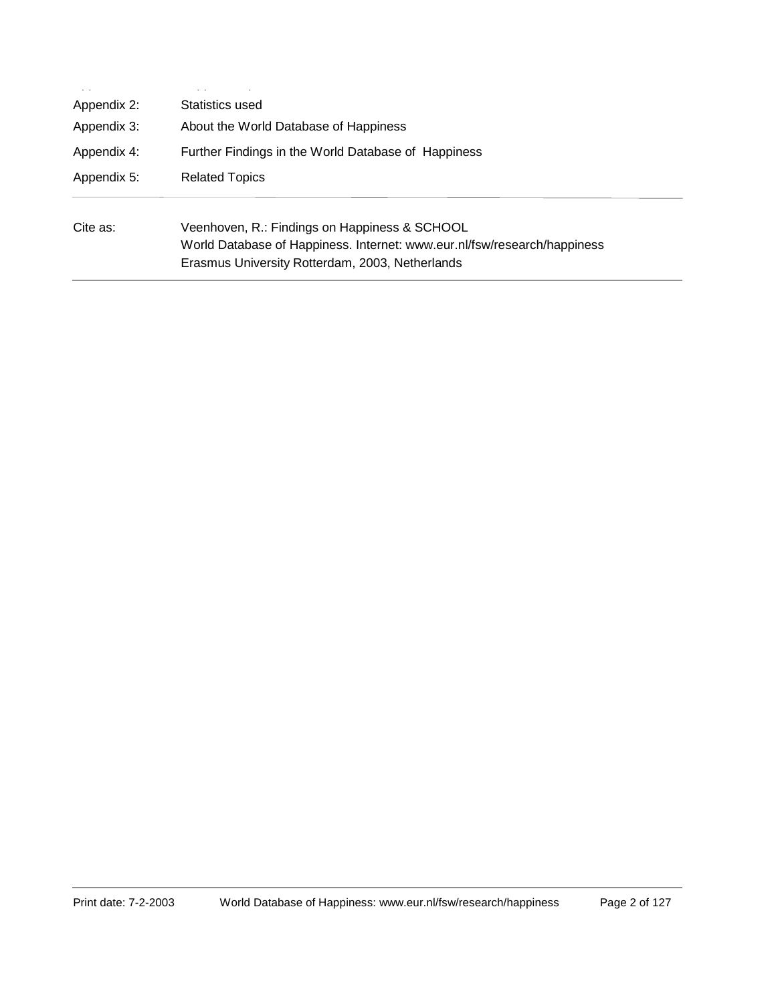| $\sim$ $\sim$<br>Appendix 2: | Statistics used                                                                                                                                                              |
|------------------------------|------------------------------------------------------------------------------------------------------------------------------------------------------------------------------|
| Appendix 3:<br>Appendix 4:   | About the World Database of Happiness<br>Further Findings in the World Database of Happiness                                                                                 |
| Appendix 5:                  | <b>Related Topics</b>                                                                                                                                                        |
| Cite as:                     | Veenhoven, R.: Findings on Happiness & SCHOOL<br>World Database of Happiness. Internet: www.eur.nl/fsw/research/happiness<br>Erasmus University Rotterdam, 2003, Netherlands |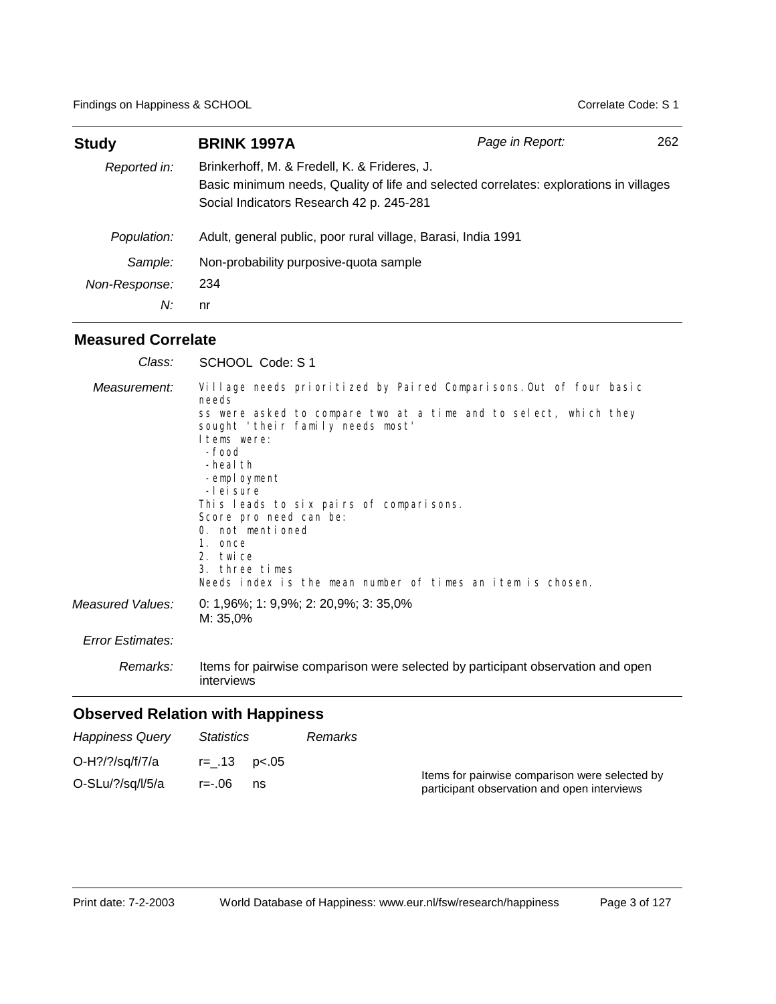| <b>Study</b>  | <b>BRINK 1997A</b>                                                                                                                                                                 | Page in Report: | 262 |
|---------------|------------------------------------------------------------------------------------------------------------------------------------------------------------------------------------|-----------------|-----|
| Reported in:  | Brinkerhoff, M. & Fredell, K. & Frideres, J.<br>Basic minimum needs, Quality of life and selected correlates: explorations in villages<br>Social Indicators Research 42 p. 245-281 |                 |     |
| Population:   | Adult, general public, poor rural village, Barasi, India 1991                                                                                                                      |                 |     |
| Sample:       | Non-probability purposive-quota sample                                                                                                                                             |                 |     |
| Non-Response: | 234                                                                                                                                                                                |                 |     |
| N:            | nr                                                                                                                                                                                 |                 |     |

# **Measured Correlate**

| Class:                  | SCHOOL Code: S 1                                                                                                                                                                                                                                                                                                                                                                                                                                    |
|-------------------------|-----------------------------------------------------------------------------------------------------------------------------------------------------------------------------------------------------------------------------------------------------------------------------------------------------------------------------------------------------------------------------------------------------------------------------------------------------|
| Measurement:            | Village needs prioritized by Paired Comparisons. Out of four basic<br>needs<br>ss were asked to compare two at a time and to select, which they<br>sought 'their family needs most'<br>Items were:<br>-food<br>-heal th<br>-employment<br>-Lei sure<br>This leads to six pairs of comparisons.<br>Score pro need can be:<br>0. not mentioned<br>1. once<br>2. twice<br>3. three times<br>Needs index is the mean number of times an item is chosen. |
| Measured Values:        | 0: $1,96\%$ ; 1: $9,9\%$ ; 2: $20,9\%$ ; 3: $35,0\%$<br>M: 35,0%                                                                                                                                                                                                                                                                                                                                                                                    |
| <b>Error Estimates:</b> |                                                                                                                                                                                                                                                                                                                                                                                                                                                     |
| Remarks:                | Items for pairwise comparison were selected by participant observation and open<br>interviews                                                                                                                                                                                                                                                                                                                                                       |
|                         | Observed Pelation with Happiness                                                                                                                                                                                                                                                                                                                                                                                                                    |

| <b>Happiness Query</b>              | <i>Statistics</i>                   | Remarks |                                                                                               |
|-------------------------------------|-------------------------------------|---------|-----------------------------------------------------------------------------------------------|
| O-H?/?/sq/f/7/a<br>O-SLu/?/sq/l/5/a | $r = .13$ $p < .05$<br>r=-.06<br>ns |         | Items for pairwise comparison were selected by<br>participant observation and open interviews |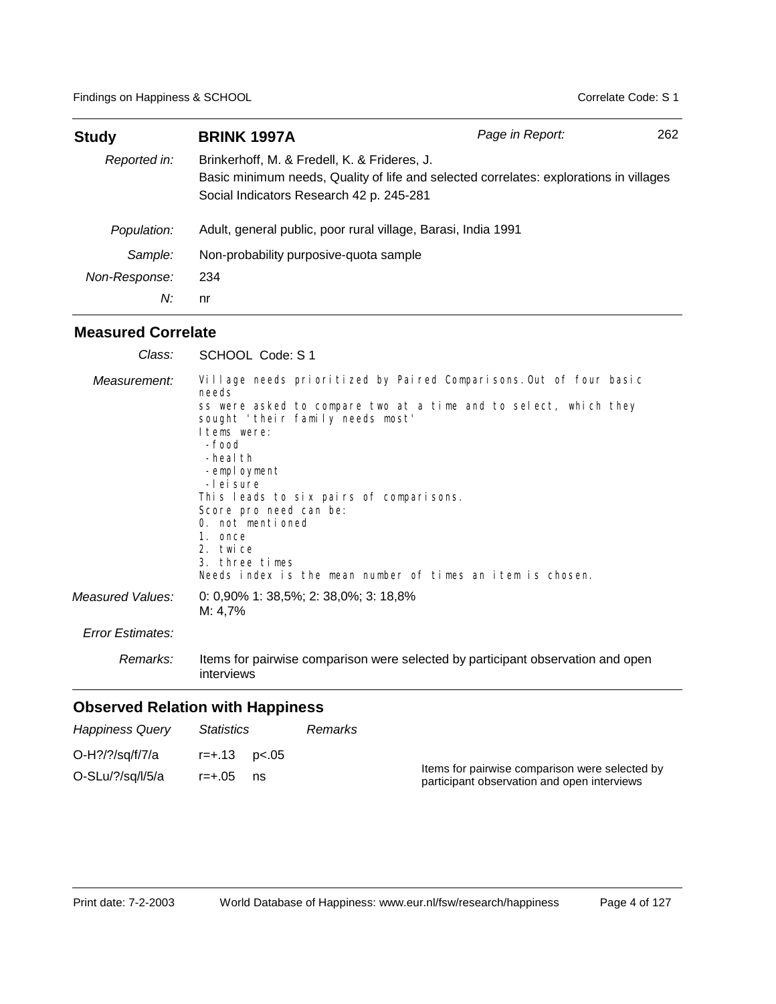| <b>Study</b>  | <b>BRINK 1997A</b>                                                                                                                                                                 | Page in Report: | 262 |  |
|---------------|------------------------------------------------------------------------------------------------------------------------------------------------------------------------------------|-----------------|-----|--|
| Reported in:  | Brinkerhoff, M. & Fredell, K. & Frideres, J.<br>Basic minimum needs, Quality of life and selected correlates: explorations in villages<br>Social Indicators Research 42 p. 245-281 |                 |     |  |
| Population:   | Adult, general public, poor rural village, Barasi, India 1991                                                                                                                      |                 |     |  |
| Sample:       | Non-probability purposive-quota sample                                                                                                                                             |                 |     |  |
| Non-Response: | 234                                                                                                                                                                                |                 |     |  |
| N:            | nr                                                                                                                                                                                 |                 |     |  |

## **Measured Correlate**

| Class:                  | SCHOOL Code: S 1                                                                                                                                                                                                                                                                                                                                                                                                                                      |
|-------------------------|-------------------------------------------------------------------------------------------------------------------------------------------------------------------------------------------------------------------------------------------------------------------------------------------------------------------------------------------------------------------------------------------------------------------------------------------------------|
| Measurement:            | Village needs prioritized by Paired Comparisons. Out of four basic<br>needs<br>ss were asked to compare two at a time and to select, which they<br>sought 'their family needs most'<br>I tems were:<br>-food<br>-heal th<br>-employment<br>-I ei sure<br>This leads to six pairs of comparisons.<br>Score pro need can be:<br>0. not mentioned<br>1. once<br>2. twice<br>3. three times<br>Needs index is the mean number of times an item is chosen. |
| Measured Values:        | 0: $0,90\%$ 1: $38,5\%$ ; 2: $38,0\%$ ; 3: $18,8\%$<br>$M: 4.7\%$                                                                                                                                                                                                                                                                                                                                                                                     |
| <b>Error Estimates:</b> |                                                                                                                                                                                                                                                                                                                                                                                                                                                       |
| Remarks:                | Items for pairwise comparison were selected by participant observation and open<br>interviews                                                                                                                                                                                                                                                                                                                                                         |

| <b>Happiness Query</b>                 | Statistics                                 | Remarks |                                                                                               |
|----------------------------------------|--------------------------------------------|---------|-----------------------------------------------------------------------------------------------|
| O-H?/?/sq/f/7/a<br>$O-SLu/?$ /sq/l/5/a | $r = +0.13$ $p < 0.05$<br>$r = +.05$<br>ns |         | Items for pairwise comparison were selected by<br>participant observation and open interviews |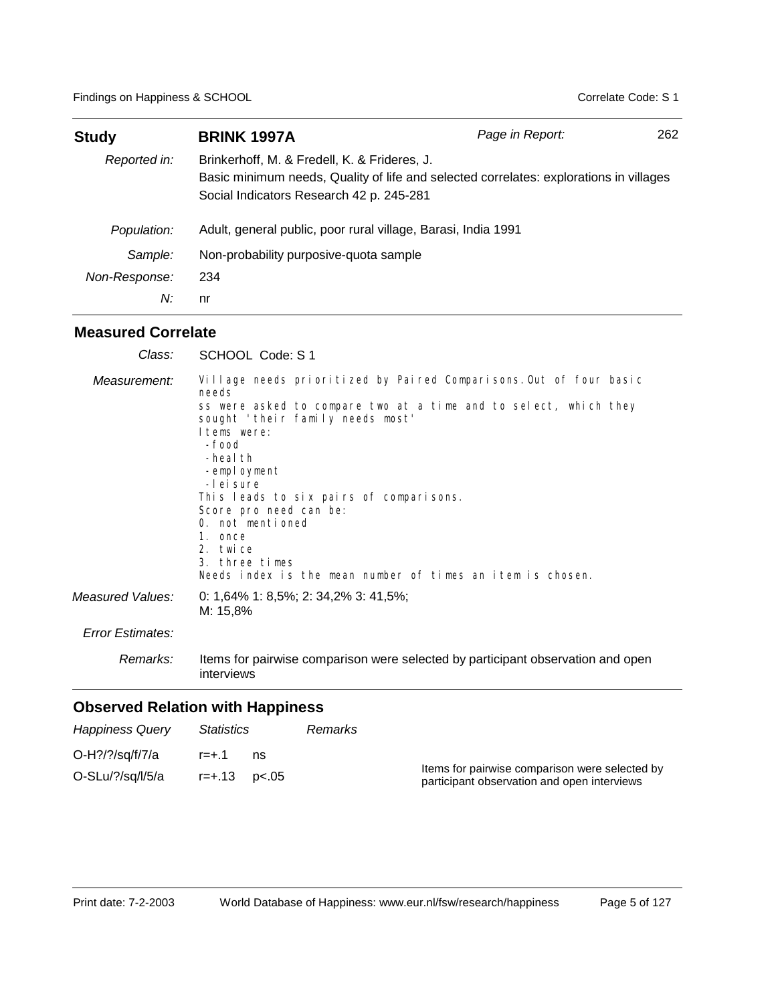| <b>Study</b>  | <b>BRINK 1997A</b>                                                                                                                                                                 | Page in Report: | 262 |  |
|---------------|------------------------------------------------------------------------------------------------------------------------------------------------------------------------------------|-----------------|-----|--|
| Reported in:  | Brinkerhoff, M. & Fredell, K. & Frideres, J.<br>Basic minimum needs, Quality of life and selected correlates: explorations in villages<br>Social Indicators Research 42 p. 245-281 |                 |     |  |
| Population:   | Adult, general public, poor rural village, Barasi, India 1991                                                                                                                      |                 |     |  |
| Sample:       | Non-probability purposive-quota sample                                                                                                                                             |                 |     |  |
| Non-Response: | 234                                                                                                                                                                                |                 |     |  |
| N:            | nr                                                                                                                                                                                 |                 |     |  |

## **Measured Correlate**

| Class:           | SCHOOL Code: S 1                                                                                                                                                                                                                                                                                                                                                                                                                                      |
|------------------|-------------------------------------------------------------------------------------------------------------------------------------------------------------------------------------------------------------------------------------------------------------------------------------------------------------------------------------------------------------------------------------------------------------------------------------------------------|
| Measurement:     | Village needs prioritized by Paired Comparisons. Out of four basic<br>needs<br>ss were asked to compare two at a time and to select, which they<br>sought 'their family needs most'<br>I tems were:<br>-food<br>-heal th<br>-employment<br>-I ei sure<br>This leads to six pairs of comparisons.<br>Score pro need can be:<br>0. not mentioned<br>1. once<br>2. twice<br>3. three times<br>Needs index is the mean number of times an item is chosen. |
| Measured Values: | 0: 1,64% 1: 8,5%; 2: 34,2% 3: 41,5%;<br>M: 15,8%                                                                                                                                                                                                                                                                                                                                                                                                      |
| Error Estimates: |                                                                                                                                                                                                                                                                                                                                                                                                                                                       |
| Remarks:         | Items for pairwise comparison were selected by participant observation and open<br>interviews                                                                                                                                                                                                                                                                                                                                                         |

| <b>Happiness Query</b>                 | Statistics                |    | Remarks |                                                                                               |
|----------------------------------------|---------------------------|----|---------|-----------------------------------------------------------------------------------------------|
| O-H?/?/sq/f/7/a<br>$O-SLu/?$ /sq/l/5/a | $r = +.1$<br>r=+.13 p<.05 | ns |         | Items for pairwise comparison were selected by<br>participant observation and open interviews |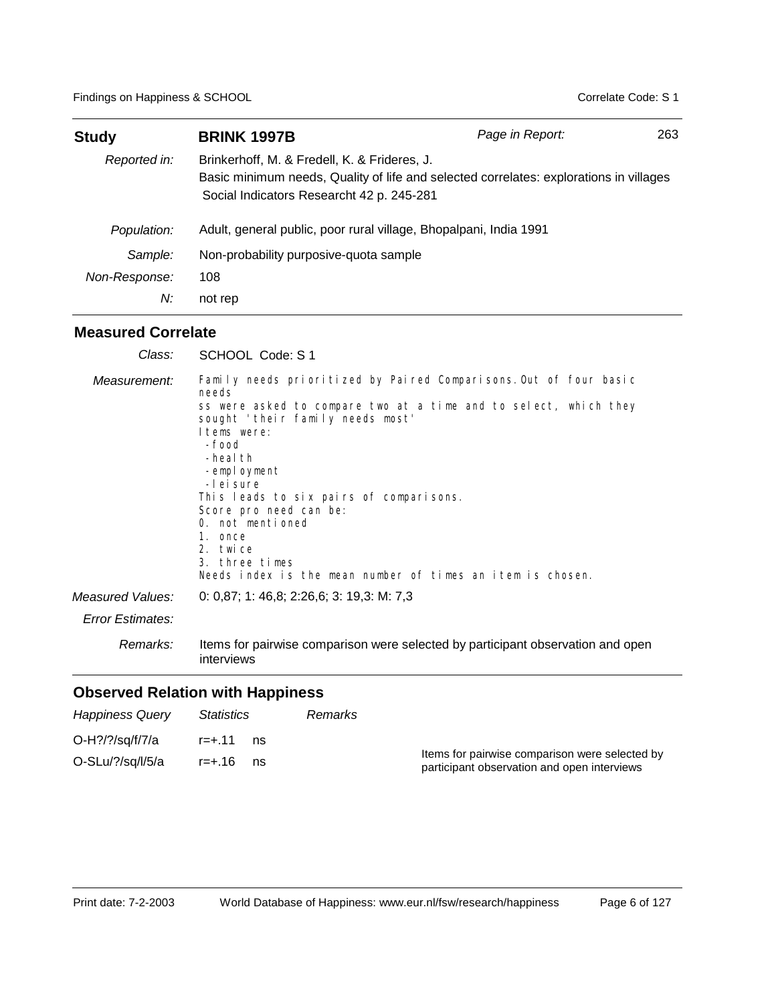| <b>Study</b>  | <b>BRINK 1997B</b>                                                                                                                                                                  | Page in Report: | 263 |
|---------------|-------------------------------------------------------------------------------------------------------------------------------------------------------------------------------------|-----------------|-----|
| Reported in:  | Brinkerhoff, M. & Fredell, K. & Frideres, J.<br>Basic minimum needs, Quality of life and selected correlates: explorations in villages<br>Social Indicators Researcht 42 p. 245-281 |                 |     |
| Population:   | Adult, general public, poor rural village, Bhopalpani, India 1991                                                                                                                   |                 |     |
| Sample:       | Non-probability purposive-quota sample                                                                                                                                              |                 |     |
| Non-Response: | 108                                                                                                                                                                                 |                 |     |
| N:            | not rep                                                                                                                                                                             |                 |     |

## **Measured Correlate**

| Class:           | SCHOOL Code: S 1                                                                                                                                                                                                                                                                                                                                                                                                                                     |
|------------------|------------------------------------------------------------------------------------------------------------------------------------------------------------------------------------------------------------------------------------------------------------------------------------------------------------------------------------------------------------------------------------------------------------------------------------------------------|
| Measurement:     | Family needs prioritized by Paired Comparisons. Out of four basic<br>needs<br>ss were asked to compare two at a time and to select, which they<br>sought 'their family needs most'<br>I tems were:<br>-food<br>-heal th<br>-employment<br>-I ei sure<br>This leads to six pairs of comparisons.<br>Score pro need can be:<br>0. not mentioned<br>1. once<br>2. twice<br>3. three times<br>Needs index is the mean number of times an item is chosen. |
| Measured Values: | 0: 0,87; 1: 46,8; 2:26,6; 3: 19,3: M: 7,3                                                                                                                                                                                                                                                                                                                                                                                                            |
| Error Estimates: |                                                                                                                                                                                                                                                                                                                                                                                                                                                      |
| Remarks:         | Items for pairwise comparison were selected by participant observation and open<br>interviews                                                                                                                                                                                                                                                                                                                                                        |

| <b>Happiness Query</b>     | <i>Statistics</i> | Remarks |                                                                                               |
|----------------------------|-------------------|---------|-----------------------------------------------------------------------------------------------|
| O-H?/?/sq/f/7/a            | r=+ 11<br>ns      |         |                                                                                               |
| $O-SLu$ / $?$ /sq/ $I/5/a$ | r=+.16<br>ns      |         | Items for pairwise comparison were selected by<br>participant observation and open interviews |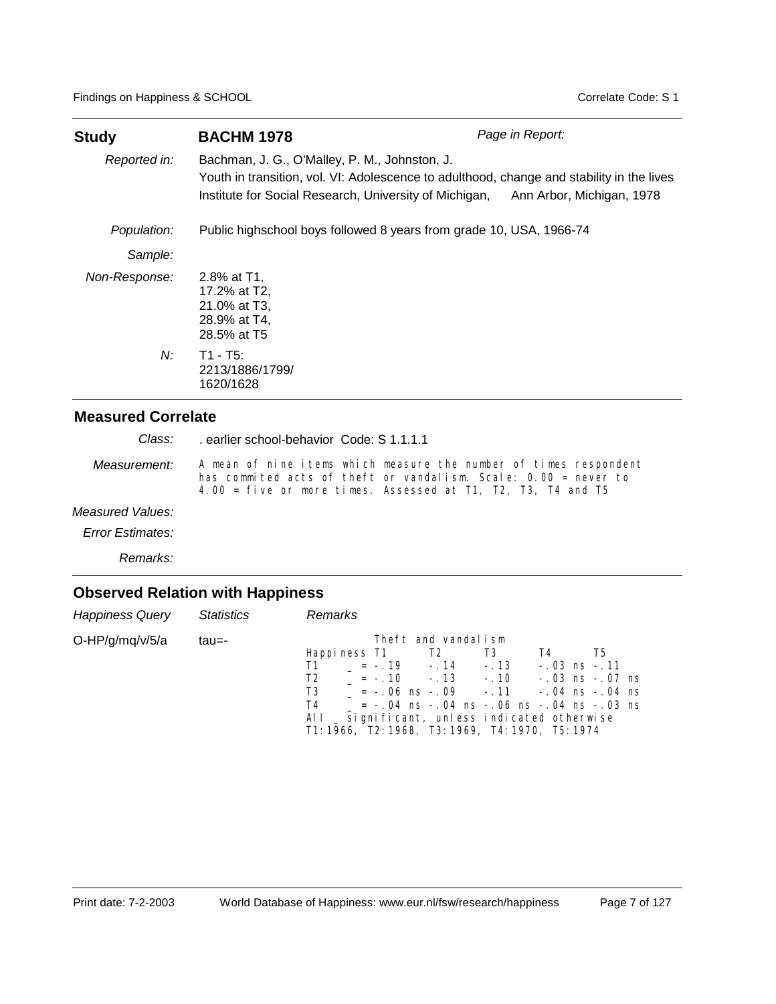| <b>Study</b>  | <b>BACHM 1978</b>                                                                                                                                                                                                              | Page in Report: |
|---------------|--------------------------------------------------------------------------------------------------------------------------------------------------------------------------------------------------------------------------------|-----------------|
| Reported in:  | Bachman, J. G., O'Malley, P. M., Johnston, J.<br>Youth in transition, vol. VI: Adolescence to adulthood, change and stability in the lives<br>Institute for Social Research, University of Michigan, Ann Arbor, Michigan, 1978 |                 |
| Population:   | Public highschool boys followed 8 years from grade 10, USA, 1966-74                                                                                                                                                            |                 |
| Sample:       |                                                                                                                                                                                                                                |                 |
| Non-Response: | 2.8% at T1.<br>17.2% at T2.<br>21.0% at T3,<br>28.9% at T4,<br>28.5% at T5                                                                                                                                                     |                 |
| N:            | $T1 - T5$ :<br>2213/1886/1799/<br>1620/1628                                                                                                                                                                                    |                 |

. earlier school-behavior Code: S 1.1.1.1 *Class:*

A mean of nine items which measure the number of times respondent has commited acts of theft or vandalism. Scale: 0.00 = never to 4.00 = five or more times. Assessed at T1, T2, T3, T4 and T5 *Measurement:*

#### *Measured Values:*

*Error Estimates:*

*Remarks:*

| Happiness Query Statistics |       | Remarks                                                                                                                                                                                                                                                                                                                                              |
|----------------------------|-------|------------------------------------------------------------------------------------------------------------------------------------------------------------------------------------------------------------------------------------------------------------------------------------------------------------------------------------------------------|
| O-HP/g/mq/v/5/a            | tau=- | Theft and vandalism<br>Happiness T1 T2 T3<br>T4<br>T5.<br>$T1 = -19 - 14 - 13$<br>$-.03$ ns $-.11$<br>$T2 = -.10 - .13 - .10 - .03$ ns $-.07$ ns<br>$T3 = -06$ ns $-09$ - 11 - 04 ns $-04$ ns<br>$T4$ = -.04 ns -.04 ns -.06 ns -.04 ns -.03 ns<br>All _ significant, unless indicated otherwise<br>T1: 1966, T2: 1968, T3: 1969, T4: 1970, T5: 1974 |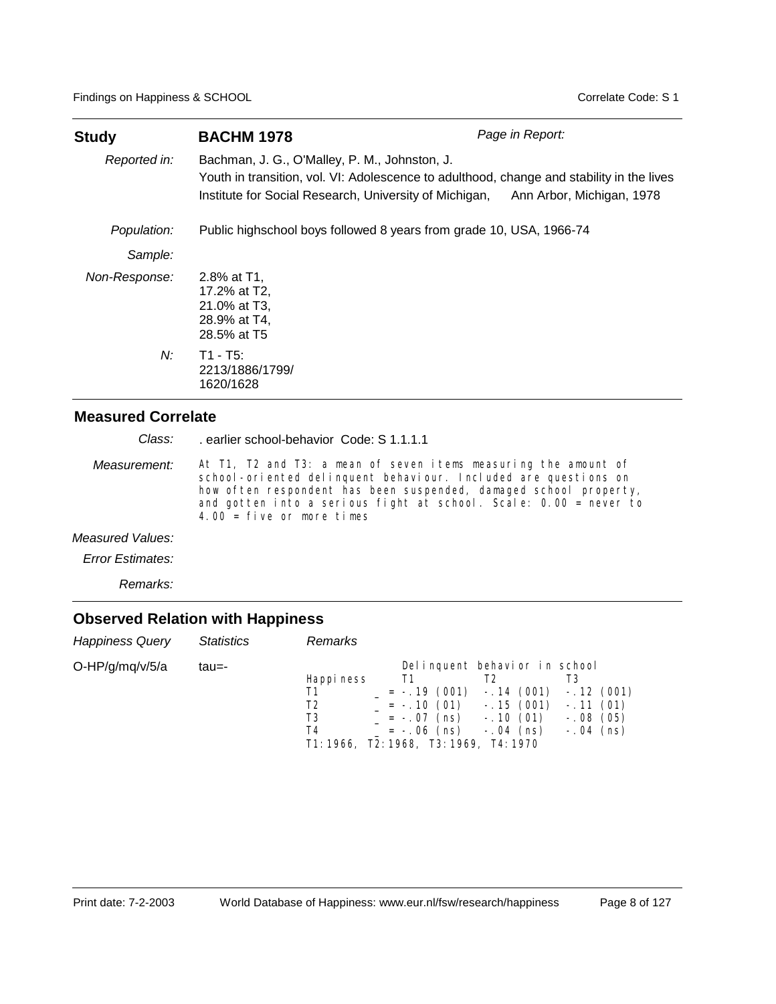| Study         | <b>BACHM 1978</b>                                                                                                                                                                                                              | Page in Report: |
|---------------|--------------------------------------------------------------------------------------------------------------------------------------------------------------------------------------------------------------------------------|-----------------|
| Reported in:  | Bachman, J. G., O'Malley, P. M., Johnston, J.<br>Youth in transition, vol. VI: Adolescence to adulthood, change and stability in the lives<br>Institute for Social Research, University of Michigan, Ann Arbor, Michigan, 1978 |                 |
| Population:   | Public highschool boys followed 8 years from grade 10, USA, 1966-74                                                                                                                                                            |                 |
| Sample:       |                                                                                                                                                                                                                                |                 |
| Non-Response: | 2.8% at T1.<br>17.2% at T2,<br>21.0% at T3.<br>28.9% at T4,<br>28.5% at T5                                                                                                                                                     |                 |
| N:            | $T1 - T5$ :<br>2213/1886/1799/<br>1620/1628                                                                                                                                                                                    |                 |

. earlier school-behavior Code: S 1.1.1.1 *Class:*

At T1, T2 and T3: a mean of seven items measuring the amount of school-oriented delinquent behaviour. Included are questions on how often respondent has been suspended, damaged school property, and gotten into a serious fight at school. Scale: 0.00 = never to 4.00 =  $f$ ive or more times *Measurement:*

#### *Measured Values:*

*Error Estimates:*

*Remarks:*

| <b>Happiness Query</b> | Statistics | Remarks                                                                      |                                                                     |                                                                          |                                                                   |
|------------------------|------------|------------------------------------------------------------------------------|---------------------------------------------------------------------|--------------------------------------------------------------------------|-------------------------------------------------------------------|
| $O-HP/g/mq/v/5/a$      | tau=-      | Happi ness<br>T1<br>T2<br>T3<br>T4<br>T1: 1966, T2: 1968, T3: 1969, T4: 1970 | T1<br>$= -.19(001)$<br>$= -.10(01)$<br>= -.07 (ns)<br>$= -.06$ (ns) | Delinquent behavior in school<br>$-.15(001)$<br>$-.10(01)$<br>-. 04 (ns) | $-.14(001) - .12(001)$<br>$-.11(01)$<br>$-.08(05)$<br>$-.04$ (ns) |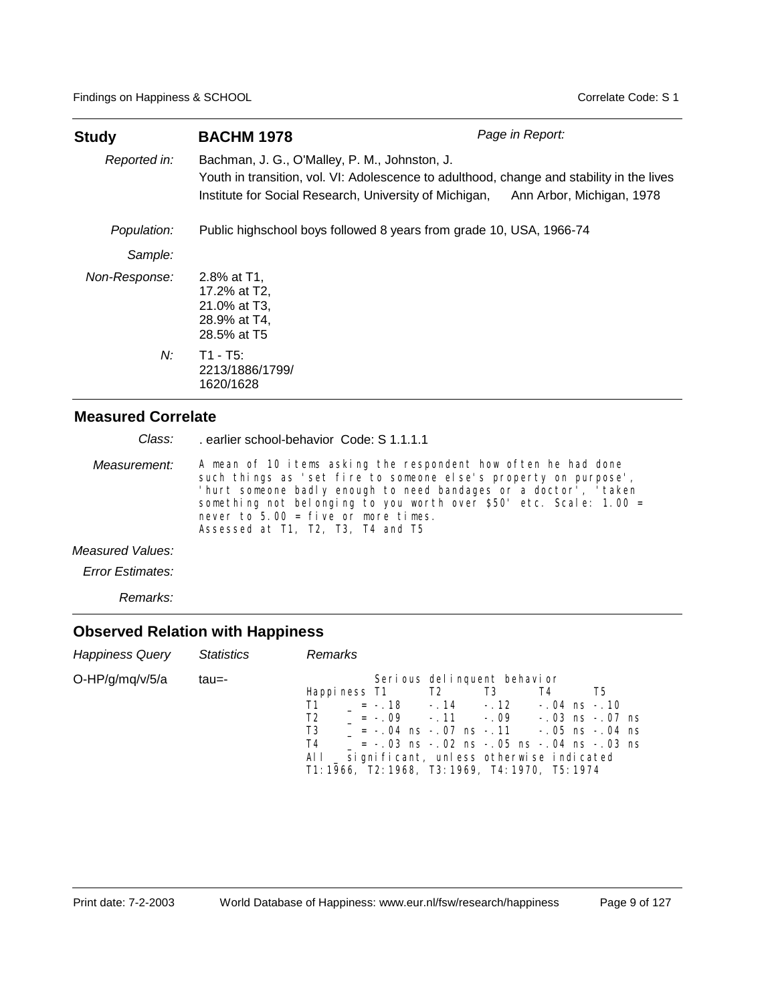| <b>Study</b>  | <b>BACHM 1978</b>                                                                                                                                                                                                              | Page in Report: |
|---------------|--------------------------------------------------------------------------------------------------------------------------------------------------------------------------------------------------------------------------------|-----------------|
| Reported in:  | Bachman, J. G., O'Malley, P. M., Johnston, J.<br>Youth in transition, vol. VI: Adolescence to adulthood, change and stability in the lives<br>Institute for Social Research, University of Michigan, Ann Arbor, Michigan, 1978 |                 |
| Population:   | Public highschool boys followed 8 years from grade 10, USA, 1966-74                                                                                                                                                            |                 |
| Sample:       |                                                                                                                                                                                                                                |                 |
| Non-Response: | 2.8% at $T1$ .<br>17.2% at T2,<br>21.0% at T3,<br>28.9% at T4,<br>28.5% at T5                                                                                                                                                  |                 |
| $N$ :         | $T1 - T5$ :<br>2213/1886/1799/<br>1620/1628                                                                                                                                                                                    |                 |

|                     | Class: earlier school-behavior Code: S 1.1.1.1                                                                                                                                                                                                                                                                                                               |
|---------------------|--------------------------------------------------------------------------------------------------------------------------------------------------------------------------------------------------------------------------------------------------------------------------------------------------------------------------------------------------------------|
| <i>Measurement:</i> | A mean of 10 items asking the respondent how often he had done<br>such things as 'set fire to someone else's property on purpose',<br>'hurt someone badly enough to need bandages or a doctor', 'taken<br>something not belonging to you worth over $$50'$ etc. Scale: 1.00 =<br>never to $5.00 = f$ ive or more times.<br>Assessed at T1, T2, T3, T4 and T5 |
| Measured Values:    |                                                                                                                                                                                                                                                                                                                                                              |

*Error Estimates:*

*Remarks:*

| Happiness Query Statistics |       | Remarks                                                                                                                                                                                                                                                                                                                                                                                        |    |
|----------------------------|-------|------------------------------------------------------------------------------------------------------------------------------------------------------------------------------------------------------------------------------------------------------------------------------------------------------------------------------------------------------------------------------------------------|----|
| $O-HP/g/mq/v/5/a$          | tau=- | Serious delinquent behavior<br>Happiness T1 T2 T3<br>T4<br>$\overline{11}$ = -.18 -.14 -.12 -.04 ns -.10<br>$= -0.09 - 0.11 - 0.09 - 0.03$ ns $-0.07$ ns<br>T <sub>2</sub><br>$T3 = -04$ ns $-07$ ns $-11$ $-05$ ns $-04$ ns<br>$= -.03$ ns $-.02$ ns $-.05$ ns $-.04$ ns $-.03$ ns<br>T4<br>All _ significant, unless otherwise indicated<br>T1: 1966, T2: 1968, T3: 1969, T4: 1970, T5: 1974 | T5 |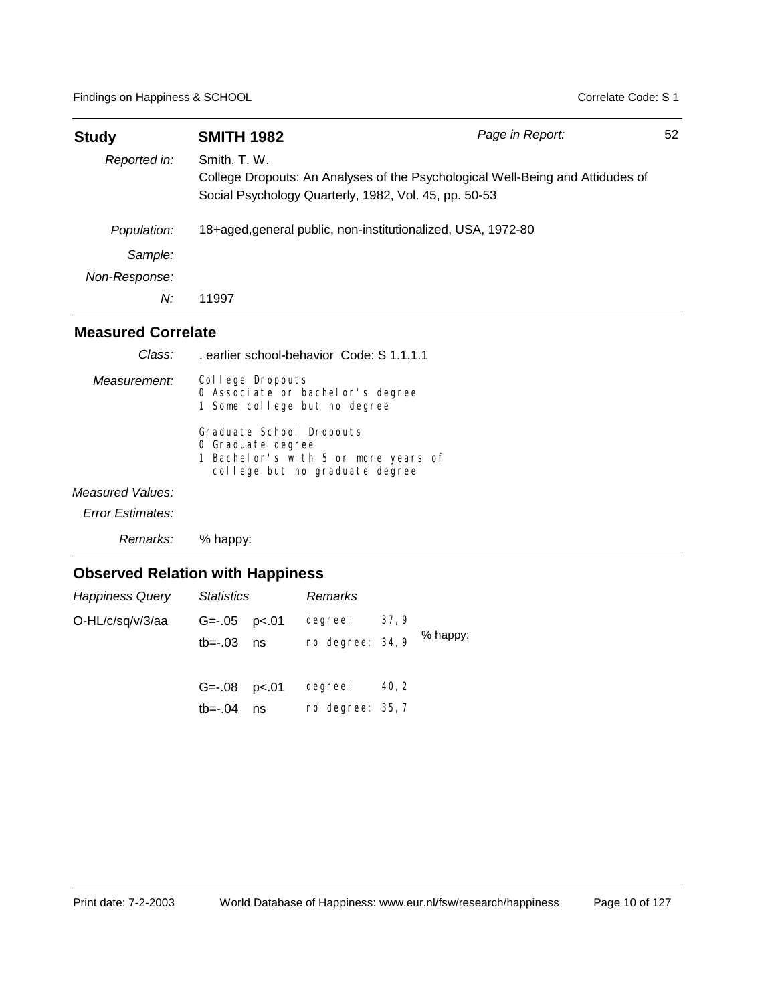| <b>Study</b>  | <b>SMITH 1982</b>                                                                                                                                       | Page in Report: | 52 |
|---------------|---------------------------------------------------------------------------------------------------------------------------------------------------------|-----------------|----|
| Reported in:  | Smith, T. W.<br>College Dropouts: An Analyses of the Psychological Well-Being and Attidudes of<br>Social Psychology Quarterly, 1982, Vol. 45, pp. 50-53 |                 |    |
| Population:   | 18+aged, general public, non-institutionalized, USA, 1972-80                                                                                            |                 |    |
| Sample:       |                                                                                                                                                         |                 |    |
| Non-Response: |                                                                                                                                                         |                 |    |
| N:            | 11997                                                                                                                                                   |                 |    |

| Class:                  | earlier school-behavior Code: S 1.1.1.1.                                                                                |
|-------------------------|-------------------------------------------------------------------------------------------------------------------------|
| Measurement:            | College Dropouts<br>0 Associate or bachel or's degree<br>1 Some college but no degree                                   |
|                         | Graduate School Dropouts<br>O Graduate degree<br>1 Bachelor's with 5 or more years of<br>college but no graduate degree |
| Measured Values:        |                                                                                                                         |
| <b>Error Estimates:</b> |                                                                                                                         |
| Remarks:                | % happy:                                                                                                                |

| <b>Happiness Query</b> | Statistics                         |    | Remarks                     |       |          |
|------------------------|------------------------------------|----|-----------------------------|-------|----------|
| O-HL/c/sq/v/3/aa       | $G = -05$ $p < 01$<br>$tb=-.03$ ns |    | degree:<br>no degree: 34, 9 | 37,9  | % happy: |
|                        | $G = -08$ $p < 01$<br>tb=-.04      | ns | degree:<br>no degree: 35, 7 | 40, 2 |          |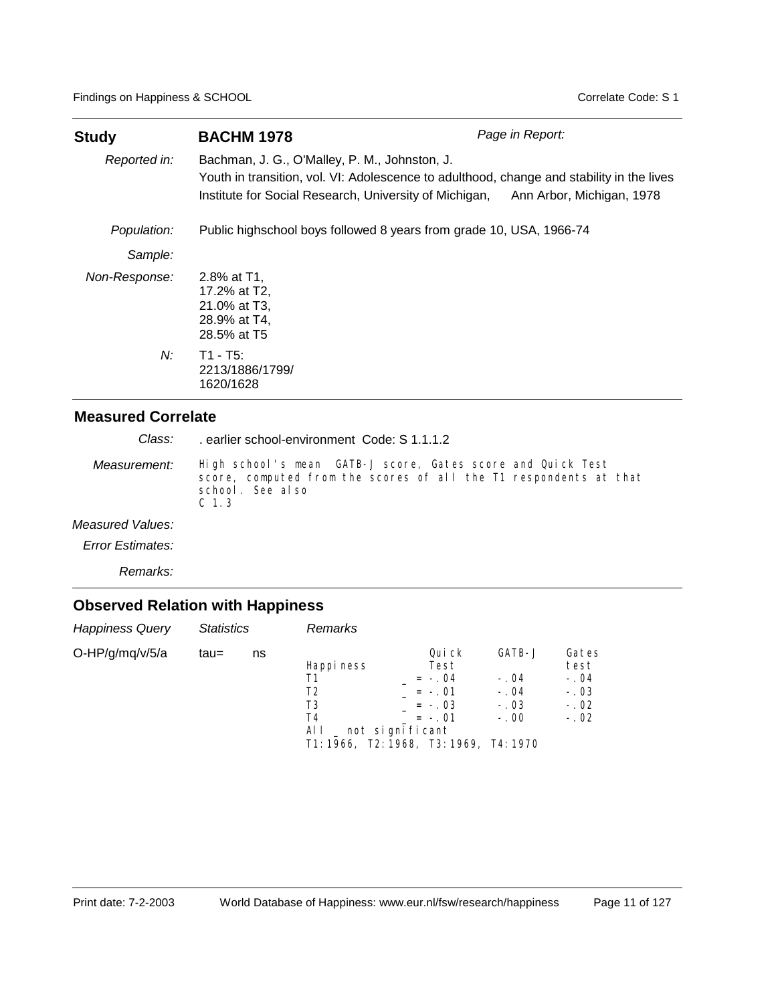| Study         | <b>BACHM 1978</b>                                                                                                                                                                                                              | Page in Report: |  |  |  |  |
|---------------|--------------------------------------------------------------------------------------------------------------------------------------------------------------------------------------------------------------------------------|-----------------|--|--|--|--|
| Reported in:  | Bachman, J. G., O'Malley, P. M., Johnston, J.<br>Youth in transition, vol. VI: Adolescence to adulthood, change and stability in the lives<br>Institute for Social Research, University of Michigan, Ann Arbor, Michigan, 1978 |                 |  |  |  |  |
| Population:   | Public highschool boys followed 8 years from grade 10, USA, 1966-74                                                                                                                                                            |                 |  |  |  |  |
| Sample:       |                                                                                                                                                                                                                                |                 |  |  |  |  |
| Non-Response: | 2.8% at T1.<br>17.2% at T2,<br>21.0% at T3,<br>28.9% at T4,<br>28.5% at T5                                                                                                                                                     |                 |  |  |  |  |
| $N$ :         | $T1 - T5$ :<br>2213/1886/1799/<br>1620/1628                                                                                                                                                                                    |                 |  |  |  |  |

. earlier school-environment Code: S 1.1.1.2 *Class:*

High school's mean GATB-J score, Gates score and Quick Test score, computed from the scores of all the T1 respondents at that school. See also C 1.3 *Measurement:*

*Measured Values:*

*Error Estimates:*

*Remarks:*

| <b>Happiness Query</b> | <b>Statistics</b> |    | Remarks                                    |                                                                                                                               |                                                |                                                       |
|------------------------|-------------------|----|--------------------------------------------|-------------------------------------------------------------------------------------------------------------------------------|------------------------------------------------|-------------------------------------------------------|
| O-HP/g/mq/v/5/a        | tau=              | ns | Happi ness<br>Τ1<br>T2<br>T3<br>T4<br>ALL. | Qui ck<br>Test<br>$= -.04$<br>$= -.01$<br>$= -.03$<br>$= -.01$<br>_ not significant<br>T1: 1966, T2: 1968, T3: 1969, T4: 1970 | GATB-J<br>$-.04$<br>$-.04$<br>$-.03$<br>$-.00$ | Gates<br>test<br>$-.04$<br>$-.03$<br>$-.02$<br>$-.02$ |
|                        |                   |    |                                            |                                                                                                                               |                                                |                                                       |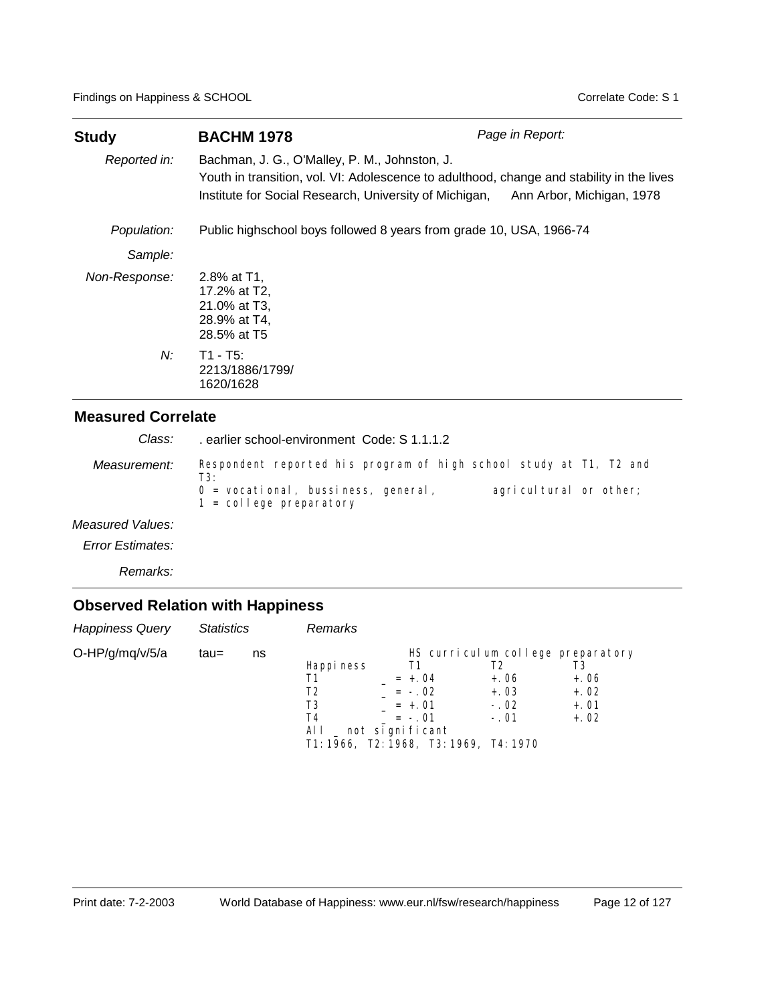| <b>Study</b>  | <b>BACHM 1978</b>                                                                                                                                                                                                                 | Page in Report: |  |  |  |  |  |
|---------------|-----------------------------------------------------------------------------------------------------------------------------------------------------------------------------------------------------------------------------------|-----------------|--|--|--|--|--|
| Reported in:  | Bachman, J. G., O'Malley, P. M., Johnston, J.<br>Youth in transition, vol. VI: Adolescence to adulthood, change and stability in the lives<br>Institute for Social Research, University of Michigan,<br>Ann Arbor, Michigan, 1978 |                 |  |  |  |  |  |
| Population:   | Public highschool boys followed 8 years from grade 10, USA, 1966-74                                                                                                                                                               |                 |  |  |  |  |  |
| Sample:       |                                                                                                                                                                                                                                   |                 |  |  |  |  |  |
| Non-Response: | 2.8% at T1.<br>17.2% at T2,<br>21.0% at T3,<br>28.9% at T4,<br>28.5% at T5                                                                                                                                                        |                 |  |  |  |  |  |
| N:            | T1 - T5:<br>2213/1886/1799/<br>1620/1628                                                                                                                                                                                          |                 |  |  |  |  |  |

| Class:           | earlier school-environment Code: S 1.1.1.2                                                                                                                                        |
|------------------|-----------------------------------------------------------------------------------------------------------------------------------------------------------------------------------|
| Measurement:     | Respondent reported his program of high school study at T1, T2 and<br>T3:<br>agricultural or other;<br>$0 =$ vocational, bussiness, general,<br>$1 = \text{col}$ lege preparatory |
| Measured Values: |                                                                                                                                                                                   |

*Error Estimates:*

*Remarks:*

| <b>Happiness Query</b> | <b>Statistics</b> |    | <b>Remarks</b>                             |                                                                                                                    |                                                                                 |                                            |
|------------------------|-------------------|----|--------------------------------------------|--------------------------------------------------------------------------------------------------------------------|---------------------------------------------------------------------------------|--------------------------------------------|
| O-HP/g/mq/v/5/a        | tau=              | ns | Happi ness<br>Τ1<br>T2<br>T3<br>T4<br>AI I | Τ1<br>$= +.04$<br>$= -0.02$<br>$= +.01$<br>$= -.01$<br>_ not significant<br>T1: 1966, T2: 1968, T3: 1969, T4: 1970 | HS curriculum college preparatory<br>T2<br>$+.06$<br>$+.03$<br>$-.02$<br>$-.01$ | T3<br>$+.06$<br>$+.02$<br>$+.01$<br>$+.02$ |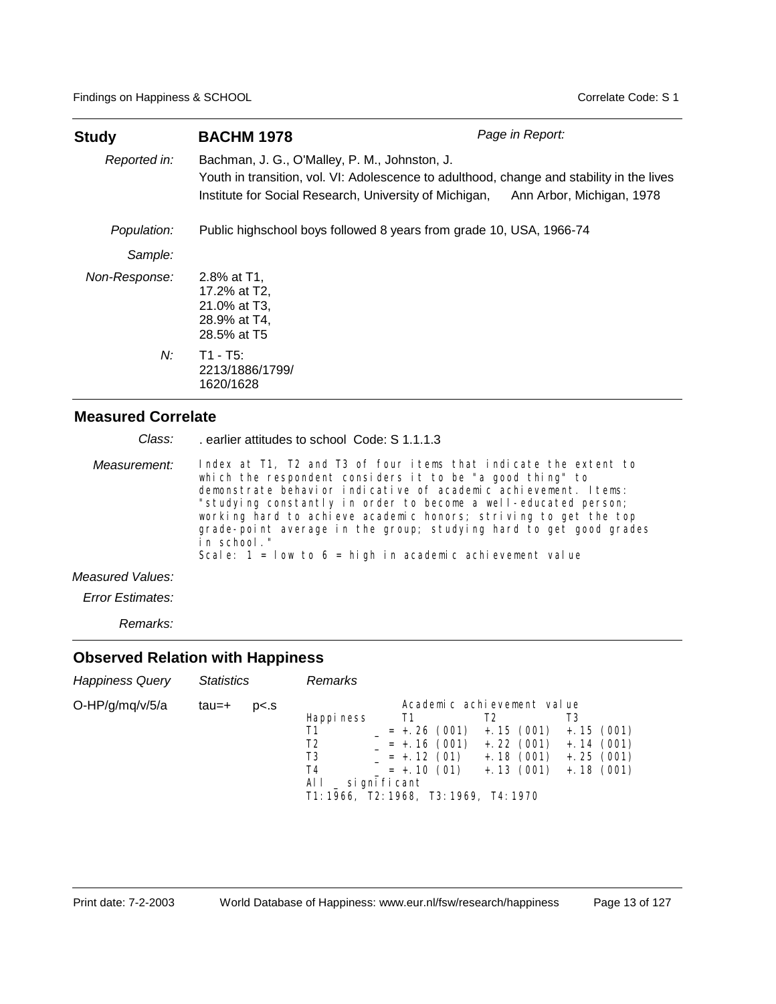| Study         | <b>BACHM 1978</b>                                                                                                                                                                                                              | Page in Report: |  |  |  |  |  |
|---------------|--------------------------------------------------------------------------------------------------------------------------------------------------------------------------------------------------------------------------------|-----------------|--|--|--|--|--|
| Reported in:  | Bachman, J. G., O'Malley, P. M., Johnston, J.<br>Youth in transition, vol. VI: Adolescence to adulthood, change and stability in the lives<br>Institute for Social Research, University of Michigan, Ann Arbor, Michigan, 1978 |                 |  |  |  |  |  |
| Population:   | Public highschool boys followed 8 years from grade 10, USA, 1966-74                                                                                                                                                            |                 |  |  |  |  |  |
| Sample:       |                                                                                                                                                                                                                                |                 |  |  |  |  |  |
| Non-Response: | 2.8% at T1.<br>17.2% at T2,<br>21.0% at T3,<br>28.9% at T4,<br>28.5% at T5                                                                                                                                                     |                 |  |  |  |  |  |
| $N$ :         | $T1 - T5$ :<br>2213/1886/1799/<br>1620/1628                                                                                                                                                                                    |                 |  |  |  |  |  |

| Class:           | earlier attitudes to school Code: S 1.1.1.3                                                                                                                                                                                                                                                                                                                                                                                                                                                   |
|------------------|-----------------------------------------------------------------------------------------------------------------------------------------------------------------------------------------------------------------------------------------------------------------------------------------------------------------------------------------------------------------------------------------------------------------------------------------------------------------------------------------------|
| Measurement:     | Index at T1, T2 and T3 of four items that indicate the extent to<br>which the respondent considers it to be "a good thing" to<br>demonstrate behavior indicative of academic achievement. Items:<br>"studying constantly in order to become a well-educated person;<br>working hard to achieve academic honors; striving to get the top<br>grade-point average in the group; studying hard to get good grades<br>in school."<br>Scale: $1 = 1$ ow to $6 =$ high in academic achievement value |
| Measured Values: |                                                                                                                                                                                                                                                                                                                                                                                                                                                                                               |

*Error Estimates:*

*Remarks:*

| <b>Happiness Query</b> | <b>Statistics</b> |                | Remarks                                                                                                              |                                                                               |                                                                                                 |                                                    |
|------------------------|-------------------|----------------|----------------------------------------------------------------------------------------------------------------------|-------------------------------------------------------------------------------|-------------------------------------------------------------------------------------------------|----------------------------------------------------|
| O-HP/g/mq/v/5/a        | tau=+             | p <sub>5</sub> | Happi ness<br>Τ1<br>T2<br>T <sub>3</sub><br>T4<br>AL L<br>_ si gni fi cant<br>T1: 1966, T2: 1968, T3: 1969, T4: 1970 | T1<br>$= +26(001)$<br>$= +.16(001)$<br>$= +.12(01)$<br>$= +.10(01) +.13(001)$ | Academic achievement value<br>T2<br>$+ . 15$ (001) $+ . 15$ (001)<br>$+.22(001)$<br>$+.18(001)$ | T3<br>$+.14(001)$<br>$+$ . 25 (001)<br>$+.18(001)$ |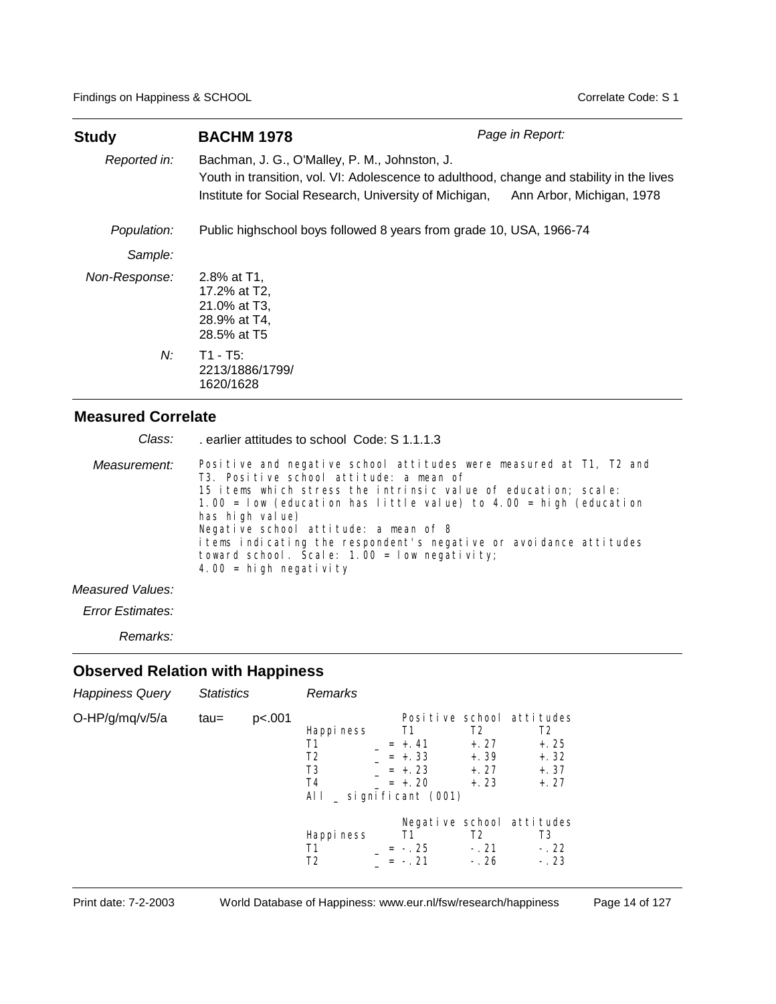| <b>Study</b>  | Page in Report:<br><b>BACHM 1978</b>                                                                                                                                                                                           |  |  |  |  |  |  |
|---------------|--------------------------------------------------------------------------------------------------------------------------------------------------------------------------------------------------------------------------------|--|--|--|--|--|--|
| Reported in:  | Bachman, J. G., O'Malley, P. M., Johnston, J.<br>Youth in transition, vol. VI: Adolescence to adulthood, change and stability in the lives<br>Institute for Social Research, University of Michigan, Ann Arbor, Michigan, 1978 |  |  |  |  |  |  |
| Population:   | Public highschool boys followed 8 years from grade 10, USA, 1966-74                                                                                                                                                            |  |  |  |  |  |  |
| Sample:       |                                                                                                                                                                                                                                |  |  |  |  |  |  |
| Non-Response: | 2.8% at T1.<br>17.2% at T2,<br>21.0% at T3,<br>28.9% at T4,<br>28.5% at T5                                                                                                                                                     |  |  |  |  |  |  |
| N:            | $T1 - T5:$<br>2213/1886/1799/<br>1620/1628                                                                                                                                                                                     |  |  |  |  |  |  |

| Class:       | earlier attitudes to school Code: S 1.1.1.3                                                                                                                                                                                                                                                                                                                                                                                                                                    |
|--------------|--------------------------------------------------------------------------------------------------------------------------------------------------------------------------------------------------------------------------------------------------------------------------------------------------------------------------------------------------------------------------------------------------------------------------------------------------------------------------------|
| Measurement: | Positive and negative school attitudes were measured at T1, T2 and<br>T3. Positive school attitude: a mean of<br>15 items which stress the intrinsic value of education; scale:<br>1.00 = $\frac{1}{100}$ (education has little value) to 4.00 = high (education<br>has high value)<br>Negative school attitude: a mean of 8<br>items indicating the respondent's negative or avoidance attitudes<br>toward school. Scale: $1.00 = 1$ ow negativity;<br>4.00 = high negativity |
|              |                                                                                                                                                                                                                                                                                                                                                                                                                                                                                |

### *Measured Values:*

*Error Estimates:*

*Remarks:*

| <b>Happiness Query</b> | <b>Statistics</b> |        | Remarks                                                                      |                                                  |                                                         |                                                                                     |
|------------------------|-------------------|--------|------------------------------------------------------------------------------|--------------------------------------------------|---------------------------------------------------------|-------------------------------------------------------------------------------------|
| O-HP/g/mq/v/5/a        | $tau =$           | p<.001 | Happi ness<br>Τ1<br>T <sub>2</sub><br>T3<br>T4<br>All $\_$ significant (001) | T1<br>$= +.41$<br>$= +.33$<br>$= +23$<br>$= +20$ | T <sub>2</sub><br>$+.27$<br>$+.39$<br>$+, 27$<br>$+.23$ | Positive school attitudes<br>T <sub>2</sub><br>$+.25$<br>$+.32$<br>$+.37$<br>$+.27$ |
|                        |                   |        | Happi ness<br>Τ1<br>T2                                                       | T1<br>$= -25$<br>$= -21$                         | T <sub>2</sub><br>$-.21$<br>$-.26$                      | Negative school attitudes<br>T3<br>$-.22$<br>$-.23$                                 |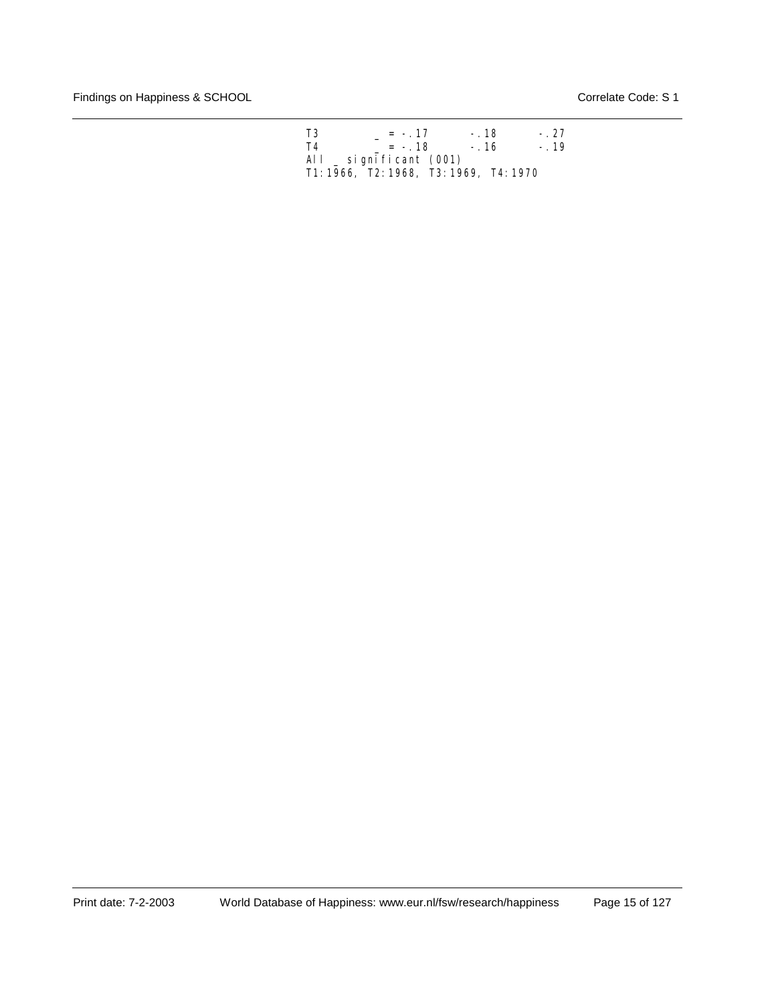| T3 | $= -17$                                | $-.18$ | $-.27$ |
|----|----------------------------------------|--------|--------|
| T4 | $= -18$                                | $-.16$ | $-.19$ |
|    | All $\_$ significant (001)             |        |        |
|    | T1: 1966, T2: 1968, T3: 1969, T4: 1970 |        |        |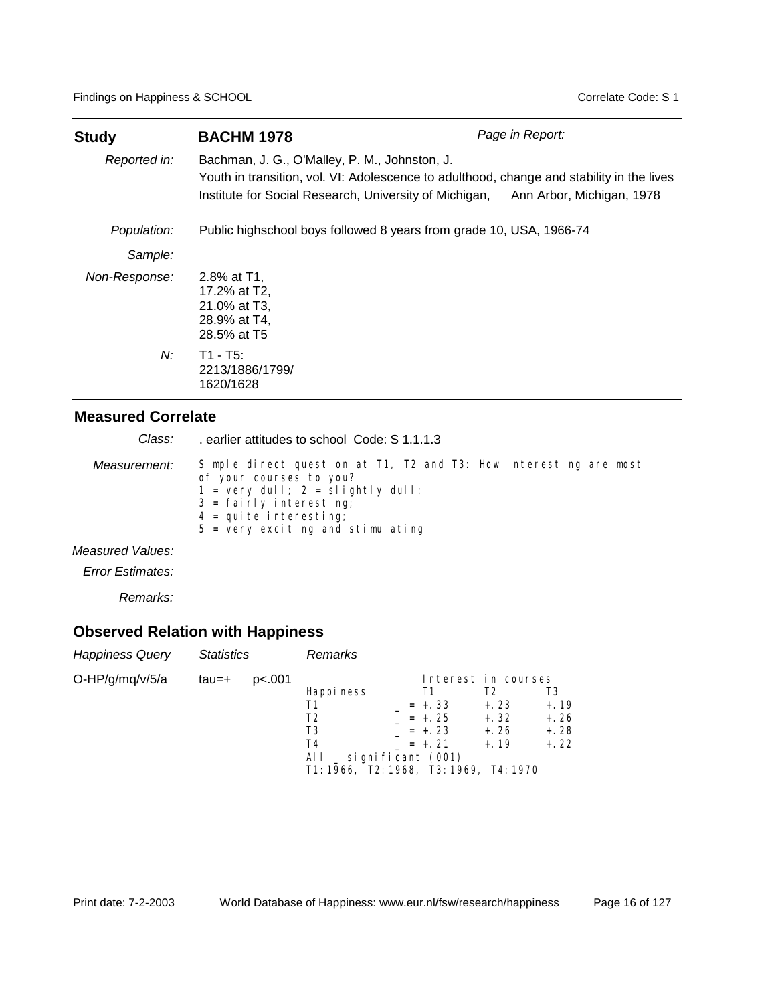| <b>Study</b>  | <b>BACHM 1978</b>                                                                                                                                                                                    | Page in Report:           |
|---------------|------------------------------------------------------------------------------------------------------------------------------------------------------------------------------------------------------|---------------------------|
| Reported in:  | Bachman, J. G., O'Malley, P. M., Johnston, J.<br>Youth in transition, vol. VI: Adolescence to adulthood, change and stability in the lives<br>Institute for Social Research, University of Michigan, | Ann Arbor, Michigan, 1978 |
| Population:   | Public highschool boys followed 8 years from grade 10, USA, 1966-74                                                                                                                                  |                           |
| Sample:       |                                                                                                                                                                                                      |                           |
| Non-Response: | 2.8% at T1.<br>17.2% at T2,<br>21.0% at T3,<br>28.9% at T4,<br>28.5% at T5                                                                                                                           |                           |
| N:            | T1 - T5:<br>2213/1886/1799/<br>1620/1628                                                                                                                                                             |                           |

| Class:          | earlier attitudes to school Code: S 1.1.1.3                                                                                                                                                                                                                   |
|-----------------|---------------------------------------------------------------------------------------------------------------------------------------------------------------------------------------------------------------------------------------------------------------|
| Measurement:    | Simple direct question at T1, T2 and T3: How interesting are most<br>of your courses to you?<br>$1 = \text{very dull}; 2 = \text{slightly dull};$<br>$3 = \text{fail } r l y$ interesting;<br>$4 =$ quite interesting;<br>$5$ = very exciting and stimulating |
| eseurad Valuas: |                                                                                                                                                                                                                                                               |

*Measured Values:*

*Error Estimates:*

*Remarks:*

| <b>Happiness Query</b> | <b>Statistics</b> |        | Remarks                                                                                                    |                                                 |                                                                    |                                             |
|------------------------|-------------------|--------|------------------------------------------------------------------------------------------------------------|-------------------------------------------------|--------------------------------------------------------------------|---------------------------------------------|
| O-HP/g/mq/v/5/a        | tau=+             | p<.001 | Happi ness<br>Τ1<br>T2<br>T3<br>T4<br>All $\_$ significant (001)<br>T1: 1966, T2: 1968, T3: 1969, T4: 1970 | Τ1<br>$= +.33$<br>$= +25$<br>$= +23$<br>$= +21$ | Interest in courses<br>T2<br>$+.23$<br>$+.32$<br>$+.26$<br>$+, 19$ | T3<br>$+, 19$<br>$+.26$<br>$+.28$<br>$+.22$ |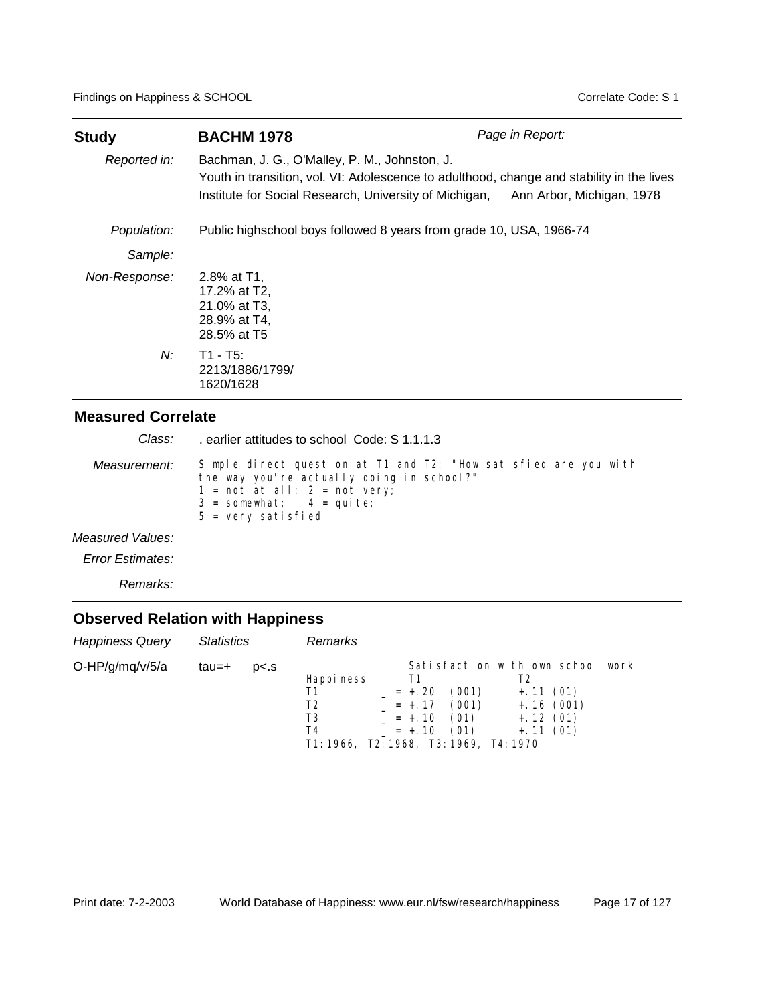| <b>Study</b>  | <b>BACHM 1978</b>                                                                                                                                                                                    | Page in Report:           |
|---------------|------------------------------------------------------------------------------------------------------------------------------------------------------------------------------------------------------|---------------------------|
| Reported in:  | Bachman, J. G., O'Malley, P. M., Johnston, J.<br>Youth in transition, vol. VI: Adolescence to adulthood, change and stability in the lives<br>Institute for Social Research, University of Michigan, | Ann Arbor, Michigan, 1978 |
| Population:   | Public highschool boys followed 8 years from grade 10, USA, 1966-74                                                                                                                                  |                           |
| Sample:       |                                                                                                                                                                                                      |                           |
| Non-Response: | 2.8% at T1.<br>17.2% at T2,<br>21.0% at T3,<br>28.9% at T4,<br>28.5% at T5                                                                                                                           |                           |
| $N$ :         | $T1 - T5$ :<br>2213/1886/1799/<br>1620/1628                                                                                                                                                          |                           |

| Class:           | earlier attitudes to school Code: S 1.1.1.3                                                                                                                                                                                    |
|------------------|--------------------------------------------------------------------------------------------------------------------------------------------------------------------------------------------------------------------------------|
| Measurement:     | Simple direct question at T1 and T2: "How satisfied are you with<br>the way you're actually doing in school?"<br>$1 = not at all; 2 = not very;$<br>$3 =$ somewhat; $4 =$ quite;<br>$5 = \text{very} \text{sati} \text{sfied}$ |
| Measured Values: |                                                                                                                                                                                                                                |

*Error Estimates:*

*Remarks:*

| <b>Happiness Query</b> | <b>Statistics</b> |                | Remarks                                                                |                                                    |                                |                                                                                       |      |
|------------------------|-------------------|----------------|------------------------------------------------------------------------|----------------------------------------------------|--------------------------------|---------------------------------------------------------------------------------------|------|
| O-HP/g/mq/v/5/a        | tau=+             | p <sub>5</sub> | Happi ness<br>Т2<br>T3<br>T4<br>T1: 1966. T2: 1968. T3: 1969. T4: 1970 | Τ1<br>$= +.20$<br>$= +.17$<br>$= +.10$<br>$= +.10$ | (001)<br>(001)<br>(01)<br>(01) | Satisfaction with own school<br>$+.11(01)$<br>$+.16(001)$<br>$+.12(01)$<br>$+.11(01)$ | work |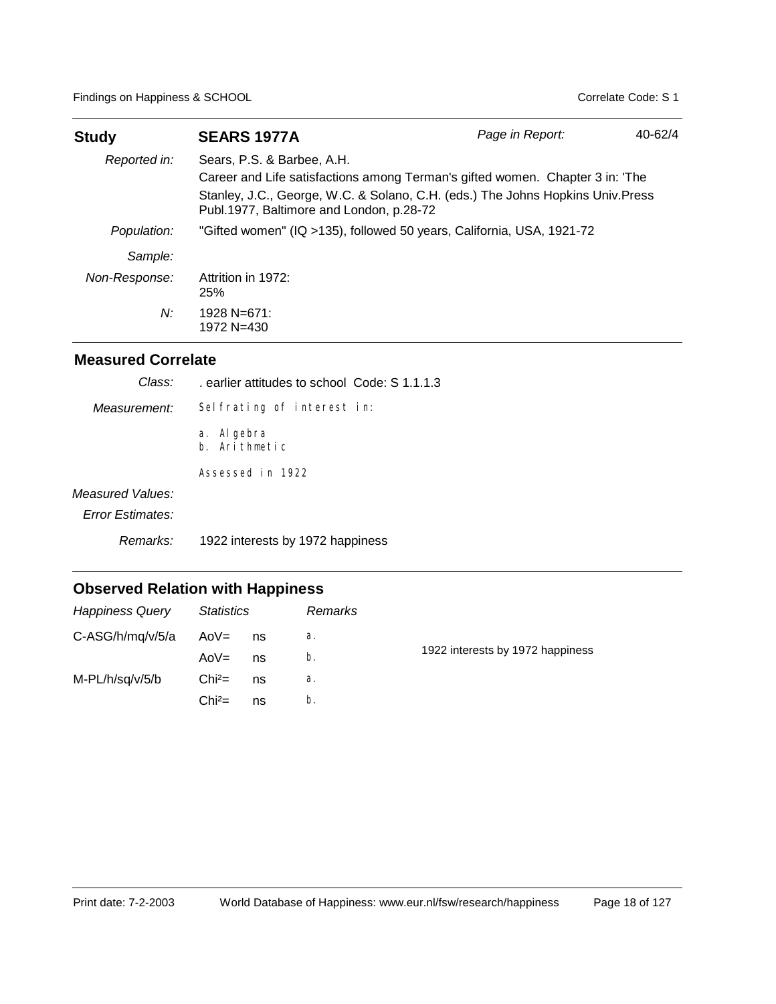| <b>Study</b>  | <b>SEARS 1977A</b>                                                                                                                                                                                                                         | Page in Report: | $40 - 62/4$ |
|---------------|--------------------------------------------------------------------------------------------------------------------------------------------------------------------------------------------------------------------------------------------|-----------------|-------------|
| Reported in:  | Sears, P.S. & Barbee, A.H.<br>Career and Life satisfactions among Terman's gifted women. Chapter 3 in: 'The<br>Stanley, J.C., George, W.C. & Solano, C.H. (eds.) The Johns Hopkins Univ. Press<br>Publ.1977, Baltimore and London, p.28-72 |                 |             |
| Population:   | "Gifted women" (IQ >135), followed 50 years, California, USA, 1921-72                                                                                                                                                                      |                 |             |
| Sample:       |                                                                                                                                                                                                                                            |                 |             |
| Non-Response: | Attrition in 1972:<br>25%                                                                                                                                                                                                                  |                 |             |
| N:            | 1928 N=671:<br>1972 N=430                                                                                                                                                                                                                  |                 |             |

| Class:                  | earlier attitudes to school Code: S 1.1.1.3 |
|-------------------------|---------------------------------------------|
| Measurement:            | Selfrating of interest in:                  |
|                         | a. Al gebra<br>b. Arithmetic                |
|                         | Assessed in 1922                            |
| Measured Values:        |                                             |
| <b>Error Estimates:</b> |                                             |
| Remarks:                | 1922 interests by 1972 happiness            |
|                         |                                             |

| <b>Happiness Query</b> | <b>Statistics</b> |    | Remarks |                                  |
|------------------------|-------------------|----|---------|----------------------------------|
| C-ASG/h/mq/v/5/a       | AoV=              | ns | а.      |                                  |
|                        | $A_0V =$          | ns | b.      | 1922 interests by 1972 happiness |
| M-PL/h/sq/v/5/b        | $Chi^2=$          | ns | a.      |                                  |
|                        | $Chi^2=$          | ns | b.      |                                  |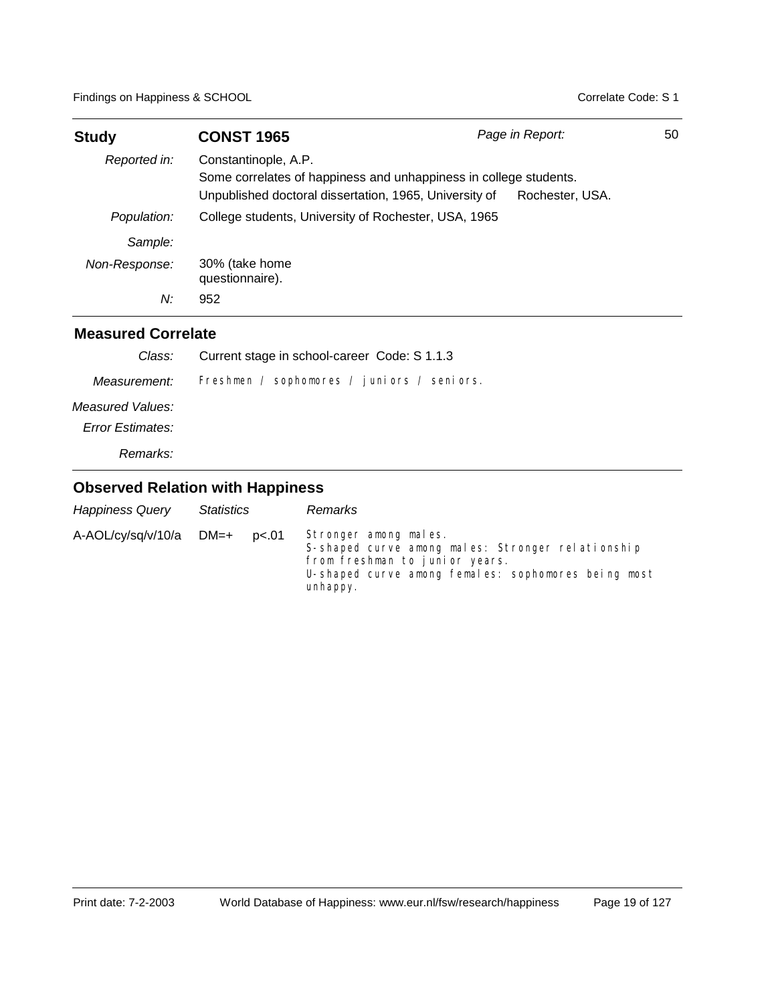| <b>Study</b>  | <b>CONST 1965</b>                                                                                                                                   | Page in Report: | 50 |
|---------------|-----------------------------------------------------------------------------------------------------------------------------------------------------|-----------------|----|
| Reported in:  | Constantinople, A.P.<br>Some correlates of happiness and unhappiness in college students.<br>Unpublished doctoral dissertation, 1965, University of | Rochester, USA. |    |
| Population:   | College students, University of Rochester, USA, 1965                                                                                                |                 |    |
| Sample:       |                                                                                                                                                     |                 |    |
| Non-Response: | 30% (take home<br>questionnaire).                                                                                                                   |                 |    |
| N:            | 952                                                                                                                                                 |                 |    |

#### **Measured Correlate**

| Class:           | Current stage in school-career Code: S 1.1.3 |
|------------------|----------------------------------------------|
| Measurement:     | Freshmen / sophomores / juniors / seniors.   |
| Measured Values: |                                              |
| Error Estimates: |                                              |
| Remarks:         |                                              |

| <b>Happiness Query</b>     | Statistics |       | Remarks                                                                                                                                                                         |
|----------------------------|------------|-------|---------------------------------------------------------------------------------------------------------------------------------------------------------------------------------|
| $A$ -AOL/cy/sq/v/10/a DM=+ |            | p<.01 | Stronger among males.<br>S-shaped curve among males: Stronger relationship<br>from freshman to junior years.<br>U-shaped curve among females: sophomores being most<br>unhappy. |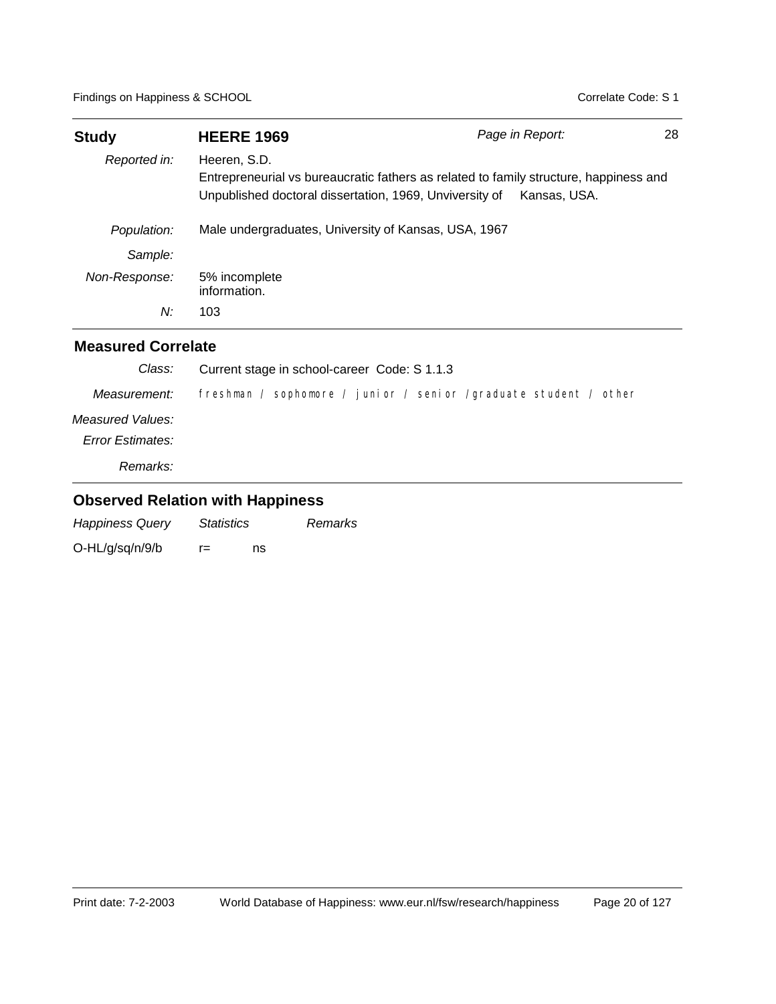| <b>Study</b>  | <b>HEERE 1969</b>                                                                                                                                                | Page in Report: | 28 |
|---------------|------------------------------------------------------------------------------------------------------------------------------------------------------------------|-----------------|----|
| Reported in:  | Heeren, S.D.<br>Entrepreneurial vs bureaucratic fathers as related to family structure, happiness and<br>Unpublished doctoral dissertation, 1969, Unviversity of | Kansas, USA.    |    |
| Population:   | Male undergraduates, University of Kansas, USA, 1967                                                                                                             |                 |    |
| Sample:       |                                                                                                                                                                  |                 |    |
| Non-Response: | 5% incomplete<br>information.                                                                                                                                    |                 |    |
| N:            | 103                                                                                                                                                              |                 |    |

#### **Measured Correlate**

| Class:           | Current stage in school-career Code: S 1.1.3                     |
|------------------|------------------------------------------------------------------|
| Measurement:     | freshman / sophomore / junior / senior /graduate student / other |
| Measured Values: |                                                                  |
| Error Estimates: |                                                                  |
| Remarks:         |                                                                  |

| <b>Happiness Query</b> | <i>Statistics</i> |    | Remarks |
|------------------------|-------------------|----|---------|
| O-HL/g/sq/n/9/b        | r=                | ns |         |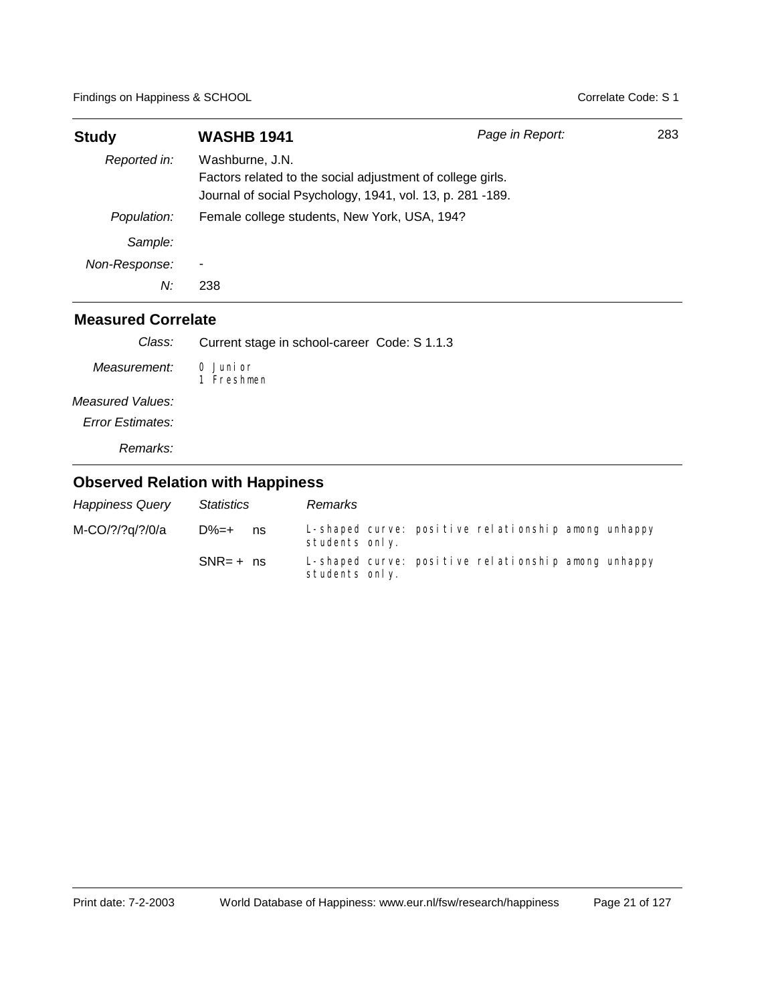| <b>Study</b>  | <b>WASHB 1941</b>                                                                                                                          | Page in Report: | 283 |  |  |
|---------------|--------------------------------------------------------------------------------------------------------------------------------------------|-----------------|-----|--|--|
| Reported in:  | Washburne, J.N.<br>Factors related to the social adjustment of college girls.<br>Journal of social Psychology, 1941, vol. 13, p. 281 -189. |                 |     |  |  |
| Population:   | Female college students, New York, USA, 194?                                                                                               |                 |     |  |  |
| Sample:       |                                                                                                                                            |                 |     |  |  |
| Non-Response: | ۰                                                                                                                                          |                 |     |  |  |
| N:            | 238                                                                                                                                        |                 |     |  |  |

| Class:                  | Current stage in school-career Code: S 1.1.3 |
|-------------------------|----------------------------------------------|
| Measurement:            | 0 Junior<br>1 Freshmen                       |
| Measured Values:        |                                              |
| <b>Error Estimates:</b> |                                              |
| Remarks:                |                                              |

| <b>Happiness Query</b> | Statistics   |    | Remarks        |  |                                                     |  |
|------------------------|--------------|----|----------------|--|-----------------------------------------------------|--|
| M-CO/?/?q/?/0/a        | $D\% = +$    | ns | students only. |  | L-shaped curve: positive relationship among unhappy |  |
|                        | $SNR = +$ ns |    | students only. |  | L-shaped curve: positive relationship among unhappy |  |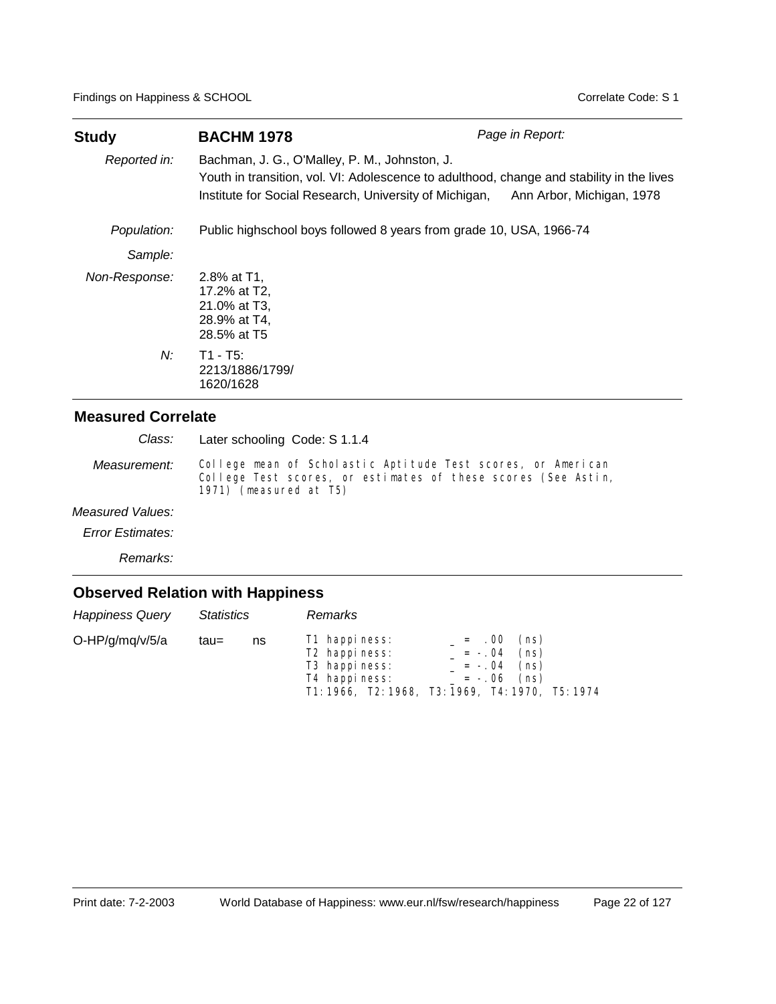| Study         | <b>BACHM 1978</b>                                                                                                                                                                                                                 | Page in Report: |  |  |  |  |
|---------------|-----------------------------------------------------------------------------------------------------------------------------------------------------------------------------------------------------------------------------------|-----------------|--|--|--|--|
| Reported in:  | Bachman, J. G., O'Malley, P. M., Johnston, J.<br>Youth in transition, vol. VI: Adolescence to adulthood, change and stability in the lives<br>Institute for Social Research, University of Michigan,<br>Ann Arbor, Michigan, 1978 |                 |  |  |  |  |
| Population:   | Public highschool boys followed 8 years from grade 10, USA, 1966-74                                                                                                                                                               |                 |  |  |  |  |
| Sample:       |                                                                                                                                                                                                                                   |                 |  |  |  |  |
| Non-Response: | 2.8% at T1.<br>17.2% at T2.<br>21.0% at T3,<br>28.9% at T4,<br>28.5% at T5                                                                                                                                                        |                 |  |  |  |  |
| $N$ :         | $T1 - T5$ :<br>2213/1886/1799/<br>1620/1628                                                                                                                                                                                       |                 |  |  |  |  |

Later schooling Code: S 1.1.4 *Class:*

College mean of Scholastic Aptitude Test scores, or American College Test scores, or estimates of these scores (See Astin, 1971) (measured at T5) *Measurement:*

#### *Measured Values:*

*Error Estimates:*

*Remarks:*

| <b>Happiness Query</b> | <b>Statistics</b> |    | Remarks                                                                      |                                                  |                      |                                                 |  |
|------------------------|-------------------|----|------------------------------------------------------------------------------|--------------------------------------------------|----------------------|-------------------------------------------------|--|
| O-HP/g/mq/v/5/a        | tau=              | ns | T1 happiness:<br>T <sub>2</sub> happiness:<br>T3 happiness:<br>T4 happiness: | T1: 1966, T2: 1968, T3: 1969, T4: 1970, T5: 1974 | $= 0.00$<br>$= -.04$ | (ns)<br>(ns)<br>$= -0.04$ (ns)<br>$= -.06$ (ns) |  |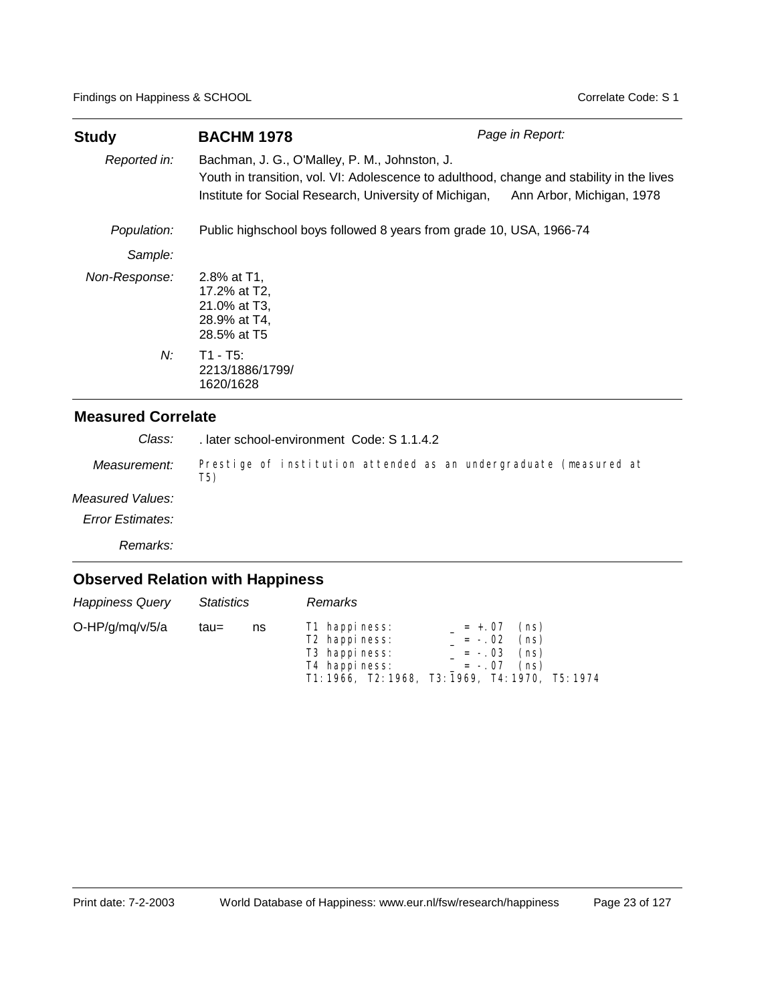| <b>Study</b>  | <b>BACHM 1978</b>                                                                                                                                                                                                                 | Page in Report: |  |  |  |  |
|---------------|-----------------------------------------------------------------------------------------------------------------------------------------------------------------------------------------------------------------------------------|-----------------|--|--|--|--|
| Reported in:  | Bachman, J. G., O'Malley, P. M., Johnston, J.<br>Youth in transition, vol. VI: Adolescence to adulthood, change and stability in the lives<br>Institute for Social Research, University of Michigan,<br>Ann Arbor, Michigan, 1978 |                 |  |  |  |  |
| Population:   | Public highschool boys followed 8 years from grade 10, USA, 1966-74                                                                                                                                                               |                 |  |  |  |  |
| Sample:       |                                                                                                                                                                                                                                   |                 |  |  |  |  |
| Non-Response: | 2.8% at T1.<br>17.2% at T2,<br>21.0% at T3,<br>28.9% at T4,<br>28.5% at T5                                                                                                                                                        |                 |  |  |  |  |
| N:            | $T1 - T5$ :<br>2213/1886/1799/<br>1620/1628                                                                                                                                                                                       |                 |  |  |  |  |

Prestige of institution attended as an undergraduate (measured at *Measurement:* . later school-environment Code: S 1.1.4.2 *Class:*

#### *Measured Values:*

*Error Estimates:*

*Remarks:*

## **Observed Relation with Happiness**

T5)

| <b>Happiness Query</b> | <b>Statistics</b> |    | <b>Remarks</b>                                                                           |                                                  |                                  |                                       |  |
|------------------------|-------------------|----|------------------------------------------------------------------------------------------|--------------------------------------------------|----------------------------------|---------------------------------------|--|
| O-HP/g/mg/v/5/a        | tau=              | ns | T1 happiness:<br>T <sub>2</sub> happiness:<br>T <sub>3</sub> happiness:<br>T4 happiness: | T1: 1966, T2: 1968, T3: 1969, T4: 1970, T5: 1974 | $= +.07$<br>$= -.02$<br>$= -.07$ | (ns)<br>(ns)<br>$= -.03$ (ns)<br>(ns) |  |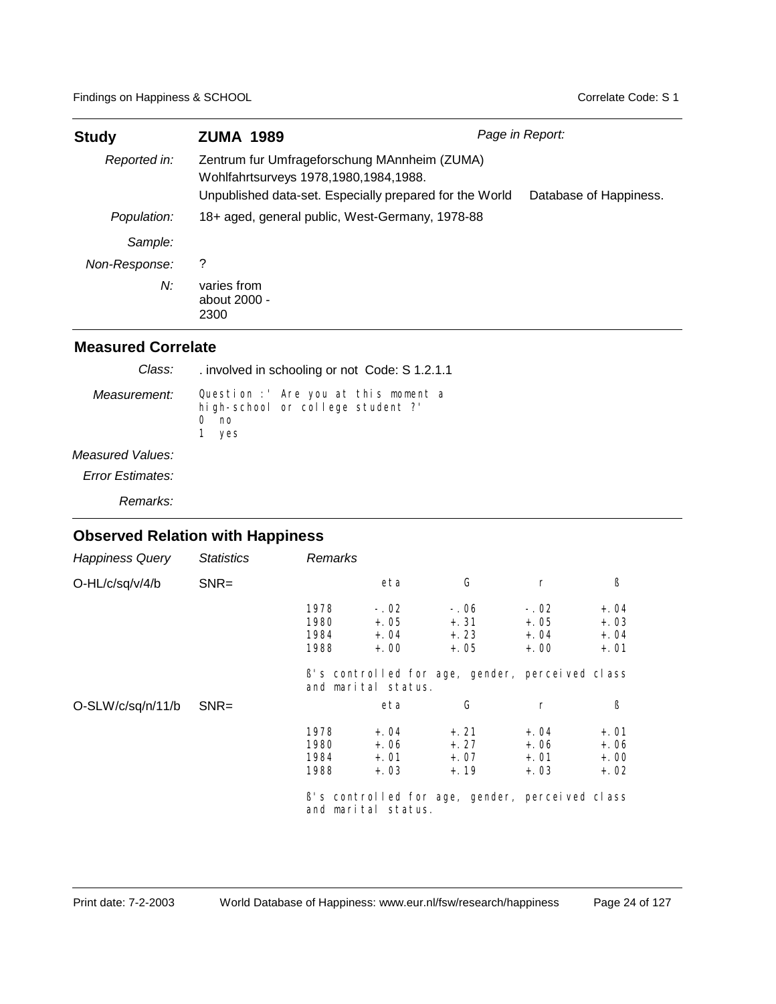| <b>Study</b>  | <b>ZUMA 1989</b>                                                                                                                                                           | Page in Report: |  |  |
|---------------|----------------------------------------------------------------------------------------------------------------------------------------------------------------------------|-----------------|--|--|
| Reported in:  | Zentrum fur Umfrageforschung MAnnheim (ZUMA)<br>Wohlfahrtsurveys 1978,1980,1984,1988.<br>Unpublished data-set. Especially prepared for the World<br>Database of Happiness. |                 |  |  |
| Population:   | 18+ aged, general public, West-Germany, 1978-88                                                                                                                            |                 |  |  |
| Sample:       |                                                                                                                                                                            |                 |  |  |
| Non-Response: | ?                                                                                                                                                                          |                 |  |  |
| N:            | varies from<br>about 2000 -<br>2300                                                                                                                                        |                 |  |  |

#### **Measured Correlate**

| Class:           | involved in schooling or not Code: S 1.2.1.1                                            |
|------------------|-----------------------------------------------------------------------------------------|
| Measurement:     | Question : Are you at this moment a<br>high-school or college student ?'<br>no<br>1 yes |
| Measured Values: |                                                                                         |

*Error Estimates:*

*Remarks:*

| <b>Happiness Query</b> | <b>Statistics</b> | Remarks                      |                                      |                                                 |                                      |                                      |
|------------------------|-------------------|------------------------------|--------------------------------------|-------------------------------------------------|--------------------------------------|--------------------------------------|
| O-HL/c/sq/v/4/b        | $SNR =$           |                              | eta                                  | G                                               | $\Gamma$                             | ß                                    |
|                        |                   | 1978<br>1980<br>1984<br>1988 | $-.02$<br>$+.05$<br>$+.04$<br>$+.00$ | $-.06$<br>$+.31$<br>$+.23$<br>$+.05$            | $-.02$<br>$+.05$<br>$+.04$<br>$+.00$ | $+.04$<br>$+.03$<br>$+.04$<br>$+.01$ |
|                        |                   |                              | and marital status.                  | B's controlled for age, gender, perceived class |                                      |                                      |
| O-SLW/c/sq/n/11/b      | $SNR =$           |                              | eta                                  | G                                               | r                                    | ß                                    |
|                        |                   | 1978<br>1980<br>1984<br>1988 | $+.04$<br>$+.06$<br>$+.01$<br>$+.03$ | $+, 21$<br>$+, 27$<br>$+.07$<br>$+.19$          | $+.04$<br>$+.06$<br>$+.01$<br>$+.03$ | $+.01$<br>$+.06$<br>$+.00$<br>$+.02$ |
|                        |                   |                              | and marital status.                  | B's controlled for age, gender, perceived class |                                      |                                      |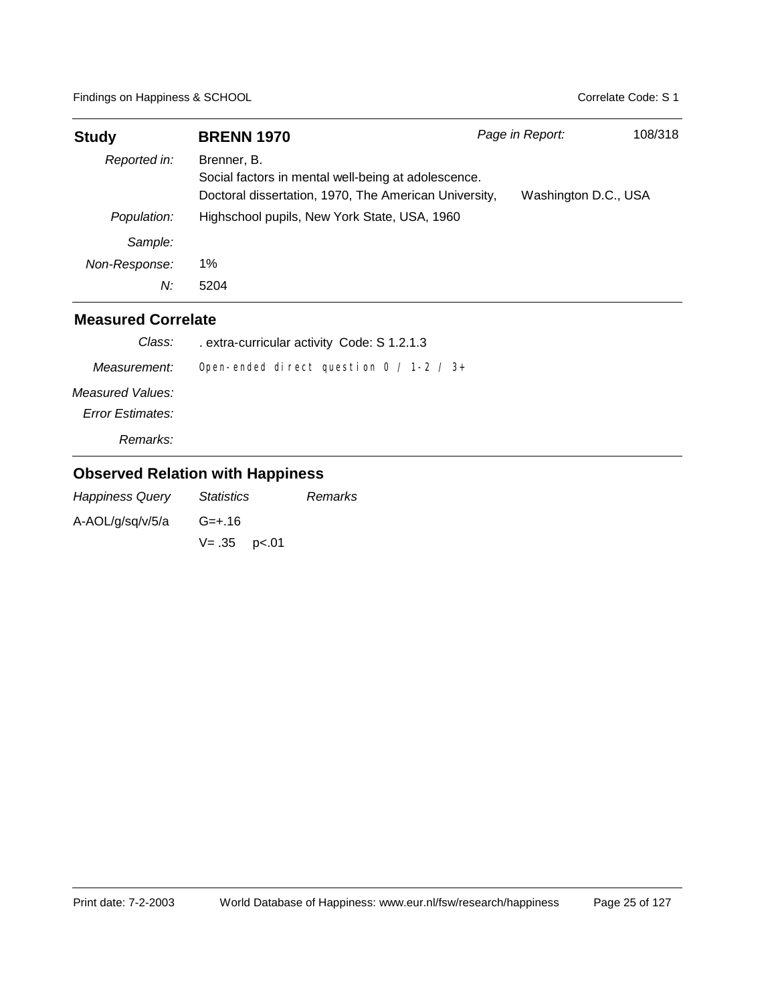| <b>Study</b>  | <b>BRENN 1970</b>                                                                                                           | Page in Report:      | 108/318 |
|---------------|-----------------------------------------------------------------------------------------------------------------------------|----------------------|---------|
| Reported in:  | Brenner, B.<br>Social factors in mental well-being at adolescence.<br>Doctoral dissertation, 1970, The American University, | Washington D.C., USA |         |
| Population:   | Highschool pupils, New York State, USA, 1960                                                                                |                      |         |
| Sample:       |                                                                                                                             |                      |         |
| Non-Response: | 1%                                                                                                                          |                      |         |
| N:            | 5204                                                                                                                        |                      |         |

| Class:                  | . extra-curricular activity Code: S 1.2.1.3  |
|-------------------------|----------------------------------------------|
| Measurement:            | Open-ended direct question $0 / 1 - 2 / 3 +$ |
| Measured Values:        |                                              |
| <b>Error Estimates:</b> |                                              |
| Remarks:                |                                              |

| <b>Happiness Query</b> | Statistics          | Remarks |
|------------------------|---------------------|---------|
| A-AOL/g/sq/v/5/a       | $G = +.16$          |         |
|                        | $V = .35$ $p < .01$ |         |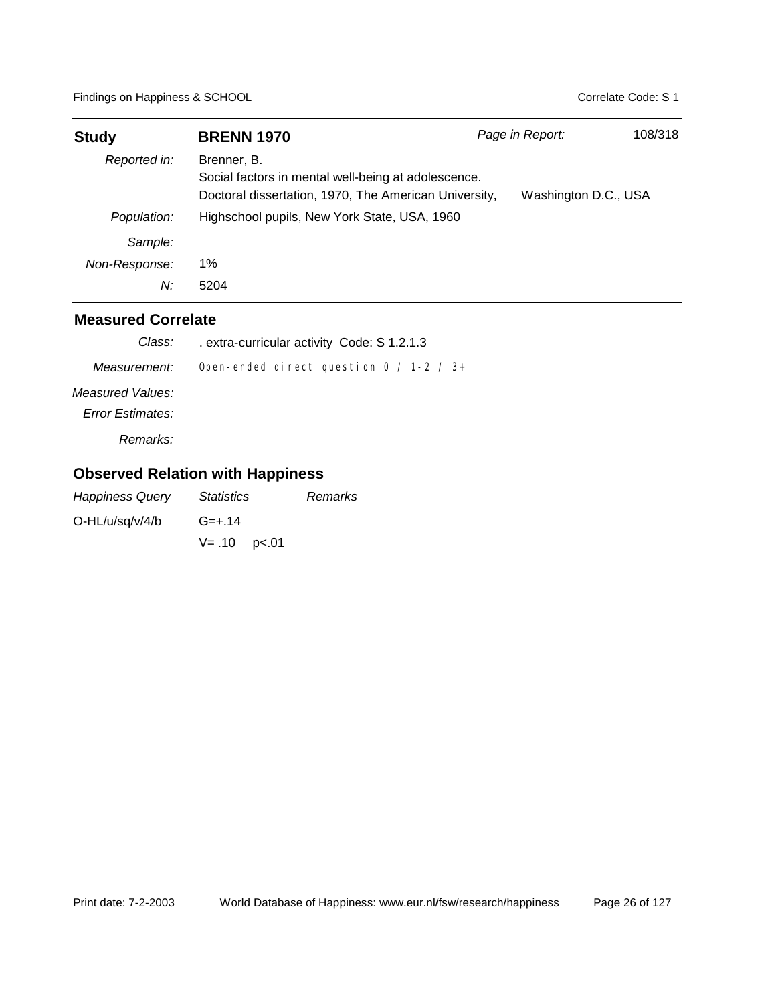| <b>Study</b>  | <b>BRENN 1970</b>                                                                                                           | Page in Report: |                      | 108/318 |
|---------------|-----------------------------------------------------------------------------------------------------------------------------|-----------------|----------------------|---------|
| Reported in:  | Brenner, B.<br>Social factors in mental well-being at adolescence.<br>Doctoral dissertation, 1970, The American University, |                 | Washington D.C., USA |         |
| Population:   | Highschool pupils, New York State, USA, 1960                                                                                |                 |                      |         |
| Sample:       |                                                                                                                             |                 |                      |         |
| Non-Response: | 1%                                                                                                                          |                 |                      |         |
| N:            | 5204                                                                                                                        |                 |                      |         |

| Class:                  | . extra-curricular activity Code: S 1.2.1.3 |
|-------------------------|---------------------------------------------|
| Measurement:            | Open-ended direct question $0 / 1-2 / 3+$   |
| Measured Values:        |                                             |
| <b>Error Estimates:</b> |                                             |
| Remarks:                |                                             |

| <b>Happiness Query</b> | <i><b>Statistics</b></i> | Remarks |
|------------------------|--------------------------|---------|
| $O-HL/u/sq/v/4/b$      | G=+.14                   |         |
|                        | $V = .10$ $p < .01$      |         |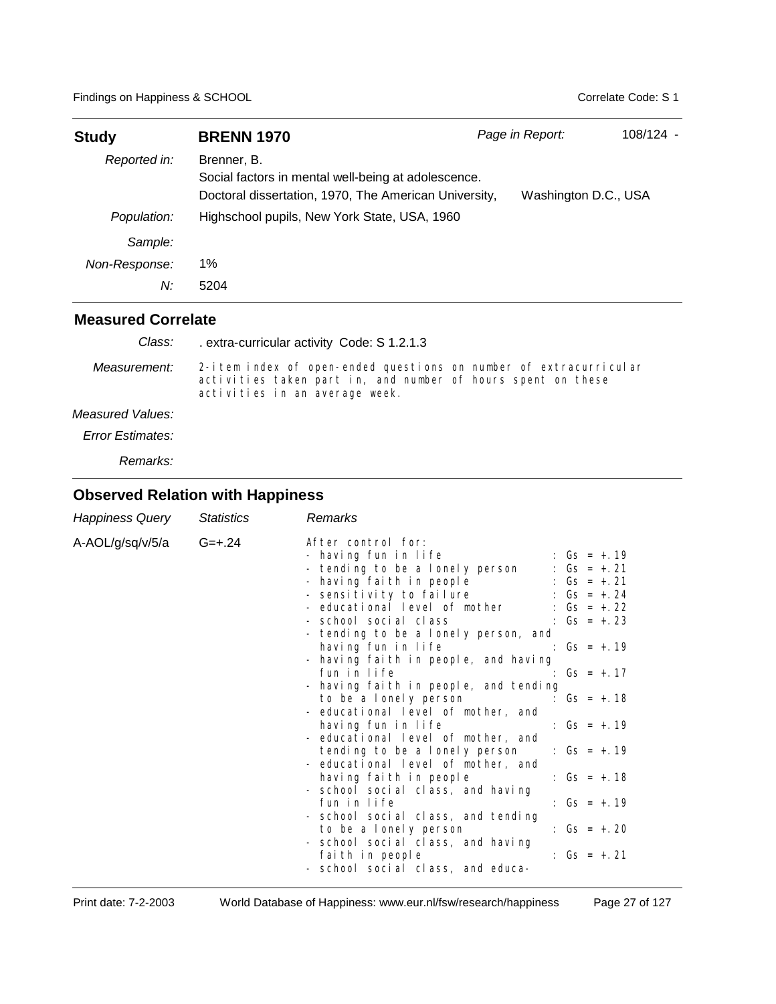| <b>Study</b>  | <b>BRENN 1970</b>                                                                                                           | Page in Report:      | 108/124 - |
|---------------|-----------------------------------------------------------------------------------------------------------------------------|----------------------|-----------|
| Reported in:  | Brenner, B.<br>Social factors in mental well-being at adolescence.<br>Doctoral dissertation, 1970, The American University, | Washington D.C., USA |           |
| Population:   | Highschool pupils, New York State, USA, 1960                                                                                |                      |           |
| Sample:       |                                                                                                                             |                      |           |
| Non-Response: | 1%                                                                                                                          |                      |           |
| N:            | 5204                                                                                                                        |                      |           |

| Class:           | extra-curricular activity Code: S 1.2.1.3                                                                                                                           |
|------------------|---------------------------------------------------------------------------------------------------------------------------------------------------------------------|
| Measurement:     | 2-item index of open-ended questions on number of extracurricular<br>activities taken part in, and number of hours spent on these<br>activities in an average week. |
| Measured Values: |                                                                                                                                                                     |
| Error Estimates: |                                                                                                                                                                     |

*Remarks:*

| Happiness Query             | <b>Statistics</b> | Remarks                                                                                                                                                                                                                                                                                                                                                                                                                                                                                                                                                                                                                                                                                                                                                                                                                                                                                                                                                                                                                                                                                                                        |
|-----------------------------|-------------------|--------------------------------------------------------------------------------------------------------------------------------------------------------------------------------------------------------------------------------------------------------------------------------------------------------------------------------------------------------------------------------------------------------------------------------------------------------------------------------------------------------------------------------------------------------------------------------------------------------------------------------------------------------------------------------------------------------------------------------------------------------------------------------------------------------------------------------------------------------------------------------------------------------------------------------------------------------------------------------------------------------------------------------------------------------------------------------------------------------------------------------|
| A-AOL/g/sq/v/5/a $G = +.24$ |                   | After control for:<br>- having fun in life<br>: $Gs = +.19$<br>: $Gs = +.21$<br>- tending to be a lonely person<br>- having faith in people : $Gs = +.21$<br>- sensitivity to failure : Gs = +.24<br>- educational level of mother $\hspace{1.6cm}$ : Gs = +.22<br>- school social class $\therefore$ Gs = $+23$<br>- tending to be a lonely person, and<br>having fun in life $\qquad \qquad$ : $\qquad \qquad$ : $\qquad \qquad$ = +.19<br>- having faith in people, and having<br>fun in life<br>: $Gs = +.17$<br>- having faith in people, and tending<br>to be a lonely person<br>: $Gs = +.18$<br>- educational level of mother, and<br>: $Gs = +.19$<br>having fun in life<br>- educational level of mother, and<br>: $Gs = +.19$<br>tending to be a lonely person<br>- educational level of mother, and<br>having faith in people<br>: $Gs = +.18$<br>- school social class, and having<br>fun in life<br>: $Gs = +.19$<br>- school social class, and tending<br>: $Gs = +.20$<br>to be a lonely person<br>- school social class, and having<br>faith in people<br>: $Gs = + .21$<br>- school social class, and educa- |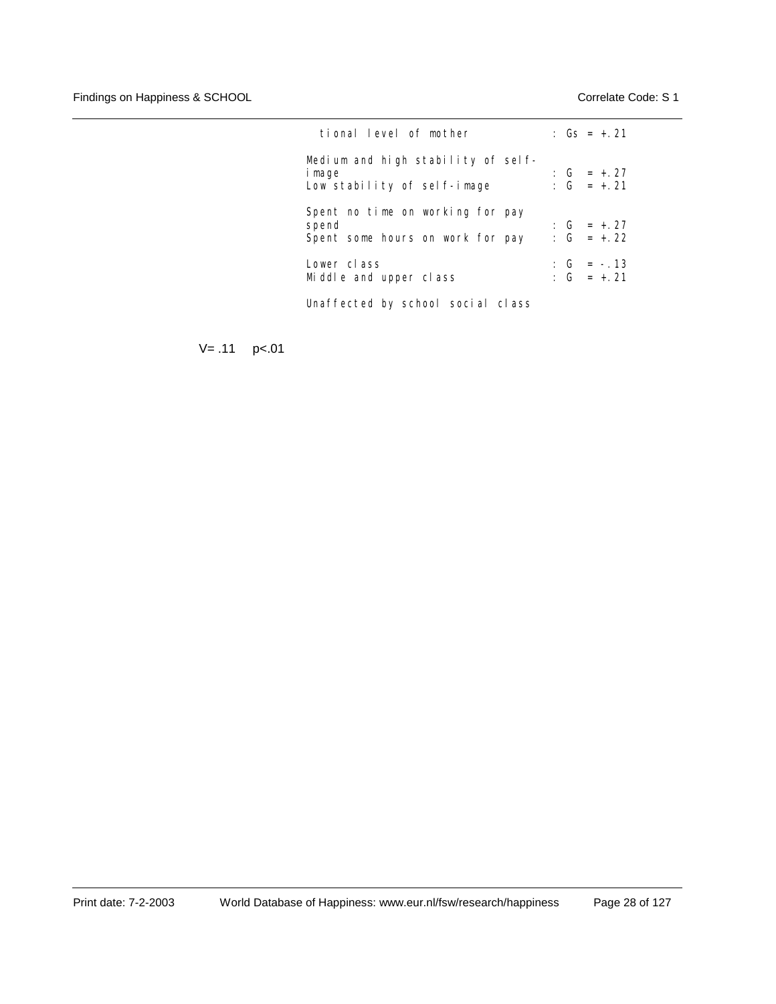| tional level of mother                                                        |  | : $Gs = + 21$                |
|-------------------------------------------------------------------------------|--|------------------------------|
| Medium and high stability of self-<br>i mage<br>Low stability of self-image   |  | : $G = +27$<br>: $G = +.21$  |
| Spent no time on working for pay<br>spend<br>Spent some hours on work for pay |  | : $G = +27$<br>: $G = +.22$  |
| Lower class<br>Middle and upper class                                         |  | $: G = -.13$<br>: $G = +.21$ |

Unaffected by school social class

 $V = .11$  p<.01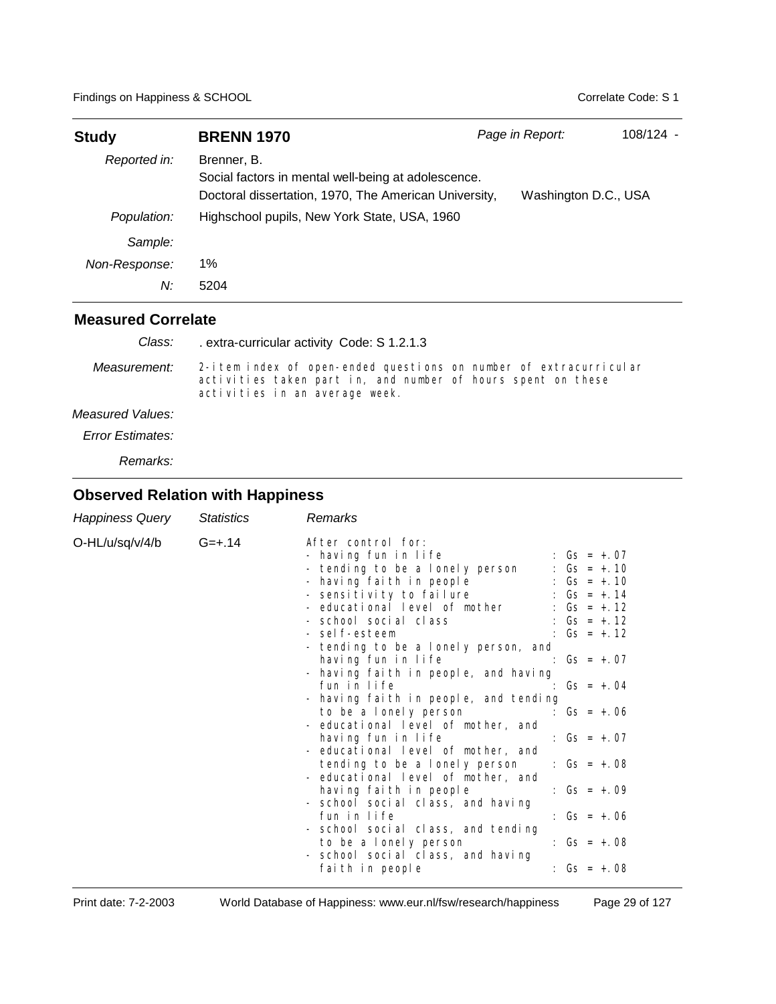| <b>Study</b>        | <b>BRENN 1970</b>                                                                                                           | Page in Report:      | 108/124 - |
|---------------------|-----------------------------------------------------------------------------------------------------------------------------|----------------------|-----------|
| Reported in:        | Brenner, B.<br>Social factors in mental well-being at adolescence.<br>Doctoral dissertation, 1970, The American University, | Washington D.C., USA |           |
| Population:         | Highschool pupils, New York State, USA, 1960                                                                                |                      |           |
| Sample:             |                                                                                                                             |                      |           |
| Non-Response:<br>N: | 1%<br>5204                                                                                                                  |                      |           |
|                     |                                                                                                                             |                      |           |

| Class:           | extra-curricular activity Code: S 1.2.1.3                                                                                                                           |
|------------------|---------------------------------------------------------------------------------------------------------------------------------------------------------------------|
| Measurement:     | 2-item index of open-ended questions on number of extracurricular<br>activities taken part in, and number of hours spent on these<br>activities in an average week. |
| Measured Values: |                                                                                                                                                                     |
| Error Estimates: |                                                                                                                                                                     |

*Remarks:*

| Happiness Query | <b>Statistics</b> | Remarks                                                                                                                                                                                                                                                                                                                                                                                                                                                                                                                                                                                                                                                                                                                                                                                                                                                                                                                                                                                                                                                        |
|-----------------|-------------------|----------------------------------------------------------------------------------------------------------------------------------------------------------------------------------------------------------------------------------------------------------------------------------------------------------------------------------------------------------------------------------------------------------------------------------------------------------------------------------------------------------------------------------------------------------------------------------------------------------------------------------------------------------------------------------------------------------------------------------------------------------------------------------------------------------------------------------------------------------------------------------------------------------------------------------------------------------------------------------------------------------------------------------------------------------------|
| O-HL/u/sq/v/4/b | $G = +.14$        | After control for:<br>- having fun in life<br>: $Gs = +.07$<br>- tending to be a lonely person<br>: $Gs = +.10$<br>- having faith in people<br>: $Gs = +.10$<br>- sensitivity to failure : Gs = +.14<br>- educational level of mother<br>: $Gs = + 12$<br>- school social class<br>: $Gs = + 12$<br>- self-esteem<br>: $Gs = +.12$<br>- tending to be a lonely person, and<br>having fun in life<br>: $Gs = +.07$<br>- having faith in people, and having<br>fun in life<br>$Gs = +.04$<br>- having faith in people, and tending<br>to be a lonely person<br>: $Gs = +.06$<br>- educational level of mother, and<br>having fun in life<br>: $Gs = +.07$<br>- educational level of mother, and<br>tending to be a lonely person<br>: $Gs = +.08$<br>- educational level of mother, and<br>: $Gs = +.09$<br>having faith in people<br>- school social class, and having<br>fun in life<br>: $Gs = +.06$<br>- school social class, and tending<br>to be a lonely person<br>: $Gs = +.08$<br>- school social class, and having<br>: $Gs = +.08$<br>faith in people |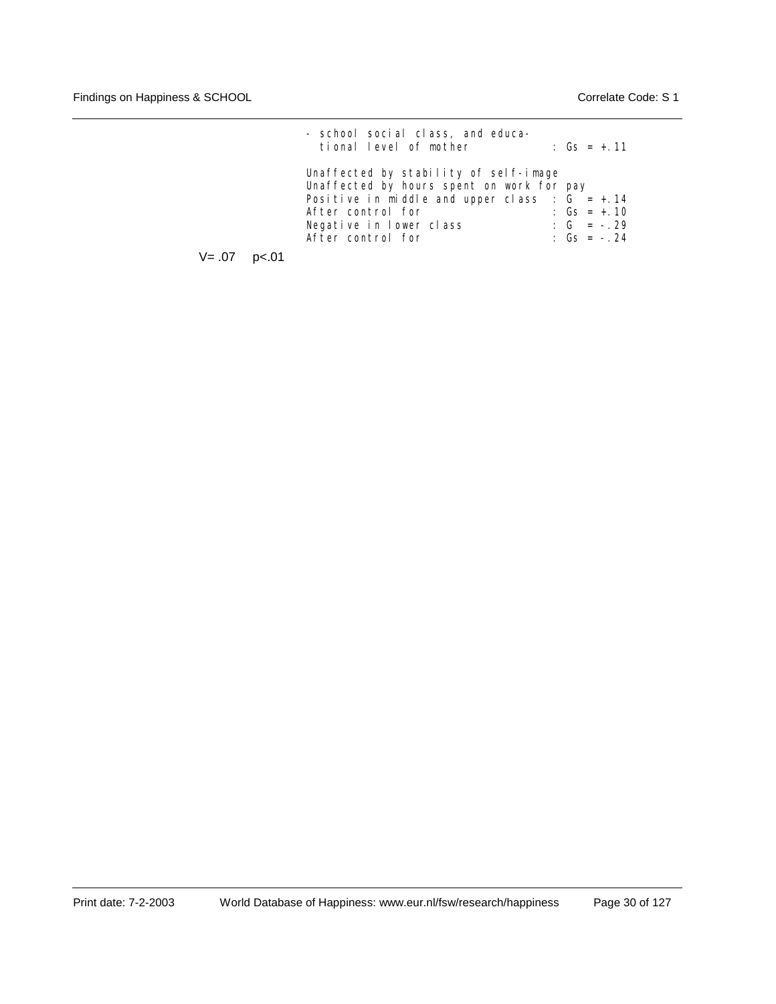| Unaffected by stability of self-image<br>Unaffected by hours spent on work for pay                                                                                       |  |
|--------------------------------------------------------------------------------------------------------------------------------------------------------------------------|--|
| Positive in middle and upper class : $G = +0.14$<br>After control for<br>: $Gs = +.10$<br>: $G = -0.29$<br>Negative in lower class<br>After control for<br>: $Gs = -.24$ |  |

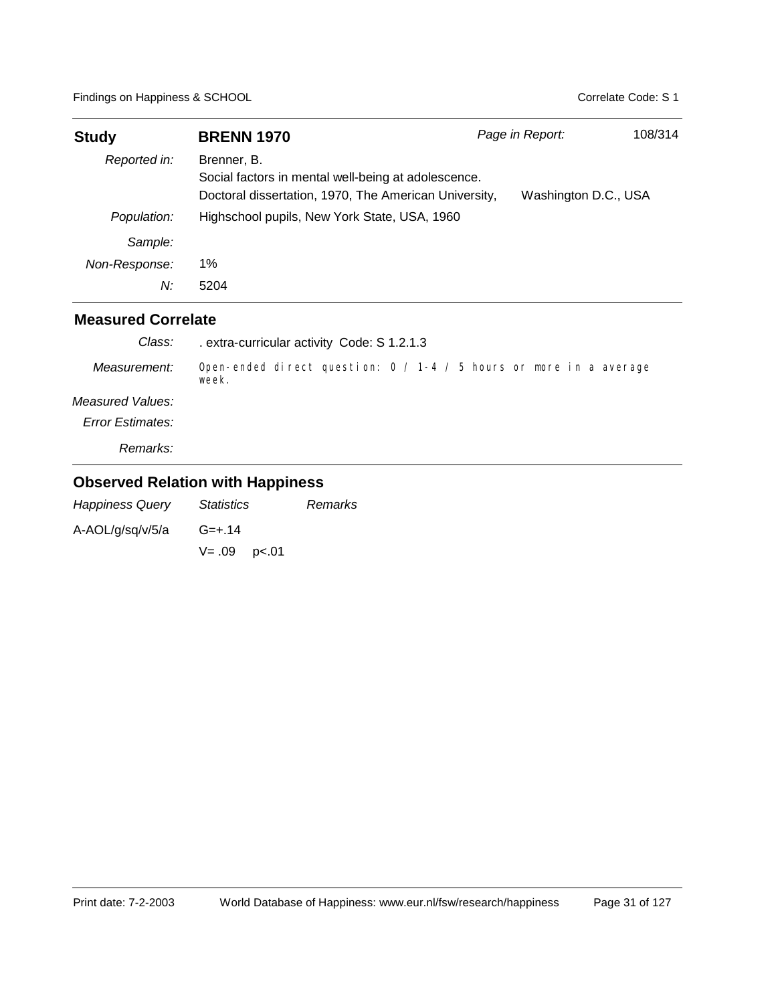| <b>Study</b>  | <b>BRENN 1970</b>                                                                                                           | Page in Report:      | 108/314 |
|---------------|-----------------------------------------------------------------------------------------------------------------------------|----------------------|---------|
| Reported in:  | Brenner, B.<br>Social factors in mental well-being at adolescence.<br>Doctoral dissertation, 1970, The American University, | Washington D.C., USA |         |
| Population:   | Highschool pupils, New York State, USA, 1960                                                                                |                      |         |
| Sample:       |                                                                                                                             |                      |         |
| Non-Response: | 1%                                                                                                                          |                      |         |
| N:            | 5204                                                                                                                        |                      |         |

| Class:           | extra-curricular activity Code: S 1.2.1.3                                       |
|------------------|---------------------------------------------------------------------------------|
| Measurement:     | Open-ended direct question: $0 / 1 - 4 / 5$ hours or more in a average<br>week. |
| Measured Values: |                                                                                 |
| Error Estimates: |                                                                                 |
| Remarks:         |                                                                                 |

| <b>Happiness Query</b> | <i>Statistics</i>   | Remarks |
|------------------------|---------------------|---------|
| A-AOL/g/sq/v/5/a       | $G = +.14$          |         |
|                        | $V = .09$ $p < .01$ |         |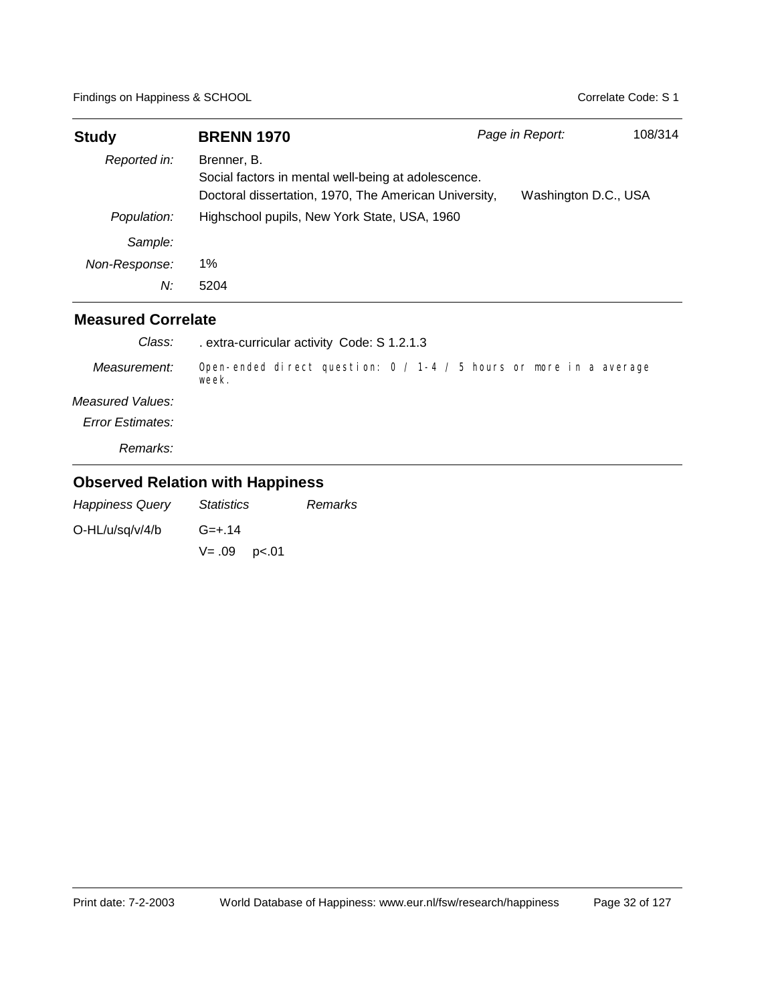| <b>Study</b>  | <b>BRENN 1970</b>                                                                                                           | Page in Report:      | 108/314 |
|---------------|-----------------------------------------------------------------------------------------------------------------------------|----------------------|---------|
| Reported in:  | Brenner, B.<br>Social factors in mental well-being at adolescence.<br>Doctoral dissertation, 1970, The American University, | Washington D.C., USA |         |
| Population:   | Highschool pupils, New York State, USA, 1960                                                                                |                      |         |
| Sample:       |                                                                                                                             |                      |         |
| Non-Response: | 1%                                                                                                                          |                      |         |
| N:            | 5204                                                                                                                        |                      |         |

| Class:           | extra-curricular activity Code: S 1.2.1.3                                       |
|------------------|---------------------------------------------------------------------------------|
| Measurement:     | Open-ended direct question: $0 / 1 - 4 / 5$ hours or more in a average<br>week. |
| Measured Values: |                                                                                 |
| Error Estimates: |                                                                                 |
| Remarks:         |                                                                                 |

| <b>Happiness Query</b> | <i>Statistics</i> | Remarks |
|------------------------|-------------------|---------|
| $O-HL/u/sq/v/4/b$      | $G = +.14$        |         |
|                        | $V = .09$ p<.01   |         |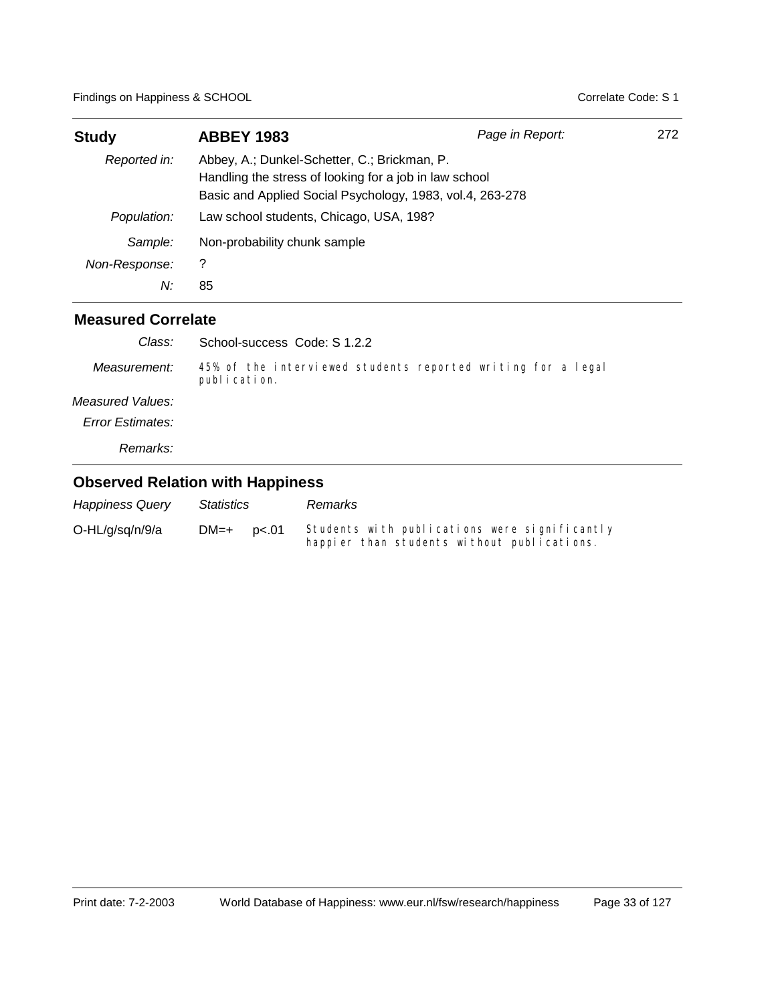| <b>Study</b>  | <b>ABBEY 1983</b>                                                                                                                                                   | Page in Report: | 272 |
|---------------|---------------------------------------------------------------------------------------------------------------------------------------------------------------------|-----------------|-----|
| Reported in:  | Abbey, A.; Dunkel-Schetter, C.; Brickman, P.<br>Handling the stress of looking for a job in law school<br>Basic and Applied Social Psychology, 1983, vol.4, 263-278 |                 |     |
| Population:   | Law school students, Chicago, USA, 198?                                                                                                                             |                 |     |
| Sample:       | Non-probability chunk sample                                                                                                                                        |                 |     |
| Non-Response: | ?                                                                                                                                                                   |                 |     |
| N:            | 85                                                                                                                                                                  |                 |     |

#### **Measured Correlate**

| Class:                  | School-success Code: S 1.2.2                                                 |
|-------------------------|------------------------------------------------------------------------------|
| Measurement:            | 45% of the interviewed students reported writing for a legal<br>publication. |
| Measured Values:        |                                                                              |
| <b>Error Estimates:</b> |                                                                              |
| <i>Remarks:</i>         |                                                                              |
|                         |                                                                              |

| <b>Happiness Query</b> | Statistics     | Remarks                                                                                      |
|------------------------|----------------|----------------------------------------------------------------------------------------------|
| O-HL/g/sg/n/9/a        | $DM=+$ $pc.01$ | Students with publications were significantly<br>happier than students without publications. |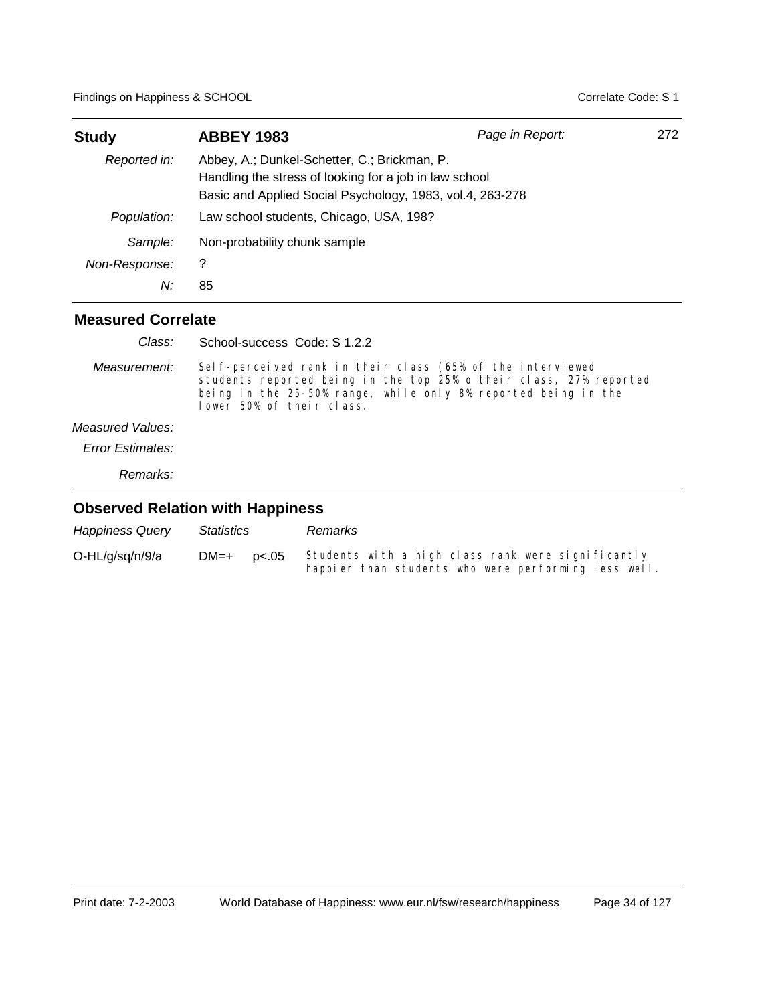| <b>Study</b>  | <b>ABBEY 1983</b>                                                                                                                                                   | Page in Report: | 272 |
|---------------|---------------------------------------------------------------------------------------------------------------------------------------------------------------------|-----------------|-----|
| Reported in:  | Abbey, A.; Dunkel-Schetter, C.; Brickman, P.<br>Handling the stress of looking for a job in law school<br>Basic and Applied Social Psychology, 1983, vol.4, 263-278 |                 |     |
| Population:   | Law school students, Chicago, USA, 198?                                                                                                                             |                 |     |
| Sample:       | Non-probability chunk sample                                                                                                                                        |                 |     |
| Non-Response: | 7                                                                                                                                                                   |                 |     |
| N:            | 85                                                                                                                                                                  |                 |     |

#### **Measured Correlate**

| Class:           | School-success Code: S 1.2.2                                                                                                                                                                                                     |
|------------------|----------------------------------------------------------------------------------------------------------------------------------------------------------------------------------------------------------------------------------|
| Measurement:     | Sel f-perceived rank in their class (65% of the interviewed<br>students reported being in the top 25% o their class, 27% reported<br>being in the 25-50% range, while only 8% reported being in the<br>lower 50% of their class. |
| Measured Values: |                                                                                                                                                                                                                                  |
| Error Estimates: |                                                                                                                                                                                                                                  |

*Remarks:*

| <b>Happiness Query</b> | Statistics      | Remarks                                                                                                    |
|------------------------|-----------------|------------------------------------------------------------------------------------------------------------|
| O-HL/g/sq/n/9/a        | $DM=+$<br>p<.05 | Students with a high class rank were significantly<br>happier than students who were performing less well. |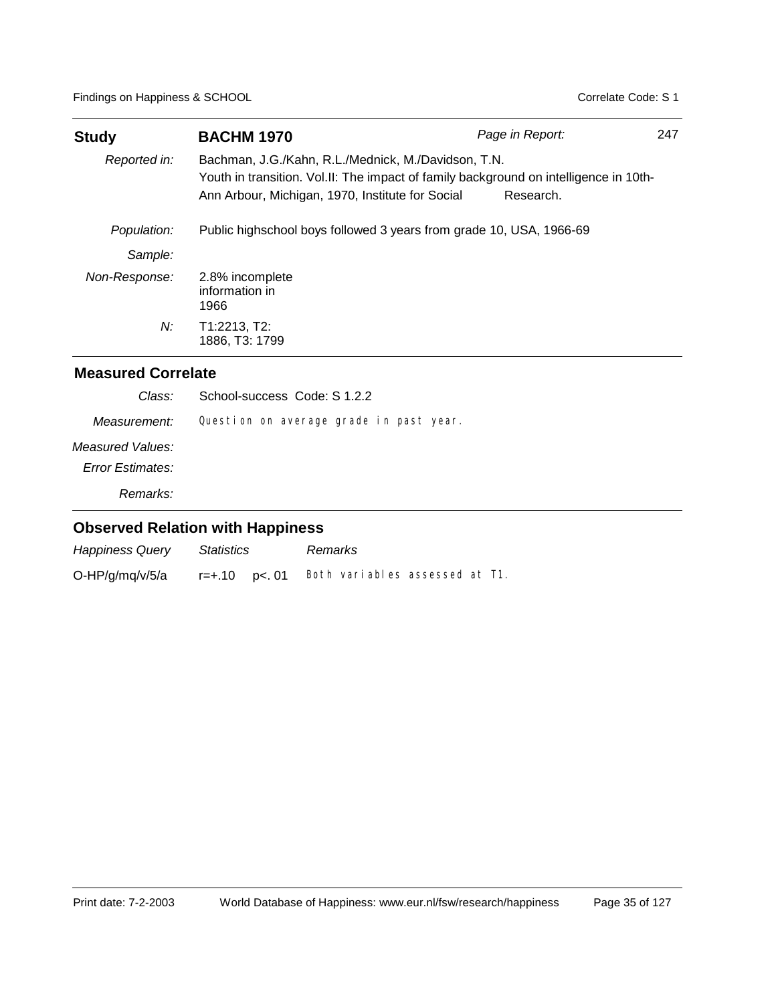| <b>BACHM 1970</b>                                |           | 247                                                                                                                                                                                                                                    |
|--------------------------------------------------|-----------|----------------------------------------------------------------------------------------------------------------------------------------------------------------------------------------------------------------------------------------|
| Ann Arbour, Michigan, 1970, Institute for Social | Research. |                                                                                                                                                                                                                                        |
|                                                  |           |                                                                                                                                                                                                                                        |
|                                                  |           |                                                                                                                                                                                                                                        |
| 2.8% incomplete<br>information in<br>1966        |           |                                                                                                                                                                                                                                        |
| T1:2213, T2:<br>1886, T3: 1799                   |           |                                                                                                                                                                                                                                        |
|                                                  |           | Page in Report:<br>Bachman, J.G./Kahn, R.L./Mednick, M./Davidson, T.N.<br>Youth in transition. Vol.II: The impact of family background on intelligence in 10th-<br>Public highschool boys followed 3 years from grade 10, USA, 1966-69 |

| Class:                                      | School-success Code: S 1.2.2            |
|---------------------------------------------|-----------------------------------------|
| Measurement:                                | Question on average grade in past year. |
| Measured Values:<br><b>Error Estimates:</b> |                                         |
| Remarks:                                    |                                         |
|                                             |                                         |

| <b>Happiness Query</b> | Statistics   | Remarks                        |  |  |
|------------------------|--------------|--------------------------------|--|--|
| $O-HP/g/mq/v/5/a$      | r=+.10 p<.01 | Both variables assessed at T1. |  |  |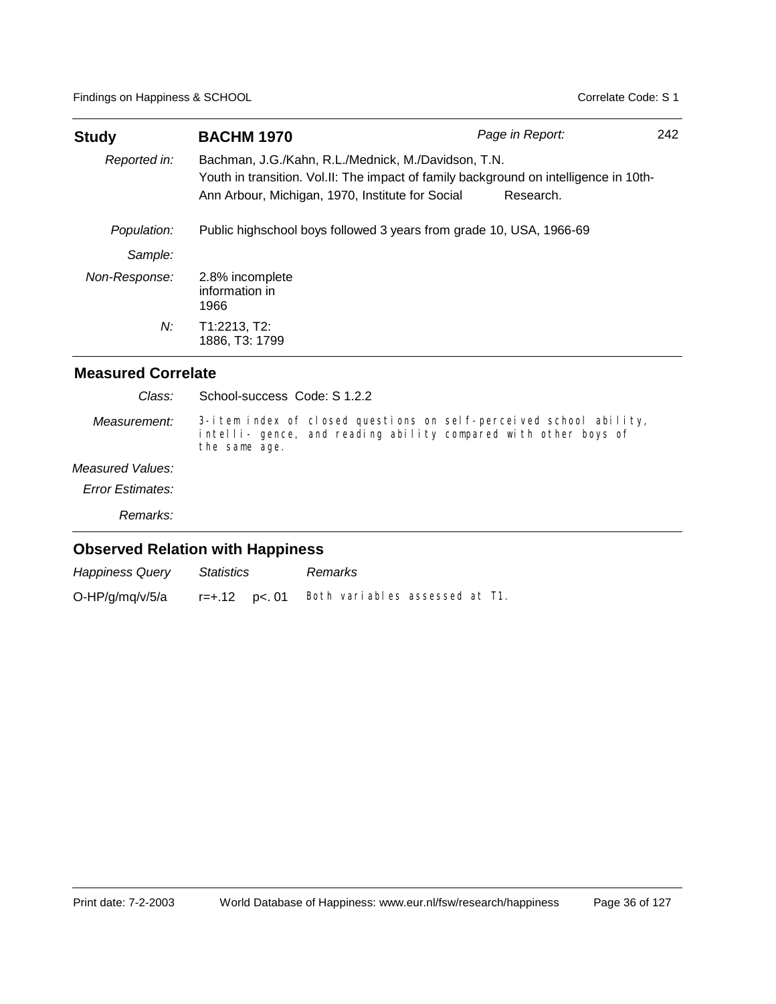| <b>Study</b>  | <b>BACHM 1970</b>                                                                                                                                                                                | Page in Report: | 242 |
|---------------|--------------------------------------------------------------------------------------------------------------------------------------------------------------------------------------------------|-----------------|-----|
| Reported in:  | Bachman, J.G./Kahn, R.L./Mednick, M./Davidson, T.N.<br>Youth in transition. Vol.II: The impact of family background on intelligence in 10th-<br>Ann Arbour, Michigan, 1970, Institute for Social | Research.       |     |
| Population:   | Public highschool boys followed 3 years from grade 10, USA, 1966-69                                                                                                                              |                 |     |
| Sample:       |                                                                                                                                                                                                  |                 |     |
| Non-Response: | 2.8% incomplete<br>information in<br>1966                                                                                                                                                        |                 |     |
| N:            | T1:2213, T2:<br>1886. T3: 1799                                                                                                                                                                   |                 |     |

| Class:           | School-success Code: S 1.2.2                                                                                                                           |
|------------------|--------------------------------------------------------------------------------------------------------------------------------------------------------|
| Measurement:     | 3-item index of closed questions on self-perceived school ability,<br>intelli- gence, and reading ability compared with other boys of<br>the same age. |
| Measured Values: |                                                                                                                                                        |
| Error Estimates: |                                                                                                                                                        |
| Remarks:         |                                                                                                                                                        |
|                  | <b>Observed Relation with Happiness</b>                                                                                                                |

| <b>Happiness Query</b> | Statistics        | Remarks                        |  |
|------------------------|-------------------|--------------------------------|--|
| O-HP/g/mq/v/5/a        | $r = +.12$ p<. 01 | Both variables assessed at T1. |  |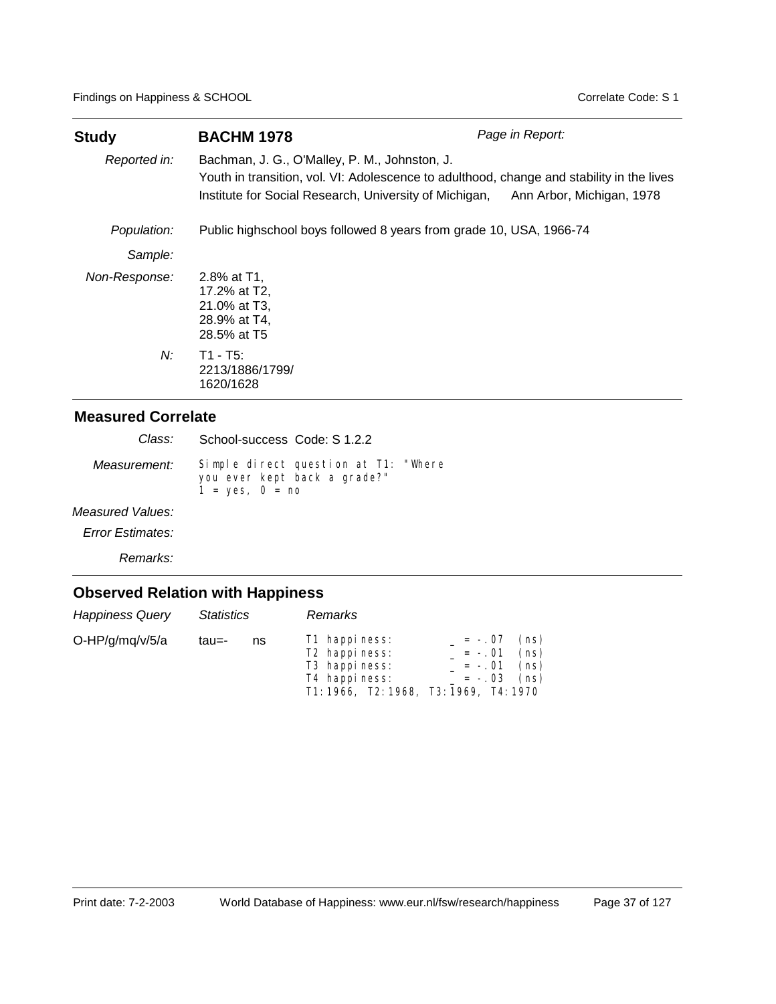| <b>Study</b>  | <b>BACHM 1978</b>                                                                                                                                                                                    | Page in Report:           |
|---------------|------------------------------------------------------------------------------------------------------------------------------------------------------------------------------------------------------|---------------------------|
| Reported in:  | Bachman, J. G., O'Malley, P. M., Johnston, J.<br>Youth in transition, vol. VI: Adolescence to adulthood, change and stability in the lives<br>Institute for Social Research, University of Michigan, | Ann Arbor, Michigan, 1978 |
| Population:   | Public highschool boys followed 8 years from grade 10, USA, 1966-74                                                                                                                                  |                           |
| Sample:       |                                                                                                                                                                                                      |                           |
| Non-Response: | 2.8% at T1.<br>17.2% at T2,<br>21.0% at T3,<br>28.9% at T4,<br>28.5% at T5                                                                                                                           |                           |
| N:            | $T1 - T5$ :<br>2213/1886/1799/<br>1620/1628                                                                                                                                                          |                           |

|                     | Class: School-success Code: S 1.2.2                                                       |
|---------------------|-------------------------------------------------------------------------------------------|
| <i>Measurement:</i> | Simple direct question at T1: "Where<br>you ever kept back a grade?"<br>$1 = yes, 0 = no$ |

#### *Measured Values:*

*Error Estimates:*

*Remarks:*

| <b>Happiness Query</b> | <b>Statistics</b> |    | <b>Remarks</b>                                                                                                                     |                                               |                              |  |
|------------------------|-------------------|----|------------------------------------------------------------------------------------------------------------------------------------|-----------------------------------------------|------------------------------|--|
| O-HP/g/mq/v/5/a        | tau=-             | ns | T1 happiness:<br>T <sub>2</sub> happiness:<br>T <sub>3</sub> happiness:<br>T4 happiness:<br>T1: 1966, T2: 1968, T3: 1969, T4: 1970 | $= -.07$<br>$= -.01$<br>$= -.01$<br>$= -0.03$ | (ns)<br>(ns)<br>(ns)<br>(ns) |  |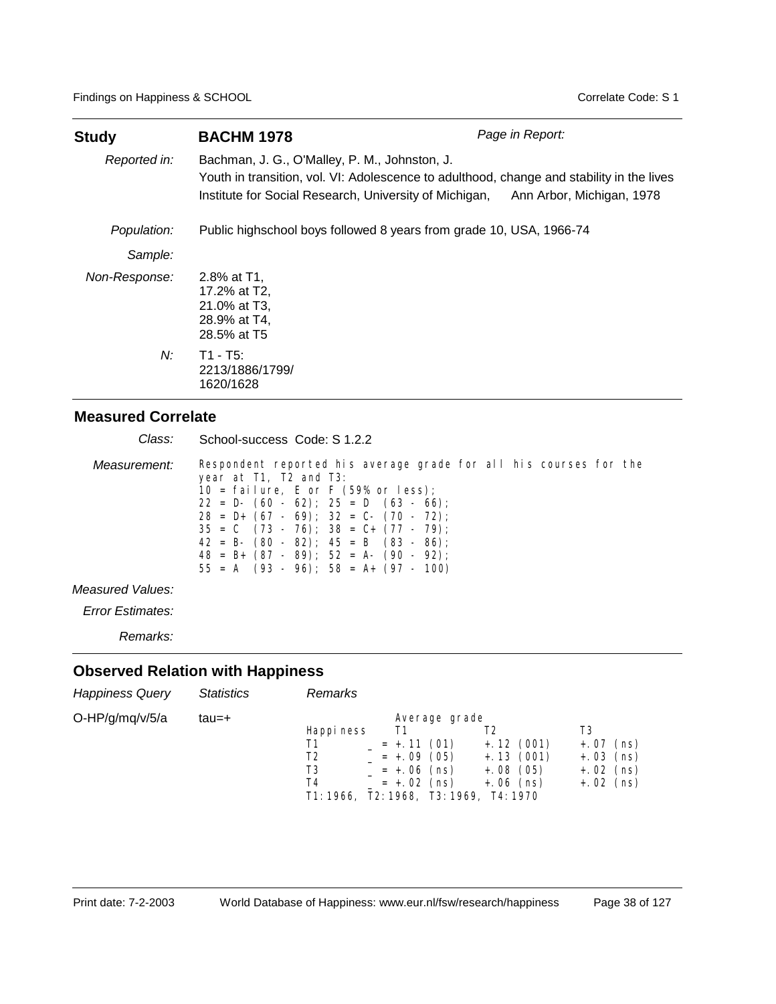| <b>Study</b>  | <b>BACHM 1978</b>                                                                                                                                                                                    | Page in Report:           |
|---------------|------------------------------------------------------------------------------------------------------------------------------------------------------------------------------------------------------|---------------------------|
| Reported in:  | Bachman, J. G., O'Malley, P. M., Johnston, J.<br>Youth in transition, vol. VI: Adolescence to adulthood, change and stability in the lives<br>Institute for Social Research, University of Michigan, | Ann Arbor, Michigan, 1978 |
| Population:   | Public highschool boys followed 8 years from grade 10, USA, 1966-74                                                                                                                                  |                           |
| Sample:       |                                                                                                                                                                                                      |                           |
| Non-Response: | 2.8% at T1.<br>17.2% at T2,<br>21.0% at T3,<br>28.9% at T4,<br>28.5% at T5                                                                                                                           |                           |
| $N$ :         | $T1 - T5$ :<br>2213/1886/1799/<br>1620/1628                                                                                                                                                          |                           |

| Class:       | School-success Code: S 1.2.2                                                                                                                                                                                                                                                                                                                                                                                                         |
|--------------|--------------------------------------------------------------------------------------------------------------------------------------------------------------------------------------------------------------------------------------------------------------------------------------------------------------------------------------------------------------------------------------------------------------------------------------|
| Measurement: | Respondent reported his average grade for all his courses for the<br>year at T1, T2 and T3:<br>10 = failure, E or F $(59\% \text{ or } less)$ ;<br>$22 = D - (60 - 62)$ ; $25 = D (63 - 66)$ ;<br>$28 = D+ (67 - 69)$ ; $32 = C- (70 - 72)$ ;<br>$35 = C$ $(73 - 76)$ ; $38 = C + (77 - 79)$ ;<br>$42 = B - (80 - 82)$ ; $45 = B (83 - 86)$ ;<br>$48 = B + (87 - 89)$ ; 52 = A- (90 - 92);<br>$55 = A$ (93 - 96); 58 = A+ (97 - 100) |
|              |                                                                                                                                                                                                                                                                                                                                                                                                                                      |

### *Measured Values:*

*Error Estimates:*

*Remarks:*

| <b>Happiness Query</b> | <b>Statistics</b> | Remarks                                                                                                                                                                                                                                |                                                                   |
|------------------------|-------------------|----------------------------------------------------------------------------------------------------------------------------------------------------------------------------------------------------------------------------------------|-------------------------------------------------------------------|
| O-HP/g/mq/v/5/a        | tau=+             | Average grade<br>Happi ness<br>T1<br>T2<br>$+.12(001)$<br>T1<br>$= +.11(01)$<br>$+.13(001)$<br>$= +.09(05)$<br>T2<br>T3<br>$= +.06$ (ns)<br>$+.08(05)$<br>T4<br>$= +.02$ (ns)<br>$+.06$ (ns)<br>T1: 1966, T2: 1968, T3: 1969, T4: 1970 | T3<br>$+.07$<br>(ns)<br>$+.03$ (ns)<br>$+.02$ (ns)<br>$+.02$ (ns) |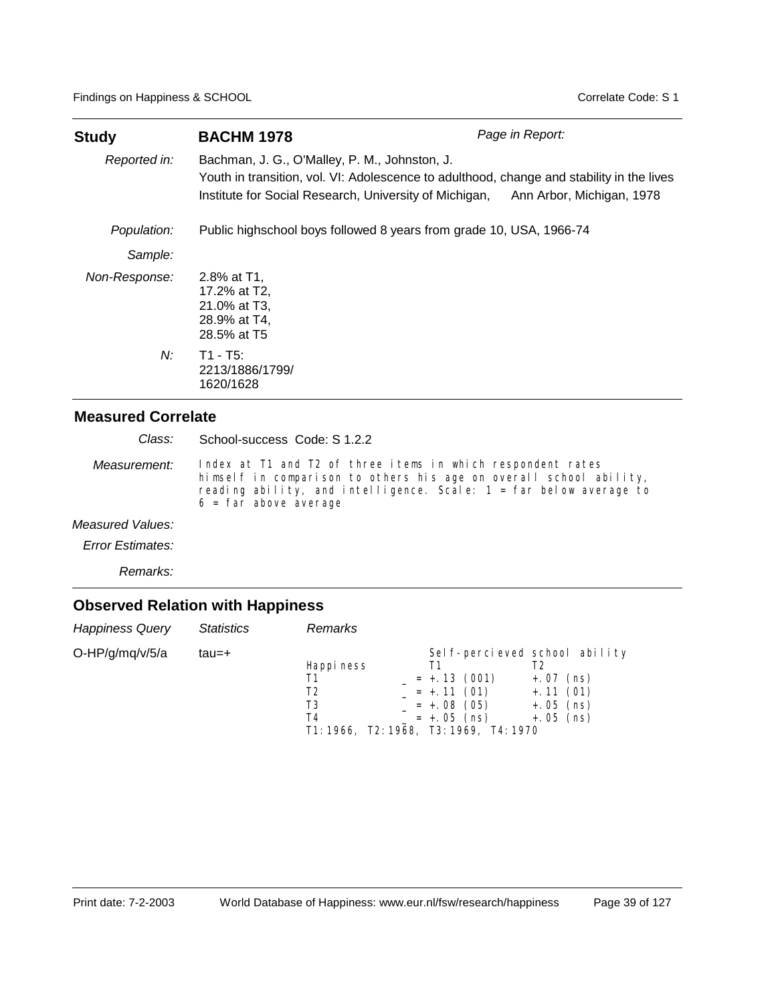| Study         | <b>BACHM 1978</b>                                                                                       | Page in Report:                                                                                                        |
|---------------|---------------------------------------------------------------------------------------------------------|------------------------------------------------------------------------------------------------------------------------|
| Reported in:  | Bachman, J. G., O'Malley, P. M., Johnston, J.<br>Institute for Social Research, University of Michigan, | Youth in transition, vol. VI: Adolescence to adulthood, change and stability in the lives<br>Ann Arbor, Michigan, 1978 |
| Population:   | Public highschool boys followed 8 years from grade 10, USA, 1966-74                                     |                                                                                                                        |
| Sample:       |                                                                                                         |                                                                                                                        |
| Non-Response: | 2.8% at T1.<br>17.2% at T2.<br>21.0% at T3,<br>28.9% at T4.<br>28.5% at T5                              |                                                                                                                        |
| $N$ :         | $T1 - T5$ :<br>2213/1886/1799/<br>1620/1628                                                             |                                                                                                                        |

School-success Code: S 1.2.2 *Class:*

Index at T1 and T2 of three items in which respondent rates himself in comparison to others his age on overall school ability, reading ability, and intelligence. Scale: 1 = far below average to  $6 = \overrightarrow{far}$  above average *Measurement:*

*Measured Values:*

*Error Estimates:*

*Remarks:*

| <b>Happiness Query</b> | <b>Statistics</b> | <b>Remarks</b>                                                               |                                                                      |                                                                                           |
|------------------------|-------------------|------------------------------------------------------------------------------|----------------------------------------------------------------------|-------------------------------------------------------------------------------------------|
| O-HP/g/mq/v/5/a        | tau=+             | Happi ness<br>Τ1<br>T2<br>T3<br>T4<br>T1: 1966, T2: 1968, T3: 1969, T4: 1970 | Τ1<br>$= +.13(001)$<br>$= +.11(01)$<br>$= +.08(05)$<br>$= +.05$ (ns) | Sel f-percieved school ability<br>$+.07$ (ns)<br>$+.11(01)$<br>$+.05$ (ns)<br>$+.05$ (ns) |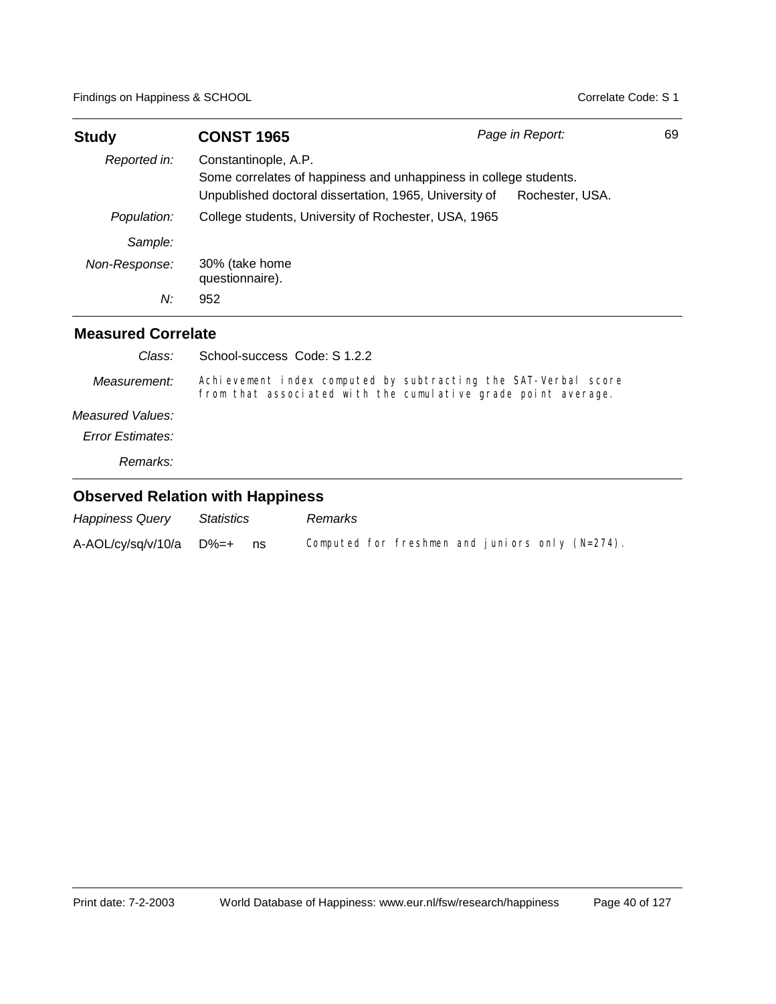| <b>Study</b>              | <b>CONST 1965</b>                                                                                                           | Page in Report:                                                                                                                 | 69 |
|---------------------------|-----------------------------------------------------------------------------------------------------------------------------|---------------------------------------------------------------------------------------------------------------------------------|----|
| Reported in:              | Constantinople, A.P.                                                                                                        |                                                                                                                                 |    |
|                           | Some correlates of happiness and unhappiness in college students.<br>Unpublished doctoral dissertation, 1965, University of | Rochester, USA.                                                                                                                 |    |
| Population:               | College students, University of Rochester, USA, 1965                                                                        |                                                                                                                                 |    |
| Sample:                   |                                                                                                                             |                                                                                                                                 |    |
| Non-Response:             | 30% (take home<br>questionnaire).                                                                                           |                                                                                                                                 |    |
| N:                        | 952                                                                                                                         |                                                                                                                                 |    |
| <b>Measured Correlate</b> |                                                                                                                             |                                                                                                                                 |    |
| Class:                    | School-success Code: S 1.2.2                                                                                                |                                                                                                                                 |    |
| Measurement:              |                                                                                                                             | Achievement index computed by subtracting the SAT-Verbal score<br>from that associated with the cumulative grade point average. |    |
| Measured Values:          |                                                                                                                             |                                                                                                                                 |    |
| Error Estimates:          |                                                                                                                             |                                                                                                                                 |    |
| Remarks:                  |                                                                                                                             |                                                                                                                                 |    |

| <b>Happiness Query</b>      | Statistics |      | Remarks |                                                    |  |  |
|-----------------------------|------------|------|---------|----------------------------------------------------|--|--|
| $A-AOL/cy/sq/v/10/a$ $D%=+$ |            | ns n |         | Computed for freshmen and juniors only $(N=274)$ . |  |  |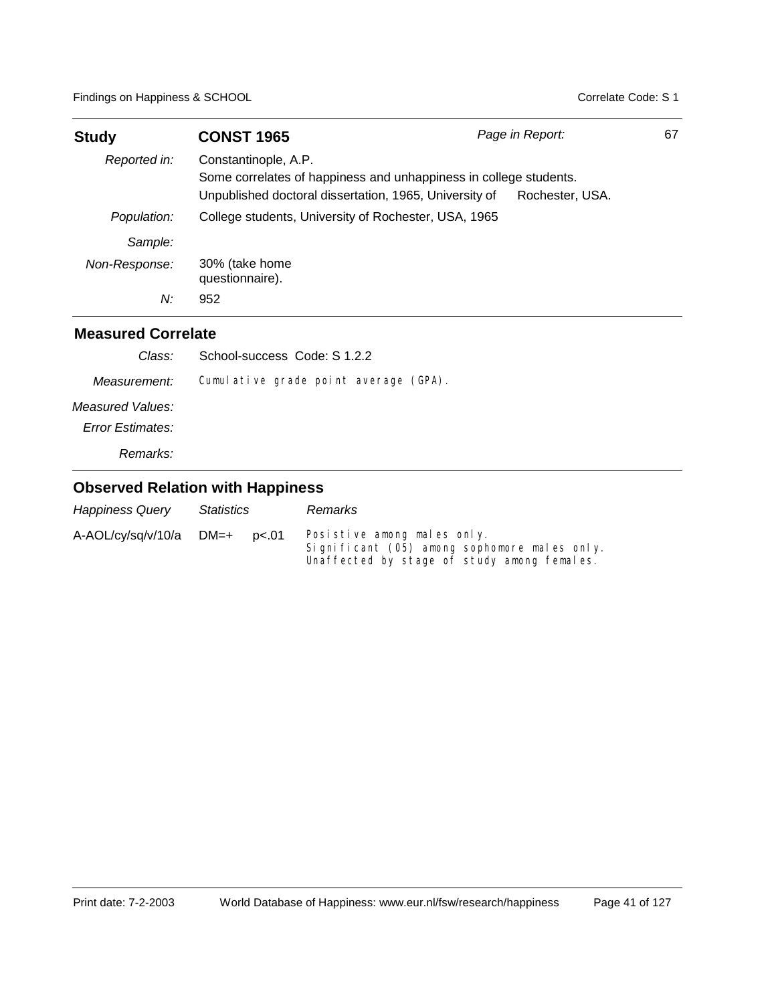| <b>Study</b>  | <b>CONST 1965</b>                                                                                                                                   | Page in Report: | 67 |
|---------------|-----------------------------------------------------------------------------------------------------------------------------------------------------|-----------------|----|
| Reported in:  | Constantinople, A.P.<br>Some correlates of happiness and unhappiness in college students.<br>Unpublished doctoral dissertation, 1965, University of | Rochester, USA. |    |
| Population:   | College students, University of Rochester, USA, 1965                                                                                                |                 |    |
| Sample:       |                                                                                                                                                     |                 |    |
| Non-Response: | 30% (take home<br>questionnaire).                                                                                                                   |                 |    |
| N:            | 952                                                                                                                                                 |                 |    |

### **Measured Correlate**

| Class:                  | School-success Code: S 1.2.2          |
|-------------------------|---------------------------------------|
| Measurement:            | Cumulative grade point average (GPA). |
| Measured Values:        |                                       |
| <b>Error Estimates:</b> |                                       |
| Remarks:                |                                       |

| <b>Happiness Query</b> | Statistics |       | Remarks                                                                                                                    |
|------------------------|------------|-------|----------------------------------------------------------------------------------------------------------------------------|
| A-AOL/cy/sq/v/10/a     | DM=+       | p<.01 | Posistive among males only.<br>Significant (05) among sophomore males only.<br>Unaffected by stage of study among females. |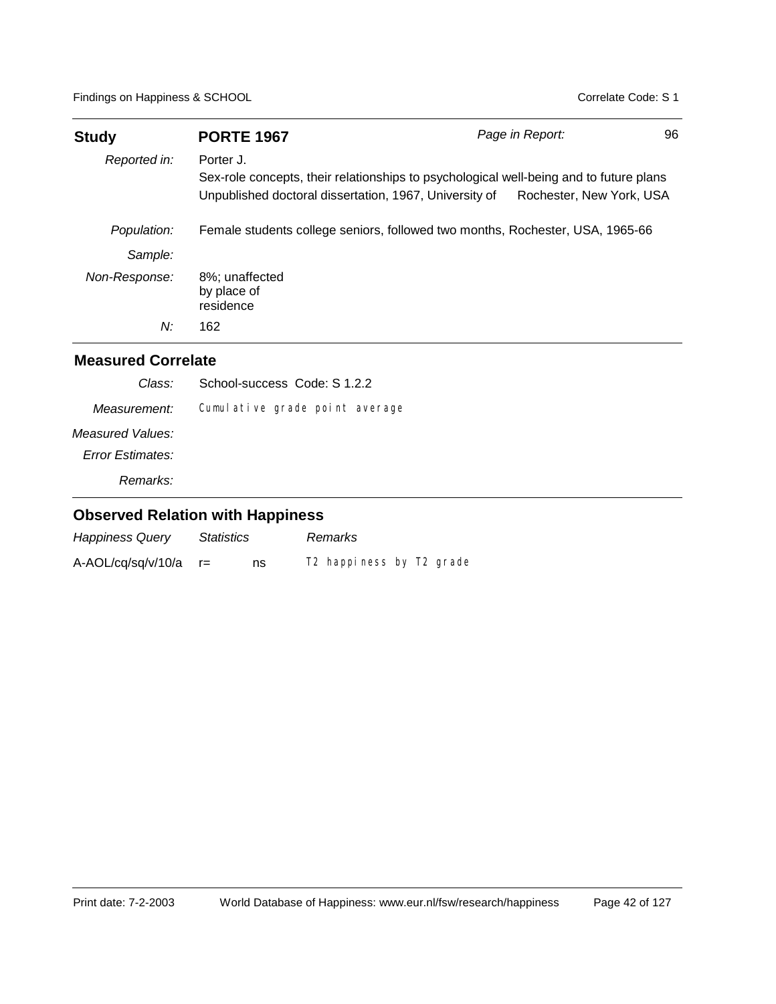| <b>Study</b>              | <b>PORTE 1967</b>                                                                                                                                             | Page in Report:          | 96 |
|---------------------------|---------------------------------------------------------------------------------------------------------------------------------------------------------------|--------------------------|----|
| Reported in:              | Porter J.<br>Sex-role concepts, their relationships to psychological well-being and to future plans<br>Unpublished doctoral dissertation, 1967, University of | Rochester, New York, USA |    |
| Population:               | Female students college seniors, followed two months, Rochester, USA, 1965-66                                                                                 |                          |    |
| Sample:                   |                                                                                                                                                               |                          |    |
| Non-Response:             | 8%; unaffected<br>by place of<br>residence                                                                                                                    |                          |    |
| N:                        | 162                                                                                                                                                           |                          |    |
| <b>Measured Correlate</b> |                                                                                                                                                               |                          |    |
| Class:                    | School-success Code: S 1.2.2                                                                                                                                  |                          |    |

| Measurement:     | Cumulative grade point average |  |
|------------------|--------------------------------|--|
| Measured Values: |                                |  |
| Error Estimates: |                                |  |
| Remarks:         |                                |  |

| <b>Happiness Query</b> | <i><b>Statistics</b></i> |    | Remarks                                          |
|------------------------|--------------------------|----|--------------------------------------------------|
| A-AOL/cq/sq/v/10/a     |                          | ns | T <sub>2</sub> happiness by T <sub>2</sub> grade |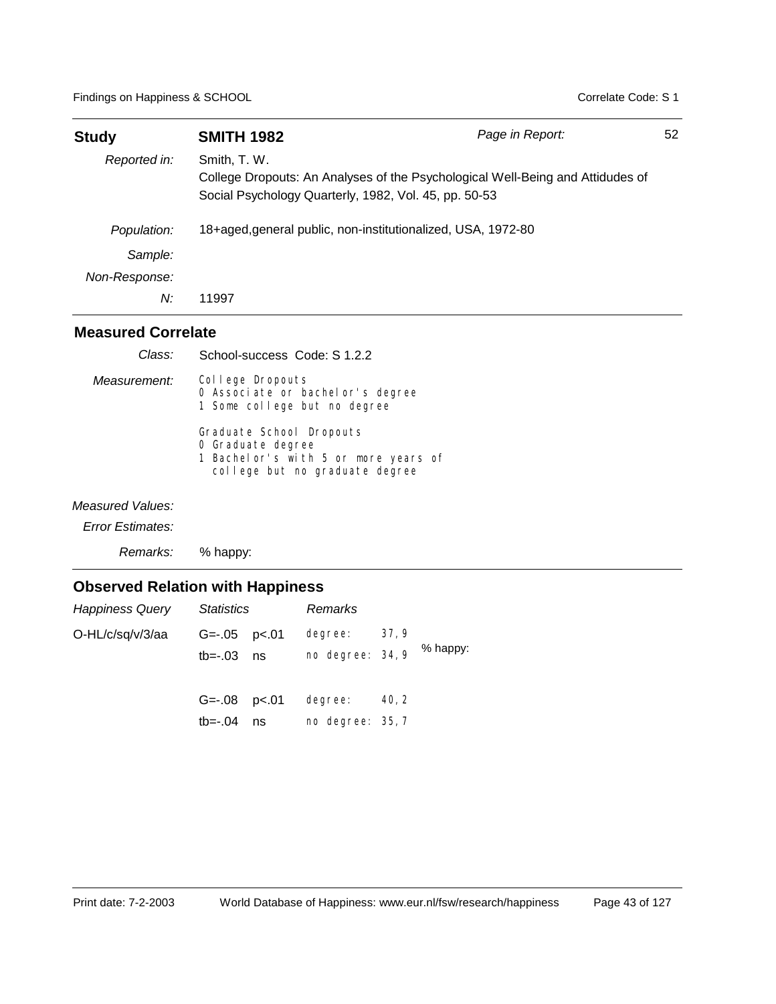| <b>Study</b>  | <b>SMITH 1982</b>                                                     | Page in Report:                                                                | 52 |
|---------------|-----------------------------------------------------------------------|--------------------------------------------------------------------------------|----|
| Reported in:  | Smith, T. W.<br>Social Psychology Quarterly, 1982, Vol. 45, pp. 50-53 | College Dropouts: An Analyses of the Psychological Well-Being and Attidudes of |    |
| Population:   | 18+aged, general public, non-institutionalized, USA, 1972-80          |                                                                                |    |
| Sample:       |                                                                       |                                                                                |    |
| Non-Response: |                                                                       |                                                                                |    |
| N:            | 11997                                                                 |                                                                                |    |

| Class:           | School-success Code: S 1.2.2                                                                                             |
|------------------|--------------------------------------------------------------------------------------------------------------------------|
| Measurement:     | College Dropouts<br>0 Associate or bachelor's degree<br>1 Some college but no degree                                     |
|                  | Graduate School Dropouts<br>O Graduate degree<br>1 Bachel or's with 5 or more years of<br>college but no graduate degree |
| Measured Values: |                                                                                                                          |

*Error Estimates:*

*Remarks:* % happy:

| <b>Happiness Query</b> | Statistics                         |    | Remarks                     |       |          |
|------------------------|------------------------------------|----|-----------------------------|-------|----------|
| O-HL/c/sq/v/3/aa       | $G = -05$ $p < 01$<br>$tb=-.03$ ns |    | degree:<br>no degree: 34, 9 | 37,9  | % happy: |
|                        | $G=-.08$ $p<.01$<br>tb=-.04        | ns | degree:<br>no degree: 35, 7 | 40, 2 |          |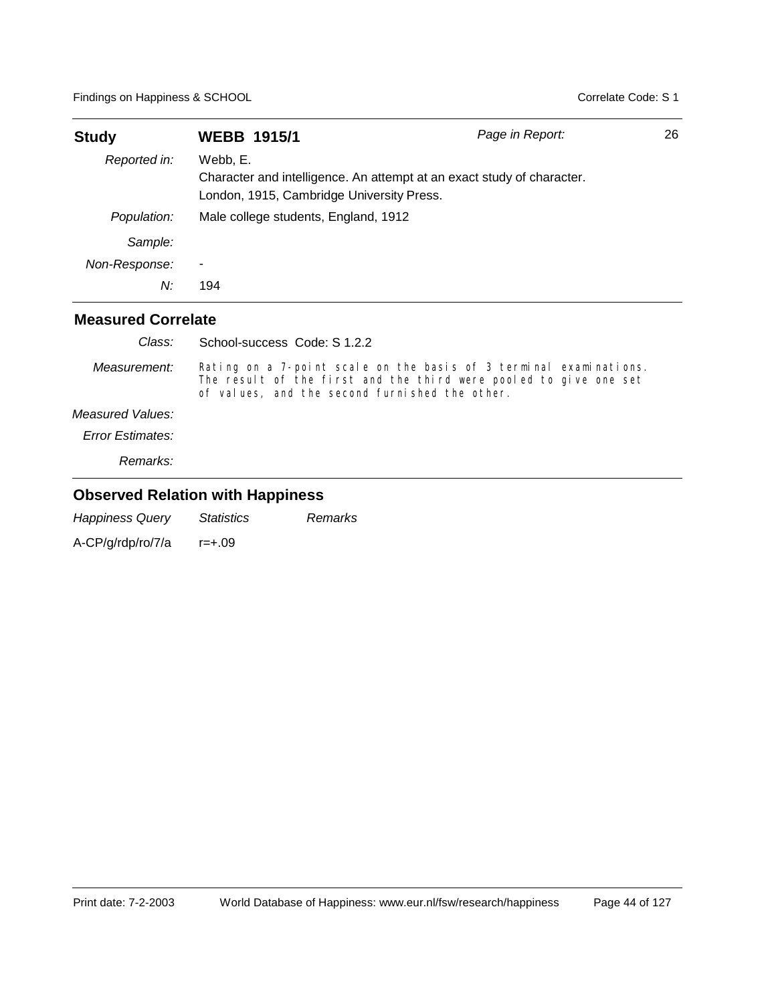| <b>Study</b>              | <b>WEBB 1915/1</b>                                                                                                              | Page in Report: | 26 |
|---------------------------|---------------------------------------------------------------------------------------------------------------------------------|-----------------|----|
| Reported in:              | Webb. E.<br>Character and intelligence. An attempt at an exact study of character.<br>London, 1915, Cambridge University Press. |                 |    |
| Population:               | Male college students, England, 1912                                                                                            |                 |    |
| Sample:                   |                                                                                                                                 |                 |    |
| Non-Response:             | ۰                                                                                                                               |                 |    |
| N:                        | 194                                                                                                                             |                 |    |
| <b>Measured Correlate</b> |                                                                                                                                 |                 |    |

| Class:                  | School-success Code: S 1.2.2                                                                                                                                                              |
|-------------------------|-------------------------------------------------------------------------------------------------------------------------------------------------------------------------------------------|
| Measurement:            | Rating on a 7-point scale on the basis of 3 terminal examinations.<br>The result of the first and the third were pooled to give one set<br>of values, and the second furnished the other. |
| Measured Values:        |                                                                                                                                                                                           |
| <b>Error Estimates:</b> |                                                                                                                                                                                           |
| Remarks:                |                                                                                                                                                                                           |

## **Observed Relation with Happiness**

*Happiness Query Statistics Remarks*

A-CP/g/rdp/ro/7/a r=+.09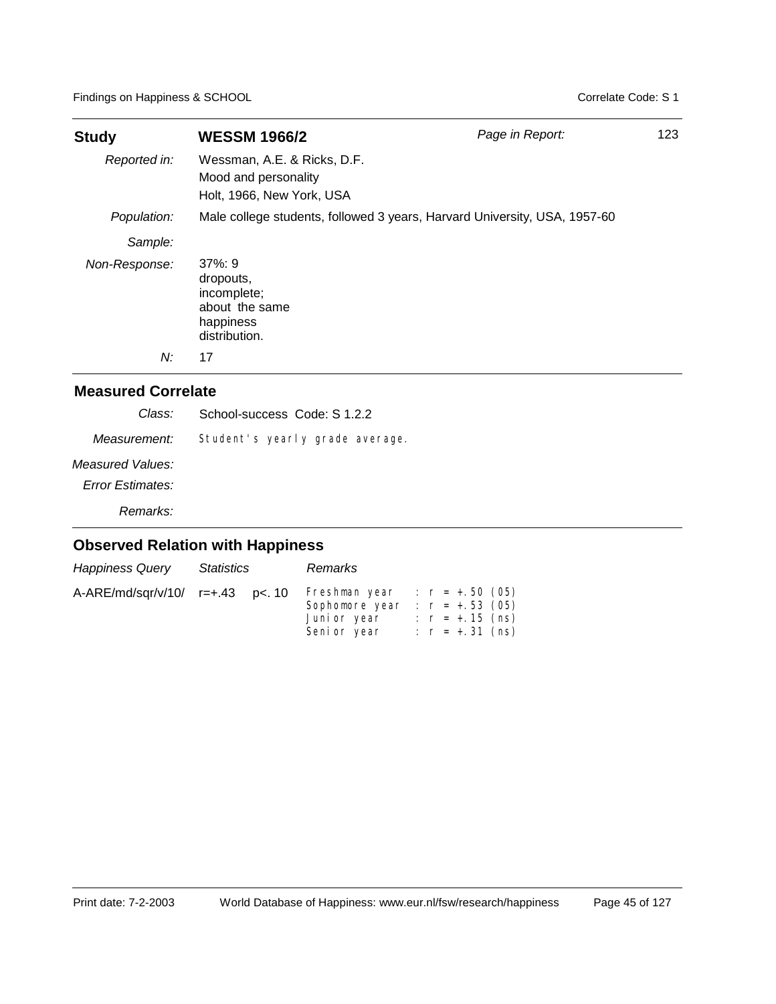| <b>Study</b>  | <b>WESSM 1966/2</b>                                                                  | Page in Report: | 123 |
|---------------|--------------------------------------------------------------------------------------|-----------------|-----|
| Reported in:  | Wessman, A.E. & Ricks, D.F.<br>Mood and personality<br>Holt, 1966, New York, USA     |                 |     |
| Population:   | Male college students, followed 3 years, Harvard University, USA, 1957-60            |                 |     |
| Sample:       |                                                                                      |                 |     |
| Non-Response: | $37\%:9$<br>dropouts,<br>incomplete;<br>about the same<br>happiness<br>distribution. |                 |     |
| N:            | 17                                                                                   |                 |     |

### **Measured Correlate**

| Class:           | School-success Code: S 1.2.2    |
|------------------|---------------------------------|
| Measurement:     | Student's yearly grade average. |
| Measured Values: |                                 |
| Error Estimates: |                                 |
| Remarks:         |                                 |

| <b>Happiness Query</b>           | Statistics | Remarks                                                                                             |                                        |  |
|----------------------------------|------------|-----------------------------------------------------------------------------------------------------|----------------------------------------|--|
| A-ARE/md/sqr/v/10/ r=+.43 p<. 10 |            | Freshman year : $r = +.50$ (05)<br>Sophomore year : $r = +.53$ (05)<br>Juni or year<br>Seni or year | : $r = +.15$ (ns)<br>: $r = +.31$ (ns) |  |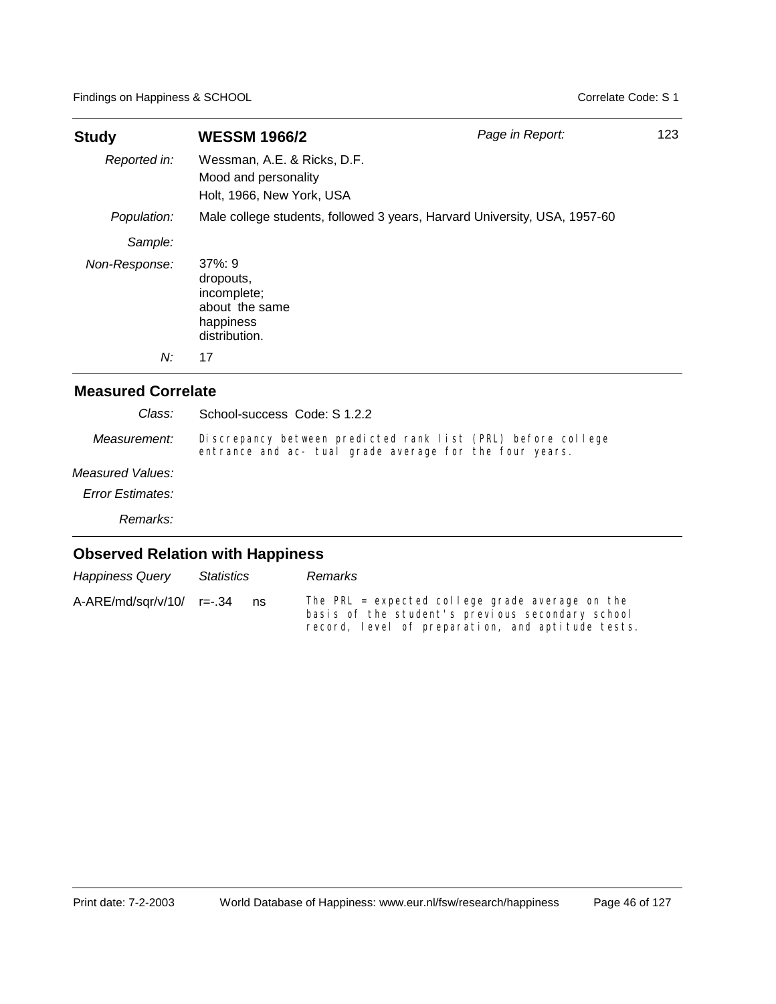| <b>Study</b>  | <b>WESSM 1966/2</b>                                                                  | Page in Report: | 123 |
|---------------|--------------------------------------------------------------------------------------|-----------------|-----|
| Reported in:  | Wessman, A.E. & Ricks, D.F.<br>Mood and personality<br>Holt, 1966, New York, USA     |                 |     |
| Population:   | Male college students, followed 3 years, Harvard University, USA, 1957-60            |                 |     |
| Sample:       |                                                                                      |                 |     |
| Non-Response: | $37\%:9$<br>dropouts.<br>incomplete;<br>about the same<br>happiness<br>distribution. |                 |     |
| N:            | 17                                                                                   |                 |     |

| Class:           | School-success Code: S 1.2.2                                                                                            |
|------------------|-------------------------------------------------------------------------------------------------------------------------|
| Measurement:     | Discrepancy between predicted rank list (PRL) before college<br>entrance and ac- tual grade average for the four years. |
| Measured Values: |                                                                                                                         |
| Error Estimates: |                                                                                                                         |
| Remarks:         |                                                                                                                         |
|                  | <b>Observed Relation with Happiness</b>                                                                                 |

| <b>Happiness Query</b>      | Statistics |    | Remarks                                                                                                                                                  |
|-----------------------------|------------|----|----------------------------------------------------------------------------------------------------------------------------------------------------------|
| $A-ARE/mol/sgr/v/10/ r=.34$ |            | ns | The PRL = expected college grade average on the<br>basis of the student's previous secondary school<br>record, level of preparation, and aptitude tests. |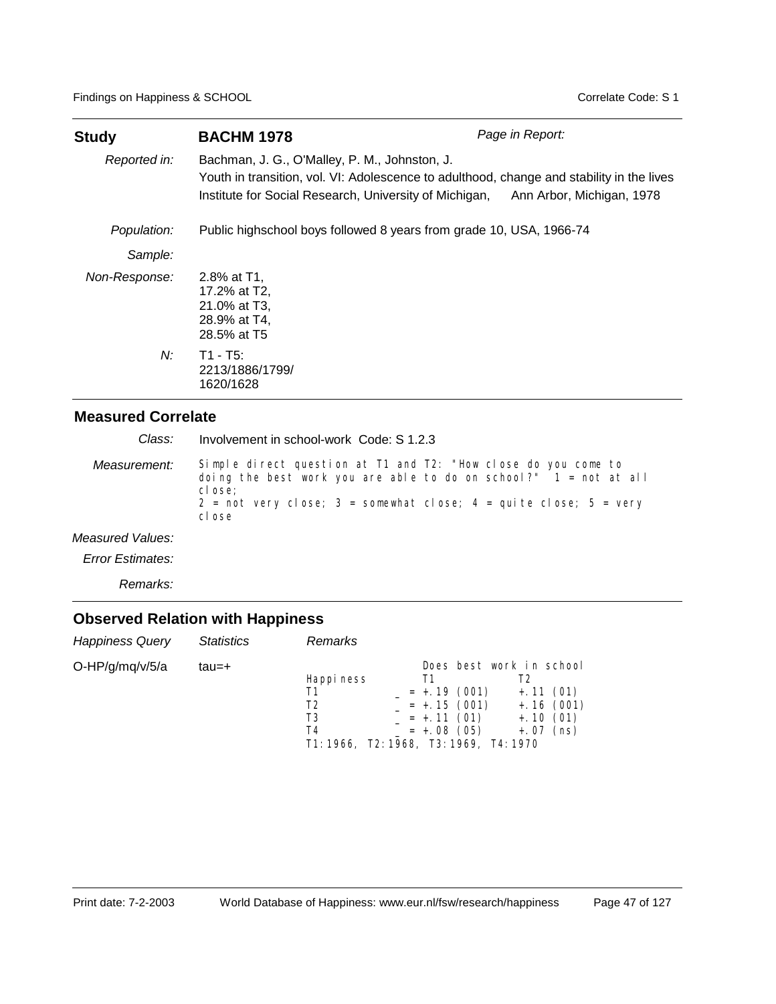| <b>Study</b>  | <b>BACHM 1978</b>                                                                                                                                                                                                              | Page in Report: |
|---------------|--------------------------------------------------------------------------------------------------------------------------------------------------------------------------------------------------------------------------------|-----------------|
| Reported in:  | Bachman, J. G., O'Malley, P. M., Johnston, J.<br>Youth in transition, vol. VI: Adolescence to adulthood, change and stability in the lives<br>Institute for Social Research, University of Michigan, Ann Arbor, Michigan, 1978 |                 |
| Population:   | Public highschool boys followed 8 years from grade 10, USA, 1966-74                                                                                                                                                            |                 |
| Sample:       |                                                                                                                                                                                                                                |                 |
| Non-Response: | 2.8% at T1,<br>17.2% at T2,<br>21.0% at T3,<br>28.9% at T4,<br>28.5% at T5                                                                                                                                                     |                 |
| N:            | $T1 - T5$ :<br>2213/1886/1799/<br>1620/1628                                                                                                                                                                                    |                 |

Involvement in school-work Code: S 1.2.3 *Class:*

Simple direct question at T1 and T2: "How close do you come to doing the best work you are able to do on school?"  $1 = \text{not at all}$ cl ose;  $2 = not very close; 3 = somewhat close; 4 = qui te close; 5 = very$ cl ose *Measurement:*

*Measured Values:*

*Error Estimates:*

*Remarks:*

| <b>Happiness Query</b> | <b>Statistics</b> | <b>Remarks</b>                                                               |                                                                                            |                                                        |
|------------------------|-------------------|------------------------------------------------------------------------------|--------------------------------------------------------------------------------------------|--------------------------------------------------------|
| O-HP/g/mq/v/5/a        | tau=+             | Happi ness<br>Τ1<br>T2<br>T3<br>T4<br>T1: 1966, T2: 1968, T3: 1969, T4: 1970 | Does best work in school<br>$= +.19(001)$<br>$= +.15(001)$<br>$= +.11(01)$<br>$= +.08(05)$ | $+.11(01)$<br>$+.16(001)$<br>$+.10(01)$<br>$+.07$ (ns) |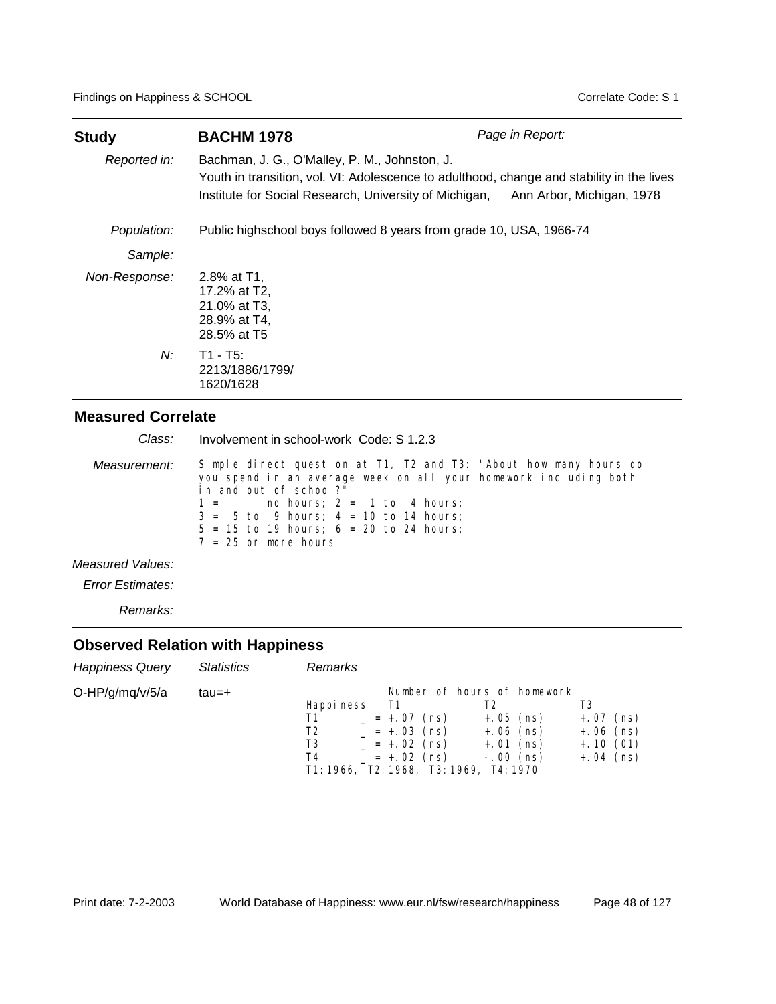| <b>Study</b>  | <b>BACHM 1978</b>                                                                                                                                                                                    | Page in Report:           |
|---------------|------------------------------------------------------------------------------------------------------------------------------------------------------------------------------------------------------|---------------------------|
| Reported in:  | Bachman, J. G., O'Malley, P. M., Johnston, J.<br>Youth in transition, vol. VI: Adolescence to adulthood, change and stability in the lives<br>Institute for Social Research, University of Michigan, | Ann Arbor, Michigan, 1978 |
| Population:   | Public highschool boys followed 8 years from grade 10, USA, 1966-74                                                                                                                                  |                           |
| Sample:       |                                                                                                                                                                                                      |                           |
| Non-Response: | 2.8% at T1.<br>17.2% at T2,<br>21.0% at T3,<br>28.9% at T4,<br>28.5% at T5                                                                                                                           |                           |
| N:            | $T1 - T5$ :<br>2213/1886/1799/<br>1620/1628                                                                                                                                                          |                           |

| Class:           | Involvement in school-work Code: S 1.2.3                                                                                                                                                                                                                                                                                        |
|------------------|---------------------------------------------------------------------------------------------------------------------------------------------------------------------------------------------------------------------------------------------------------------------------------------------------------------------------------|
| Measurement:     | Simple direct question at T1, T2 and T3: "About how many hours do<br>you spend in an average week on all your homework including both<br>in and out of school?"<br>no hours; $2 = 1$ to 4 hours;<br>$1 =$<br>$3 = 5$ to 9 hours; $4 = 10$ to 14 hours;<br>$5 = 15$ to 19 hours; $6 = 20$ to 24 hours;<br>$7 = 25$ or more hours |
| Measured Values: |                                                                                                                                                                                                                                                                                                                                 |

*Error Estimates:*

*Remarks:*

| <b>Happiness Query</b> | <b>Statistics</b> | Remarks                                    |                                                                                                            |                                                                                               |                                                         |
|------------------------|-------------------|--------------------------------------------|------------------------------------------------------------------------------------------------------------|-----------------------------------------------------------------------------------------------|---------------------------------------------------------|
| O-HP/g/mq/v/5/a        | tau=+             | Happi ness<br>- T1<br>Τ1<br>T2<br>T3<br>T4 | $= +.07$ (ns)<br>$= +.03$ (ns)<br>$= +.02$ (ns)<br>$= +.02$ (ns)<br>T1: 1966, T2: 1968, T3: 1969, T4: 1970 | Number of hours of homework<br>T2<br>$+.05$ (ns)<br>$+.06$ (ns)<br>$+.01$ (ns)<br>$-.00$ (ns) | $+.07$ (ns)<br>$+.06$ (ns)<br>$+.10(01)$<br>$+.04$ (ns) |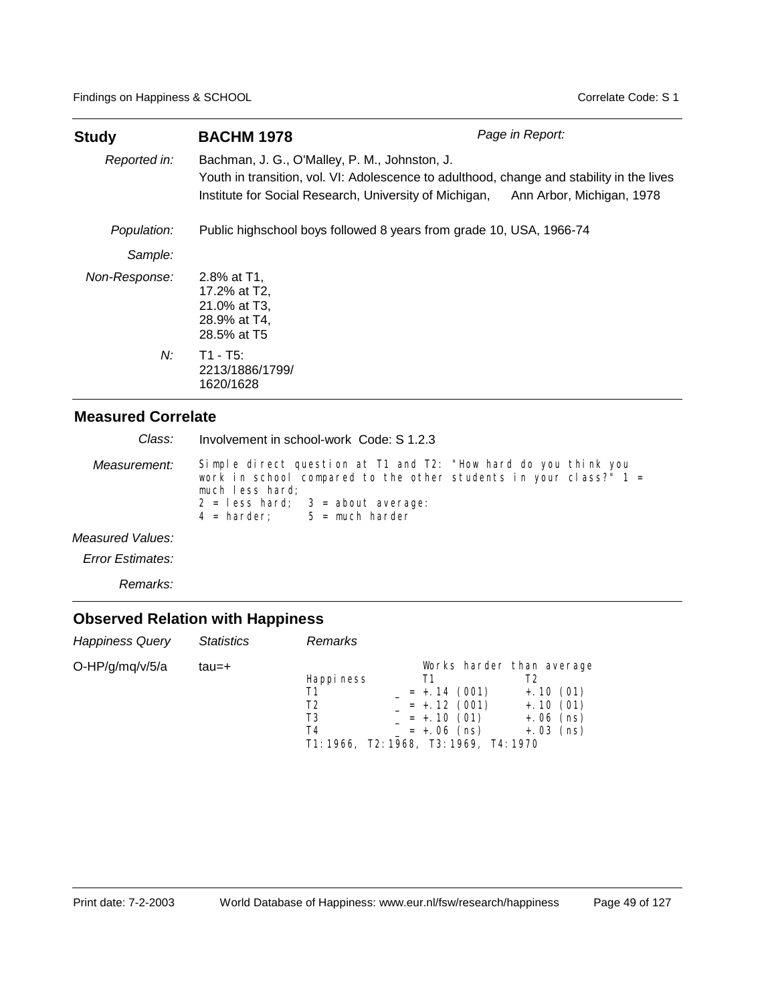| <b>Study</b>  | <b>BACHM 1978</b>                                                                                                                                                                                    | Page in Report:           |
|---------------|------------------------------------------------------------------------------------------------------------------------------------------------------------------------------------------------------|---------------------------|
| Reported in:  | Bachman, J. G., O'Malley, P. M., Johnston, J.<br>Youth in transition, vol. VI: Adolescence to adulthood, change and stability in the lives<br>Institute for Social Research, University of Michigan, | Ann Arbor, Michigan, 1978 |
| Population:   | Public highschool boys followed 8 years from grade 10, USA, 1966-74                                                                                                                                  |                           |
| Sample:       |                                                                                                                                                                                                      |                           |
| Non-Response: | 2.8% at T1.<br>17.2% at T2,<br>21.0% at T3,<br>28.9% at T4,<br>28.5% at T5                                                                                                                           |                           |
| N:            | $T1 - T5$ :<br>2213/1886/1799/<br>1620/1628                                                                                                                                                          |                           |

| Class:           | Involvement in school-work Code: S 1.2.3                                                                                                                                                                                               |
|------------------|----------------------------------------------------------------------------------------------------------------------------------------------------------------------------------------------------------------------------------------|
| Measurement:     | Simple direct question at T1 and T2: "How hard do you think you<br>work in school compared to the other students in your class?" $1 =$<br>much less hard;<br>$2 =$ less hard; $3 =$ about average:<br>$4 = harder$ : $5 = much harder$ |
| Measured Values: |                                                                                                                                                                                                                                        |
| Error Estimates: |                                                                                                                                                                                                                                        |

*Remarks:*

| <b>Happiness Query</b> | <b>Statistics</b> | <b>Remarks</b>                                                               |                                                                                              |                                                        |
|------------------------|-------------------|------------------------------------------------------------------------------|----------------------------------------------------------------------------------------------|--------------------------------------------------------|
| O-HP/g/mq/v/5/a        | tau=+             | Happi ness<br>Τ1<br>Т2<br>T3<br>T4<br>T1: 1966, T2: 1968, T3: 1969, T4: 1970 | Works harder than average<br>$= +.14(001)$<br>$= +.12(001)$<br>$= +.10(01)$<br>$= +.06$ (ns) | $+.10(01)$<br>$+.10(01)$<br>$+.06$ (ns)<br>$+.03$ (ns) |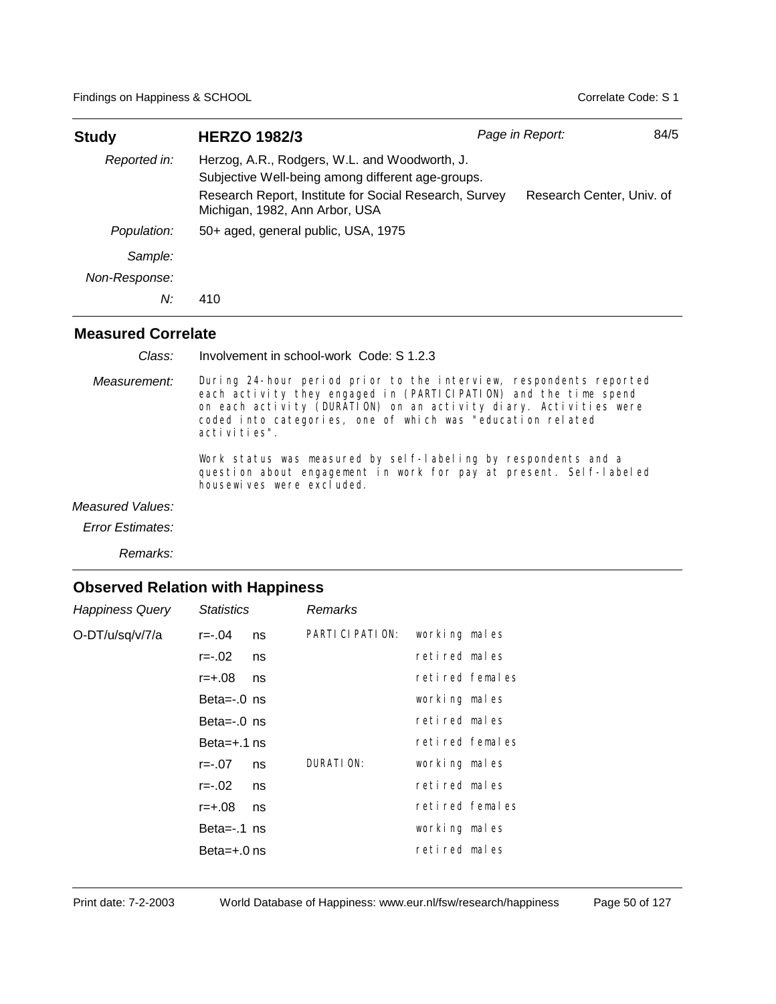| Study         | <b>HERZO 1982/3</b>                                                                                                                                                                            | Page in Report:           | 84/5 |
|---------------|------------------------------------------------------------------------------------------------------------------------------------------------------------------------------------------------|---------------------------|------|
| Reported in:  | Herzog, A.R., Rodgers, W.L. and Woodworth, J.<br>Subjective Well-being among different age-groups.<br>Research Report, Institute for Social Research, Survey<br>Michigan, 1982, Ann Arbor, USA | Research Center, Univ. of |      |
| Population:   | 50+ aged, general public, USA, 1975                                                                                                                                                            |                           |      |
| Sample:       |                                                                                                                                                                                                |                           |      |
| Non-Response: |                                                                                                                                                                                                |                           |      |
| N:            | 410                                                                                                                                                                                            |                           |      |

Involvement in school-work Code: S 1.2.3 *Class:*

During 24-hour period prior to the interview, respondents reported each activity they engaged in (PARTICIPATION) and the time spend on each activity (DURATION) on an activity diary. Activities were coded into categories, one of which was "education related activities". *Measurement:*

> Work status was measured by self-labeling by respondents and a question about engagement in work for pay at present. Self-labeled housewives were excluded.

#### *Measured Values:*

*Error Estimates:*

*Remarks:*

| <b>Happiness Query</b> | <b>Statistics</b> |    | <b>Remarks</b>    |                 |  |
|------------------------|-------------------|----|-------------------|-----------------|--|
| O-DT/u/sq/v/7/a        | r=-.04            | ns | PARTI CI PATI ON: | working males   |  |
|                        | r=-.02            | ns |                   | retired males   |  |
|                        | $r = +.08$        | ns |                   | retired females |  |
|                        | Beta= $-0$ ns     |    |                   | working males   |  |
|                        | Beta= $-0$ ns     |    |                   | retired males   |  |
|                        | Beta= $+$ .1 ns   |    |                   | retired females |  |
|                        | $r = -07$         | ns | DURATION:         | working males   |  |
|                        | r=-.02            | ns |                   | retired males   |  |
|                        | r=+.08            | ns |                   | retired females |  |
|                        | Beta= $-.1$ ns    |    |                   | working males   |  |
|                        | Beta= $+.0$ ns    |    |                   | retired males   |  |
|                        |                   |    |                   |                 |  |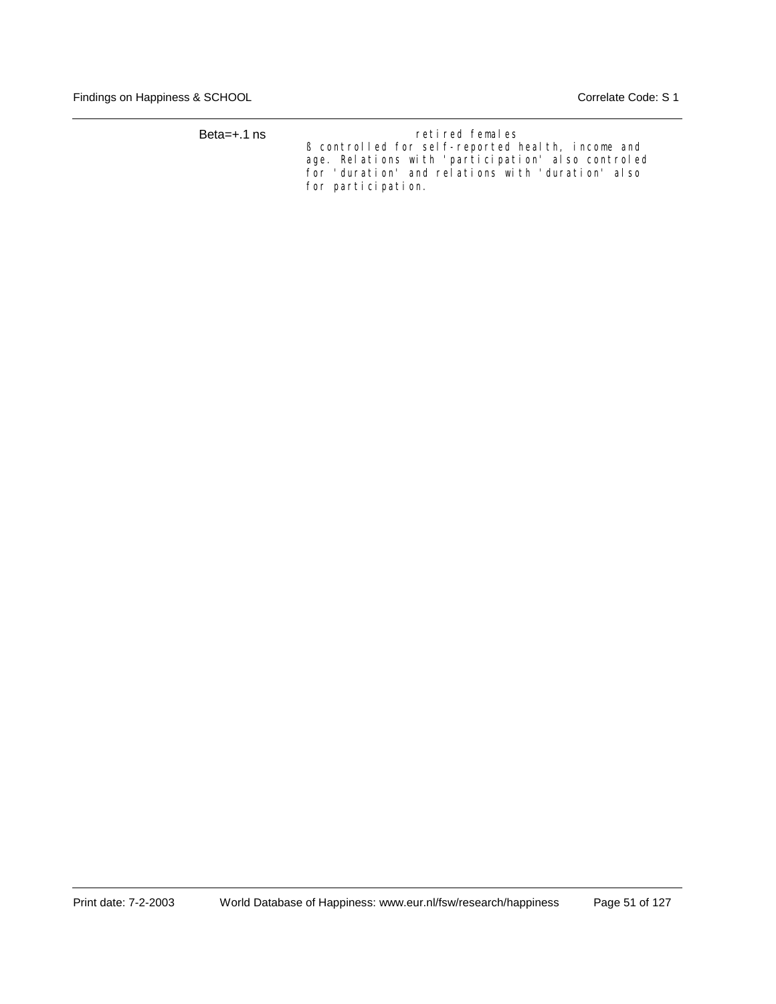| Beta= $+.1$ ns | retired females                                    |  |  |  |  |
|----------------|----------------------------------------------------|--|--|--|--|
|                | B controlled for self-reported health, income and  |  |  |  |  |
|                | age. Relations with 'participation' also controled |  |  |  |  |
|                | for 'duration' and relations with 'duration' also  |  |  |  |  |
|                | for participation.                                 |  |  |  |  |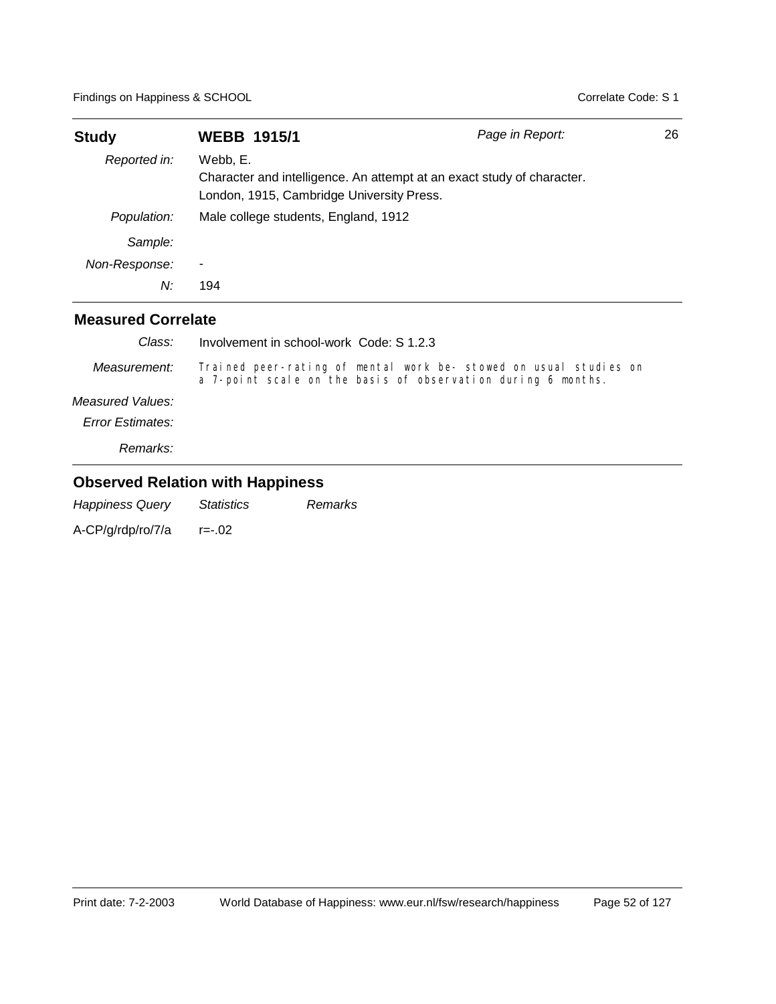| <b>Study</b>   | <b>WEBB 1915/1</b>                                    | Page in Report:                                                        | 26 |
|----------------|-------------------------------------------------------|------------------------------------------------------------------------|----|
| Reported in:   | Webb, E.<br>London, 1915, Cambridge University Press. | Character and intelligence. An attempt at an exact study of character. |    |
| Population:    | Male college students, England, 1912                  |                                                                        |    |
| Sample:        |                                                       |                                                                        |    |
| Non-Response:  | ۰                                                     |                                                                        |    |
| N:             | 194                                                   |                                                                        |    |
| $\blacksquare$ |                                                       |                                                                        |    |

| Class:                  | Involvement in school-work Code: S 1.2.3                                                                                          |
|-------------------------|-----------------------------------------------------------------------------------------------------------------------------------|
| Measurement:            | Trained peer-rating of mental work be- stowed on usual studies on<br>a 7-point scale on the basis of observation during 6 months. |
| Measured Values:        |                                                                                                                                   |
| <b>Error Estimates:</b> |                                                                                                                                   |
| Remarks:                |                                                                                                                                   |

## **Observed Relation with Happiness**

*Happiness Query Statistics Remarks* A-CP/g/rdp/ro/7/a r=-.02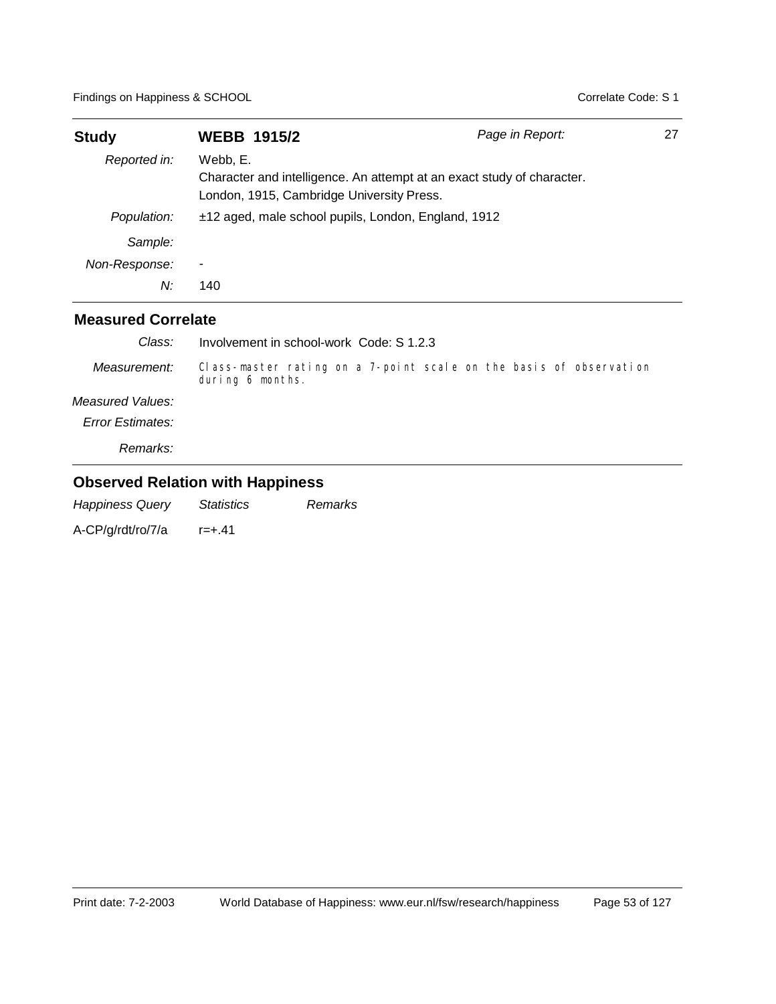| <b>Study</b>  | <b>WEBB 1915/2</b>                                                                                                              | Page in Report: | 27 |
|---------------|---------------------------------------------------------------------------------------------------------------------------------|-----------------|----|
| Reported in:  | Webb, E.<br>Character and intelligence. An attempt at an exact study of character.<br>London, 1915, Cambridge University Press. |                 |    |
| Population:   | ±12 aged, male school pupils, London, England, 1912                                                                             |                 |    |
| Sample:       |                                                                                                                                 |                 |    |
| Non-Response: | ٠                                                                                                                               |                 |    |
| N:            | 140                                                                                                                             |                 |    |

| Class:           | Involvement in school-work Code: S 1.2.3                                               |
|------------------|----------------------------------------------------------------------------------------|
| Measurement:     | Class-master rating on a 7-point scale on the basis of observation<br>during 6 months. |
| Measured Values: |                                                                                        |
| Error Estimates: |                                                                                        |
| Remarks:         |                                                                                        |

## **Observed Relation with Happiness**

*Happiness Query Statistics Remarks* A-CP/g/rdt/ro/7/a r=+.41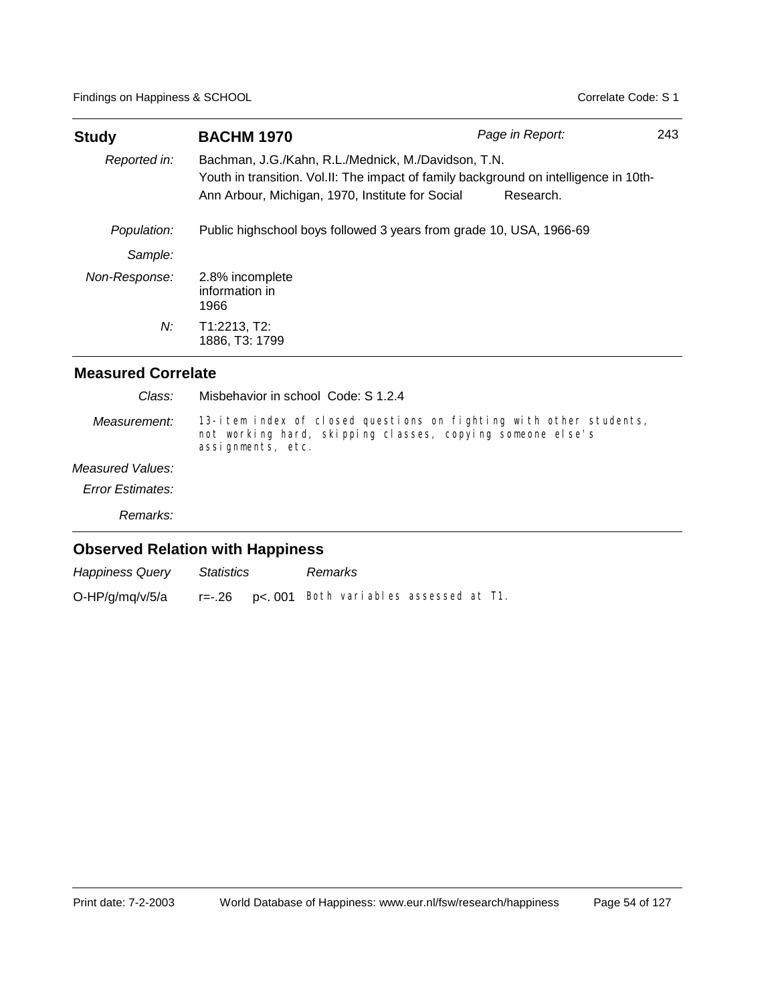| <b>Study</b>  | <b>BACHM 1970</b>                                                                                                                                                                                | Page in Report: | 243 |
|---------------|--------------------------------------------------------------------------------------------------------------------------------------------------------------------------------------------------|-----------------|-----|
| Reported in:  | Bachman, J.G./Kahn, R.L./Mednick, M./Davidson, T.N.<br>Youth in transition. Vol.II: The impact of family background on intelligence in 10th-<br>Ann Arbour, Michigan, 1970, Institute for Social | Research.       |     |
| Population:   | Public highschool boys followed 3 years from grade 10, USA, 1966-69                                                                                                                              |                 |     |
| Sample:       |                                                                                                                                                                                                  |                 |     |
| Non-Response: | 2.8% incomplete<br>information in<br>1966                                                                                                                                                        |                 |     |
| N:            | T1:2213, T2:<br>1886, T3: 1799                                                                                                                                                                   |                 |     |

| Class:                  | Misbehavior in school Code: S 1.2.4                                                                                                                   |
|-------------------------|-------------------------------------------------------------------------------------------------------------------------------------------------------|
| Measurement:            | 13-item index of closed questions on fighting with other students,<br>not working hard, skipping classes, copying someone else's<br>assignments, etc. |
| Measured Values:        |                                                                                                                                                       |
| <b>Error Estimates:</b> |                                                                                                                                                       |
| Remarks:                |                                                                                                                                                       |
|                         | <b>Observed Relation with Happiness</b>                                                                                                               |

| <b>Happiness Query</b> | <b>Statistics</b> | Remarks                                          |  |  |
|------------------------|-------------------|--------------------------------------------------|--|--|
| O-HP/g/mq/v/5/a        |                   | $r=-.26$ $p<.001$ Both variables assessed at T1. |  |  |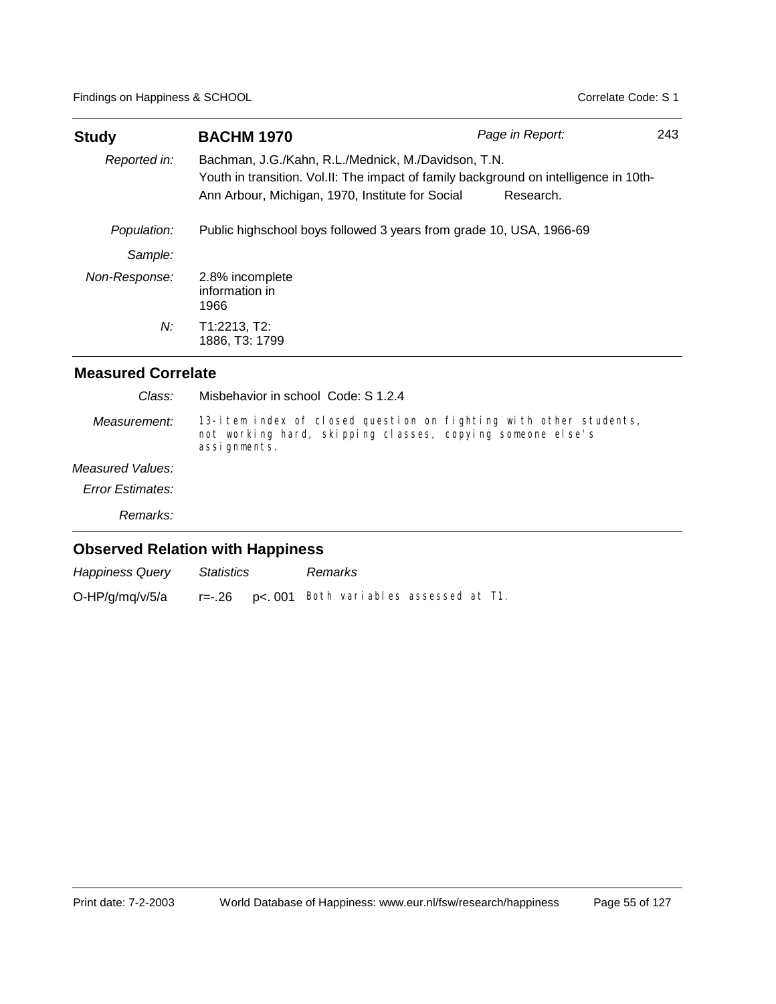| <b>Study</b>  | <b>BACHM 1970</b>                                                                                                                                                                                | Page in Report: | 243 |
|---------------|--------------------------------------------------------------------------------------------------------------------------------------------------------------------------------------------------|-----------------|-----|
| Reported in:  | Bachman, J.G./Kahn, R.L./Mednick, M./Davidson, T.N.<br>Youth in transition. Vol.II: The impact of family background on intelligence in 10th-<br>Ann Arbour, Michigan, 1970, Institute for Social | Research.       |     |
| Population:   | Public highschool boys followed 3 years from grade 10, USA, 1966-69                                                                                                                              |                 |     |
| Sample:       |                                                                                                                                                                                                  |                 |     |
| Non-Response: | 2.8% incomplete<br>information in<br>1966                                                                                                                                                        |                 |     |
| N:            | T1:2213, T2:<br>1886, T3: 1799                                                                                                                                                                   |                 |     |

| Class:                  | Misbehavior in school Code: S 1.2.4                                                                                                             |
|-------------------------|-------------------------------------------------------------------------------------------------------------------------------------------------|
| Measurement:            | 13-item index of closed question on fighting with other students,<br>not working hard, skipping classes, copying someone else's<br>assignments. |
| Measured Values:        |                                                                                                                                                 |
| <b>Error Estimates:</b> |                                                                                                                                                 |
| Remarks:                |                                                                                                                                                 |
|                         | <b>Observed Relation with Happiness</b>                                                                                                         |

| Happiness Query | Statistics | Remarks                                          |  |  |
|-----------------|------------|--------------------------------------------------|--|--|
| O-HP/g/mq/v/5/a |            | $r=-.26$ $p<.001$ Both variables assessed at T1. |  |  |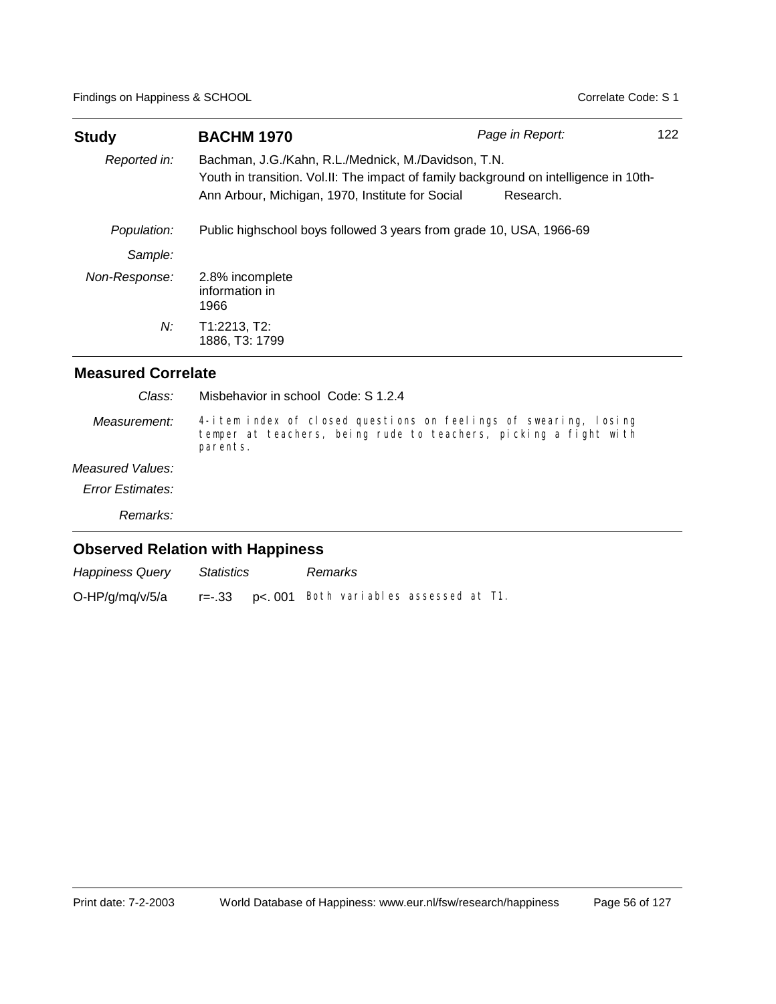| <b>Study</b>  | <b>BACHM 1970</b>                                                                                                                                                                                | Page in Report: | 122 |
|---------------|--------------------------------------------------------------------------------------------------------------------------------------------------------------------------------------------------|-----------------|-----|
| Reported in:  | Bachman, J.G./Kahn, R.L./Mednick, M./Davidson, T.N.<br>Youth in transition. Vol.II: The impact of family background on intelligence in 10th-<br>Ann Arbour, Michigan, 1970, Institute for Social | Research.       |     |
| Population:   | Public highschool boys followed 3 years from grade 10, USA, 1966-69                                                                                                                              |                 |     |
| Sample:       |                                                                                                                                                                                                  |                 |     |
| Non-Response: | 2.8% incomplete<br>information in<br>1966                                                                                                                                                        |                 |     |
| N:            | T1:2213, T2:<br>1886, T3: 1799                                                                                                                                                                   |                 |     |

| Class:                  | Misbehavior in school Code: S 1.2.4                                                                                                              |
|-------------------------|--------------------------------------------------------------------------------------------------------------------------------------------------|
| Measurement:            | 4-item index of closed questions on feelings of swearing, losing<br>temper at teachers, being rude to teachers, picking a fight with<br>parents. |
| Measured Values:        |                                                                                                                                                  |
| <b>Error Estimates:</b> |                                                                                                                                                  |
| Remarks:                |                                                                                                                                                  |
|                         | <b>Observed Relation with Happiness</b>                                                                                                          |

| <b>Happiness Query</b> | Statistics | Remarks                                      |  |  |
|------------------------|------------|----------------------------------------------|--|--|
| O-HP/g/mq/v/5/a        |            | r=-.33 p<.001 Both variables assessed at T1. |  |  |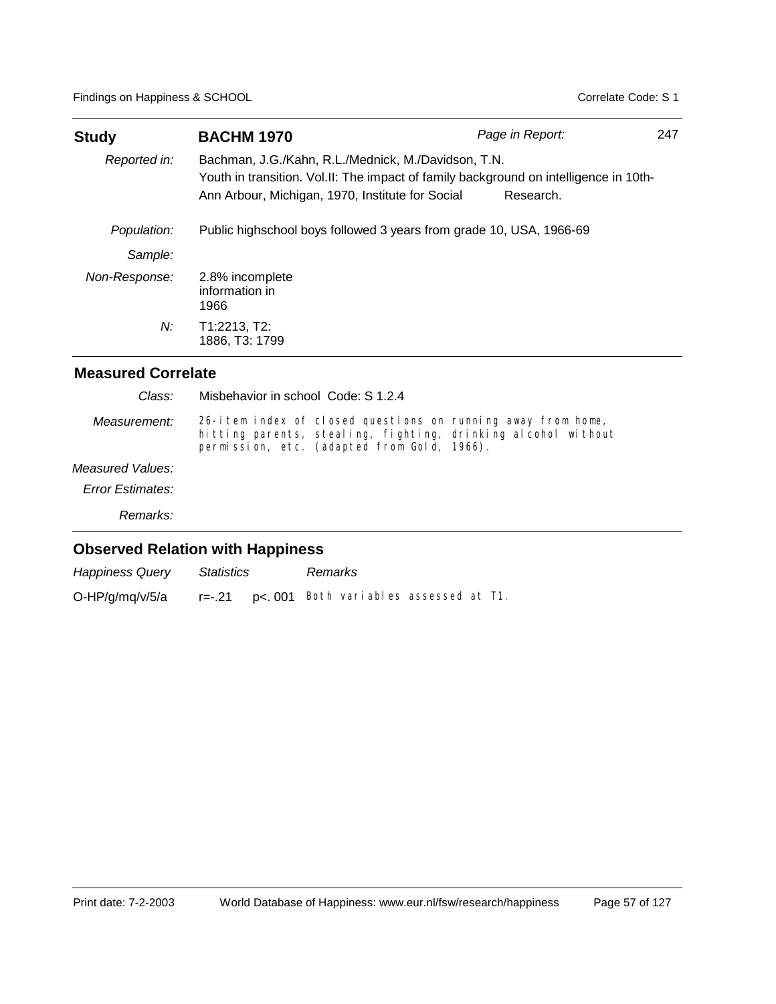| <b>Study</b>  | <b>BACHM 1970</b>                                                                                                                                                                                | Page in Report: | 247 |
|---------------|--------------------------------------------------------------------------------------------------------------------------------------------------------------------------------------------------|-----------------|-----|
| Reported in:  | Bachman, J.G./Kahn, R.L./Mednick, M./Davidson, T.N.<br>Youth in transition. Vol.II: The impact of family background on intelligence in 10th-<br>Ann Arbour, Michigan, 1970, Institute for Social | Research.       |     |
| Population:   | Public highschool boys followed 3 years from grade 10, USA, 1966-69                                                                                                                              |                 |     |
| Sample:       |                                                                                                                                                                                                  |                 |     |
| Non-Response: | 2.8% incomplete<br>information in<br>1966                                                                                                                                                        |                 |     |
| $N$ :         | T1:2213, T2:<br>1886, T3: 1799                                                                                                                                                                   |                 |     |

| Class:                  | Misbehavior in school Code: S 1.2.4                                                                                                                                          |
|-------------------------|------------------------------------------------------------------------------------------------------------------------------------------------------------------------------|
| Measurement:            | 26-item index of closed questions on running away from home,<br>hitting parents, stealing, fighting, drinking alcohol without<br>permission, etc. (adapted from Gold, 1966). |
| Measured Values:        |                                                                                                                                                                              |
| <b>Error Estimates:</b> |                                                                                                                                                                              |
| Remarks:                |                                                                                                                                                                              |
|                         | <b>Observed Relation with Happiness</b>                                                                                                                                      |

| <b>Happiness Query</b> | Statistics | Remarks                                         |  |  |
|------------------------|------------|-------------------------------------------------|--|--|
| O-HP/g/mq/v/5/a        |            | $r=-.21$ p<. 001 Both variables assessed at T1. |  |  |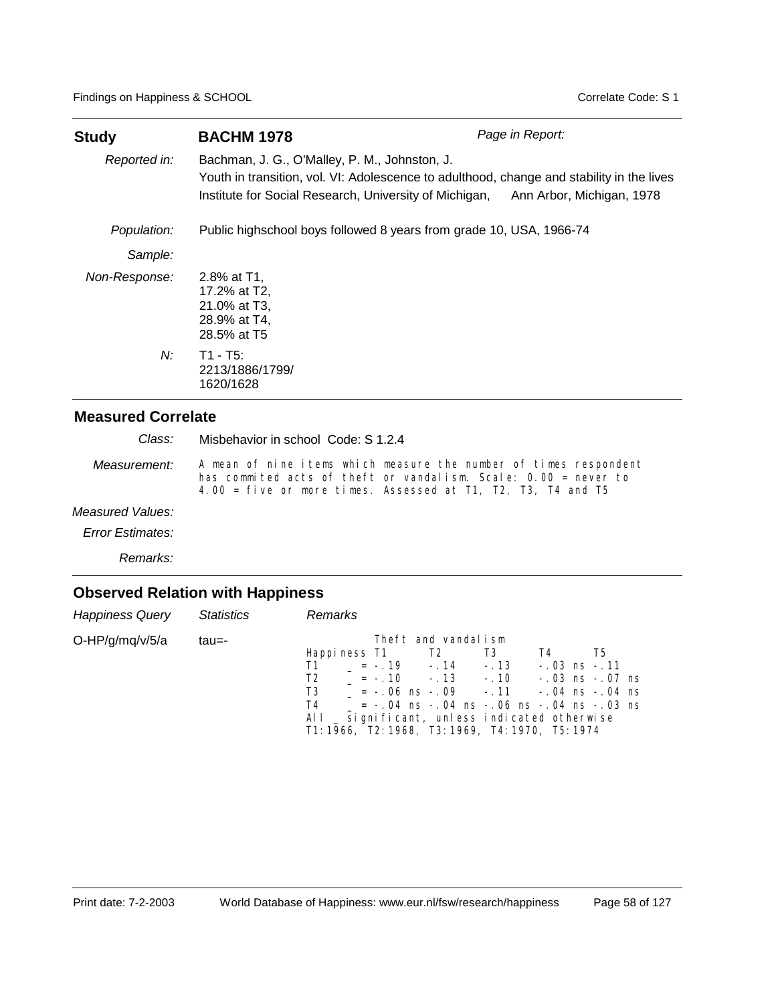| Study         | <b>BACHM 1978</b>                                                                                                                                                                                    | Page in Report:           |
|---------------|------------------------------------------------------------------------------------------------------------------------------------------------------------------------------------------------------|---------------------------|
| Reported in:  | Bachman, J. G., O'Malley, P. M., Johnston, J.<br>Youth in transition, vol. VI: Adolescence to adulthood, change and stability in the lives<br>Institute for Social Research, University of Michigan, | Ann Arbor, Michigan, 1978 |
| Population:   | Public highschool boys followed 8 years from grade 10, USA, 1966-74                                                                                                                                  |                           |
| Sample:       |                                                                                                                                                                                                      |                           |
| Non-Response: | 2.8% at T1.<br>17.2% at T2.<br>21.0% at T3,<br>28.9% at T4,<br>28.5% at T5                                                                                                                           |                           |
| $N$ :         | $T1 - T5$ :<br>2213/1886/1799/<br>1620/1628                                                                                                                                                          |                           |

Misbehavior in school Code: S 1.2.4 *Class:*

A mean of nine items which measure the number of times respondent has commited acts of theft or vandalism. Scale: 0.00 = never to 4.00 = five or more times. Assessed at T1, T2, T3, T4 and T5 *Measurement:*

#### *Measured Values:*

*Error Estimates:*

*Remarks:*

| Happiness Query Statistics |       | Remarks                                                                                                                                                                                                                                                                                                                                                                         |
|----------------------------|-------|---------------------------------------------------------------------------------------------------------------------------------------------------------------------------------------------------------------------------------------------------------------------------------------------------------------------------------------------------------------------------------|
| $O-HP/g/mq/v/5/a$          | tau=- | Theft and vandalism<br>Happiness T1 T2 T3<br>T4<br>T5<br>$T1 = -.19 - .14 - .13$<br>$-.03$ ns $-.11$<br>$T2 = -.10 - .13 - .10 - .03$ ns $-.07$ ns<br>$T3 = -.06 \text{ ns} -.09 - .11 - .04 \text{ ns} -.04 \text{ ns}$<br>$T4$ = -.04 ns -.04 ns -.06 ns -.04 ns -.03 ns<br>All _ significant, unless indicated otherwise<br>T1: 1966, T2: 1968, T3: 1969, T4: 1970, T5: 1974 |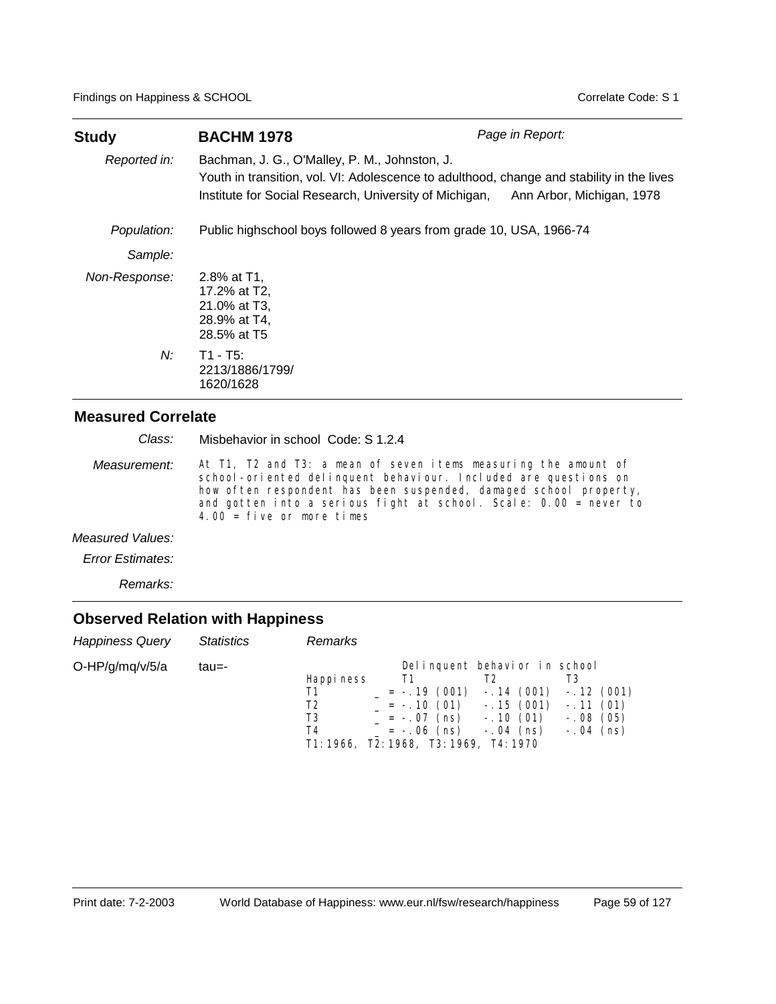| Study         | <b>BACHM 1978</b>                                                                                                                                                                                    | Page in Report:           |
|---------------|------------------------------------------------------------------------------------------------------------------------------------------------------------------------------------------------------|---------------------------|
| Reported in:  | Bachman, J. G., O'Malley, P. M., Johnston, J.<br>Youth in transition, vol. VI: Adolescence to adulthood, change and stability in the lives<br>Institute for Social Research, University of Michigan, | Ann Arbor, Michigan, 1978 |
| Population:   | Public highschool boys followed 8 years from grade 10, USA, 1966-74                                                                                                                                  |                           |
| Sample:       |                                                                                                                                                                                                      |                           |
| Non-Response: | 2.8% at T1.<br>17.2% at T2.<br>21.0% at T3,<br>28.9% at T4,<br>28.5% at T5                                                                                                                           |                           |
| N:            | $T1 - T5$ :<br>2213/1886/1799/<br>1620/1628                                                                                                                                                          |                           |

Misbehavior in school Code: S 1.2.4 *Class:*

At T1, T2 and T3: a mean of seven items measuring the amount of school-oriented delinquent behaviour. Included are questions on how often respondent has been suspended, damaged school property, and gotten into a serious fight at school. Scale: 0.00 = never to 4.00 =  $f$ ive or more times *Measurement:*

*Measured Values:*

*Error Estimates:*

*Remarks:*

| <b>Happiness Query</b> | <i>Statistics</i> | Remarks                                                                      |                                                                     |                                                                                          |                                                        |
|------------------------|-------------------|------------------------------------------------------------------------------|---------------------------------------------------------------------|------------------------------------------------------------------------------------------|--------------------------------------------------------|
| $O-HP/g/mq/v/5/a$      | tau=-             | Happi ness<br>T1<br>T2<br>T3<br>T4<br>T1: 1966, T2: 1968, T3: 1969, T4: 1970 | T1<br>$= -.19(001)$<br>$= -.10(01)$<br>= -.07 (ns)<br>$= -.06$ (ns) | Delinquent behavior in school<br>$-.14(001)$<br>$-.15(001)$<br>$-.10(01)$<br>$-.04$ (ns) | $-.12(001)$<br>$-.11(01)$<br>$-.08(05)$<br>$-.04$ (ns) |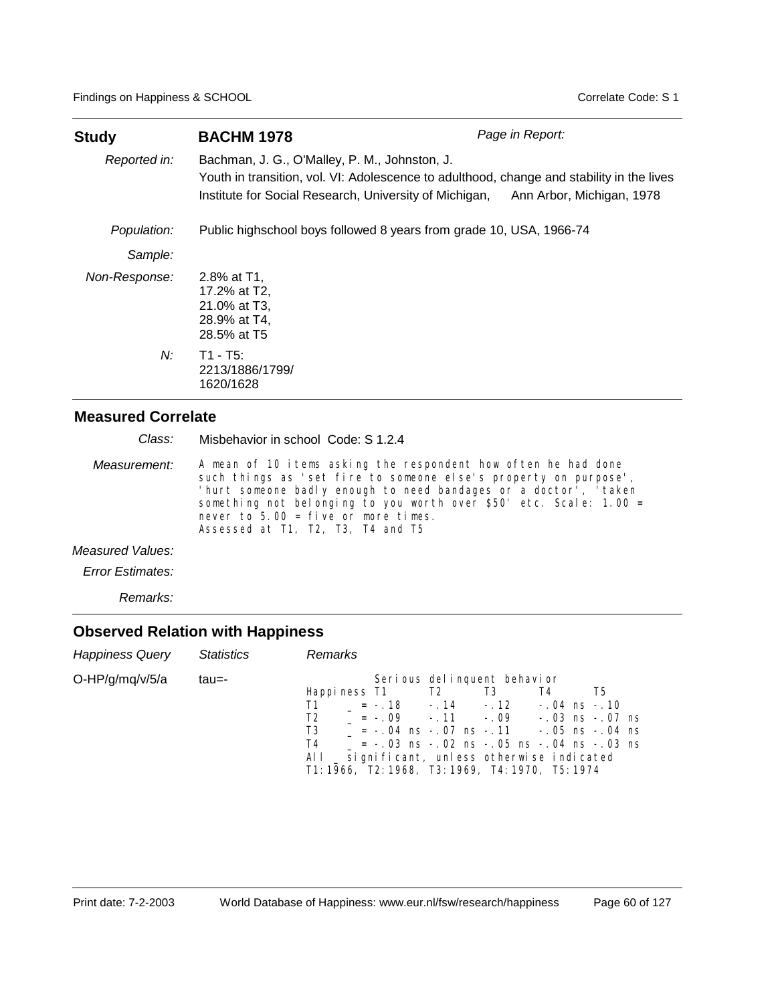| Study         | <b>BACHM 1978</b>                                                                                                                                                                                                              | Page in Report: |
|---------------|--------------------------------------------------------------------------------------------------------------------------------------------------------------------------------------------------------------------------------|-----------------|
| Reported in:  | Bachman, J. G., O'Malley, P. M., Johnston, J.<br>Youth in transition, vol. VI: Adolescence to adulthood, change and stability in the lives<br>Institute for Social Research, University of Michigan, Ann Arbor, Michigan, 1978 |                 |
| Population:   | Public highschool boys followed 8 years from grade 10, USA, 1966-74                                                                                                                                                            |                 |
| Sample:       |                                                                                                                                                                                                                                |                 |
| Non-Response: | 2.8% at T1,<br>17.2% at T2,<br>21.0% at T3,<br>28.9% at T4,<br>28.5% at T5                                                                                                                                                     |                 |
| N:            | $T1 - T5$ :<br>2213/1886/1799/<br>1620/1628                                                                                                                                                                                    |                 |

Misbehavior in school Code: S 1.2.4 *Class:*

A mean of 10 items asking the respondent how often he had done such things as 'set fire to someone else's property on purpose', 'hurt someone badly enough to need bandages or a doctor<sup>'</sup>, 'taken something not belonging to you worth over \$50' etc. Scale: 1.00 = never to 5.00 = five or more times. Assessed at T1, T2, T3, T4 and T5 *Measurement:*

*Measured Values:*

*Error Estimates:*

*Remarks:*

| <b>Happiness Query</b> | Statistics | Remarks                                                                                                                                                                                                                                                                                                                                                                                         |  |
|------------------------|------------|-------------------------------------------------------------------------------------------------------------------------------------------------------------------------------------------------------------------------------------------------------------------------------------------------------------------------------------------------------------------------------------------------|--|
| $O-HP/g/mq/v/5/a$      | tau=-      | Serious delinquent behavior<br>Happiness T1 T2 T3<br>T4<br>T5<br>$= -.18 - .14 - .12 - .04$ ns $-.10$<br>T1<br>$= -.09$ $-.11$ $-.09$ $-.03$ ns $-.07$ ns<br>T <sub>2</sub><br>$T3 = -04$ ns $-07$ ns $-11$ $-05$ ns $-04$ ns<br>$= -.03$ ns $-.02$ ns $-.05$ ns $-.04$ ns $-.03$ ns<br>T4<br>All _ significant, unless otherwise indicated<br>T1: 1966, T2: 1968, T3: 1969, T4: 1970, T5: 1974 |  |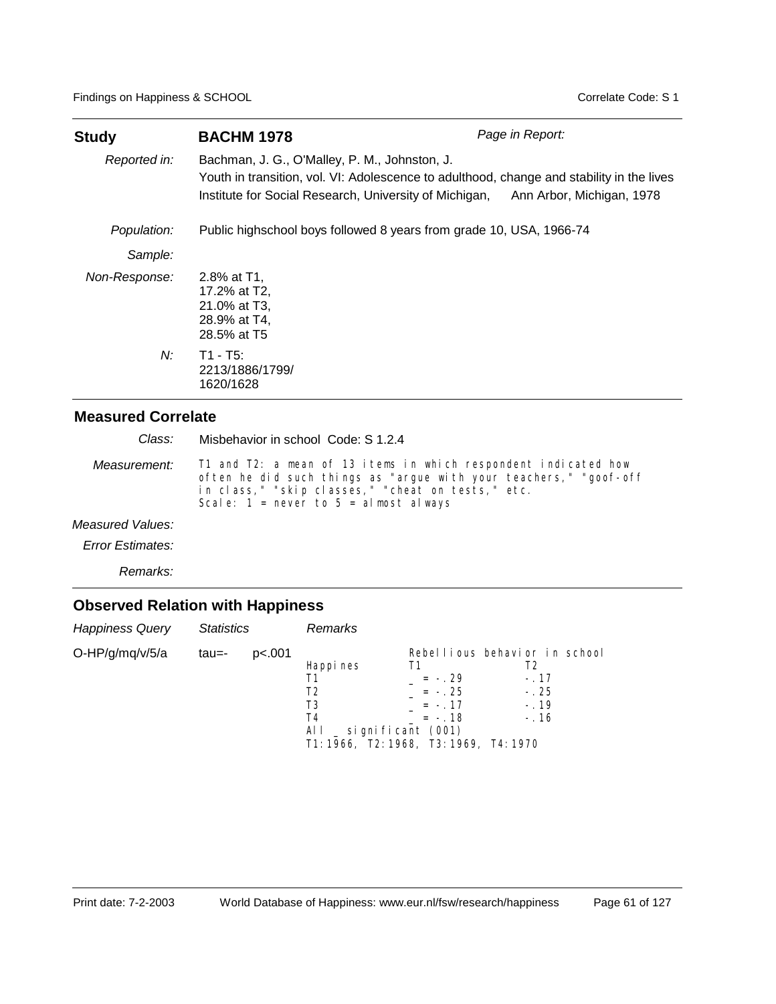| <b>Study</b>  | <b>BACHM 1978</b>                                                                                                                                                                                                              | Page in Report: |
|---------------|--------------------------------------------------------------------------------------------------------------------------------------------------------------------------------------------------------------------------------|-----------------|
| Reported in:  | Bachman, J. G., O'Malley, P. M., Johnston, J.<br>Youth in transition, vol. VI: Adolescence to adulthood, change and stability in the lives<br>Institute for Social Research, University of Michigan, Ann Arbor, Michigan, 1978 |                 |
| Population:   | Public highschool boys followed 8 years from grade 10, USA, 1966-74                                                                                                                                                            |                 |
| Sample:       |                                                                                                                                                                                                                                |                 |
| Non-Response: | 2.8% at T1.<br>17.2% at T2,<br>21.0% at T3,<br>28.9% at T4,<br>28.5% at T5                                                                                                                                                     |                 |
| Ν:            | $T1 - T5$ :<br>2213/1886/1799/<br>1620/1628                                                                                                                                                                                    |                 |

T1 and T2: a mean of 13 items in which respondent indicated how often he did such things as "argue with your teachers," "goof-off *Measurement:* Misbehavior in school Code: S 1.2.4 *Class:*

in class," "skip classes," "cheat on tests," etc. Scale:  $1 =$  never to  $5 =$  almost always

*Measured Values:*

*Error Estimates:*

*Remarks:*

| <b>Happiness Query</b> | <b>Statistics</b> |        | Remarks                                                                                                   |                                                |                                                                             |
|------------------------|-------------------|--------|-----------------------------------------------------------------------------------------------------------|------------------------------------------------|-----------------------------------------------------------------------------|
| O-HP/g/mq/v/5/a        | tau=-             | p<.001 | Happi nes<br>Τ1<br>T2<br>T3<br>T4<br>All $\_$ significant (001)<br>T1: 1966, T2: 1968, T3: 1969, T4: 1970 | Τ1<br>$= -29$<br>$= -25$<br>$= -17$<br>$= -18$ | Rebellious behavior in school<br>T2<br>$-.17$<br>$-.25$<br>$-.19$<br>$-.16$ |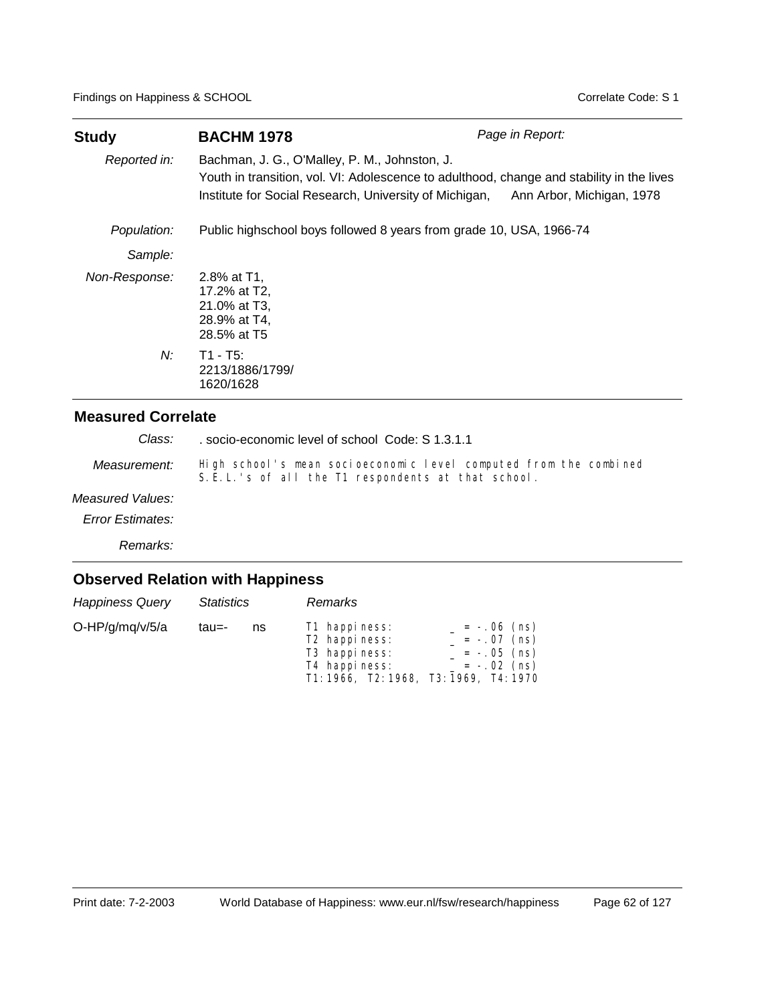| <b>Study</b>  | <b>BACHM 1978</b>                                                                                                                                                                                    | Page in Report:           |
|---------------|------------------------------------------------------------------------------------------------------------------------------------------------------------------------------------------------------|---------------------------|
| Reported in:  | Bachman, J. G., O'Malley, P. M., Johnston, J.<br>Youth in transition, vol. VI: Adolescence to adulthood, change and stability in the lives<br>Institute for Social Research, University of Michigan, | Ann Arbor, Michigan, 1978 |
| Population:   | Public highschool boys followed 8 years from grade 10, USA, 1966-74                                                                                                                                  |                           |
| Sample:       |                                                                                                                                                                                                      |                           |
| Non-Response: | 2.8% at T1,<br>17.2% at T2,<br>21.0% at T3,<br>28.9% at T4,<br>28.5% at T5                                                                                                                           |                           |
| N:            | $T1 - T5$ :<br>2213/1886/1799/<br>1620/1628                                                                                                                                                          |                           |

. socio-economic level of school Code: S 1.3.1.1 *Class:*

High school's mean socioeconomic level computed from the combined S. E. L. 's of all the T1 respondents at that school. *Measurement:*

### *Measured Values:*

*Error Estimates:*

*Remarks:*

| <b>Happiness Query</b> | Statistics |    | Remarks                                                                                                                            |                                                                  |
|------------------------|------------|----|------------------------------------------------------------------------------------------------------------------------------------|------------------------------------------------------------------|
| O-HP/g/mq/v/5/a        | tau=-      | ns | T1 happiness:<br>T <sub>2</sub> happiness:<br>T <sub>3</sub> happiness:<br>T4 happiness:<br>T1: 1966, T2: 1968, T3: 1969, T4: 1970 | $= -.06$ (ns)<br>$= -.07$ (ns)<br>$= -.05$ (ns)<br>$= -.02$ (ns) |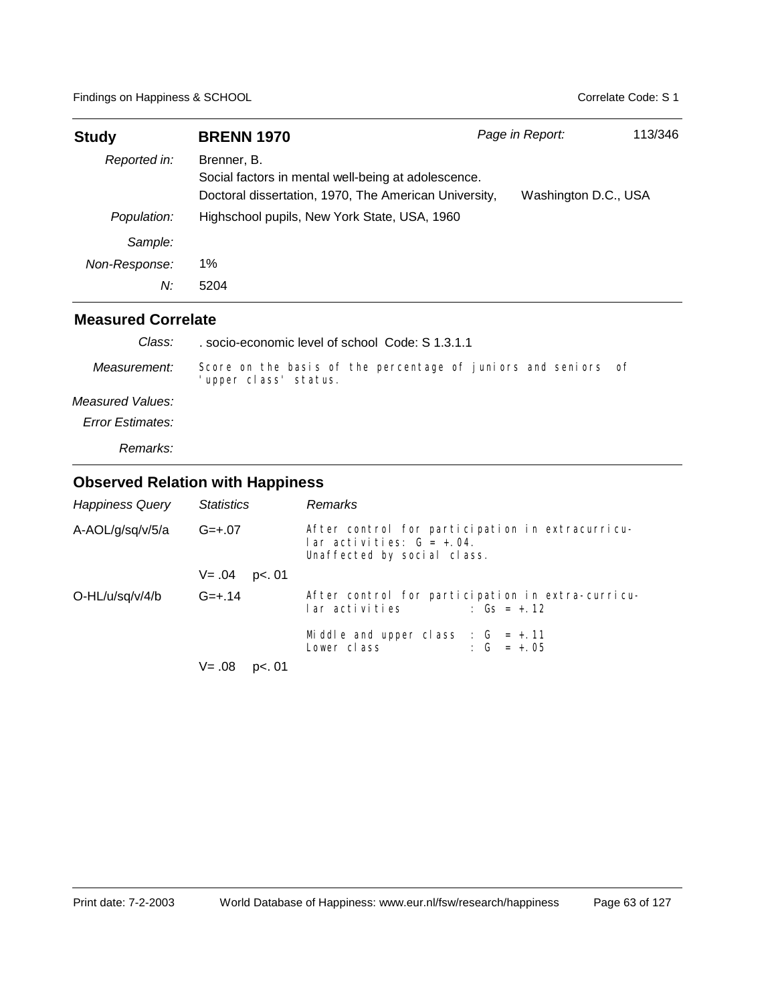| <b>Study</b>  | <b>BRENN 1970</b>                                                                                                           | Page in Report: | 113/346              |
|---------------|-----------------------------------------------------------------------------------------------------------------------------|-----------------|----------------------|
| Reported in:  | Brenner, B.<br>Social factors in mental well-being at adolescence.<br>Doctoral dissertation, 1970, The American University, |                 | Washington D.C., USA |
| Population:   | Highschool pupils, New York State, USA, 1960                                                                                |                 |                      |
| Sample:       |                                                                                                                             |                 |                      |
| Non-Response: | 1%                                                                                                                          |                 |                      |
| N:            | 5204                                                                                                                        |                 |                      |

| Class:           | socio-economic level of school Code: S 1.3.1.1                                         |  |
|------------------|----------------------------------------------------------------------------------------|--|
| Measurement:     | Score on the basis of the percentage of juniors and seniors of<br>upper class' status. |  |
| Measured Values: |                                                                                        |  |
| Error Estimates: |                                                                                        |  |
| Remarks:         |                                                                                        |  |

| <b>Happiness Query</b> | <b>Statistics</b>   | <b>Remarks</b>                                                                                                                                                                       |  |  |
|------------------------|---------------------|--------------------------------------------------------------------------------------------------------------------------------------------------------------------------------------|--|--|
| A-AOL/g/sq/v/5/a       | $G=+.07$            | After control for participation in extracurricu-<br>$\alpha$ activities: $G = +0.04$ .<br>Unaffected by social class.                                                                |  |  |
|                        | $V = .04$<br>p<. 01 |                                                                                                                                                                                      |  |  |
| $O-HL/u/sq/v/4/b$      | $G=+.14$            | After control for participation in extra-curricu-<br>lar activities compared to the local control of the local control of the local control of the local control of<br>: $Gs = + 12$ |  |  |
|                        |                     | Middle and upper class : $G = +.11$<br>Lower class $\qquad \qquad : G = +.05$                                                                                                        |  |  |
|                        | $V = .08$ p<. 01    |                                                                                                                                                                                      |  |  |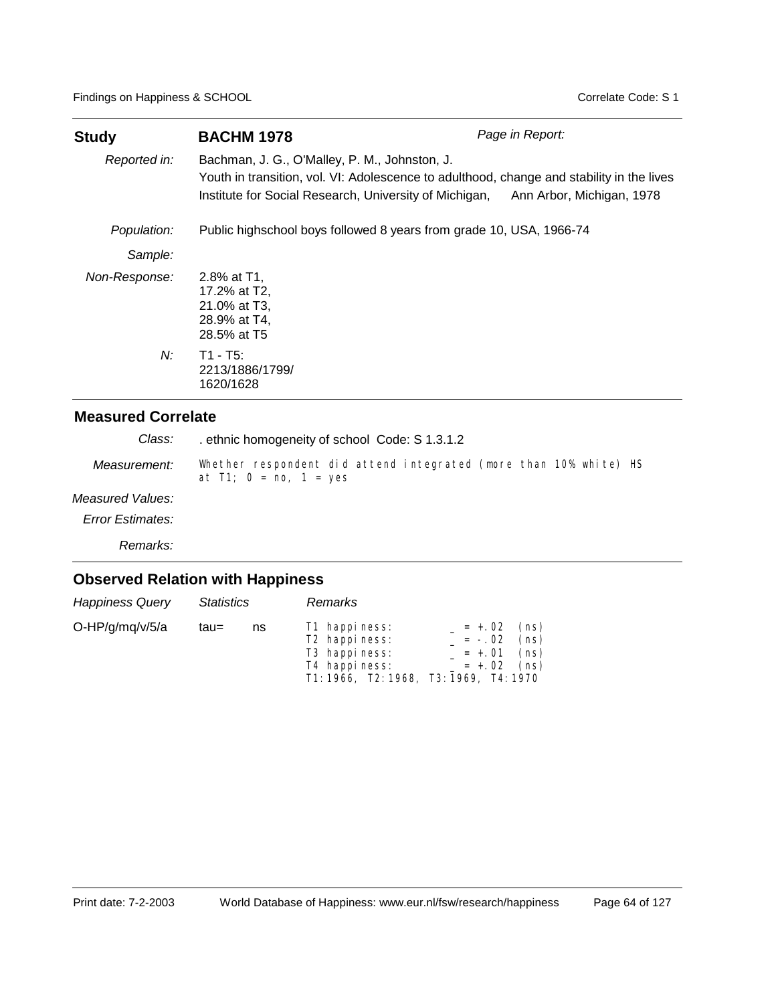| <b>Study</b>  | <b>BACHM 1978</b>                                                                                                                                                                                    | Page in Report:           |
|---------------|------------------------------------------------------------------------------------------------------------------------------------------------------------------------------------------------------|---------------------------|
| Reported in:  | Bachman, J. G., O'Malley, P. M., Johnston, J.<br>Youth in transition, vol. VI: Adolescence to adulthood, change and stability in the lives<br>Institute for Social Research, University of Michigan, | Ann Arbor, Michigan, 1978 |
| Population:   | Public highschool boys followed 8 years from grade 10, USA, 1966-74                                                                                                                                  |                           |
| Sample:       |                                                                                                                                                                                                      |                           |
| Non-Response: | 2.8% at T1.<br>17.2% at T2,<br>21.0% at T3,<br>28.9% at T4,<br>28.5% at T5                                                                                                                           |                           |
| N:            | $T1 - T5$ :<br>2213/1886/1799/<br>1620/1628                                                                                                                                                          |                           |

. ethnic homogeneity of school Code: S 1.3.1.2 *Class:*

Whether respondent did attend integrated (more than 10% white) HS at  $T1$ ;  $0 = \text{no}$ ,  $1 = \text{yes}$ *Measurement:*

#### *Measured Values:*

*Error Estimates:*

*Remarks:*

| <b>Happiness Query</b> | <b>Statistics</b> |    | <b>Remarks</b>                                                                                                                     |          |                                                         |
|------------------------|-------------------|----|------------------------------------------------------------------------------------------------------------------------------------|----------|---------------------------------------------------------|
| O-HP/g/mq/v/5/a        | tau=              | ns | T1 happiness:<br>T <sub>2</sub> happiness:<br>T <sub>3</sub> happiness:<br>T4 happiness:<br>T1: 1966, T2: 1968, T3: 1969, T4: 1970 | $= -.02$ | $= +.02$ (ns)<br>(ns)<br>$= +.01$ (ns)<br>$= +.02$ (ns) |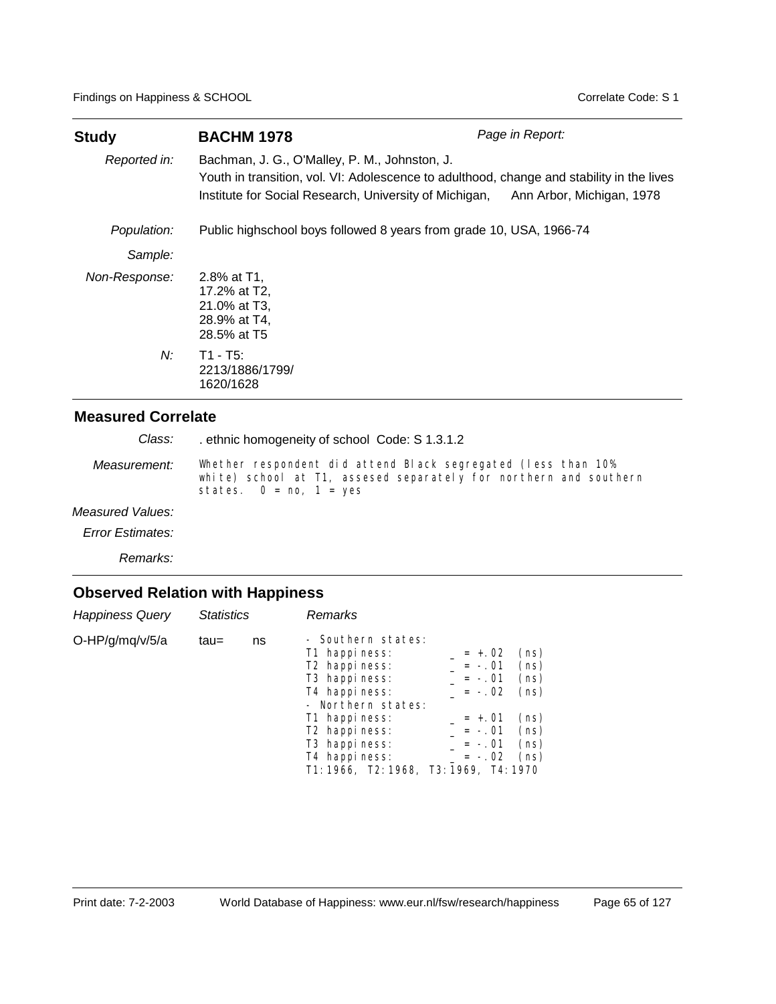| Study         | <b>BACHM 1978</b>                                                                                                                                                                                                              | Page in Report: |
|---------------|--------------------------------------------------------------------------------------------------------------------------------------------------------------------------------------------------------------------------------|-----------------|
| Reported in:  | Bachman, J. G., O'Malley, P. M., Johnston, J.<br>Youth in transition, vol. VI: Adolescence to adulthood, change and stability in the lives<br>Institute for Social Research, University of Michigan, Ann Arbor, Michigan, 1978 |                 |
| Population:   | Public highschool boys followed 8 years from grade 10, USA, 1966-74                                                                                                                                                            |                 |
| Sample:       |                                                                                                                                                                                                                                |                 |
| Non-Response: | 2.8% at T1,<br>17.2% at T2,<br>21.0% at T3,<br>28.9% at T4,<br>28.5% at T5                                                                                                                                                     |                 |
| N:            | $T1 - T5$ :<br>2213/1886/1799/<br>1620/1628                                                                                                                                                                                    |                 |

. ethnic homogeneity of school Code: S 1.3.1.2 *Class:*

Whether respondent did attend Black segregated (less than 10% white) school at T1, assesed separately for northern and southern states.  $0 = \text{no}$ ,  $1 = \text{yes}$ *Measurement:*

#### *Measured Values:*

*Error Estimates:*

*Remarks:*

| <b>Happiness Query</b> | Statistics |    | Remarks                                                                                                                                          |                                              |                              |
|------------------------|------------|----|--------------------------------------------------------------------------------------------------------------------------------------------------|----------------------------------------------|------------------------------|
| O-HP/g/mq/v/5/a        | tau=       | ns | - Southern states:<br>T1 happiness:<br>T <sub>2</sub> happiness:<br>T <sub>3</sub> happiness:<br>T <sub>4</sub> happiness:<br>- Northern states: | $= +.02$<br>$= -.01$<br>$= -.01$<br>$= -.02$ | (ns)<br>(ns)<br>(ns)<br>(ns) |
|                        |            |    | T1 happiness:<br>T <sub>2</sub> happiness:<br>T <sub>3</sub> happiness:<br>T4 happiness:<br>T1: 1966, T2: 1968, T3: 1969, T4: 1970               | $= +.01$<br>$= -.01$<br>$= -.01$<br>$= -.02$ | (ns)<br>(ns)<br>(ns)<br>(ns) |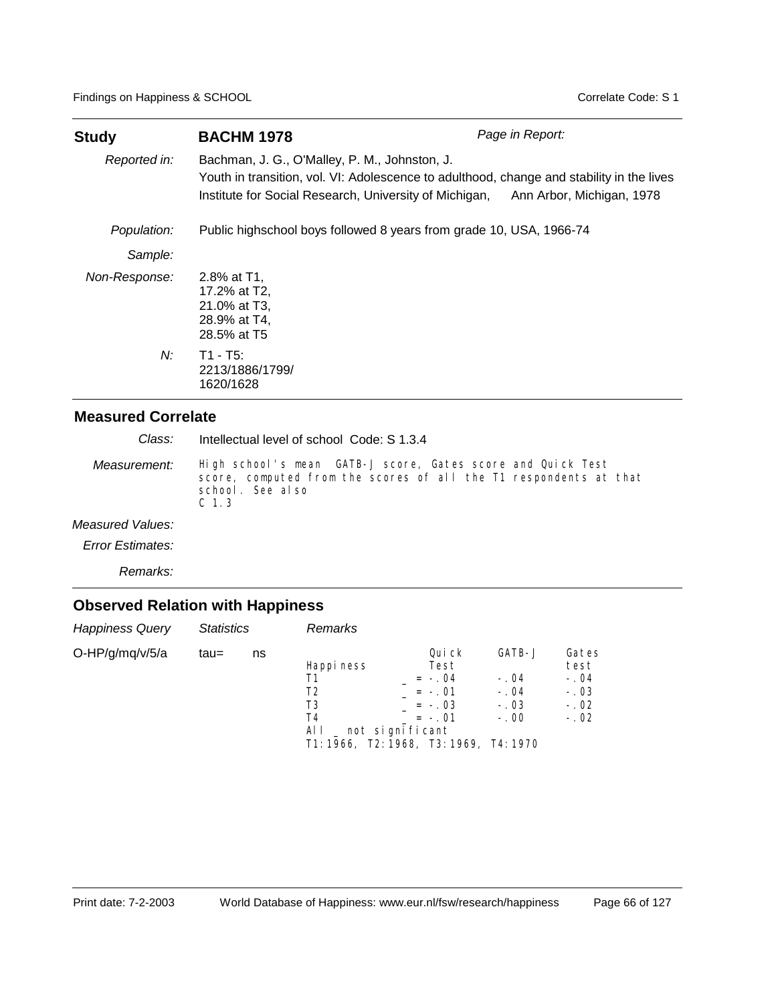| <b>Study</b>  | <b>BACHM 1978</b>                                                                                                                                                                                                              | Page in Report: |
|---------------|--------------------------------------------------------------------------------------------------------------------------------------------------------------------------------------------------------------------------------|-----------------|
| Reported in:  | Bachman, J. G., O'Malley, P. M., Johnston, J.<br>Youth in transition, vol. VI: Adolescence to adulthood, change and stability in the lives<br>Institute for Social Research, University of Michigan, Ann Arbor, Michigan, 1978 |                 |
| Population:   | Public highschool boys followed 8 years from grade 10, USA, 1966-74                                                                                                                                                            |                 |
| Sample:       |                                                                                                                                                                                                                                |                 |
| Non-Response: | 2.8% at T1.<br>17.2% at T2,<br>21.0% at T3,<br>28.9% at T4,<br>28.5% at T5                                                                                                                                                     |                 |
| N:            | $T1 - T5$ :<br>2213/1886/1799/<br>1620/1628                                                                                                                                                                                    |                 |

Intellectual level of school Code: S 1.3.4 *Class:*

High school's mean GATB-J score, Gates score and Quick Test score, computed from the scores of all the T1 respondents at that school. See also C 1.3 *Measurement:*

*Measured Values:*

*Error Estimates:*

*Remarks:*

| <b>Happiness Query</b> | <b>Statistics</b> |    | <b>Remarks</b>                             |                                                                                                                                |                                                |                                                       |
|------------------------|-------------------|----|--------------------------------------------|--------------------------------------------------------------------------------------------------------------------------------|------------------------------------------------|-------------------------------------------------------|
| O-HP/g/mq/v/5/a        | tau=              | ns | Happi ness<br>Τ1<br>T2<br>T3<br>T4<br>ALL. | Qui ck<br>Test<br>$= -.04$<br>$= -.01$<br>$= -0.03$<br>$= -.01$<br>_ not significant<br>T1: 1966, T2: 1968, T3: 1969, T4: 1970 | GATB-J<br>$-.04$<br>$-.04$<br>$-.03$<br>$-.00$ | Gates<br>test<br>$-.04$<br>$-.03$<br>$-.02$<br>$-.02$ |
|                        |                   |    |                                            |                                                                                                                                |                                                |                                                       |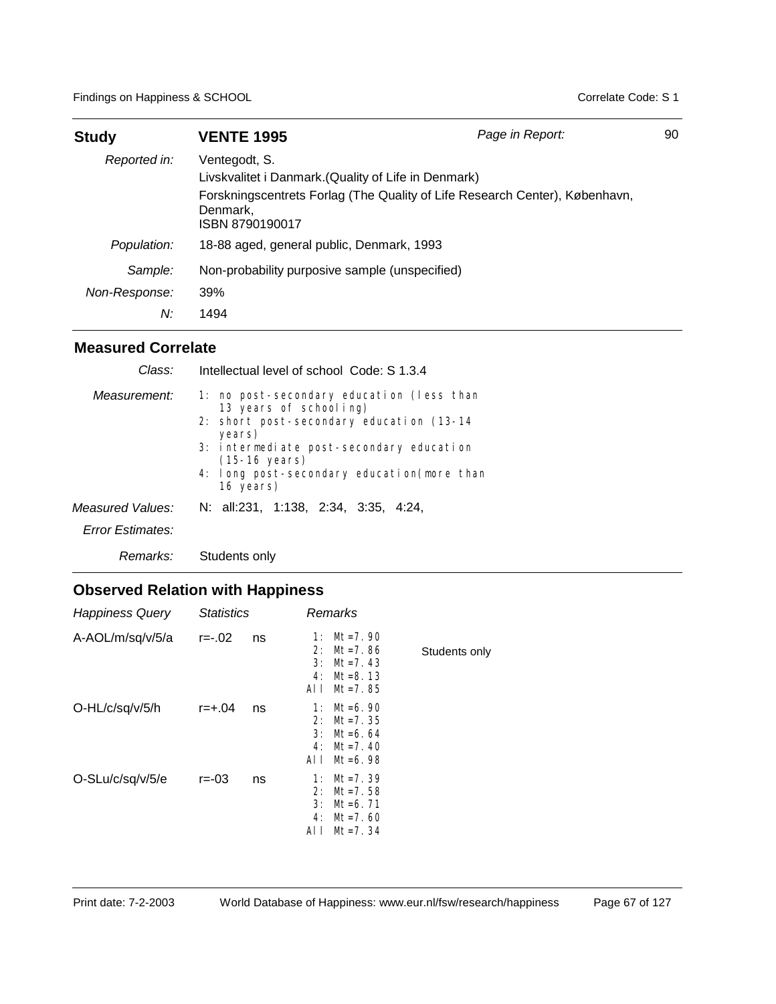| <b>Study</b>                   | <b>VENTE 1995</b>                                                                 | Page in Report:                                                             | 90 |
|--------------------------------|-----------------------------------------------------------------------------------|-----------------------------------------------------------------------------|----|
| Reported in:                   | Ventegodt, S.<br>Livskvalitet i Danmark. (Quality of Life in Denmark)<br>Denmark, | Forskningscentrets Forlag (The Quality of Life Research Center), København, |    |
| Population:                    | ISBN 8790190017<br>18-88 aged, general public, Denmark, 1993                      |                                                                             |    |
| Sample:<br>Non-Response:<br>N: | Non-probability purposive sample (unspecified)<br>39%<br>1494                     |                                                                             |    |

| Class:                               | Intellectual level of school Code: S 1.3.4                                                                                                                                                                                                                     |
|--------------------------------------|----------------------------------------------------------------------------------------------------------------------------------------------------------------------------------------------------------------------------------------------------------------|
| Measurement:                         | 1: no post-secondary education (less than<br>13 years of schooling)<br>2: short post-secondary education (13-14)<br>years)<br>3: intermediate post-secondary education<br>$(15-16 \text{ years})$<br>4: I ong post-secondary education (more than<br>16 years) |
| Measured Values:<br>Error Estimates: | N: all:231, 1:138, 2:34, 3:35, 4:24,                                                                                                                                                                                                                           |
| Remarks:                             | Students only                                                                                                                                                                                                                                                  |

| <b>Happiness Query</b> | <b>Statistics</b> |    |                              | Remarks                                                                 |               |
|------------------------|-------------------|----|------------------------------|-------------------------------------------------------------------------|---------------|
| A-AOL/m/sq/v/5/a       | $r = -02$         | ns | 1:<br>2:<br>3:<br>4:<br>AI I | $Mt = 7.90$<br>$Mt = 7.86$<br>$Mt = 7.43$<br>$Mt = 8.13$<br>$Mt = 7.85$ | Students only |
| O-HL/c/sq/v/5/h        | $r = +.04$        | ns | 1:<br>2:<br>3:<br>4:<br>AI I | Mt=6.90<br>$Mt = 7.35$<br>$Mt = 6.64$<br>$Mt = 7.40$<br>$Mt = 6.98$     |               |
| O-SLu/c/sq/v/5/e       | $r = -03$         | ns | 1:<br>2:<br>3:<br>4:<br>AI I | $Mt = 7.39$<br>$Mt = 7.58$<br>$Mt = 6.71$<br>$Mt = 7.60$<br>$Mt = 7.34$ |               |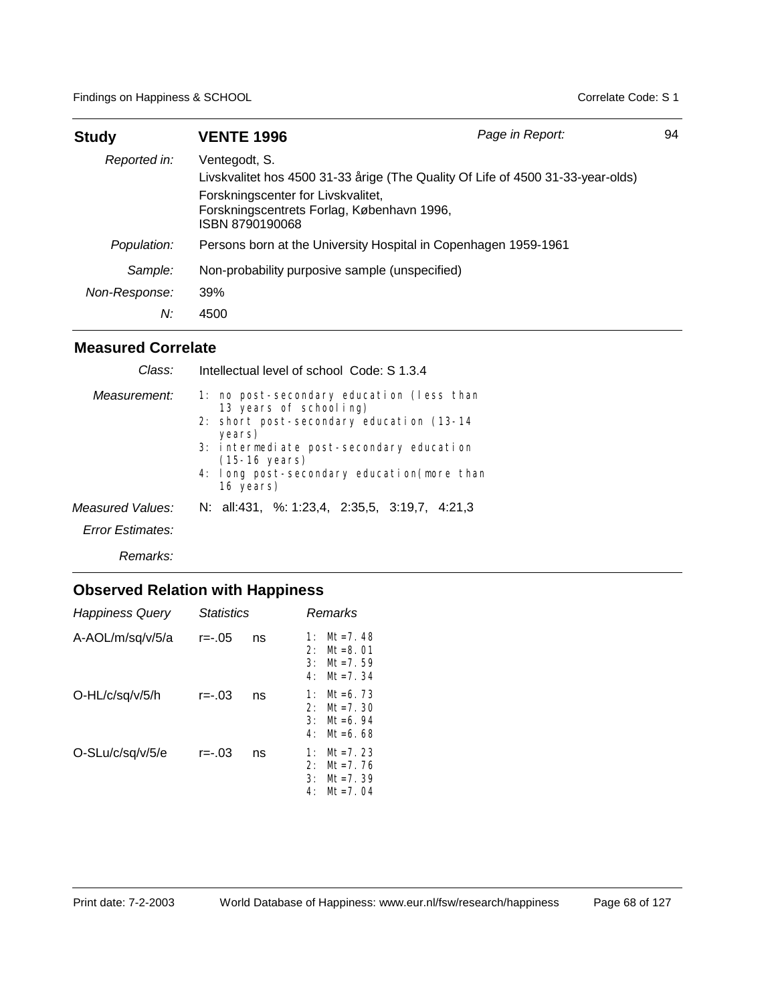| <b>Study</b>                   | <b>VENTE 1996</b>                                                                                                                                                                                       | Page in Report: | 94 |
|--------------------------------|---------------------------------------------------------------------------------------------------------------------------------------------------------------------------------------------------------|-----------------|----|
| Reported in:                   | Ventegodt, S.<br>Livskvalitet hos 4500 31-33 årige (The Quality Of Life of 4500 31-33-year-olds)<br>Forskningscenter for Livskvalitet,<br>Forskningscentrets Forlag, København 1996,<br>ISBN 8790190068 |                 |    |
| Population:                    | Persons born at the University Hospital in Copenhagen 1959-1961                                                                                                                                         |                 |    |
| Sample:<br>Non-Response:<br>N: | Non-probability purposive sample (unspecified)<br>39%<br>4500                                                                                                                                           |                 |    |

| Class:           | Intellectual level of school Code: S 1.3.4                                                                                                                                                                                                                   |
|------------------|--------------------------------------------------------------------------------------------------------------------------------------------------------------------------------------------------------------------------------------------------------------|
| Measurement:     | 1: no post-secondary education (less than<br>13 years of schooling)<br>2: short post-secondary education (13-14)<br>years)<br>3: intermediate post-secondary education<br>$(15-16 \text{ years})$<br>4: long post-secondary education(more than<br>16 years) |
| Measured Values: | N: all:431, %: 1:23,4, 2:35,5, 3:19,7, 4:21,3                                                                                                                                                                                                                |
| Error Estimates: |                                                                                                                                                                                                                                                              |
| Remarks:         |                                                                                                                                                                                                                                                              |

| <b>Happiness Query</b> | <b>Statistics</b> |    | Remarks                                                                                              |
|------------------------|-------------------|----|------------------------------------------------------------------------------------------------------|
| A-AOL/m/sq/v/5/a       | r=-.05            | ns | $Mt = 7.48$<br>1:<br>$M_{\text{t}} = 8.01$<br>2:<br>3:<br>$M_{\text{t}} = 7.59$<br>$Mt = 7.34$<br>4: |
| O-HL/c/sq/v/5/h        | r=-.03            | ns | $Mt = 6.73$<br>1:<br>2:<br>$M_{\text{t}} = 7.30$<br>3:<br>$Mt = 6.94$<br>$M1=6.68$<br>4:             |
| O-SLu/c/sq/v/5/e       | r=-.03            | ns | $Mt = 7.23$<br>1:<br>$Mt = 7.76$<br>2:<br>$M_{\tau=7.}$ 39<br>3:<br>$Mt = 7.04$<br>4:                |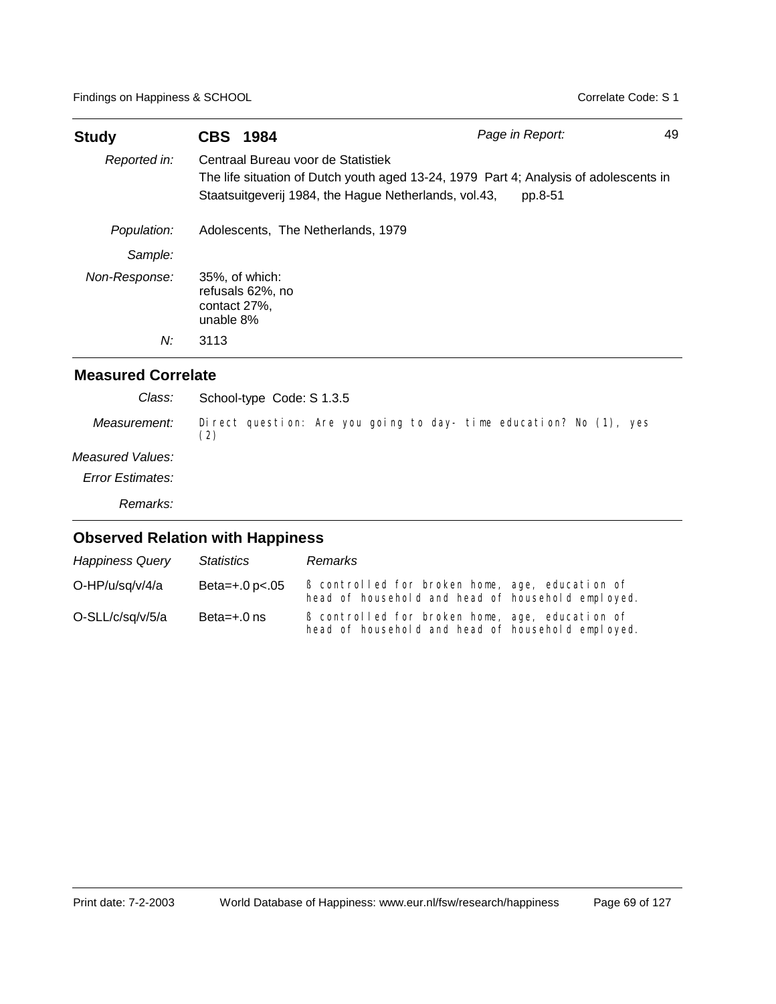| <b>Study</b>  | <b>CBS 1984</b>                                                                             | Page in Report:                                                                                  | 49 |
|---------------|---------------------------------------------------------------------------------------------|--------------------------------------------------------------------------------------------------|----|
| Reported in:  | Centraal Bureau voor de Statistiek<br>Staatsuitgeverij 1984, the Hague Netherlands, vol.43, | The life situation of Dutch youth aged 13-24, 1979 Part 4; Analysis of adolescents in<br>pp.8-51 |    |
| Population:   | Adolescents, The Netherlands, 1979                                                          |                                                                                                  |    |
| Sample:       |                                                                                             |                                                                                                  |    |
| Non-Response: | 35%, of which:<br>refusals 62%, no<br>contact 27%.<br>unable 8%                             |                                                                                                  |    |
| N:            | 3113                                                                                        |                                                                                                  |    |

| Class:           | School-type Code: S 1.3.5                                                 |
|------------------|---------------------------------------------------------------------------|
| Measurement:     | Direct question: Are you going to day- time education? No (1), yes<br>(2) |
| Measured Values: |                                                                           |
| Error Estimates: |                                                                           |
| Remarks:         |                                                                           |
|                  | <b>Observed Relation with Happiness</b>                                   |

| <b>Happiness Query</b> | <b>Statistics</b>     | Remarks                                                                                              |
|------------------------|-----------------------|------------------------------------------------------------------------------------------------------|
| O-HP/u/sq/v/4/a        | Beta= $+.0$ p $< .05$ | B controlled for broken home, age, education of<br>head of household and head of household employed. |
| O-SLL/c/sq/v/5/a       | Beta= $+.0$ ns        | B controlled for broken home, age, education of<br>head of household and head of household employed. |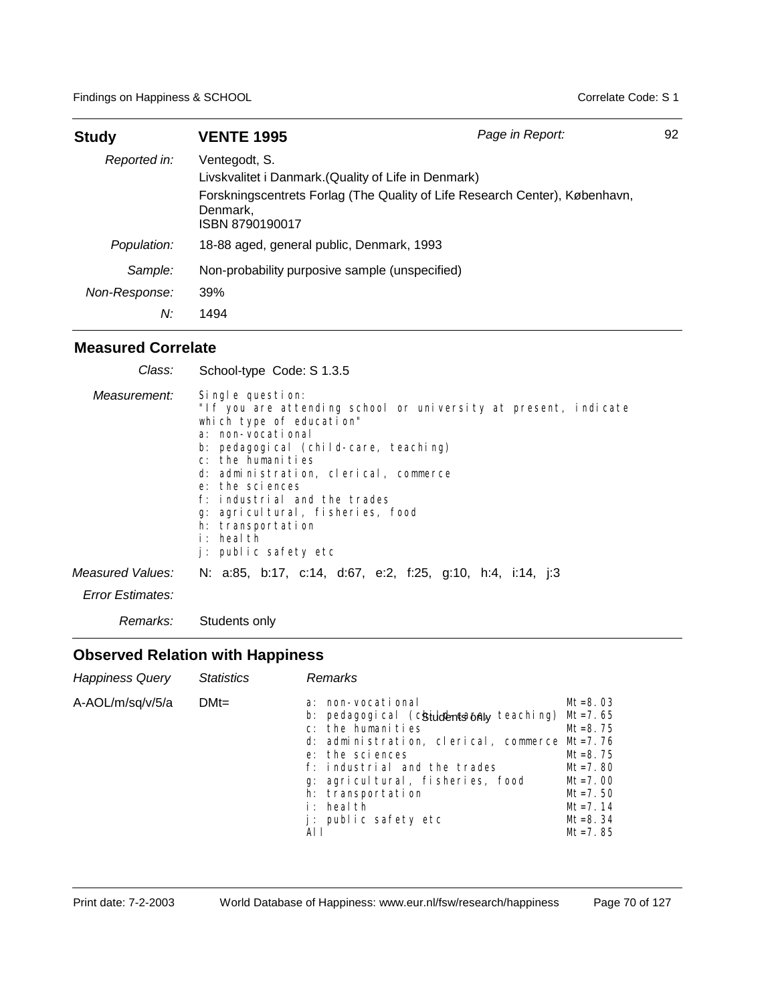| <b>Study</b>                   | <b>VENTE 1995</b>                                                                                    | Page in Report:                                                             | 92 |
|--------------------------------|------------------------------------------------------------------------------------------------------|-----------------------------------------------------------------------------|----|
| Reported in:                   | Ventegodt, S.<br>Livskvalitet i Danmark. (Quality of Life in Denmark)<br>Denmark.<br>ISBN 8790190017 | Forskningscentrets Forlag (The Quality of Life Research Center), København, |    |
| Population:                    | 18-88 aged, general public, Denmark, 1993                                                            |                                                                             |    |
| Sample:<br>Non-Response:<br>N: | Non-probability purposive sample (unspecified)<br>39%<br>1494                                        |                                                                             |    |

| Class:                  | School-type Code: S 1.3.5                                                                                                                                                                                                                                                                                                                                                                    |
|-------------------------|----------------------------------------------------------------------------------------------------------------------------------------------------------------------------------------------------------------------------------------------------------------------------------------------------------------------------------------------------------------------------------------------|
| Measurement:            | Single question:<br>"If you are attending school or university at present, indicate<br>which type of education"<br>a: non-vocational<br>b: pedagogical (child-care, teaching)<br>c: the humanities<br>d: administration, clerical, commerce<br>e: the sciences<br>f: industrial and the trades<br>g: agricultural, fisheries, food<br>h: transportation<br>i: health<br>j: public safety etc |
| Measured Values:        | N: a:85, b:17, c:14, d:67, e:2, f:25, g:10, h:4, i:14, j:3                                                                                                                                                                                                                                                                                                                                   |
| <b>Error Estimates:</b> |                                                                                                                                                                                                                                                                                                                                                                                              |
| Remarks:                | Students only                                                                                                                                                                                                                                                                                                                                                                                |

| <b>Happiness Query</b> | <b>Statistics</b> | Remarks                                                                                                                                                                                                                                                                                                |                                                                                                                                     |
|------------------------|-------------------|--------------------------------------------------------------------------------------------------------------------------------------------------------------------------------------------------------------------------------------------------------------------------------------------------------|-------------------------------------------------------------------------------------------------------------------------------------|
| A-AOL/m/sq/v/5/a       | $DMt =$           | a: non-vocational<br>b: pedagogical (chiuldentsantaly teaching) Mt=7.65<br>c: the humanities<br>d: administration, clerical, commerce Mt=7.76<br>e: the sciences<br>f: industrial and the trades<br>g: agricultural, fisheries, food<br>h: transportation<br>i: health<br>j: public safety etc<br>AI I | $Mt = 8.03$<br>$Mt = 8.75$<br>$Mt = 8.75$<br>$Mt = 7.80$<br>$Mt = 7.00$<br>$Mt = 7.50$<br>$Mt = 7.14$<br>$Mt = 8.34$<br>$Mt = 7.85$ |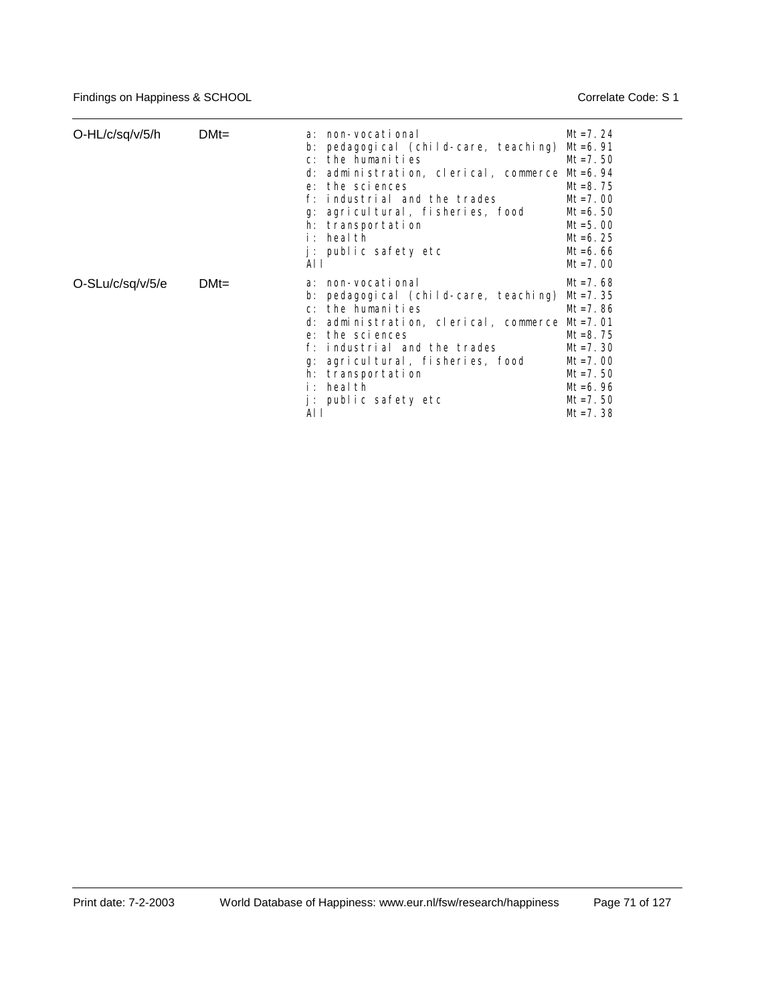| O-HL/c/sq/v/5/h  | $DMt =$ | a: non-vocational<br>pedagogical (child-care, teaching) Mt=6.91<br>b:<br>the humanities<br>$C$ :<br>d: administration, clerical, commerce Mt=6.94<br>the sciences<br>$e$ :<br>industrial and the trades<br>f∵<br>q: agricultural, fisheries, food<br>h: transportation<br>heal th<br>i : -<br>j: public safety etc<br>AL L | $Mt = 7.24$<br>$Mt = 7.50$<br>$Mt = 8.75$<br>$Mt = 7.00$<br>$Mt = 6.50$<br>$Mt = 5.00$<br>$Mt = 6.25$<br>$Mt = 6.66$<br>$Mt = 7.00$                |
|------------------|---------|----------------------------------------------------------------------------------------------------------------------------------------------------------------------------------------------------------------------------------------------------------------------------------------------------------------------------|----------------------------------------------------------------------------------------------------------------------------------------------------|
| O-SLu/c/sq/v/5/e | $DMt =$ | a: non-vocational<br>pedagogical (child-care, teaching)<br>$b$ :<br>the humanities<br>$C^*$<br>d: administration, clerical, commerce Mt=7.01<br>e: the sciences<br>industrial and the trades<br>agricultural, fisheries, food<br>q:<br>transportation<br>h:<br>heal th<br>i : -<br>j: public safety etc<br>AL L            | $Mt = 7.68$<br>$Mt = 7.35$<br>$Mt = 7.86$<br>$Mt = 8.75$<br>$Mt = 7.30$<br>$Mt = 7.00$<br>$Mt = 7.50$<br>$Mt = 6.96$<br>$Mt = 7.50$<br>$Mt = 7.38$ |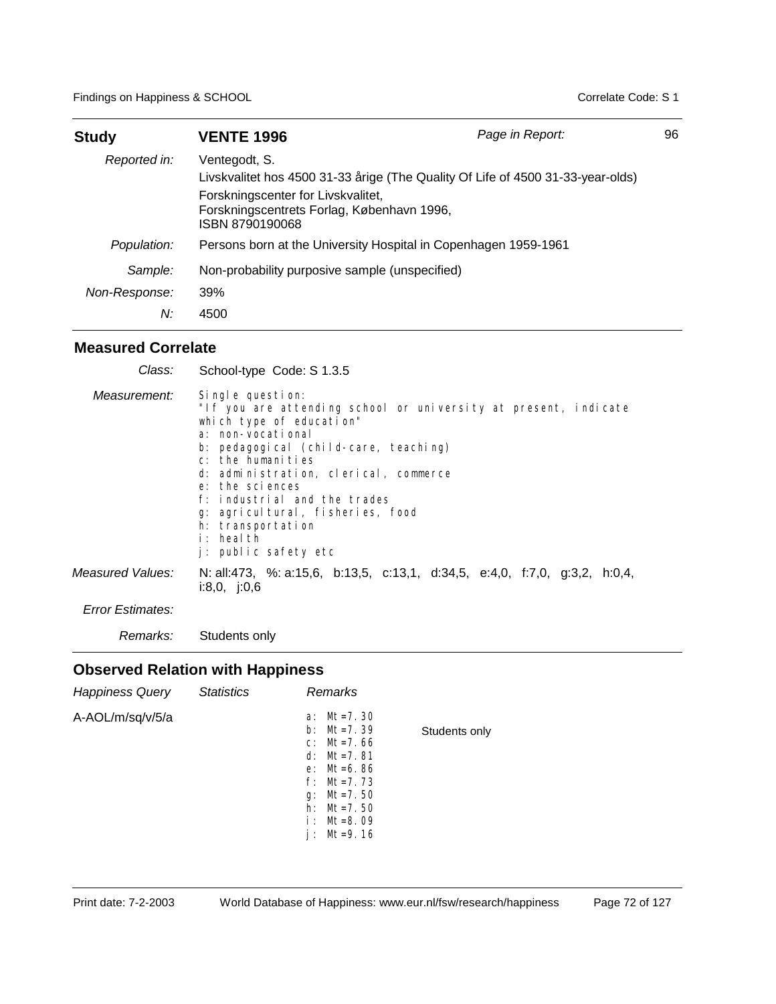| <b>Study</b>                   | <b>VENTE 1996</b>                                                                                                                                                                                       | Page in Report: | 96 |
|--------------------------------|---------------------------------------------------------------------------------------------------------------------------------------------------------------------------------------------------------|-----------------|----|
| Reported in:                   | Ventegodt, S.<br>Livskvalitet hos 4500 31-33 årige (The Quality Of Life of 4500 31-33-year-olds)<br>Forskningscenter for Livskvalitet,<br>Forskningscentrets Forlag, København 1996,<br>ISBN 8790190068 |                 |    |
| Population:                    | Persons born at the University Hospital in Copenhagen 1959-1961                                                                                                                                         |                 |    |
| Sample:<br>Non-Response:<br>N: | Non-probability purposive sample (unspecified)<br>39%<br>4500                                                                                                                                           |                 |    |

| Class:           | School-type Code: S 1.3.5                                                                                                                                                                                                                                                                                                                                                                    |
|------------------|----------------------------------------------------------------------------------------------------------------------------------------------------------------------------------------------------------------------------------------------------------------------------------------------------------------------------------------------------------------------------------------------|
| Measurement:     | Single question:<br>"If you are attending school or university at present, indicate<br>which type of education"<br>a: non-vocational<br>b: pedagogical (child-care, teaching)<br>c: the humanities<br>d: administration, clerical, commerce<br>e: the sciences<br>f: industrial and the trades<br>q: agricultural, fisheries, food<br>h: transportation<br>i: health<br>j: public safety etc |
| Measured Values: | N: all:473, %: a:15,6, b:13,5, c:13,1, d:34,5, e:4,0, f:7,0, g:3,2, h:0,4,<br>i:8,0, j:0,6                                                                                                                                                                                                                                                                                                   |
| Error Estimates: |                                                                                                                                                                                                                                                                                                                                                                                              |

*Remarks:* Students only

| <b>Happiness Query</b> | <b>Statistics</b> | Remarks                                                                                                                                                               |               |
|------------------------|-------------------|-----------------------------------------------------------------------------------------------------------------------------------------------------------------------|---------------|
| A-AOL/m/sq/v/5/a       |                   | Mt=7.30<br>a:<br>b: $Mt = 7.39$<br>$c: Mt=7.66$<br>d: $Mt = 7.81$<br>$e: Mt = 6.86$<br>$f: Mt=7.73$<br>Mt=7.50<br>g:<br>h: $Mt = 7.50$<br>$i:$ Mt=8.09<br>$Mt = 9.16$ | Students only |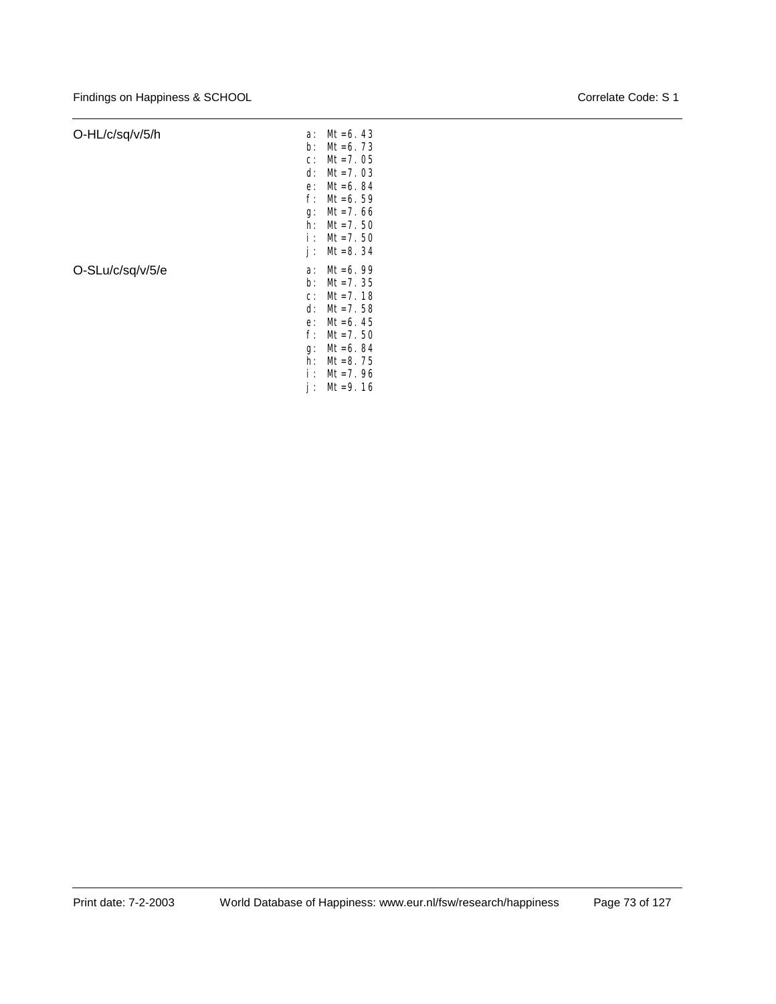| O-HL/c/sq/v/5/h  | a:    | $Mt = 6.43$ |
|------------------|-------|-------------|
|                  | b:    | $Mt = 6.73$ |
|                  | $C$ : | $Mt = 7.05$ |
|                  | d:    | $Mt = 7.03$ |
|                  | e:    | $Mt = 6.84$ |
|                  | $f$ : | $Mt = 6.59$ |
|                  | g:    | $Mt = 7.66$ |
|                  | h:    | $Mt = 7.50$ |
|                  | i :   | $Mt = 7.50$ |
|                  | İΙ    | $Mt = 8.34$ |
|                  |       |             |
| O-SLu/c/sq/v/5/e | a:    | $Mt = 6.99$ |
|                  | b:    | $Mt = 7.35$ |
|                  | $C$ : | $Mt = 7.18$ |
|                  | d:    | $Mt = 7.58$ |
|                  | e:    | $Mt = 6.45$ |
|                  | f:    | $Mt = 7.50$ |
|                  | g:    | Mt=6.84     |
|                  | h:    | $Mt = 8.75$ |
|                  | i :   | $Mt = 7.96$ |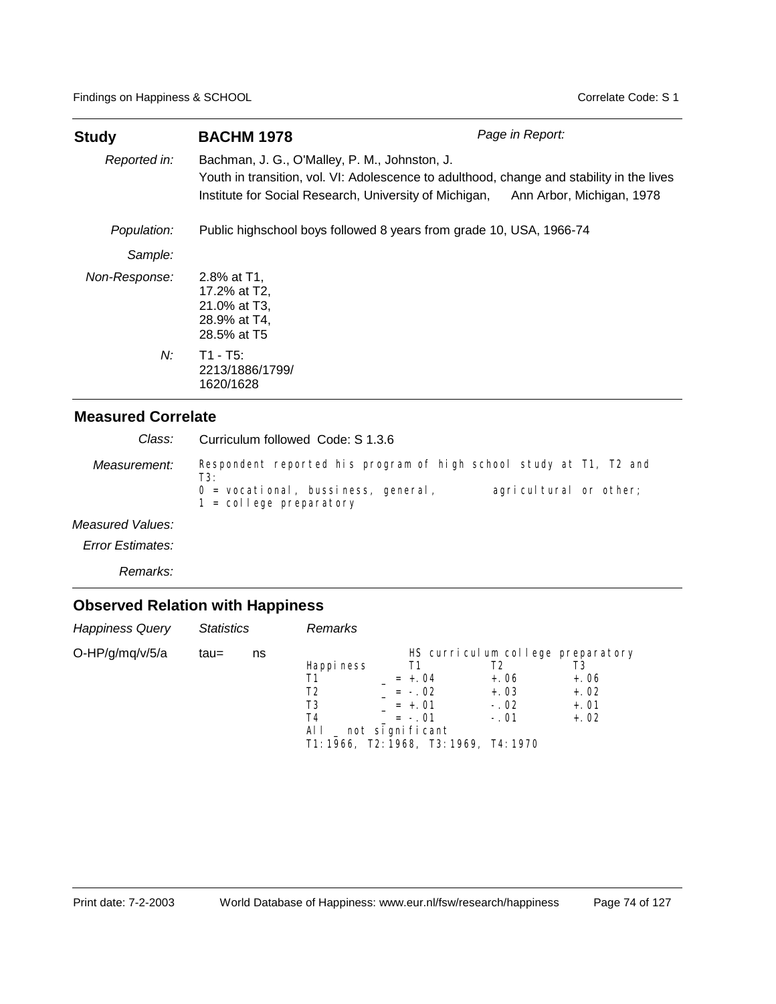| <b>Study</b>  | <b>BACHM 1978</b>                                                                                                                                                                                    | Page in Report:           |
|---------------|------------------------------------------------------------------------------------------------------------------------------------------------------------------------------------------------------|---------------------------|
| Reported in:  | Bachman, J. G., O'Malley, P. M., Johnston, J.<br>Youth in transition, vol. VI: Adolescence to adulthood, change and stability in the lives<br>Institute for Social Research, University of Michigan, | Ann Arbor, Michigan, 1978 |
| Population:   | Public highschool boys followed 8 years from grade 10, USA, 1966-74                                                                                                                                  |                           |
| Sample:       |                                                                                                                                                                                                      |                           |
| Non-Response: | 2.8% at T1,<br>17.2% at T2,<br>21.0% at T3,<br>28.9% at T4,<br>28.5% at T5                                                                                                                           |                           |
| N:            | $T1 - T5$ :<br>2213/1886/1799/<br>1620/1628                                                                                                                                                          |                           |

Respondent reported his program of high school study at T1, T2 and T3: 0 = vocational, bussiness, general, agricultural or other; 1 = college preparatory *Measurement:* Curriculum followed Code: S 1.3.6 *Measured Values: Class:*

*Error Estimates:*

*Remarks:*

| <b>Happiness Query</b> | <b>Statistics</b> |    | Remarks                                    |                                                                                                                                                         |                                            |                                      |
|------------------------|-------------------|----|--------------------------------------------|---------------------------------------------------------------------------------------------------------------------------------------------------------|--------------------------------------------|--------------------------------------|
| O-HP/g/mq/v/5/a        | tau=              | ns | Happi ness<br>Τ1<br>T2<br>T3<br>T4<br>ALL. | HS curriculum college preparatory<br>Τ1<br>$= +.04$<br>$= -0.02$<br>$= +.01$<br>$= -.01$<br>_ not significant<br>T1: 1966, T2: 1968, T3: 1969, T4: 1970 | T2<br>$+.06$<br>$+.03$<br>$-.02$<br>$-.01$ | $+.06$<br>$+.02$<br>$+.01$<br>$+.02$ |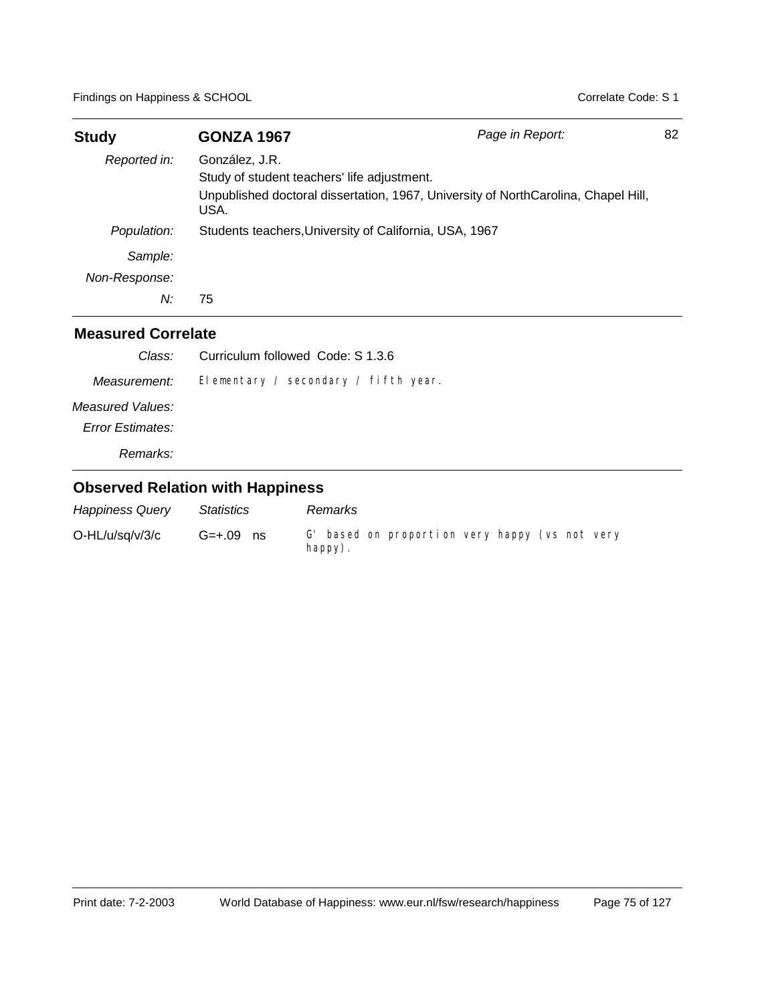| <b>Study</b>  | <b>GONZA 1967</b>                                      | Page in Report:                                                                    | 82 |
|---------------|--------------------------------------------------------|------------------------------------------------------------------------------------|----|
| Reported in:  | González, J.R.                                         |                                                                                    |    |
|               | Study of student teachers' life adjustment.            |                                                                                    |    |
|               | USA.                                                   | Unpublished doctoral dissertation, 1967, University of NorthCarolina, Chapel Hill, |    |
| Population:   | Students teachers, University of California, USA, 1967 |                                                                                    |    |
| Sample:       |                                                        |                                                                                    |    |
| Non-Response: |                                                        |                                                                                    |    |
| N:            | 75                                                     |                                                                                    |    |

| Class:                               | Curriculum followed Code: S 1.3.6    |
|--------------------------------------|--------------------------------------|
| Measurement:                         | Elementary / secondary / fifth year. |
| Measured Values:<br>Error Estimates: |                                      |
| Remarks:                             |                                      |

| <b>Happiness Query</b> | <i><b>Statistics</b></i> | Remarks                                                          |
|------------------------|--------------------------|------------------------------------------------------------------|
| O-HL/u/sq/v/3/c        | $G=+.09$ ns              | G' based on proportion very happy (vs not very<br>$h$ appy $)$ . |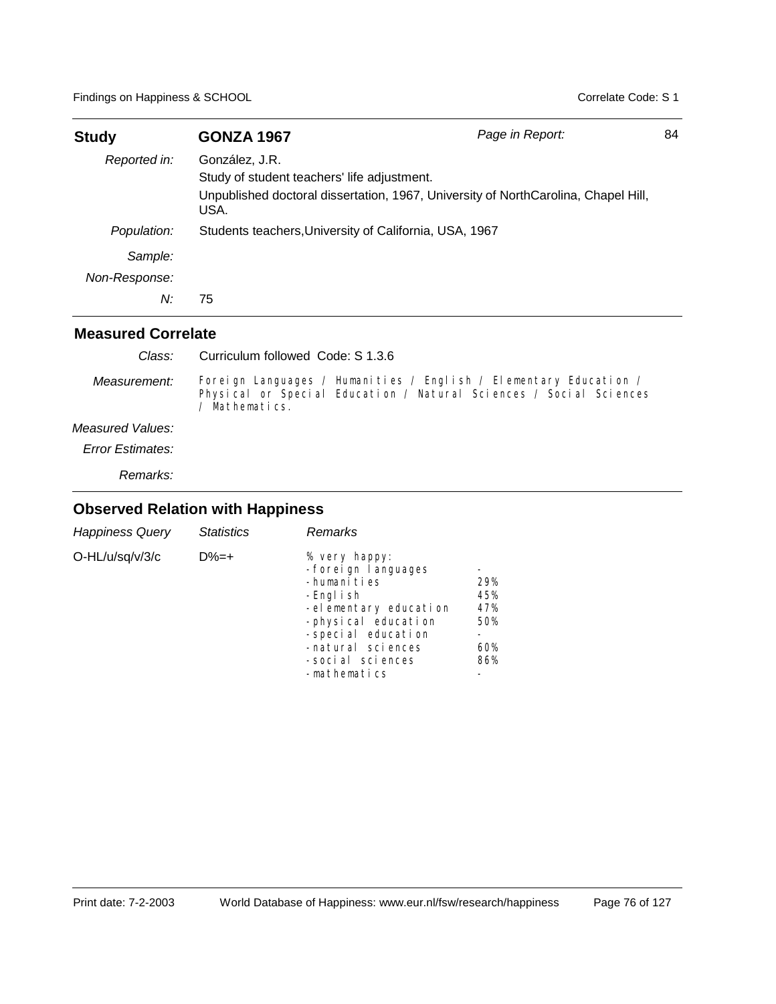| <b>Study</b>  | <b>GONZA 1967</b>                                      | Page in Report:                                                                    | 84 |
|---------------|--------------------------------------------------------|------------------------------------------------------------------------------------|----|
| Reported in:  | González, J.R.                                         |                                                                                    |    |
|               | Study of student teachers' life adjustment.            |                                                                                    |    |
|               | USA.                                                   | Unpublished doctoral dissertation, 1967, University of NorthCarolina, Chapel Hill, |    |
| Population:   | Students teachers, University of California, USA, 1967 |                                                                                    |    |
| Sample:       |                                                        |                                                                                    |    |
| Non-Response: |                                                        |                                                                                    |    |
| N:            | 75                                                     |                                                                                    |    |

| Class:                  | Curriculum followed Code: S 1.3.6                                                                                                                         |
|-------------------------|-----------------------------------------------------------------------------------------------------------------------------------------------------------|
| Measurement:            | Foreign Languages / Humanities / English / Elementary Education /<br>Physical or Special Education / Natural Sciences / Social Sciences<br>/ Mathematics. |
| Measured Values:        |                                                                                                                                                           |
| <b>Error Estimates:</b> |                                                                                                                                                           |
| Remarks:                |                                                                                                                                                           |

| <b>Happiness Query</b> | <b>Statistics</b> | Remarks                                                                                                                                                                                           |                                        |
|------------------------|-------------------|---------------------------------------------------------------------------------------------------------------------------------------------------------------------------------------------------|----------------------------------------|
| O-HL/u/sq/v/3/c        | $D\% = +$         | % very happy:<br>-forei gn I anguages<br>-humanities<br>-Engl i sh<br>-elementary education<br>-physical education<br>-special education<br>-natural sciences<br>-social sciences<br>-mathematics | 29%<br>45%<br>47%<br>50%<br>60%<br>86% |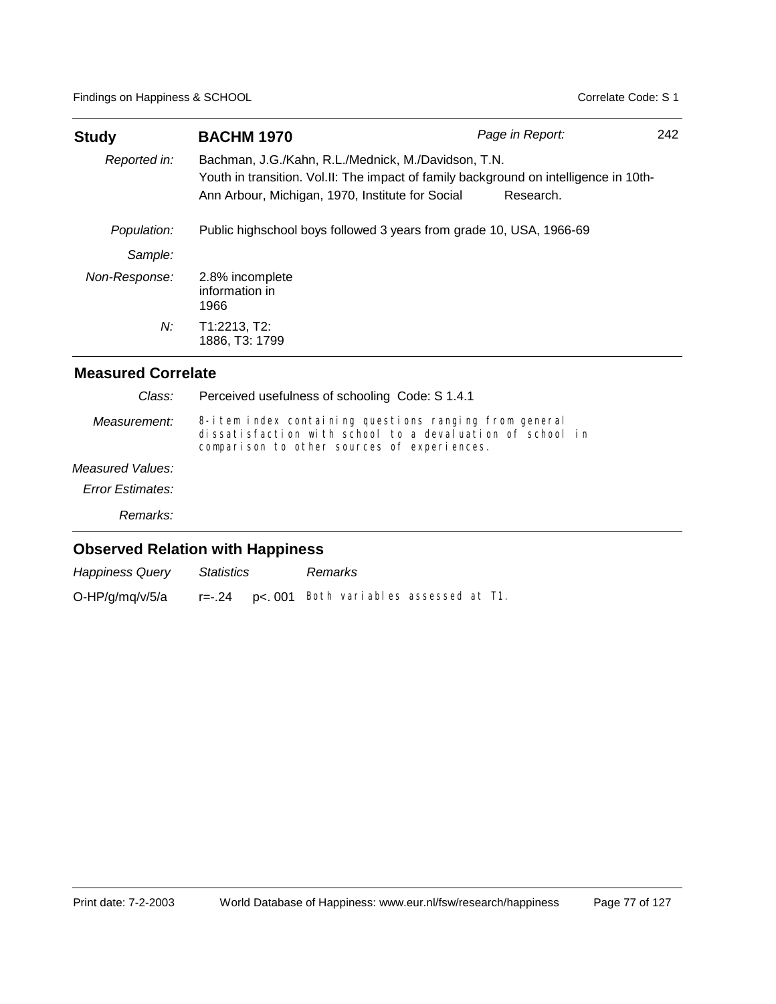| <b>Study</b>  | <b>BACHM 1970</b>                                                                                                                                                                                | Page in Report: | 242 |
|---------------|--------------------------------------------------------------------------------------------------------------------------------------------------------------------------------------------------|-----------------|-----|
| Reported in:  | Bachman, J.G./Kahn, R.L./Mednick, M./Davidson, T.N.<br>Youth in transition. Vol.II: The impact of family background on intelligence in 10th-<br>Ann Arbour, Michigan, 1970, Institute for Social | Research.       |     |
| Population:   | Public highschool boys followed 3 years from grade 10, USA, 1966-69                                                                                                                              |                 |     |
| Sample:       |                                                                                                                                                                                                  |                 |     |
| Non-Response: | 2.8% incomplete<br>information in<br>1966                                                                                                                                                        |                 |     |
| N:            | T1:2213, T2:<br>1886, T3: 1799                                                                                                                                                                   |                 |     |

| Class:                  | Perceived usefulness of schooling Code: S 1.4.1                                                                                                                     |
|-------------------------|---------------------------------------------------------------------------------------------------------------------------------------------------------------------|
| Measurement:            | 8-i tem index containing questions ranging from general<br>dissatisfaction with school to a devaluation of school in<br>comparison to other sources of experiences. |
| Measured Values:        |                                                                                                                                                                     |
| <b>Error Estimates:</b> |                                                                                                                                                                     |
| Remarks:                |                                                                                                                                                                     |
|                         | <b>Observed Relation with Happiness</b>                                                                                                                             |

| <b>Happiness Query</b> | <b>Statistics</b> | Remarks                                          |  |  |
|------------------------|-------------------|--------------------------------------------------|--|--|
| O-HP/g/mq/v/5/a        |                   | $r=-.24$ $p<.001$ Both variables assessed at T1. |  |  |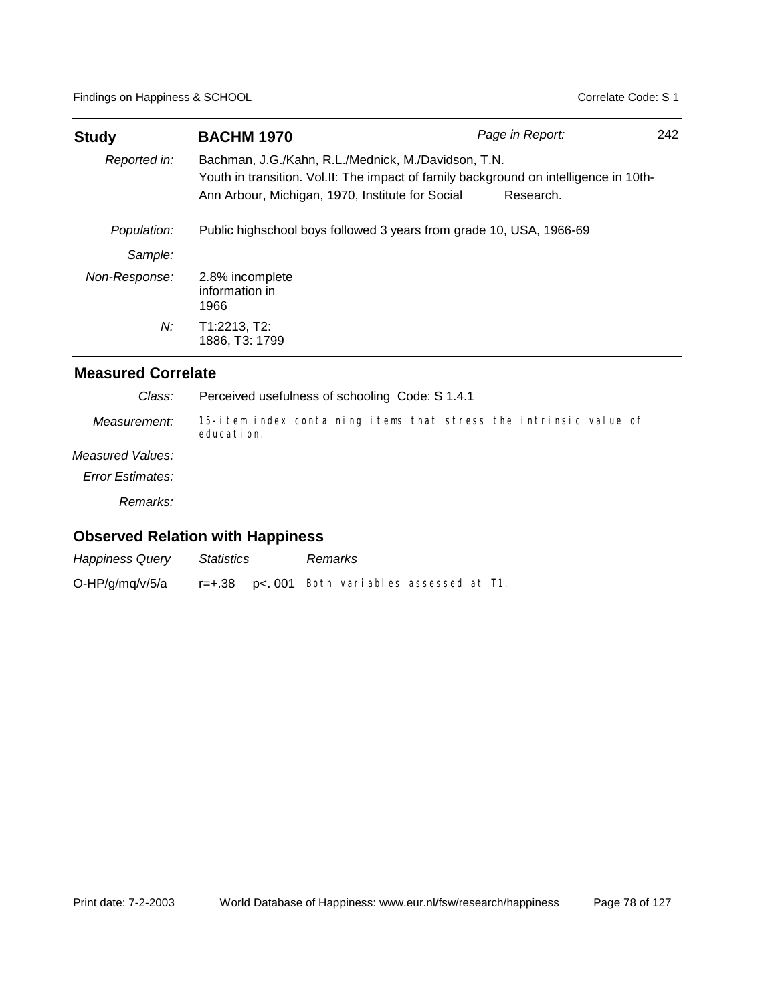| <b>Study</b>  | <b>BACHM 1970</b>                                                                                                                                                                                | Page in Report: | 242 |
|---------------|--------------------------------------------------------------------------------------------------------------------------------------------------------------------------------------------------|-----------------|-----|
| Reported in:  | Bachman, J.G./Kahn, R.L./Mednick, M./Davidson, T.N.<br>Youth in transition. Vol.II: The impact of family background on intelligence in 10th-<br>Ann Arbour, Michigan, 1970, Institute for Social | Research.       |     |
| Population:   | Public highschool boys followed 3 years from grade 10, USA, 1966-69                                                                                                                              |                 |     |
| Sample:       |                                                                                                                                                                                                  |                 |     |
| Non-Response: | 2.8% incomplete<br>information in<br>1966                                                                                                                                                        |                 |     |
| $N$ :         | T1:2213, T2:<br>1886, T3: 1799                                                                                                                                                                   |                 |     |

| Class:                                  | Perceived usefulness of schooling Code: S 1.4.1                                 |  |
|-----------------------------------------|---------------------------------------------------------------------------------|--|
| Measurement:                            | 15-item index containing items that stress the intrinsic value of<br>education. |  |
| Measured Values:                        |                                                                                 |  |
| <b>Error Estimates:</b>                 |                                                                                 |  |
| Remarks:                                |                                                                                 |  |
| <b>Observed Relation with Happiness</b> |                                                                                 |  |

| <b>Happiness Query</b> | Statistics | Remarks                                       |  |  |
|------------------------|------------|-----------------------------------------------|--|--|
| O-HP/g/mq/v/5/a        |            | r=+.38 p<. 001 Both variables assessed at T1. |  |  |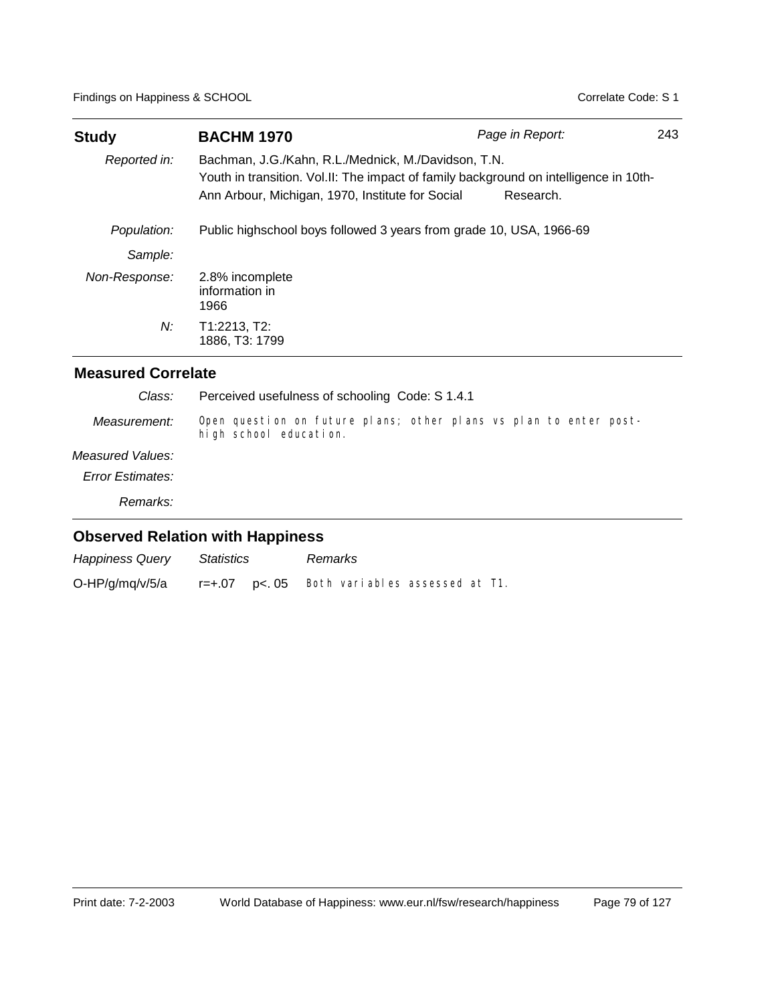| <b>Study</b>  | <b>BACHM 1970</b>                                                                                                                                                                                | Page in Report: | 243 |
|---------------|--------------------------------------------------------------------------------------------------------------------------------------------------------------------------------------------------|-----------------|-----|
| Reported in:  | Bachman, J.G./Kahn, R.L./Mednick, M./Davidson, T.N.<br>Youth in transition. Vol.II: The impact of family background on intelligence in 10th-<br>Ann Arbour, Michigan, 1970, Institute for Social | Research.       |     |
| Population:   | Public highschool boys followed 3 years from grade 10, USA, 1966-69                                                                                                                              |                 |     |
| Sample:       |                                                                                                                                                                                                  |                 |     |
| Non-Response: | 2.8% incomplete<br>information in<br>1966                                                                                                                                                        |                 |     |
| N:            | T1:2213, T2:<br>1886. T3: 1799                                                                                                                                                                   |                 |     |

| Class:           | Perceived usefulness of schooling Code: S 1.4.1                                             |
|------------------|---------------------------------------------------------------------------------------------|
| Measurement:     | Open question on future plans; other plans vs plan to enter post-<br>high school education. |
| Measured Values: |                                                                                             |
| Error Estimates: |                                                                                             |
| Remarks:         |                                                                                             |
|                  | <b>Observed Relation with Happiness</b>                                                     |

| <b>Happiness Query</b> | Statistics   | Remarks                        |  |  |
|------------------------|--------------|--------------------------------|--|--|
| O-HP/g/mq/v/5/a        | r=+.07 p<.05 | Both variables assessed at T1. |  |  |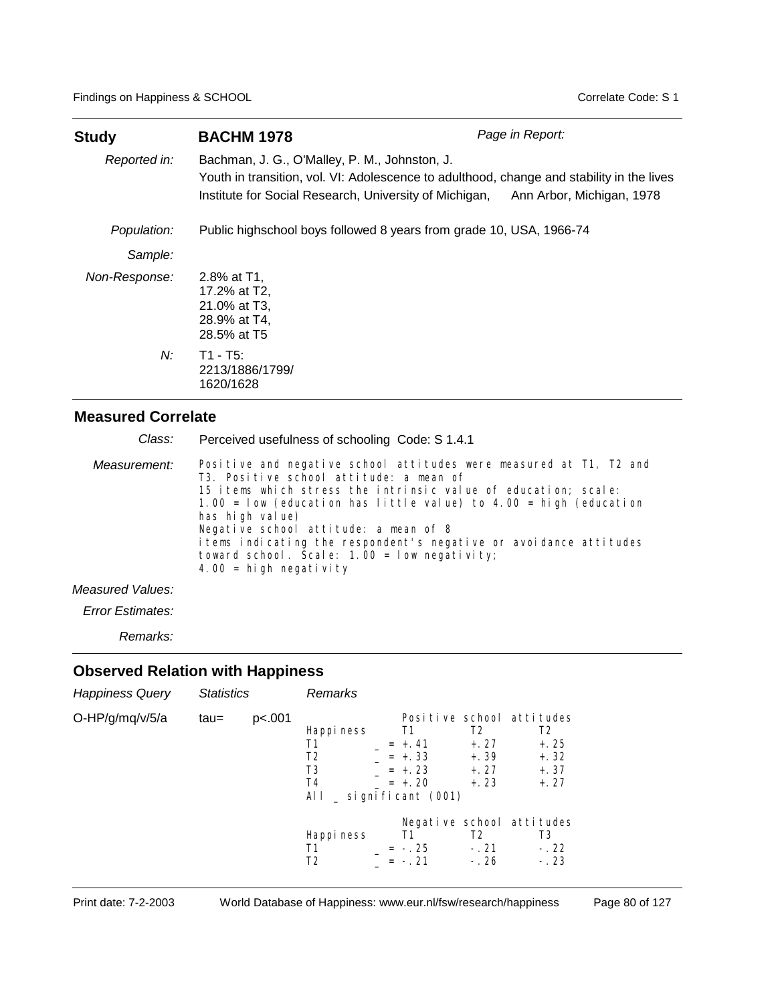| <b>Study</b>  | <b>BACHM 1978</b>                                                                                                                                                                                                              | Page in Report: |
|---------------|--------------------------------------------------------------------------------------------------------------------------------------------------------------------------------------------------------------------------------|-----------------|
| Reported in:  | Bachman, J. G., O'Malley, P. M., Johnston, J.<br>Youth in transition, vol. VI: Adolescence to adulthood, change and stability in the lives<br>Institute for Social Research, University of Michigan, Ann Arbor, Michigan, 1978 |                 |
| Population:   | Public highschool boys followed 8 years from grade 10, USA, 1966-74                                                                                                                                                            |                 |
| Sample:       |                                                                                                                                                                                                                                |                 |
| Non-Response: | 2.8% at T1,<br>17.2% at T2,<br>21.0% at T3,<br>28.9% at T4,<br>28.5% at T5                                                                                                                                                     |                 |
| N:            | T1 - T5:<br>2213/1886/1799/<br>1620/1628                                                                                                                                                                                       |                 |

| Class:       | Perceived usefulness of schooling Code: S 1.4.1                                                                                                                                                    |
|--------------|----------------------------------------------------------------------------------------------------------------------------------------------------------------------------------------------------|
| Measurement: | Positive and negative school attitudes were measured at T1, T2 and<br>T3. Positive school attitude: a mean of                                                                                      |
|              | 15 items which stress the intrinsic value of education; scale:<br>1.00 = $1$ ow (education has little value) to 4.00 = high (education<br>has high value)<br>Negative school attitude: a mean of 8 |
|              | items indicating the respondent's negative or avoidance attitudes<br>toward school. Scale: $1.00 =$ I ow negativity;<br>4.00 = high negativity                                                     |
|              |                                                                                                                                                                                                    |

### *Measured Values:*

*Error Estimates:*

*Remarks:*

| <b>Happiness Query</b> | <b>Statistics</b> |        | Remarks                                                                      |                                                   |                                                        |                                                                                     |
|------------------------|-------------------|--------|------------------------------------------------------------------------------|---------------------------------------------------|--------------------------------------------------------|-------------------------------------------------------------------------------------|
| O-HP/g/mq/v/5/a        | $tau =$           | p<.001 | Happi ness<br>Τ1<br>T <sub>2</sub><br>T3<br>T4<br>All $\_$ significant (001) | T1<br>$= +.41$<br>$= +.33$<br>$= +23$<br>$= +.20$ | T <sub>2</sub><br>$+.27$<br>+.39<br>$+ . 27$<br>$+.23$ | Positive school attitudes<br>T <sub>2</sub><br>$+.25$<br>$+.32$<br>$+.37$<br>$+.27$ |
|                        |                   |        | Happi ness<br>Τ1<br>T <sub>2</sub>                                           | T1<br>$= -25$<br>$= -21$                          | T2<br>$-.21$<br>$-.26$                                 | Negative school attitudes<br>T3<br>$-.22$<br>$-.23$                                 |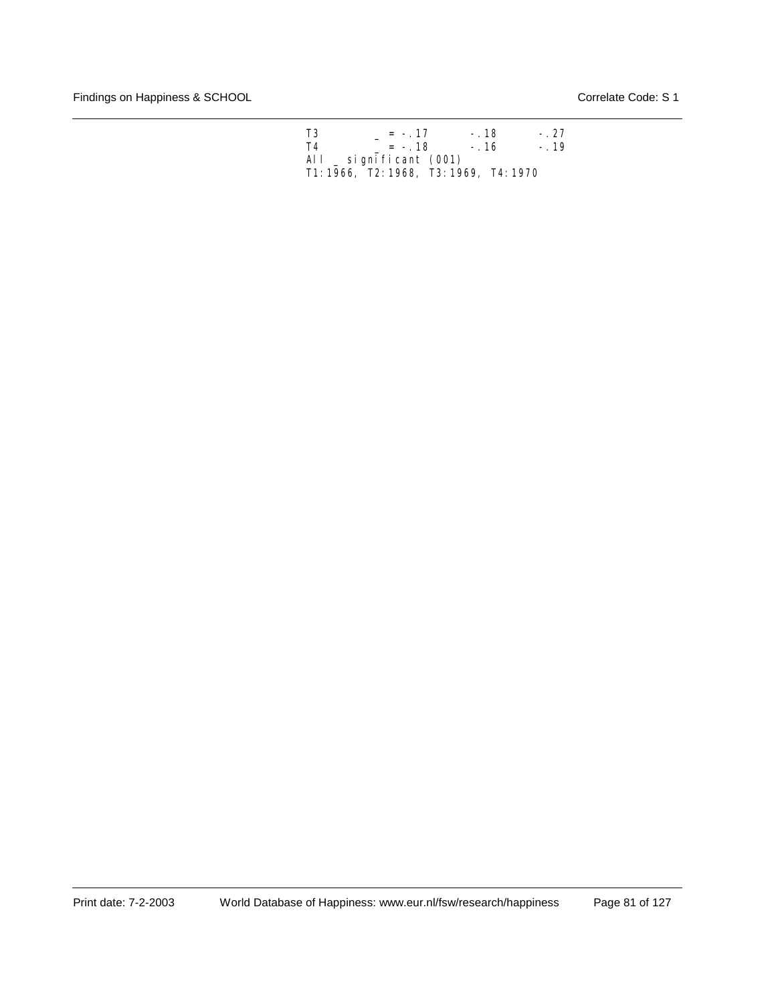| T <sub>3</sub> | $= -17$                                | $-.18$ | $-.27$ |
|----------------|----------------------------------------|--------|--------|
| T4             | $= -18$                                | $-.16$ | $-.19$ |
|                | All $\_$ significant (001)             |        |        |
|                | T1: 1966, T2: 1968, T3: 1969, T4: 1970 |        |        |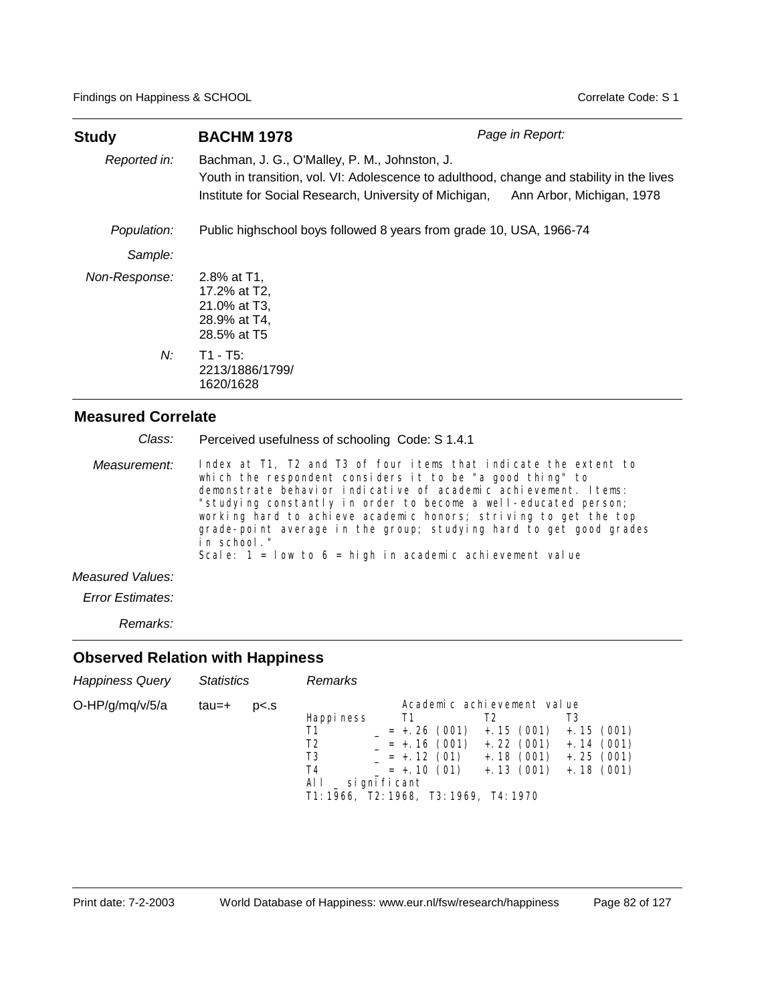| <b>Study</b>  | <b>BACHM 1978</b>                                                                                                                                                                                    | Page in Report:           |
|---------------|------------------------------------------------------------------------------------------------------------------------------------------------------------------------------------------------------|---------------------------|
| Reported in:  | Bachman, J. G., O'Malley, P. M., Johnston, J.<br>Youth in transition, vol. VI: Adolescence to adulthood, change and stability in the lives<br>Institute for Social Research, University of Michigan, | Ann Arbor, Michigan, 1978 |
| Population:   | Public highschool boys followed 8 years from grade 10, USA, 1966-74                                                                                                                                  |                           |
| Sample:       |                                                                                                                                                                                                      |                           |
| Non-Response: | 2.8% at T1.<br>17.2% at T2,<br>21.0% at T3,<br>28.9% at T4,<br>28.5% at T5                                                                                                                           |                           |
| N:            | $T1 - T5$ :<br>2213/1886/1799/<br>1620/1628                                                                                                                                                          |                           |

| Class:           | Perceived usefulness of schooling Code: S 1.4.1                                                                                                                                                                                                                                                                                                                                                                                                                                               |
|------------------|-----------------------------------------------------------------------------------------------------------------------------------------------------------------------------------------------------------------------------------------------------------------------------------------------------------------------------------------------------------------------------------------------------------------------------------------------------------------------------------------------|
| Measurement:     | Index at T1, T2 and T3 of four items that indicate the extent to<br>which the respondent considers it to be "a good thing" to<br>demonstrate behavior indicative of academic achievement. Items:<br>"studying constantly in order to become a well-educated person;<br>working hard to achieve academic honors; striving to get the top<br>grade-point average in the group; studying hard to get good grades<br>in school."<br>Scale: $1 = 1$ ow to $6 =$ high in academic achievement value |
| Measured Values: |                                                                                                                                                                                                                                                                                                                                                                                                                                                                                               |
| Error Estimates: |                                                                                                                                                                                                                                                                                                                                                                                                                                                                                               |

*Remarks:*

| <b>Happiness Query</b> | <b>Statistics</b> |                | Remarks                                                                                                  |                                                                                 |                                                                               |                                                                      |
|------------------------|-------------------|----------------|----------------------------------------------------------------------------------------------------------|---------------------------------------------------------------------------------|-------------------------------------------------------------------------------|----------------------------------------------------------------------|
| O-HP/g/mq/v/5/a        | tau=+             | p <sub>5</sub> | Happi ness<br>Τ1<br>T2<br>T3<br>T4<br>AL L<br>_ si gni fi cant<br>T1: 1966, T2: 1968, T3: 1969, T4: 1970 | T1<br>$= +.26(001)$<br>$= +.16(001)$<br>$= +.12(01)$<br>$= +.10(01) + .13(001)$ | Academic achievement value<br>T2<br>$+.15(001)$<br>$+.22(001)$<br>$+.18(001)$ | T3<br>$+.15(001)$<br>$+.14(001)$<br>$+$ . 25 (001)<br>$+$ . 18 (001) |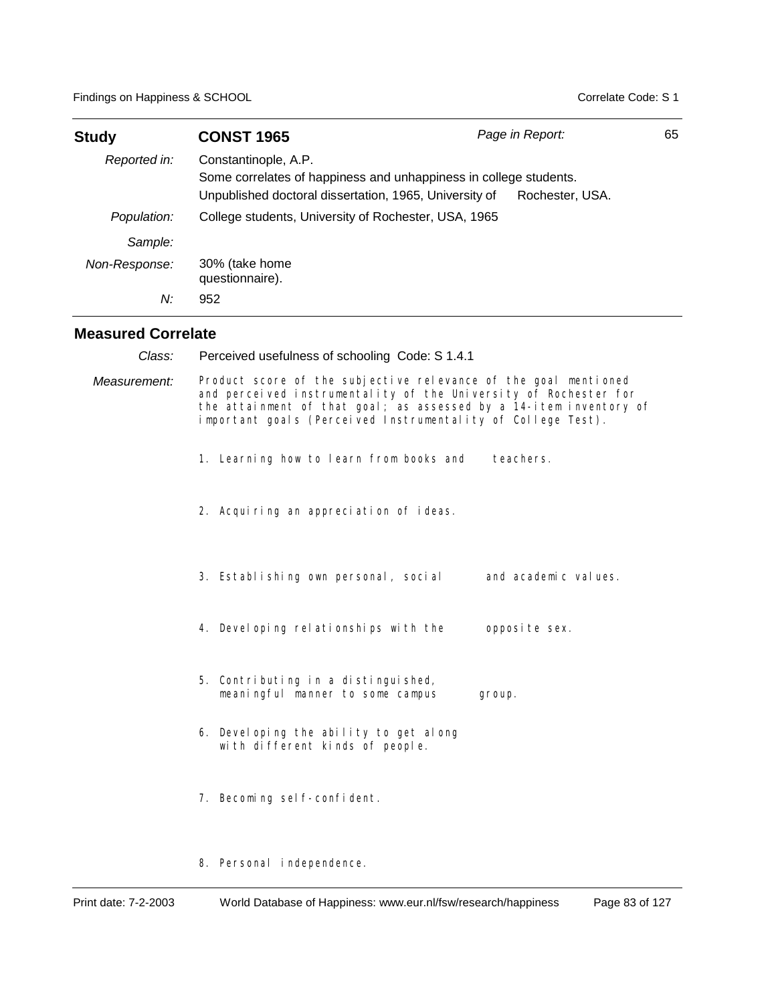| <b>Study</b>              | <b>CONST 1965</b>                                                                                                                                   | Page in Report:                                                                                                                                                                                           | 65 |
|---------------------------|-----------------------------------------------------------------------------------------------------------------------------------------------------|-----------------------------------------------------------------------------------------------------------------------------------------------------------------------------------------------------------|----|
| Reported in:              | Constantinople, A.P.<br>Some correlates of happiness and unhappiness in college students.<br>Unpublished doctoral dissertation, 1965, University of | Rochester, USA.                                                                                                                                                                                           |    |
| Population:               | College students, University of Rochester, USA, 1965                                                                                                |                                                                                                                                                                                                           |    |
| Sample:                   |                                                                                                                                                     |                                                                                                                                                                                                           |    |
| Non-Response:             | 30% (take home<br>questionnaire).                                                                                                                   |                                                                                                                                                                                                           |    |
| N:                        | 952                                                                                                                                                 |                                                                                                                                                                                                           |    |
| <b>Measured Correlate</b> |                                                                                                                                                     |                                                                                                                                                                                                           |    |
| Class:                    | Perceived usefulness of schooling Code: S 1.4.1                                                                                                     |                                                                                                                                                                                                           |    |
| Measurement:              | important goals (Perceived Instrumentality of College Test).                                                                                        | Product score of the subjective relevance of the goal mentioned<br>and perceived instrumentality of the University of Rochester for<br>the attainment of that goal; as assessed by a 14-item inventory of |    |
|                           | 1. Learning how to learn from books and                                                                                                             | teachers.                                                                                                                                                                                                 |    |
|                           | 2. Acquiring an appreciation of ideas.                                                                                                              |                                                                                                                                                                                                           |    |
|                           | 3. Establishing own personal, social                                                                                                                | and academic values.                                                                                                                                                                                      |    |
|                           | 4. Devel oping relationships with the                                                                                                               | opposite sex.                                                                                                                                                                                             |    |
|                           | 5. Contributing in a distinguished,<br>meaningful manner to some campus                                                                             | group.                                                                                                                                                                                                    |    |
|                           | 6. Developing the ability to get along<br>with different kinds of people.                                                                           |                                                                                                                                                                                                           |    |
|                           | 7. Becoming self-confident.                                                                                                                         |                                                                                                                                                                                                           |    |
|                           | 8. Personal independence.                                                                                                                           |                                                                                                                                                                                                           |    |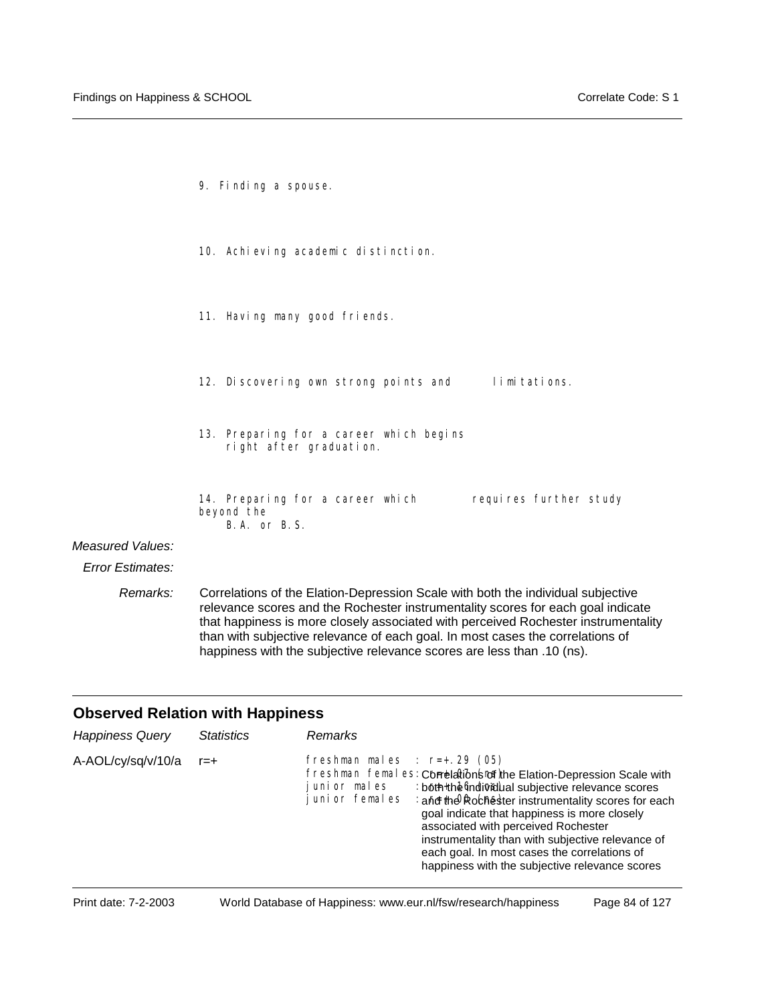|                         | 9. Finding a spouse.                                                                                                                                                                                                                                       |
|-------------------------|------------------------------------------------------------------------------------------------------------------------------------------------------------------------------------------------------------------------------------------------------------|
|                         | 10. Achi eving academic distinction.                                                                                                                                                                                                                       |
|                         | 11. Having many good friends.                                                                                                                                                                                                                              |
|                         | 12. Discovering own strong points and limitations.                                                                                                                                                                                                         |
|                         | 13. Preparing for a career which begins<br>right after graduation.                                                                                                                                                                                         |
|                         | requires further study<br>14. Preparing for a career which<br>beyond the<br>B.A. or B.S.                                                                                                                                                                   |
| Measured Values:        |                                                                                                                                                                                                                                                            |
| <b>Error Estimates:</b> |                                                                                                                                                                                                                                                            |
| Remarks:                | Correlations of the Elation-Depression Scale with both the individual subjective<br>relevance scores and the Rochester instrumentality scores for each goal indicate<br>that happiness is more closely associated with perceived Rochester instrumentality |

# **Observed Relation with Happiness**

| <b>Happiness Query</b> | <b>Statistics</b> | <b>Remarks</b>                                                                                                                                                                                                                                                                                                                                                                                                                                                                                     |
|------------------------|-------------------|----------------------------------------------------------------------------------------------------------------------------------------------------------------------------------------------------------------------------------------------------------------------------------------------------------------------------------------------------------------------------------------------------------------------------------------------------------------------------------------------------|
| A-AOL/cy/sq/v/10/a     | $r = +$           | freshman males : $r=+0.29$ (05)<br>freshman femal es: Correlation (of the Elation-Depression Scale with<br>: both the mdividual subjective relevance scores<br>iunior males<br>: and the Rochester instrumentality scores for each<br>junior females<br>goal indicate that happiness is more closely<br>associated with perceived Rochester<br>instrumentality than with subjective relevance of<br>each goal. In most cases the correlations of<br>happiness with the subjective relevance scores |

than with subjective relevance of each goal. In most cases the correlations of

happiness with the subjective relevance scores are less than .10 (ns).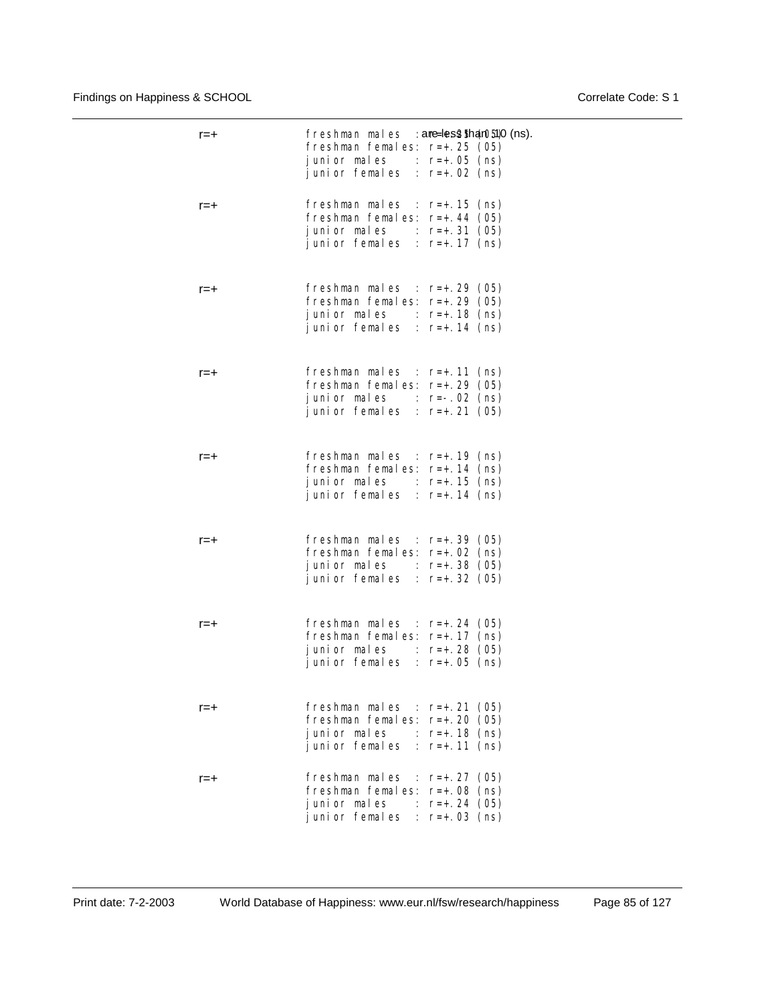| $r = +$ | freshman males : ame=les2tha(05)0 (ns).<br>freshman females: r=+.25 (05)<br>junior males : $r=+.05$ (ns)<br>junior females : $r=+.02$ (ns)             |
|---------|--------------------------------------------------------------------------------------------------------------------------------------------------------|
| r=+     | freshman males : $r=+.15$ (ns)<br>freshman females: $r=+.44$ (05)<br>junior males : $r=+.31$ (05)<br>junior females : $r=+.17$ (ns)                    |
| r=+     | freshman males : $r=+.29$ (05)<br>freshman females: $r=+29$ (05)<br>junior males : $r=+.18$ (ns)<br>junior females : $r=+.14$ (ns)                     |
| r=+     | freshman males : $r=+.11$ (ns)<br>freshman females: $r=+.29$ (05)<br>junior males : $r=-.02$ (ns)<br>junior females : $r=+.21$ (05)                    |
| $r = +$ | freshman males : $r=+.19$ (ns)<br>freshman females: r=+.14 (ns)<br>junior males : $r=+.15$ (ns)<br>junior females : $r=+.14$ (ns)                      |
| r=+     | freshman males : $r=+.39$ (05)<br>freshman females: r=+.02 (ns)<br>junior males : $r=+.38$ (05)<br>junior females : $r=+.32$ (05)                      |
| $r = +$ | freshman males : $r=+.24$ (05)<br>freshman females: r=+.17 (ns)<br>junior males : $r=+.28$ (05)<br>junior females : $r=+.05$ (ns)                      |
| r=+     | freshman males : $r=+.21$<br>(05)<br>freshman females: r=+.20<br>(05)<br>junior males<br>$: r = +.18$<br>(ns)<br>junior females : $r=+.11$<br>(ns)     |
| r=+     | freshman males : $r=+.27$<br>(05)<br>freshman females: r=+.08<br>(ns)<br>junior males<br>$r = +$ . 24<br>(05)<br>junior females<br>(ns)<br>: $r=+0.03$ |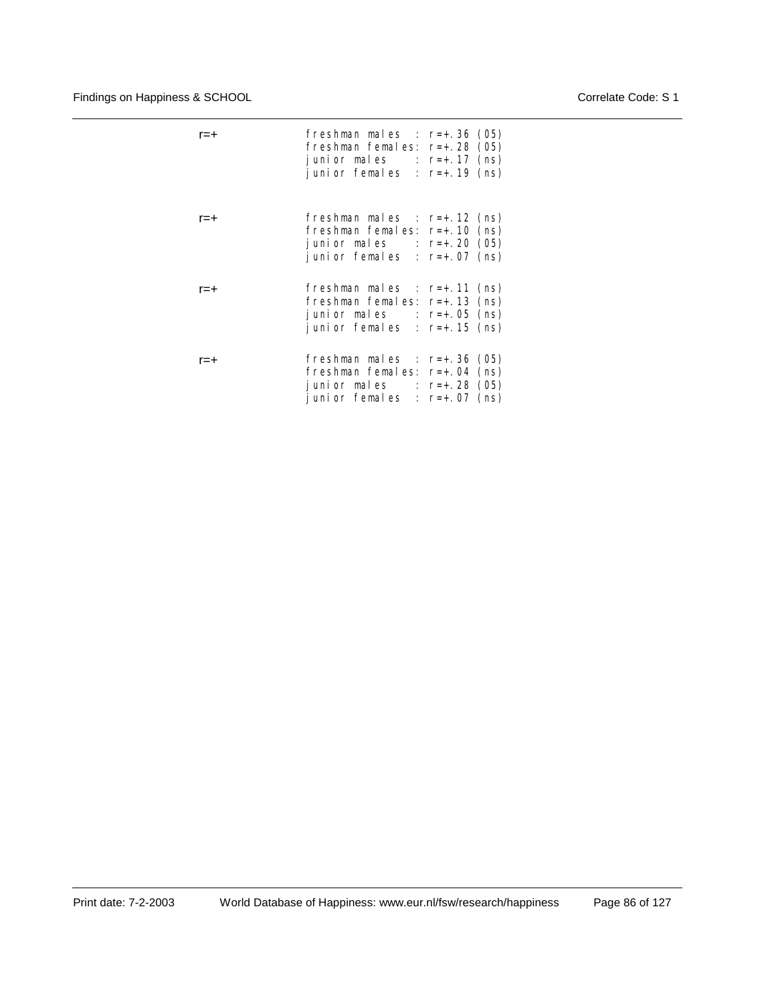| r=+     | freshman males : $r=+.36(05)$<br>freshman females: $r=+.28$ (05)<br>junior males : $r=+.17$ (ns)<br>junior females : $r=+.19$ (ns)  |
|---------|-------------------------------------------------------------------------------------------------------------------------------------|
| r=+     | freshman males : $r=+.12$ (ns)<br>freshman females: $r=+.10$ (ns)<br>junior males : $r=+.20$ (05)<br>junior females : $r=+.07$ (ns) |
| r=+     | freshman males : $r=+.11$ (ns)<br>freshman females: $r=+.13$ (ns)<br>junior males : $r=+.05$ (ns)<br>junior females : $r=+.15$ (ns) |
| $r = +$ | freshman males : $r=+.36$ (05)<br>freshman females: $r=+.04$ (ns)<br>junior males : $r=+.28$ (05)<br>junior females : $r=+.07$ (ns) |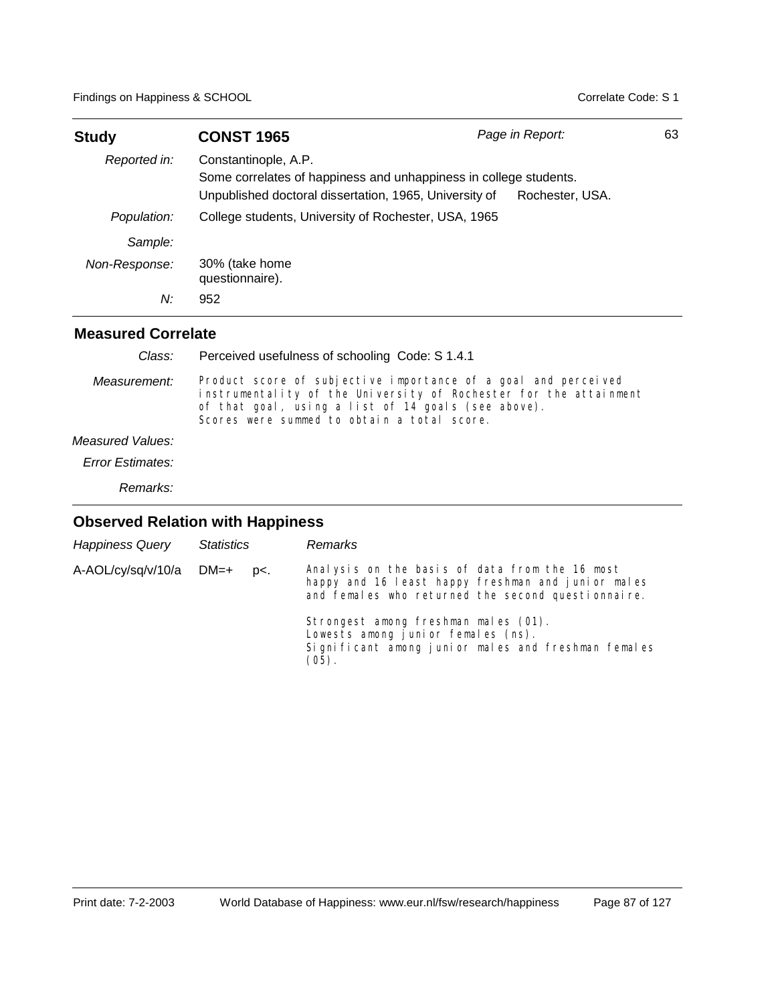| Study         | <b>CONST 1965</b>                                                                                                                                   | Page in Report: | 63 |
|---------------|-----------------------------------------------------------------------------------------------------------------------------------------------------|-----------------|----|
| Reported in:  | Constantinople, A.P.<br>Some correlates of happiness and unhappiness in college students.<br>Unpublished doctoral dissertation, 1965, University of | Rochester, USA. |    |
| Population:   | College students, University of Rochester, USA, 1965                                                                                                |                 |    |
| Sample:       |                                                                                                                                                     |                 |    |
| Non-Response: | 30% (take home<br>questionnaire).                                                                                                                   |                 |    |
| N:            | 952                                                                                                                                                 |                 |    |

## **Measured Correlate**

| Class:           | Perceived usefulness of schooling Code: S 1.4.1                                                                                                                                                                                           |
|------------------|-------------------------------------------------------------------------------------------------------------------------------------------------------------------------------------------------------------------------------------------|
| Measurement:     | Product score of subjective importance of a goal and perceived<br>instrumentality of the University of Rochester for the attainment<br>of that goal, using a list of 14 goals (see above).<br>Scores were summed to obtain a total score. |
| Measured Values: |                                                                                                                                                                                                                                           |
| Error Estimates: |                                                                                                                                                                                                                                           |
| Remarks:         |                                                                                                                                                                                                                                           |

| <b>Happiness Query</b> | <b>Statistics</b> |        | <b>Remarks</b>                                                                                                                                                                                                                                                                                               |
|------------------------|-------------------|--------|--------------------------------------------------------------------------------------------------------------------------------------------------------------------------------------------------------------------------------------------------------------------------------------------------------------|
| A-AOL/cy/sq/v/10/a     | DM=+              | $D<$ . | Analysis on the basis of data from the 16 most<br>happy and 16 least happy freshman and junior males<br>and females who returned the second questionnal re.<br>Strongest among freshman males (01).<br>Lowests among junior females (ns).<br>Significant among junior males and freshman females<br>$(05)$ . |
|                        |                   |        |                                                                                                                                                                                                                                                                                                              |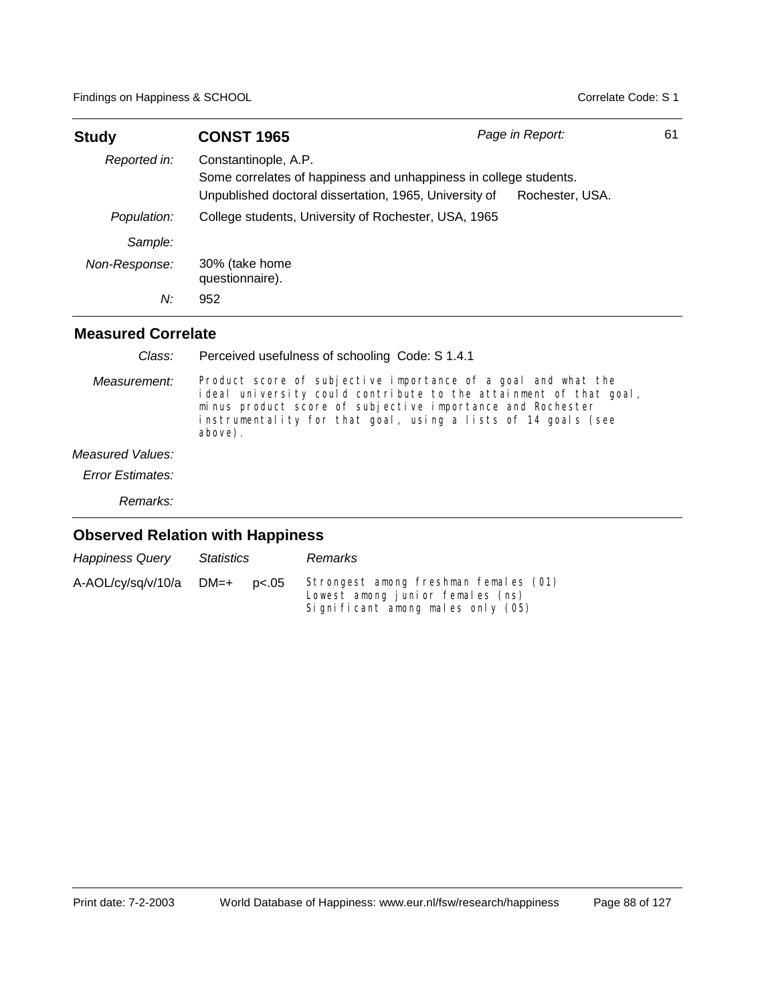| <b>Study</b>  | <b>CONST 1965</b>                                                                                                                                   | Page in Report: | 61 |
|---------------|-----------------------------------------------------------------------------------------------------------------------------------------------------|-----------------|----|
| Reported in:  | Constantinople, A.P.<br>Some correlates of happiness and unhappiness in college students.<br>Unpublished doctoral dissertation, 1965, University of | Rochester, USA. |    |
| Population:   | College students, University of Rochester, USA, 1965                                                                                                |                 |    |
| Sample:       |                                                                                                                                                     |                 |    |
| Non-Response: | 30% (take home<br>questionnaire).                                                                                                                   |                 |    |
| N:            | 952                                                                                                                                                 |                 |    |

### **Measured Correlate**

| Class:           | Perceived usefulness of schooling Code: S 1.4.1                                                                                                                                                                                                                              |
|------------------|------------------------------------------------------------------------------------------------------------------------------------------------------------------------------------------------------------------------------------------------------------------------------|
| Measurement:     | Product score of subjective importance of a goal and what the<br>ideal university could contribute to the attainment of that goal,<br>minus product score of subjective importance and Rochester<br>instrumentality for that goal, using a lists of 14 goals (see<br>above). |
| Measured Values: |                                                                                                                                                                                                                                                                              |
| Error Estimates: |                                                                                                                                                                                                                                                                              |
| Remarks:         |                                                                                                                                                                                                                                                                              |

| <b>Happiness Query</b> | Statistics |       | Remarks                                                                                                        |
|------------------------|------------|-------|----------------------------------------------------------------------------------------------------------------|
| A-AOL/cy/sq/v/10/a     | DM=+       | p<.05 | Strongest among freshman females (01)<br>Lowest among junior females (ns)<br>Significant among males only (05) |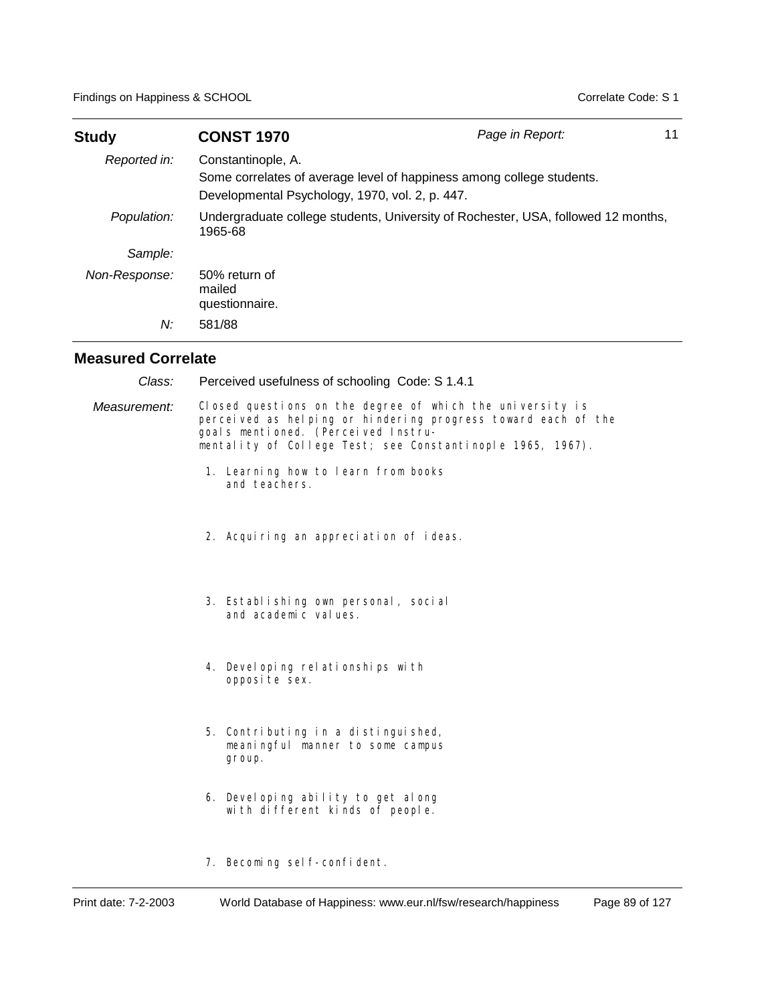| <b>Study</b>  | <b>CONST 1970</b>                                                     | Page in Report:                                                                   | 11 |
|---------------|-----------------------------------------------------------------------|-----------------------------------------------------------------------------------|----|
| Reported in:  | Constantinople, A.<br>Developmental Psychology, 1970, vol. 2, p. 447. | Some correlates of average level of happiness among college students.             |    |
| Population:   | 1965-68                                                               | Undergraduate college students, University of Rochester, USA, followed 12 months, |    |
| Sample:       |                                                                       |                                                                                   |    |
| Non-Response: | 50% return of<br>mailed<br>questionnaire.                             |                                                                                   |    |
| N:            | 581/88                                                                |                                                                                   |    |

| Class:       | Perceived usefulness of schooling Code: S 1.4.1                                                                                                                                                                                 |
|--------------|---------------------------------------------------------------------------------------------------------------------------------------------------------------------------------------------------------------------------------|
| Measurement: | Closed questions on the degree of which the university is<br>perceived as helping or hindering progress toward each of the<br>goals mentioned. (Perceived Instru-<br>mentality of College Test; see Constantinople 1965, 1967). |
|              | 1. Learning how to learn from books<br>and teachers.                                                                                                                                                                            |
|              | 2. Acquiring an appreciation of ideas.                                                                                                                                                                                          |
|              | 3. Establishing own personal, social<br>and academic values.                                                                                                                                                                    |
|              | 4. Devel oping rel ationships with<br>opposite sex.                                                                                                                                                                             |
|              | 5. Contributing in a distinguished,<br>meaningful manner to some campus<br>group.                                                                                                                                               |
|              | 6. Devel oping ability to get along<br>with different kinds of people.                                                                                                                                                          |
|              | 7. Becoming self-confident.                                                                                                                                                                                                     |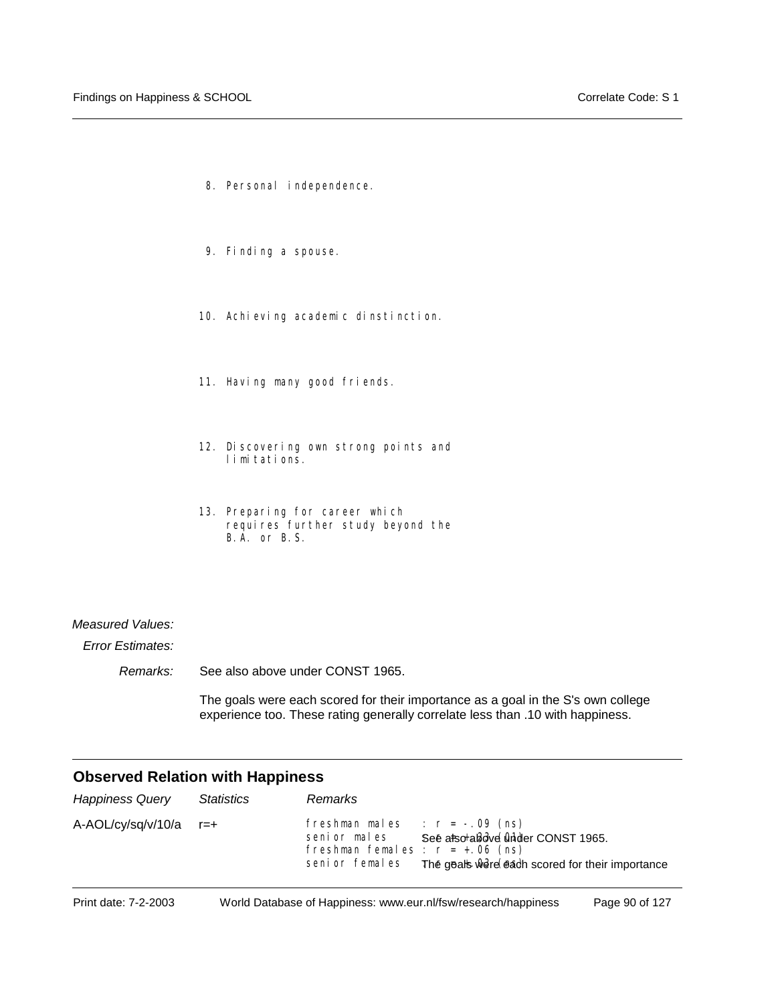- 8. Personal independence.
- 9. Finding a spouse.
- 10. Achieving academic dinstinction.
- 11. Having many good friends.
- 12. Discovering own strong points and limitations.
- 13. Preparing for career which requires further study beyond the B.A. or B.S.

#### *Measured Values:*

*Error Estimates:*

*Remarks:* See also above under CONST 1965.

> The goals were each scored for their importance as a goal in the S's own college experience too. These rating generally correlate less than .10 with happiness.

| <b>Happiness Query</b> | <b>Statistics</b> | <b>Remarks</b>                                                                                                                                                                                |
|------------------------|-------------------|-----------------------------------------------------------------------------------------------------------------------------------------------------------------------------------------------|
| A-AOL/cy/sq/v/10/a     | $r = +$           | freshman males $r = -09$ (ns)<br>See also aladve Onder CONST 1965.<br>senior males<br>freshman females : $r = +.06$ (ns)<br>The geals were each scored for their importance<br>senior females |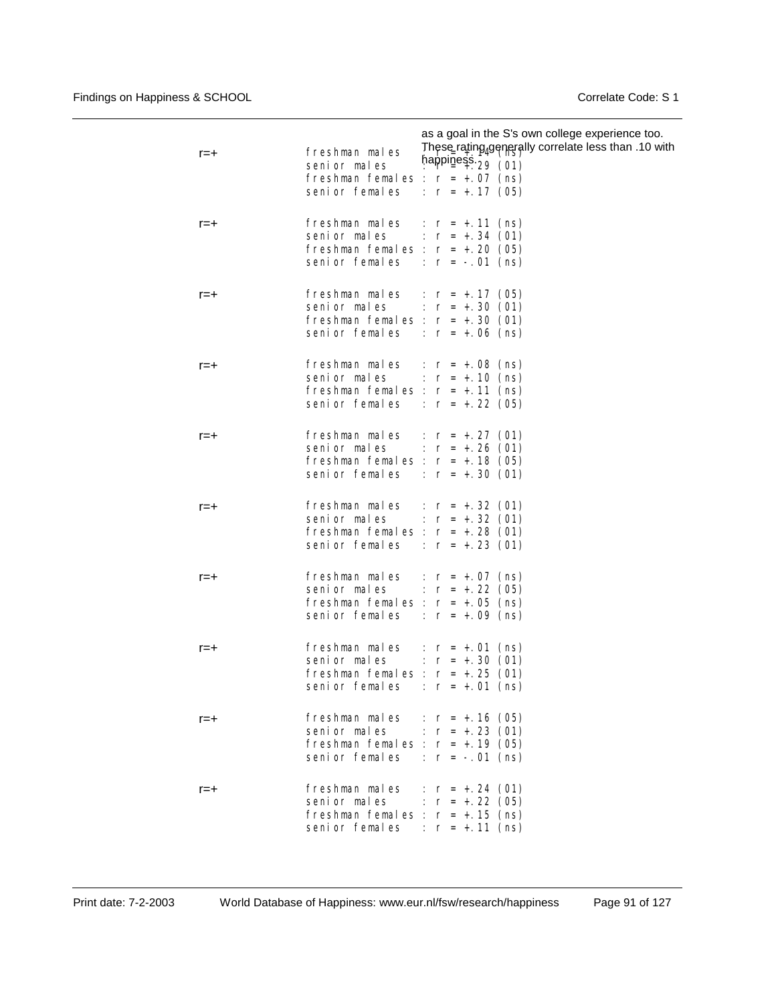| $r = +$ | as a goal in the S's own college experience too.<br>These rating generally correlate less than .10 with<br>freshman males<br>happiness $29(01)$<br>senior males<br>freshman females : $r = +.07$ (ns)<br>senior females : $r = +0.17$ (05) |
|---------|--------------------------------------------------------------------------------------------------------------------------------------------------------------------------------------------------------------------------------------------|
| r=+     | freshman males : $r = +.11$ (ns)<br>senior males : $r = +0.34$ (01)<br>freshman females : $r = +.20$ (05)<br>senior females : $r = -01$ (ns)                                                                                               |
| $r = +$ | freshman males : $r = +.17$ (05)<br>senior males : $r = +.30$ (01)<br>freshman females : $r = +.30$ (01)<br>senior females : $r = +06$ (ns)                                                                                                |
| $r = +$ | freshman males : $r = +.08$ (ns)<br>senior males : $r = +.10$ (ns)<br>freshman females : $r = +.11$ (ns)<br>senior females : $r = +0.22$ (05)                                                                                              |
| $r = +$ | freshman males : $r = +0.27$ (01)<br>senior males : $r = +0.26$ (01)<br>freshman females : $r = +.18$ (05)<br>senior females : $r = +0.30$ (01)                                                                                            |
| $r = +$ | freshman males : $r = +0.32(01)$<br>senior males : $r = +.32$ (01)<br>freshman females : $r = +0.28$ (01)<br>senior females : $r = +0.23$ (01)                                                                                             |
| r=+     | freshman males : $r = +.07$ (ns)<br>senior males : $r = +.22$ (05)<br>freshman females : $r = +.05$ (ns)<br>senior females : $r = +0.09$ (ns)                                                                                              |
| $r = +$ | freshman males : $r = +.01$ (ns)<br>senior males : $r = +.30$ (01)<br>freshman females : $r = +.25$ (01)<br>senior females<br>: $r = +.01$ (ns)                                                                                            |
| $r = +$ | freshman males : $r = +0.16$ (05)<br>senior males : $r = +0.23$ (01)<br>freshman females : $r = +0.19$ (05)<br>senior females : $r = -.01$ (ns)                                                                                            |
| $r = +$ | freshman males : $r = +0.24$ (01)<br>senior males : $r = +.22$ (05)<br>freshman females : $r = +.15$ (ns)<br>senior females : $r = +.11$ (ns)                                                                                              |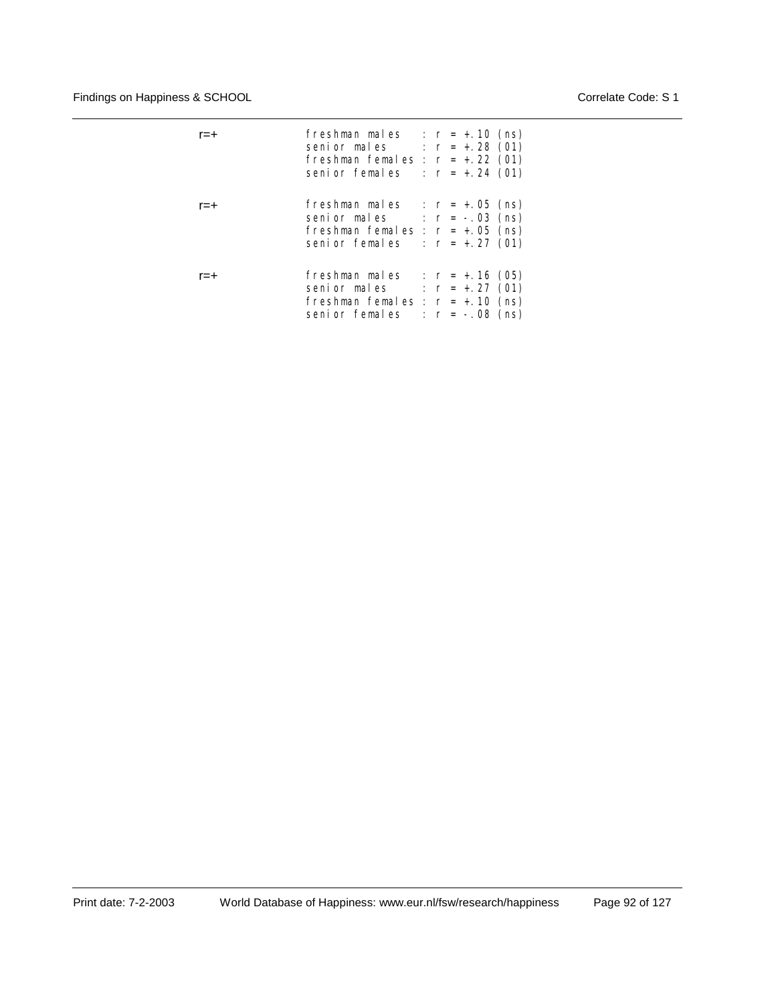| r=+ | freshman males<br>senior males : $r = +0.28$ (01)<br>freshman females : $r = +22(01)$<br>senior females : $r = +0.24$ (01)          | : $r = +.10$ (ns)                      |
|-----|-------------------------------------------------------------------------------------------------------------------------------------|----------------------------------------|
| r=+ | freshman males : $r = +.05$ (ns)<br>senior males $\therefore$ r = -.03 (ns)<br>freshman females : $r = +.05$ (ns)<br>senior females | : $r = +.27$ (01)                      |
| r=+ | freshman males : $r = +.16$ (05)<br>senior males<br>freshman females : $r = +.10$ (ns)<br>senior females                            | : $r = +.27$ (01)<br>: $r = -.08$ (ns) |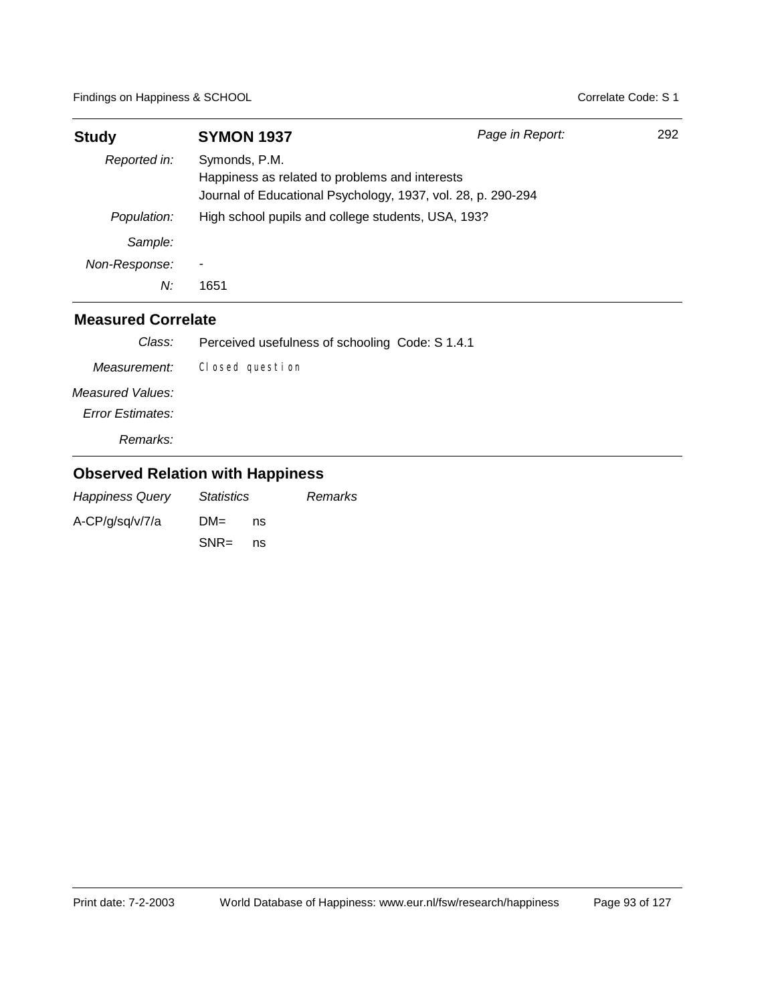| <b>Study</b>  | <b>SYMON 1937</b>                                                                                                               | Page in Report: | 292 |
|---------------|---------------------------------------------------------------------------------------------------------------------------------|-----------------|-----|
| Reported in:  | Symonds, P.M.<br>Happiness as related to problems and interests<br>Journal of Educational Psychology, 1937, vol. 28, p. 290-294 |                 |     |
| Population:   | High school pupils and college students, USA, 193?                                                                              |                 |     |
| Sample:       |                                                                                                                                 |                 |     |
| Non-Response: |                                                                                                                                 |                 |     |
| N:            | 1651                                                                                                                            |                 |     |

| Class:                  | Perceived usefulness of schooling Code: S 1.4.1 |
|-------------------------|-------------------------------------------------|
| Measurement:            | Closed question                                 |
| Measured Values:        |                                                 |
| <b>Error Estimates:</b> |                                                 |
| Remarks:                |                                                 |

| <b>Happiness Query</b> | <i>Statistics</i> |    | Remarks |
|------------------------|-------------------|----|---------|
| A-CP/g/sg/v/7/a        | $DM =$            | ns |         |
|                        | $SNR =$           | ns |         |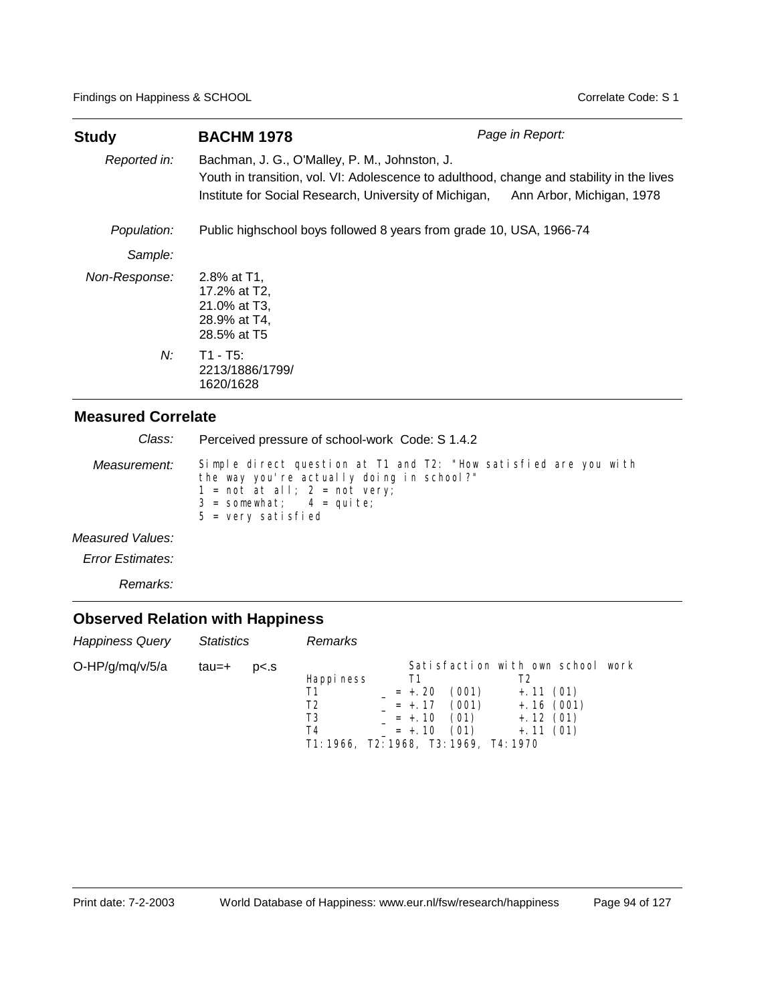| <b>Study</b>  | <b>BACHM 1978</b>                                                                                                                                                                                    | Page in Report:           |
|---------------|------------------------------------------------------------------------------------------------------------------------------------------------------------------------------------------------------|---------------------------|
| Reported in:  | Bachman, J. G., O'Malley, P. M., Johnston, J.<br>Youth in transition, vol. VI: Adolescence to adulthood, change and stability in the lives<br>Institute for Social Research, University of Michigan, | Ann Arbor, Michigan, 1978 |
| Population:   | Public highschool boys followed 8 years from grade 10, USA, 1966-74                                                                                                                                  |                           |
| Sample:       |                                                                                                                                                                                                      |                           |
| Non-Response: | 2.8% at T1.<br>17.2% at T2,<br>21.0% at T3,<br>28.9% at T4,<br>28.5% at T5                                                                                                                           |                           |
| N:            | T1 - T5:<br>2213/1886/1799/<br>1620/1628                                                                                                                                                             |                           |

| Class:           | Perceived pressure of school-work Code: S 1.4.2                                                                                                                                                        |
|------------------|--------------------------------------------------------------------------------------------------------------------------------------------------------------------------------------------------------|
| Measurement:     | Simple direct question at T1 and T2: "How satisfied are you with<br>the way you're actually doing in school?"<br>$1 = not at all; 2 = not very;$<br>$3 =$ somewhat; $4 =$ quite;<br>5 = very satisfied |
| Measured Values: |                                                                                                                                                                                                        |
| Error Estimates: |                                                                                                                                                                                                        |

*Remarks:*

| Happiness Query | <i>Statistics</i> |                | Remarks                                                                      |                                                    |                                |                                                                                            |  |
|-----------------|-------------------|----------------|------------------------------------------------------------------------------|----------------------------------------------------|--------------------------------|--------------------------------------------------------------------------------------------|--|
| O-HP/g/mq/v/5/a | tau=+             | p <sub>5</sub> | Happi ness<br>Τ1<br>T2<br>T3<br>T4<br>T1: 1966, T2: 1968, T3: 1969, T4: 1970 | Τ1<br>$= +.20$<br>$= +.17$<br>$= +.10$<br>$= +.10$ | (001)<br>(001)<br>(01)<br>(01) | Satisfaction with own school work<br>$+.11(01)$<br>$+.16(001)$<br>$+.12(01)$<br>$+.11(01)$ |  |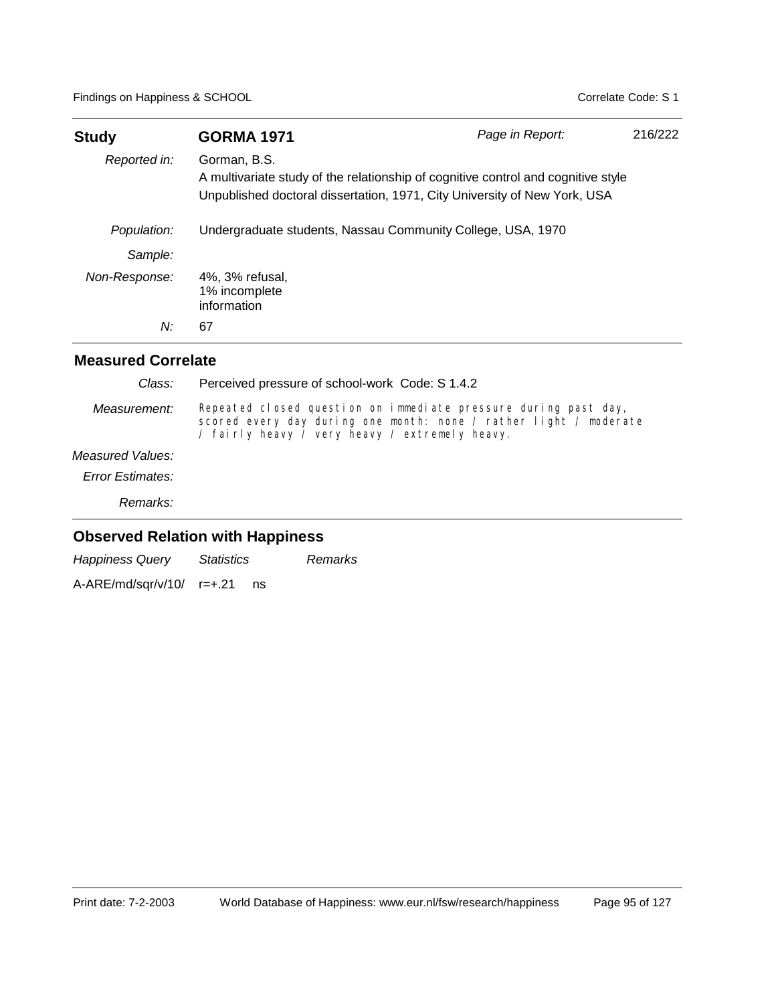| <b>Study</b>  | <b>GORMA 1971</b>                                                                                                                                                              | Page in Report: | 216/222 |  |  |  |
|---------------|--------------------------------------------------------------------------------------------------------------------------------------------------------------------------------|-----------------|---------|--|--|--|
| Reported in:  | Gorman, B.S.<br>A multivariate study of the relationship of cognitive control and cognitive style<br>Unpublished doctoral dissertation, 1971, City University of New York, USA |                 |         |  |  |  |
| Population:   | Undergraduate students, Nassau Community College, USA, 1970                                                                                                                    |                 |         |  |  |  |
| Sample:       |                                                                                                                                                                                |                 |         |  |  |  |
| Non-Response: | 4%, 3% refusal,<br>1% incomplete<br>information                                                                                                                                |                 |         |  |  |  |
| N:            | 67                                                                                                                                                                             |                 |         |  |  |  |

| Class:                  | Perceived pressure of school-work Code: S 1.4.2                                                                                                                                        |
|-------------------------|----------------------------------------------------------------------------------------------------------------------------------------------------------------------------------------|
| Measurement:            | Repeated closed question on immediate pressure during past day,<br>scored every day during one month: none / rather light / moderate<br>/ fairly heavy / very heavy / extremely heavy. |
| Measured Values:        |                                                                                                                                                                                        |
| <b>Error Estimates:</b> |                                                                                                                                                                                        |
| Remarks:                |                                                                                                                                                                                        |

| <b>Happiness Query</b>       | <i>Statistics</i> |    | Remarks |
|------------------------------|-------------------|----|---------|
| $A-ARE/mol/sqr/v/10/$ r=+.21 |                   | ns |         |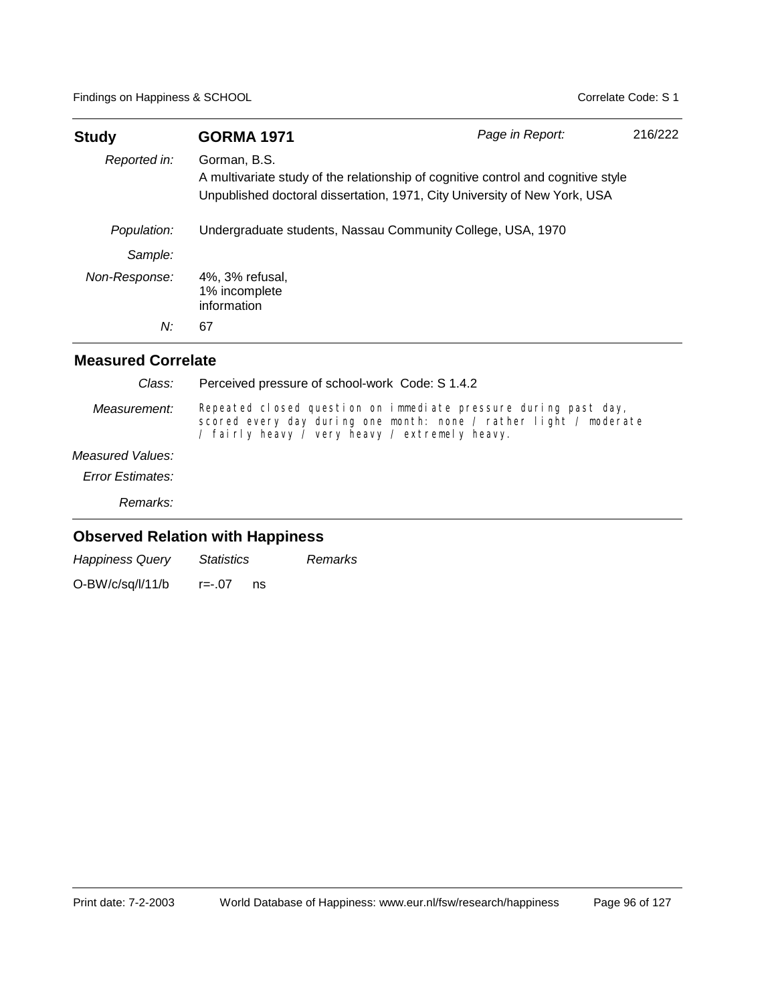| <b>Study</b>  | <b>GORMA 1971</b>                                                                                                                                                              | Page in Report: | 216/222 |  |  |
|---------------|--------------------------------------------------------------------------------------------------------------------------------------------------------------------------------|-----------------|---------|--|--|
| Reported in:  | Gorman, B.S.<br>A multivariate study of the relationship of cognitive control and cognitive style<br>Unpublished doctoral dissertation, 1971, City University of New York, USA |                 |         |  |  |
| Population:   | Undergraduate students, Nassau Community College, USA, 1970                                                                                                                    |                 |         |  |  |
| Sample:       |                                                                                                                                                                                |                 |         |  |  |
| Non-Response: | 4%, 3% refusal,<br>1% incomplete<br>information                                                                                                                                |                 |         |  |  |
| N:            | 67                                                                                                                                                                             |                 |         |  |  |

| Class:                  | Perceived pressure of school-work Code: S 1.4.2                                                                                                                                        |  |  |  |  |  |
|-------------------------|----------------------------------------------------------------------------------------------------------------------------------------------------------------------------------------|--|--|--|--|--|
| Measurement:            | Repeated closed question on immediate pressure during past day,<br>scored every day during one month: none / rather light / moderate<br>/ fairly heavy / very heavy / extremely heavy. |  |  |  |  |  |
| Measured Values:        |                                                                                                                                                                                        |  |  |  |  |  |
| <b>Error Estimates:</b> |                                                                                                                                                                                        |  |  |  |  |  |
| Remarks:                |                                                                                                                                                                                        |  |  |  |  |  |

| <b>Happiness Query</b> | <i>Statistics</i> | Remarks |
|------------------------|-------------------|---------|
| O-BW/c/sq/l/11/b       | $r = -07$<br>ns   |         |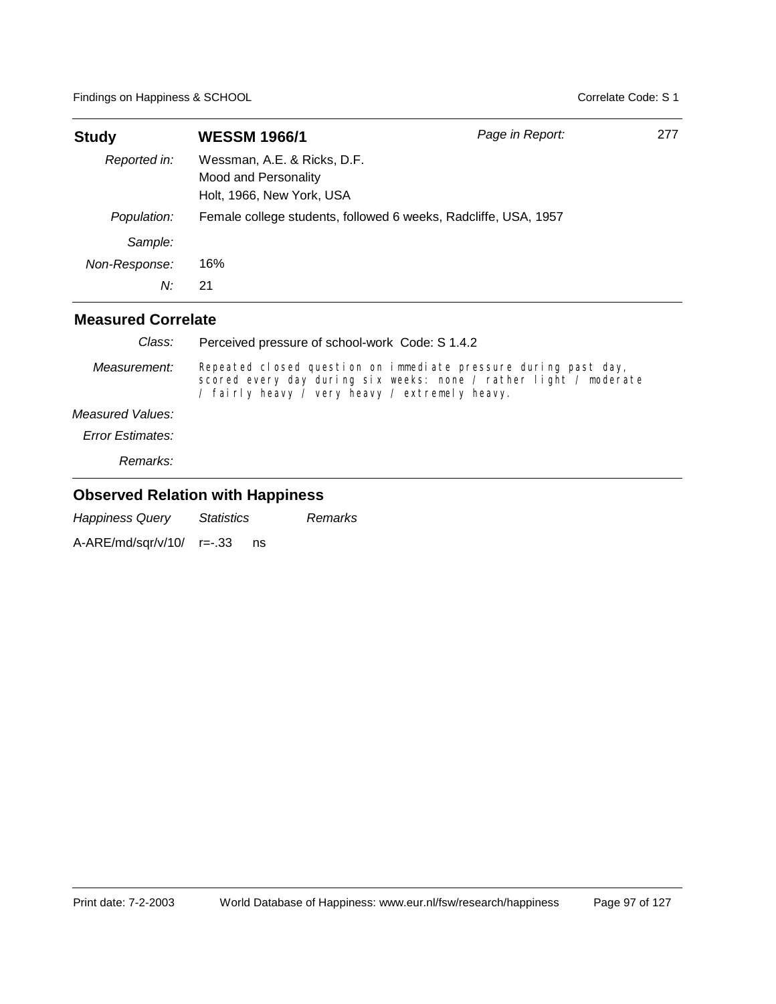| <b>Study</b>  | <b>WESSM 1966/1</b>                                                              | Page in Report: | 277 |
|---------------|----------------------------------------------------------------------------------|-----------------|-----|
| Reported in:  | Wessman, A.E. & Ricks, D.F.<br>Mood and Personality<br>Holt, 1966, New York, USA |                 |     |
| Population:   | Female college students, followed 6 weeks, Radcliffe, USA, 1957                  |                 |     |
| Sample:       |                                                                                  |                 |     |
| Non-Response: | 16%                                                                              |                 |     |
| N:            | 21                                                                               |                 |     |
|               |                                                                                  |                 |     |

| Class:                  | Perceived pressure of school-work Code: S 1.4.2                                                                                                                                        |
|-------------------------|----------------------------------------------------------------------------------------------------------------------------------------------------------------------------------------|
| Measurement:            | Repeated closed question on immediate pressure during past day,<br>scored every day during six weeks: none / rather light / moderate<br>/ fairly heavy / very heavy / extremely heavy. |
| Measured Values:        |                                                                                                                                                                                        |
| <b>Error Estimates:</b> |                                                                                                                                                                                        |
| Remarks:                |                                                                                                                                                                                        |

### **Observed Relation with Happiness**

*Happiness Query Statistics Remarks*

A-ARE/md/sqr/v/10/ r=-.33 ns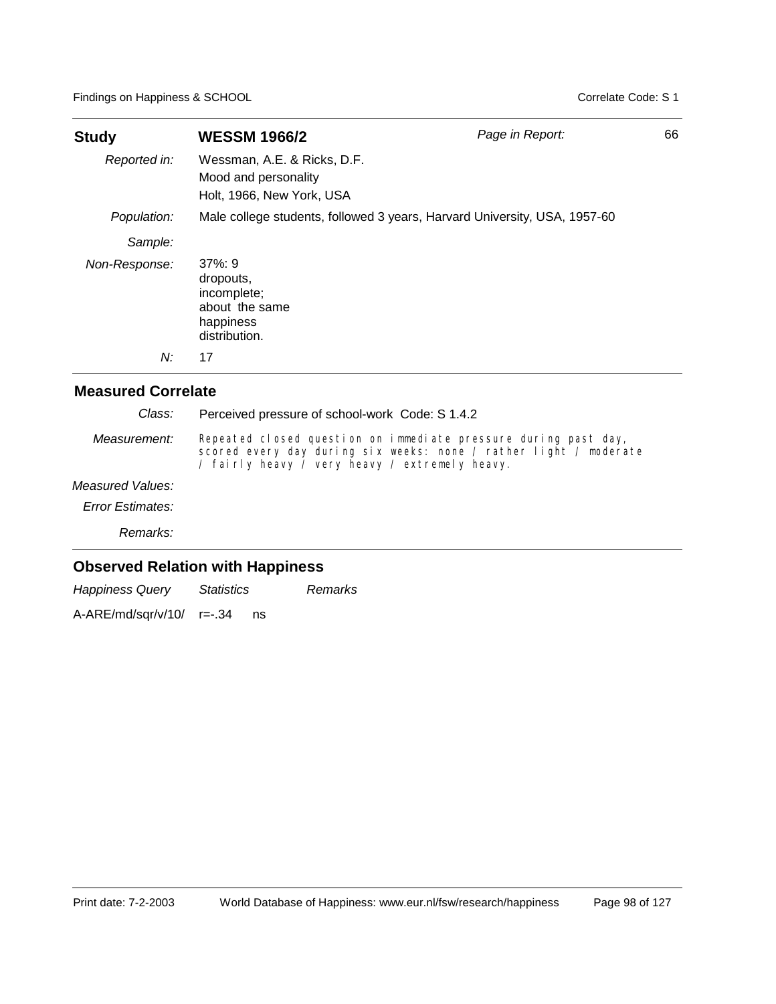| <b>Study</b>  | <b>WESSM 1966/2</b>                                                                  | Page in Report:                                                           | 66 |
|---------------|--------------------------------------------------------------------------------------|---------------------------------------------------------------------------|----|
| Reported in:  | Wessman, A.E. & Ricks, D.F.<br>Mood and personality<br>Holt, 1966, New York, USA     |                                                                           |    |
| Population:   |                                                                                      | Male college students, followed 3 years, Harvard University, USA, 1957-60 |    |
| Sample:       |                                                                                      |                                                                           |    |
| Non-Response: | $37\%:9$<br>dropouts,<br>incomplete;<br>about the same<br>happiness<br>distribution. |                                                                           |    |
| N:            | 17                                                                                   |                                                                           |    |

### **Measured Correlate**

| Class:                                  | Perceived pressure of school-work Code: S 1.4.2 |                                                                                                                                                                                        |  |  |  |  |
|-----------------------------------------|-------------------------------------------------|----------------------------------------------------------------------------------------------------------------------------------------------------------------------------------------|--|--|--|--|
| Measurement:                            |                                                 | Repeated closed question on immediate pressure during past day,<br>scored every day during six weeks: none / rather light / moderate<br>/ fairly heavy / very heavy / extremely heavy. |  |  |  |  |
| Measured Values:                        |                                                 |                                                                                                                                                                                        |  |  |  |  |
| <b>Error Estimates:</b>                 |                                                 |                                                                                                                                                                                        |  |  |  |  |
| Remarks:                                |                                                 |                                                                                                                                                                                        |  |  |  |  |
| <b>Observed Relation with Happiness</b> |                                                 |                                                                                                                                                                                        |  |  |  |  |
| <b>Happiness Query</b>                  | <i><b>Statistics</b></i>                        | <b>Remarks</b>                                                                                                                                                                         |  |  |  |  |

A-ARE/md/sqr/v/10/ r=-.34 ns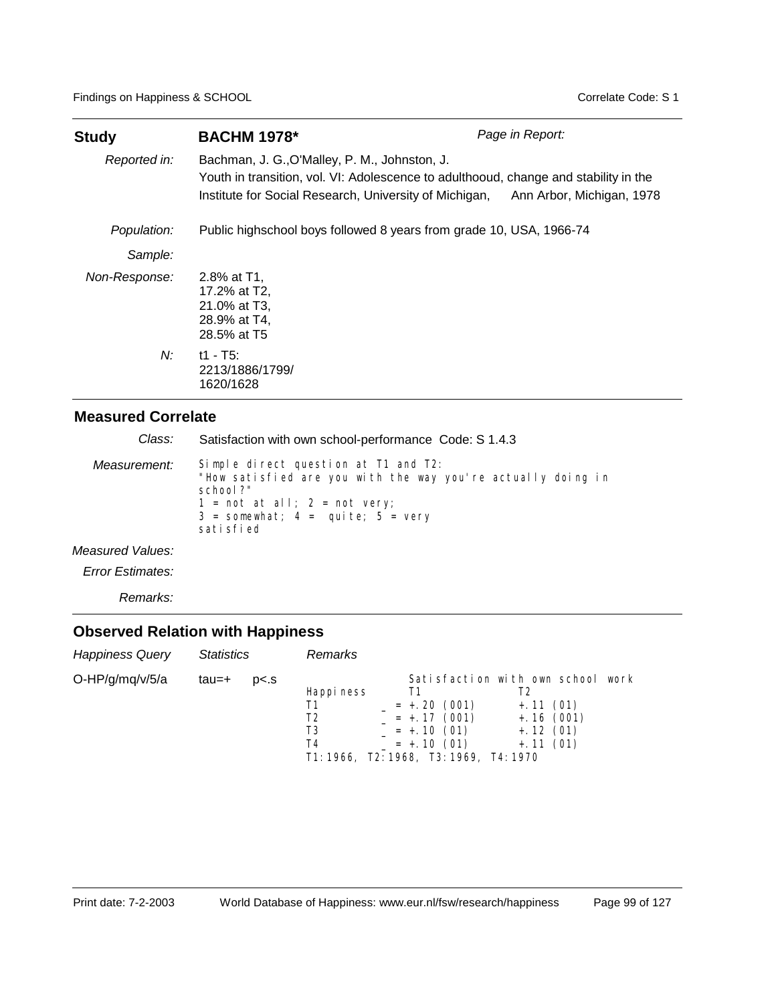| <b>Study</b>  | <b>BACHM 1978*</b>                                                                                                                                                                              | Page in Report:           |
|---------------|-------------------------------------------------------------------------------------------------------------------------------------------------------------------------------------------------|---------------------------|
| Reported in:  | Bachman, J. G., O'Malley, P. M., Johnston, J.<br>Youth in transition, vol. VI: Adolescence to adulthooud, change and stability in the<br>Institute for Social Research, University of Michigan, | Ann Arbor, Michigan, 1978 |
| Population:   | Public highschool boys followed 8 years from grade 10, USA, 1966-74                                                                                                                             |                           |
| Sample:       |                                                                                                                                                                                                 |                           |
| Non-Response: | 2.8% at T1,<br>17.2% at T2,<br>21.0% at T3,<br>28.9% at T4,<br>28.5% at T5                                                                                                                      |                           |
| N:            | $t1 - T5$ :<br>2213/1886/1799/<br>1620/1628                                                                                                                                                     |                           |

| Class:           | Satisfaction with own school-performance Code: S 1.4.3                                                                                                                                                                      |
|------------------|-----------------------------------------------------------------------------------------------------------------------------------------------------------------------------------------------------------------------------|
| Measurement:     | Simple direct question at T1 and T2:<br>"How satisfied are you with the way you're actually doing in<br>school?"<br>$1 = \text{not at all}; 2 = \text{not very};$<br>$3 =$ somewhat; $4 =$ quite; $5 =$ very<br>sati sfi ed |
| Measured Values: |                                                                                                                                                                                                                             |
|                  |                                                                                                                                                                                                                             |

*Error Estimates:*

*Remarks:*

| <b>Happiness Query</b> | <b>Statistics</b> |                | <b>Remarks</b>                                                               |                              |    |                               |                                                                                       |      |
|------------------------|-------------------|----------------|------------------------------------------------------------------------------|------------------------------|----|-------------------------------|---------------------------------------------------------------------------------------|------|
| O-HP/g/mq/v/5/a        | tau=+             | p <sub>5</sub> | Happi ness<br>Τ1<br>Τ2<br>T3<br>T4<br>T1: 1966, T2: 1968, T3: 1969, T4: 1970 | $= +.10(01)$<br>$= +.10(01)$ | Т1 | $= +20(001)$<br>$= +.17(001)$ | Satisfaction with own school<br>$+.11(01)$<br>$+.16(001)$<br>$+.12(01)$<br>$+.11(01)$ | work |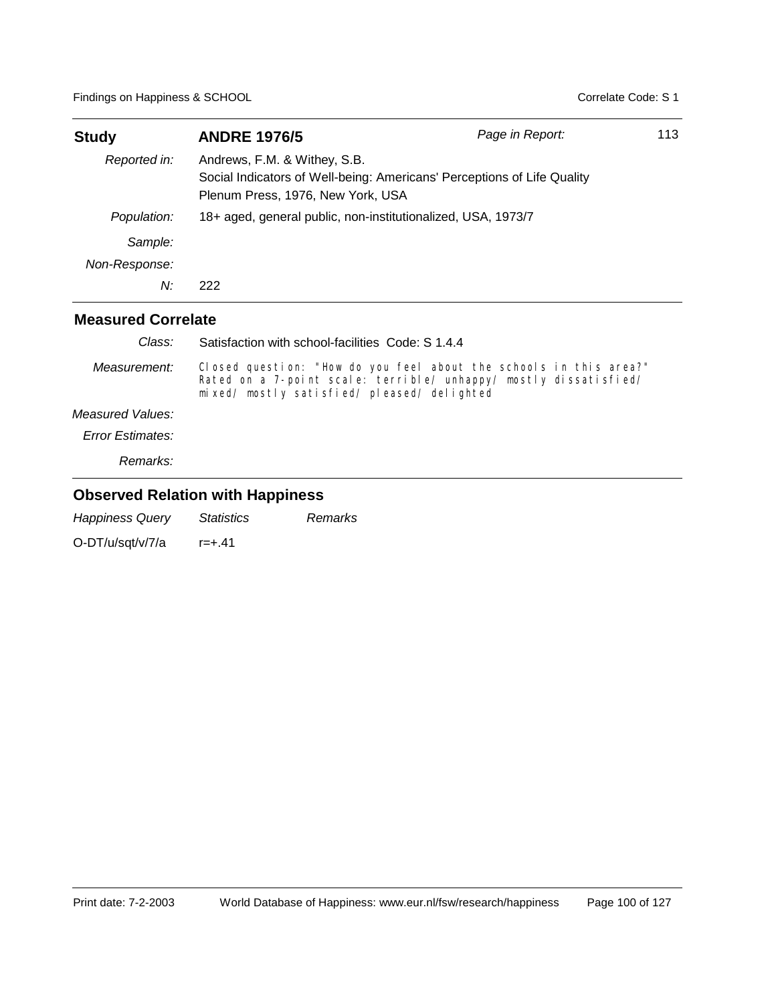| <b>Study</b>                                                                                                                                                 | <b>ANDRE 1976/5</b>                                          | Page in Report: |  |  |
|--------------------------------------------------------------------------------------------------------------------------------------------------------------|--------------------------------------------------------------|-----------------|--|--|
| Andrews, F.M. & Withey, S.B.<br>Reported in:<br>Social Indicators of Well-being: Americans' Perceptions of Life Quality<br>Plenum Press, 1976, New York, USA |                                                              |                 |  |  |
| Population:                                                                                                                                                  | 18+ aged, general public, non-institutionalized, USA, 1973/7 |                 |  |  |
| Sample:                                                                                                                                                      |                                                              |                 |  |  |
| Non-Response:                                                                                                                                                |                                                              |                 |  |  |
| N:                                                                                                                                                           | 222                                                          |                 |  |  |
| <b>Measured Correlate</b>                                                                                                                                    |                                                              |                 |  |  |
| $C_{\text{loor}}$                                                                                                                                            | Cotinfootion with school fooilities Code: C 4 A A            |                 |  |  |

| Giass: G         | Satisfaction with school-facilities Code: S 1.4.4                                                                                                                                   |
|------------------|-------------------------------------------------------------------------------------------------------------------------------------------------------------------------------------|
| Measurement:     | Closed question: "How do you feel about the schools in this area?"<br>Rated on a 7-point scale: terrible/ unhappy/ mostly dissatisfied/<br>mixed/mostly satisfied/pleased/delighted |
| Measured Values: |                                                                                                                                                                                     |
| Error Estimates: |                                                                                                                                                                                     |
| Remarks:         |                                                                                                                                                                                     |

### **Observed Relation with Happiness**

*Happiness Query Statistics Remarks*

O-DT/u/sqt/v/7/a r=+.41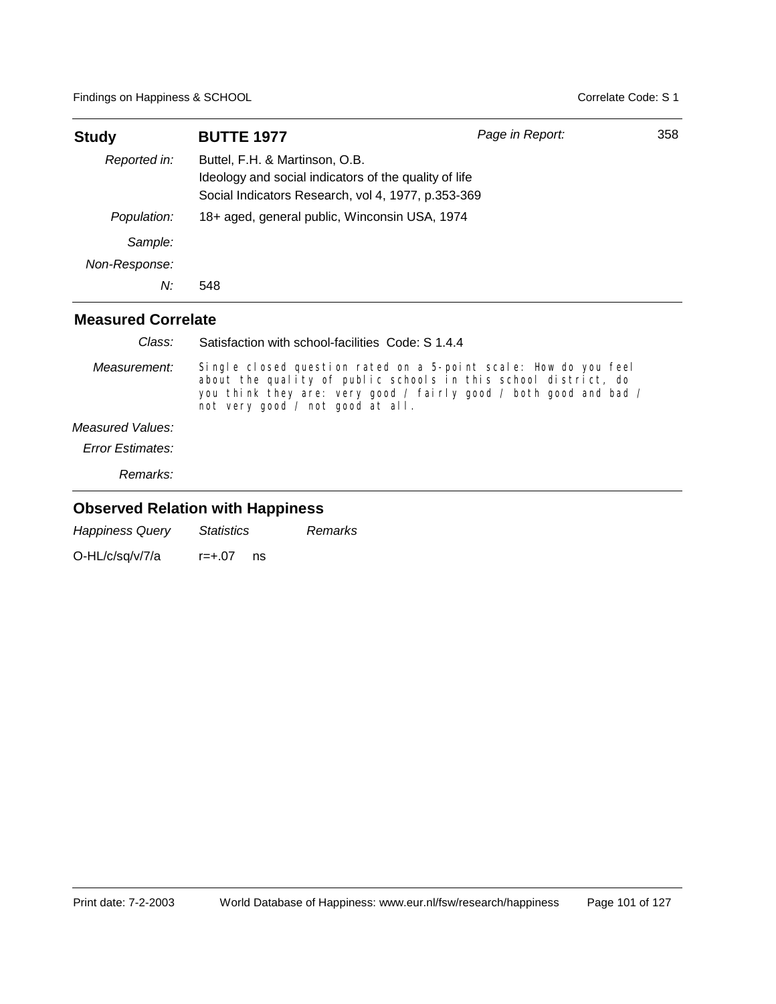| <b>Study</b>              | <b>BUTTE 1977</b>                                                                                                                             | Page in Report: | 358 |
|---------------------------|-----------------------------------------------------------------------------------------------------------------------------------------------|-----------------|-----|
| Reported in:              | Buttel, F.H. & Martinson, O.B.<br>Ideology and social indicators of the quality of life<br>Social Indicators Research, vol 4, 1977, p.353-369 |                 |     |
| Population:               | 18+ aged, general public, Winconsin USA, 1974                                                                                                 |                 |     |
| Sample:                   |                                                                                                                                               |                 |     |
| Non-Response:             |                                                                                                                                               |                 |     |
| N:                        | 548                                                                                                                                           |                 |     |
| <b>Measured Correlate</b> |                                                                                                                                               |                 |     |

| Class:                  | Satisfaction with school-facilities Code: S 1.4.4                                                                                                                                                                                            |
|-------------------------|----------------------------------------------------------------------------------------------------------------------------------------------------------------------------------------------------------------------------------------------|
| Measurement:            | Single closed question rated on a 5-point scale: How do you feel<br>about the quality of public schools in this school district, do<br>you think they are: very good / fairly good / both good and bad /<br>not very good / not good at all. |
| Measured Values:        |                                                                                                                                                                                                                                              |
| <b>Error Estimates:</b> |                                                                                                                                                                                                                                              |

*Remarks:*

| <b>Happiness Query</b> | <i>Statistics</i> |    | Remarks |
|------------------------|-------------------|----|---------|
| O-HL/c/sq/v/7/a        | r=+.07            | ns |         |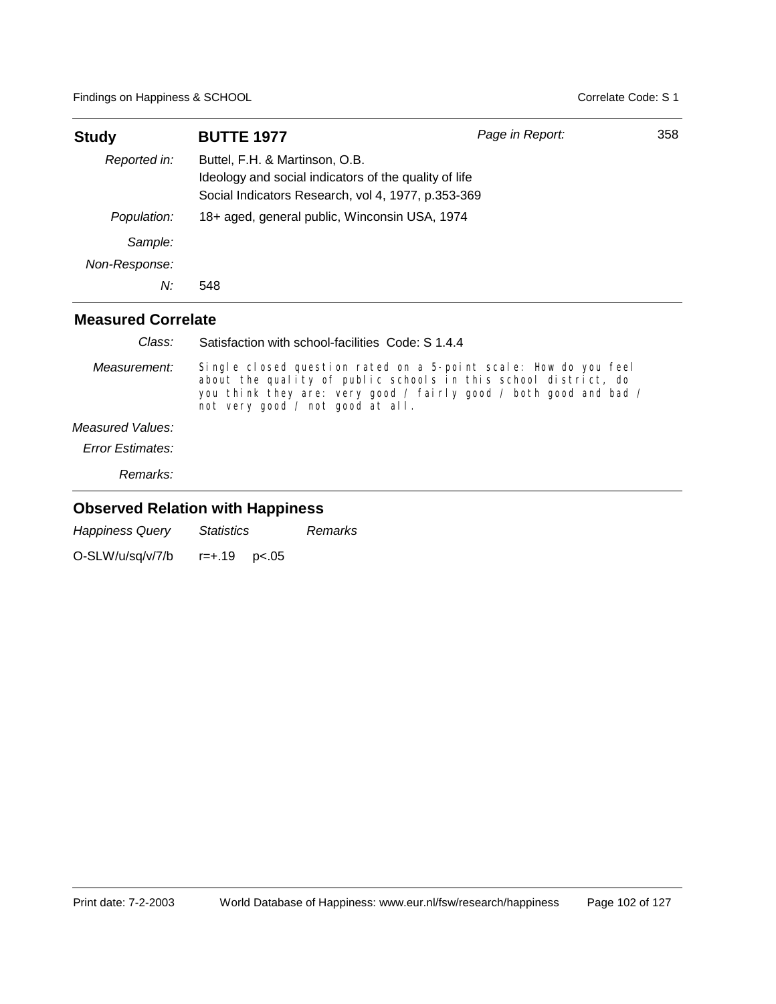| <b>Study</b>              | <b>BUTTE 1977</b>                                                                                                                             | Page in Report: | 358 |
|---------------------------|-----------------------------------------------------------------------------------------------------------------------------------------------|-----------------|-----|
| Reported in:              | Buttel, F.H. & Martinson, O.B.<br>Ideology and social indicators of the quality of life<br>Social Indicators Research, vol 4, 1977, p.353-369 |                 |     |
| Population:               | 18+ aged, general public, Winconsin USA, 1974                                                                                                 |                 |     |
| Sample:                   |                                                                                                                                               |                 |     |
| Non-Response:             |                                                                                                                                               |                 |     |
| N:                        | 548                                                                                                                                           |                 |     |
| <b>Measured Correlate</b> |                                                                                                                                               |                 |     |

| Class:                  | Satisfaction with school-facilities Code: S 1.4.4                                                                                                                                                                                            |
|-------------------------|----------------------------------------------------------------------------------------------------------------------------------------------------------------------------------------------------------------------------------------------|
| Measurement:            | Single closed question rated on a 5-point scale: How do you feel<br>about the quality of public schools in this school district, do<br>you think they are: very good / fairly good / both good and bad /<br>not very good / not good at all. |
| Measured Values:        |                                                                                                                                                                                                                                              |
| <b>Error Estimates:</b> |                                                                                                                                                                                                                                              |

*Remarks:*

| <b>Happiness Query</b> | <i>Statistics</i>    |  | Remarks |
|------------------------|----------------------|--|---------|
| O-SLW/u/sq/v/7/b       | $r = +.19$ $p < .05$ |  |         |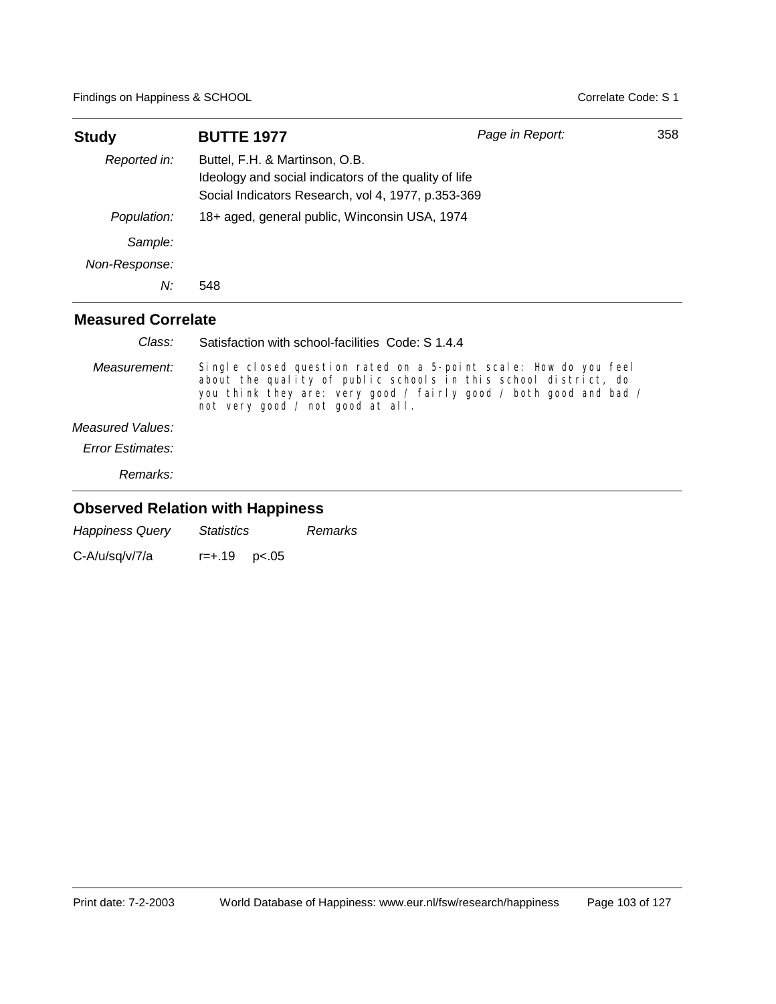| <b>Study</b>              | <b>BUTTE 1977</b>                                                                                                                             | Page in Report: | 358 |
|---------------------------|-----------------------------------------------------------------------------------------------------------------------------------------------|-----------------|-----|
| Reported in:              | Buttel, F.H. & Martinson, O.B.<br>Ideology and social indicators of the quality of life<br>Social Indicators Research, vol 4, 1977, p.353-369 |                 |     |
| Population:               | 18+ aged, general public, Winconsin USA, 1974                                                                                                 |                 |     |
| Sample:                   |                                                                                                                                               |                 |     |
| Non-Response:             |                                                                                                                                               |                 |     |
| N:                        | 548                                                                                                                                           |                 |     |
| <b>Measured Correlate</b> |                                                                                                                                               |                 |     |

| Class:                               | Satisfaction with school-facilities Code: S 1.4.4                                                                                                                                                                                            |
|--------------------------------------|----------------------------------------------------------------------------------------------------------------------------------------------------------------------------------------------------------------------------------------------|
| Measurement:                         | Single closed question rated on a 5-point scale: How do you feel<br>about the quality of public schools in this school district, do<br>you think they are: very good / fairly good / both good and bad /<br>not very good / not good at all. |
| Measured Values:<br>Frror Estimates: |                                                                                                                                                                                                                                              |
|                                      |                                                                                                                                                                                                                                              |

*Remarks:*

| <b>Happiness Query</b> | <i>Statistics</i>    |  | Remarks |
|------------------------|----------------------|--|---------|
| C-A/u/sq/v/7/a         | $r = +.19$ $p < .05$ |  |         |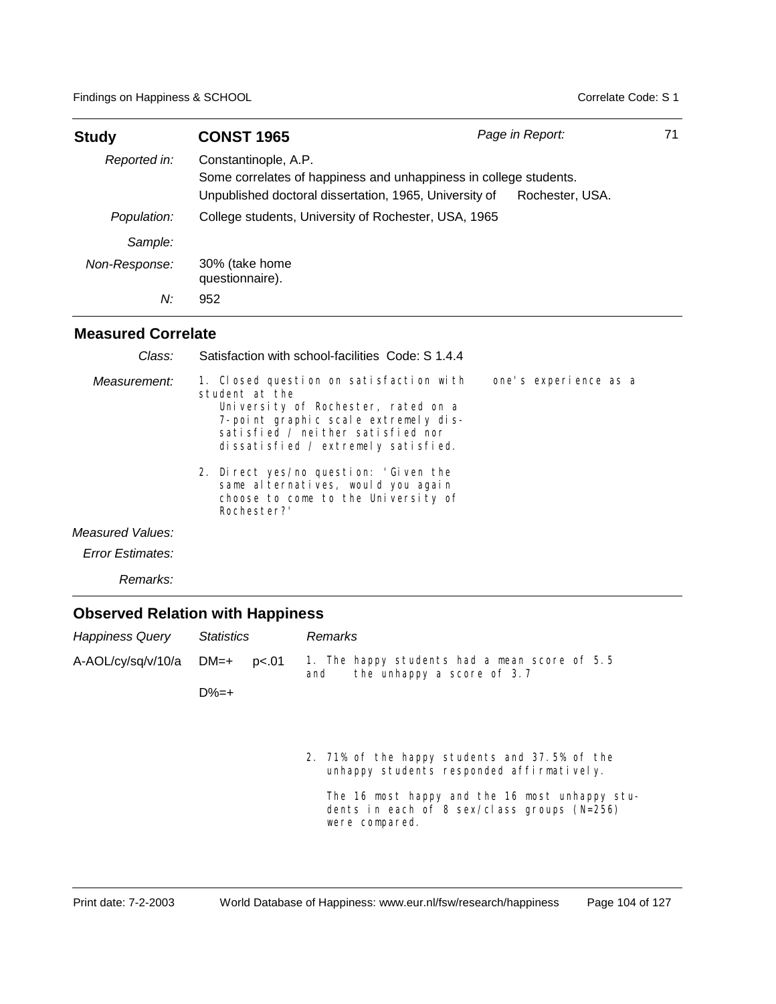| <b>Study</b>  | <b>CONST 1965</b>                                                                                                                                   | Page in Report: | 71 |
|---------------|-----------------------------------------------------------------------------------------------------------------------------------------------------|-----------------|----|
| Reported in:  | Constantinople, A.P.<br>Some correlates of happiness and unhappiness in college students.<br>Unpublished doctoral dissertation, 1965, University of | Rochester, USA. |    |
| Population:   | College students, University of Rochester, USA, 1965                                                                                                |                 |    |
| Sample:       |                                                                                                                                                     |                 |    |
| Non-Response: | 30% (take home<br>questionnaire).                                                                                                                   |                 |    |
| N:            | 952                                                                                                                                                 |                 |    |

| Class:           | Satisfaction with school-facilities Code: S 1.4.4                                                                                                                                                                    |                       |
|------------------|----------------------------------------------------------------------------------------------------------------------------------------------------------------------------------------------------------------------|-----------------------|
| Measurement:     | 1. Closed question on satisfaction with<br>student at the<br>University of Rochester, rated on a<br>7-point graphic scale extremely dis-<br>satisfied / neither satisfied nor<br>dissatisfied / extremely satisfied. | one's experience as a |
|                  | 2. Direct yes/no question: 'Given the<br>same al ternatives, would you again<br>choose to come to the University of<br>Rochester?'                                                                                   |                       |
| Measured Values: |                                                                                                                                                                                                                      |                       |
| Error Estimates: |                                                                                                                                                                                                                      |                       |
| Remarks:         |                                                                                                                                                                                                                      |                       |

| <b>Happiness Query</b> | <b>Statistics</b> |       | <b>Remarks</b>                                                                                                    |  |
|------------------------|-------------------|-------|-------------------------------------------------------------------------------------------------------------------|--|
| A-AOL/cy/sq/v/10/a     | $DM=+$            | p<.01 | 1. The happy students had a mean score of 5.5<br>the unhappy a score of 3.7<br>and                                |  |
|                        | $D%=+$            |       |                                                                                                                   |  |
|                        |                   |       |                                                                                                                   |  |
|                        |                   |       |                                                                                                                   |  |
|                        |                   |       | 2. 71% of the happy students and 37.5% of the<br>unhappy students responded affirmatively.                        |  |
|                        |                   |       | The 16 most happy and the 16 most unhappy stu-<br>dents in each of 8 sex/class groups $(N=256)$<br>were compared. |  |
|                        |                   |       |                                                                                                                   |  |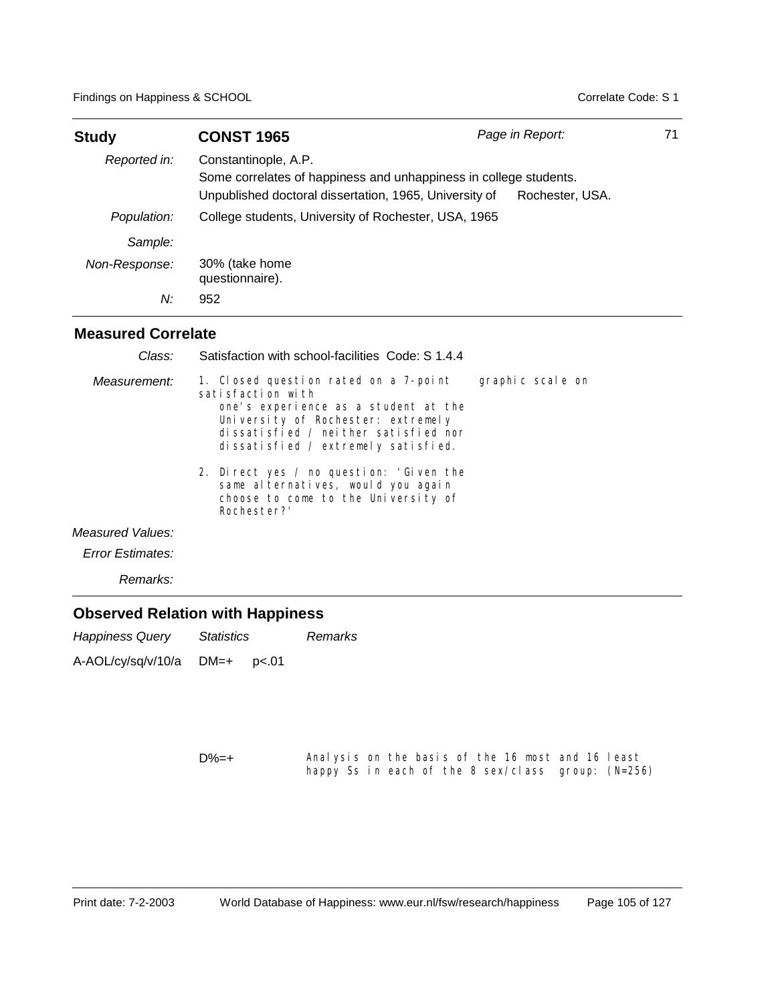| <b>Study</b>  | <b>CONST 1965</b>                                                                                                                                   | Page in Report: | 71 |
|---------------|-----------------------------------------------------------------------------------------------------------------------------------------------------|-----------------|----|
| Reported in:  | Constantinople, A.P.<br>Some correlates of happiness and unhappiness in college students.<br>Unpublished doctoral dissertation, 1965, University of | Rochester, USA. |    |
| Population:   | College students, University of Rochester, USA, 1965                                                                                                |                 |    |
| Sample:       |                                                                                                                                                     |                 |    |
| Non-Response: | 30% (take home<br>questionnaire).                                                                                                                   |                 |    |
| N:            | 952                                                                                                                                                 |                 |    |

#### **Measured Correlate**

| 1. Closed question rated on a 7-point<br>graphic scale on<br>Measurement:<br>satisfaction with<br>one's experience as a student at the<br>University of Rochester: extremely<br>dissatisfied / neither satisfied nor<br>dissatisfied / extremely satisfied.<br>2. Direct yes / no question: 'Given the<br>same al ternatives, would you again<br>choose to come to the University of<br>Rochester?'<br>Measured Values:<br>Error Estimates:<br>Remarks: | Class: | Satisfaction with school-facilities Code: S 1.4.4 |  |
|---------------------------------------------------------------------------------------------------------------------------------------------------------------------------------------------------------------------------------------------------------------------------------------------------------------------------------------------------------------------------------------------------------------------------------------------------------|--------|---------------------------------------------------|--|
|                                                                                                                                                                                                                                                                                                                                                                                                                                                         |        |                                                   |  |
|                                                                                                                                                                                                                                                                                                                                                                                                                                                         |        |                                                   |  |
|                                                                                                                                                                                                                                                                                                                                                                                                                                                         |        |                                                   |  |
|                                                                                                                                                                                                                                                                                                                                                                                                                                                         |        |                                                   |  |

### **Observed Relation with Happiness**

| <b>Happiness Query</b> | Statistics |       | Remarks |
|------------------------|------------|-------|---------|
| A-AOL/cy/sq/v/10/a     | DM=+       | p<.01 |         |

Analysis on the basis of the 16 most and 16 least happy Ss in each of the 8 sex/class group: (N=256) D%=+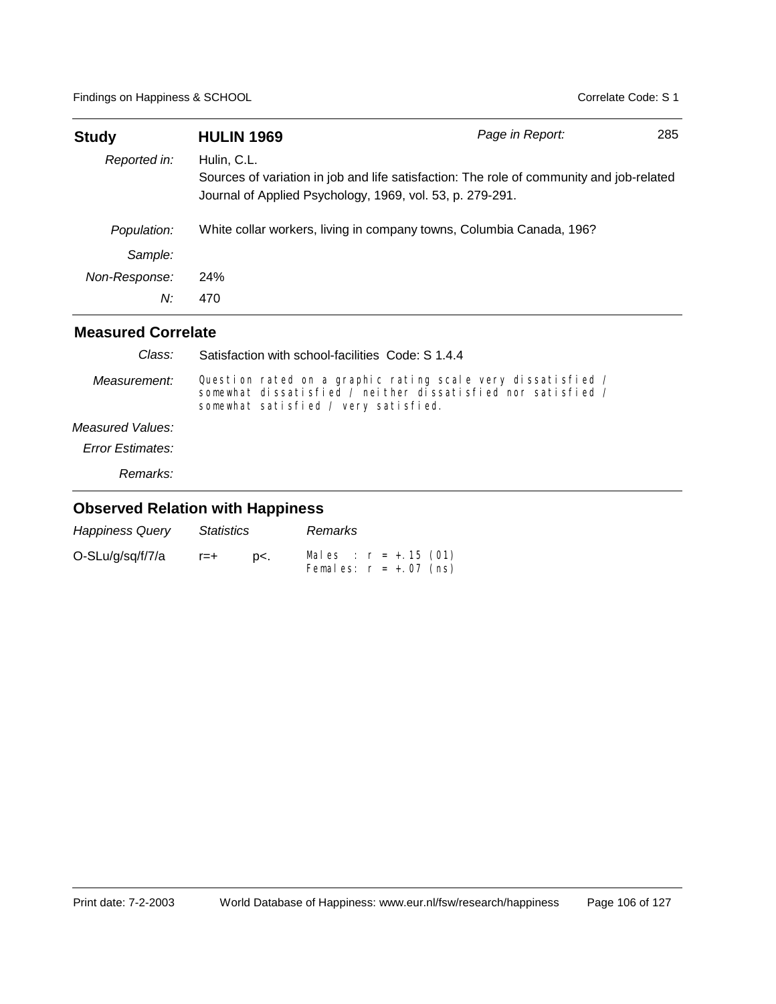| <b>Study</b>  | <b>HULIN 1969</b>                                                        | Page in Report:                                                                          | 285 |
|---------------|--------------------------------------------------------------------------|------------------------------------------------------------------------------------------|-----|
| Reported in:  | Hulin, C.L.<br>Journal of Applied Psychology, 1969, vol. 53, p. 279-291. | Sources of variation in job and life satisfaction: The role of community and job-related |     |
| Population:   | White collar workers, living in company towns, Columbia Canada, 196?     |                                                                                          |     |
| Sample:       |                                                                          |                                                                                          |     |
| Non-Response: | <b>24%</b>                                                               |                                                                                          |     |
| N:            | 470                                                                      |                                                                                          |     |

| Class:                  | Satisfaction with school-facilities Code: S 1.4.4                                                                                                                    |
|-------------------------|----------------------------------------------------------------------------------------------------------------------------------------------------------------------|
| Measurement:            | Question rated on a graphic rating scale very dissatisfied /<br>somewhat dissatisfied / neither dissatisfied nor satisfied /<br>somewhat satisfied / very satisfied. |
| Measured Values:        |                                                                                                                                                                      |
| <b>Error Estimates:</b> |                                                                                                                                                                      |
| <i>Remarks:</i>         |                                                                                                                                                                      |
|                         |                                                                                                                                                                      |

| <b>Happiness Query</b> | <i>Statistics</i> |     | Remarks |                                                     |
|------------------------|-------------------|-----|---------|-----------------------------------------------------|
| O-SLu/g/sq/f/7/a       | $r = +$           | D<. |         | Males : $r = +.15$ (01)<br>Females: $r = +.07$ (ns) |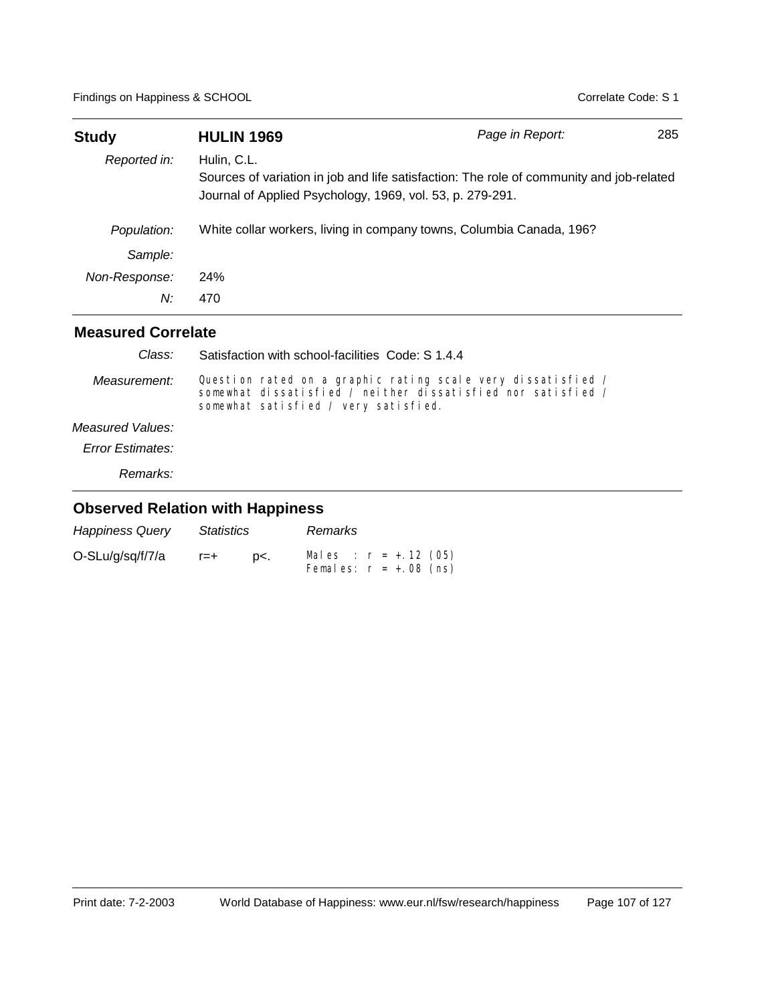| <b>Study</b>  | <b>HULIN 1969</b>                                                                                                                                                    | Page in Report: | 285 |
|---------------|----------------------------------------------------------------------------------------------------------------------------------------------------------------------|-----------------|-----|
| Reported in:  | Hulin, C.L.<br>Sources of variation in job and life satisfaction: The role of community and job-related<br>Journal of Applied Psychology, 1969, vol. 53, p. 279-291. |                 |     |
| Population:   | White collar workers, living in company towns, Columbia Canada, 196?                                                                                                 |                 |     |
| Sample:       |                                                                                                                                                                      |                 |     |
| Non-Response: | 24%                                                                                                                                                                  |                 |     |
| N:            | 470                                                                                                                                                                  |                 |     |

| Class:                  | Satisfaction with school-facilities Code: S 1.4.4                                                                                                                    |
|-------------------------|----------------------------------------------------------------------------------------------------------------------------------------------------------------------|
| Measurement:            | Question rated on a graphic rating scale very dissatisfied /<br>somewhat dissatisfied / neither dissatisfied nor satisfied /<br>somewhat satisfied / very satisfied. |
| Measured Values:        |                                                                                                                                                                      |
| <b>Error Estimates:</b> |                                                                                                                                                                      |
| Remarks:                |                                                                                                                                                                      |
|                         |                                                                                                                                                                      |

| <b>Happiness Query</b> | <i>Statistics</i> |     | Remarks |                                                      |  |
|------------------------|-------------------|-----|---------|------------------------------------------------------|--|
| O-SLu/g/sq/f/7/a       | r=+               | D<. |         | Males : $r = +.12$ (05)<br>Females: $r = +0.08$ (ns) |  |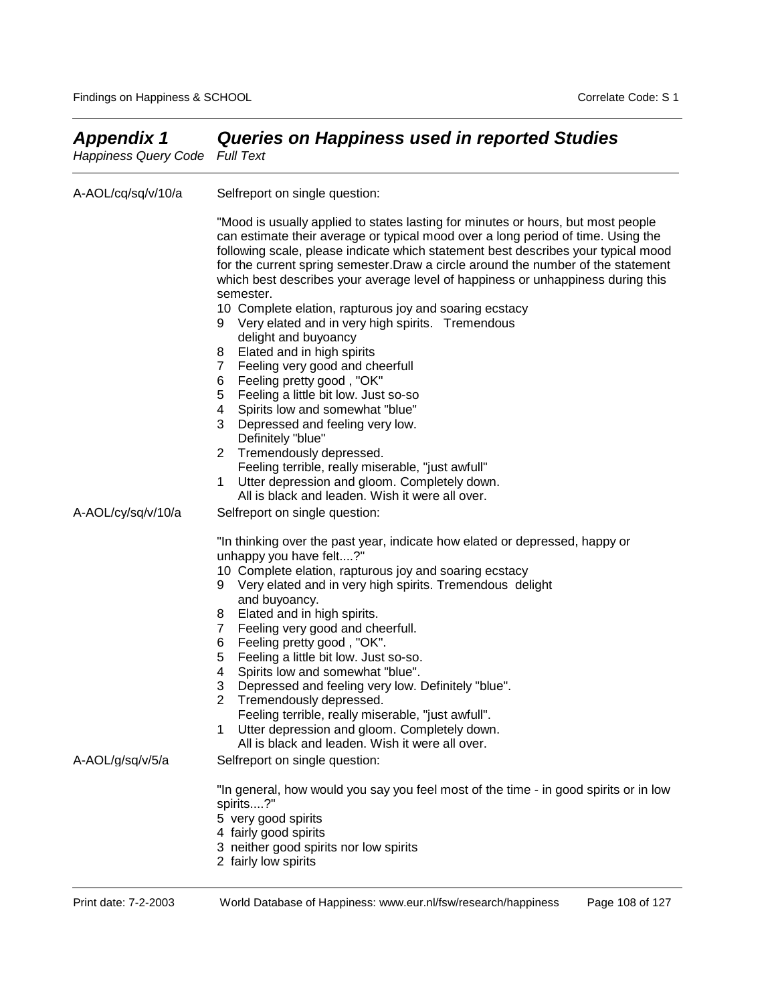| <b>Appendix 1</b><br><b>Happiness Query Code</b> | <b>Queries on Happiness used in reported Studies</b><br><b>Full Text</b>                                                                                                                                                                                                                                                                                                                                                                       |
|--------------------------------------------------|------------------------------------------------------------------------------------------------------------------------------------------------------------------------------------------------------------------------------------------------------------------------------------------------------------------------------------------------------------------------------------------------------------------------------------------------|
| A-AOL/cq/sq/v/10/a                               | Selfreport on single question:                                                                                                                                                                                                                                                                                                                                                                                                                 |
|                                                  | "Mood is usually applied to states lasting for minutes or hours, but most people<br>can estimate their average or typical mood over a long period of time. Using the<br>following scale, please indicate which statement best describes your typical mood<br>for the current spring semester. Draw a circle around the number of the statement<br>which best describes your average level of happiness or unhappiness during this<br>semester. |
|                                                  | 10 Complete elation, rapturous joy and soaring ecstacy<br>Very elated and in very high spirits. Tremendous<br>9<br>delight and buyoancy                                                                                                                                                                                                                                                                                                        |
|                                                  | Elated and in high spirits<br>8<br>Feeling very good and cheerfull<br>7<br>6<br>Feeling pretty good, "OK"                                                                                                                                                                                                                                                                                                                                      |
|                                                  | Feeling a little bit low. Just so-so<br>5<br>Spirits low and somewhat "blue"<br>4<br>3<br>Depressed and feeling very low.<br>Definitely "blue"                                                                                                                                                                                                                                                                                                 |
|                                                  | $\overline{2}$<br>Tremendously depressed.<br>Feeling terrible, really miserable, "just awfull"<br>Utter depression and gloom. Completely down.<br>1                                                                                                                                                                                                                                                                                            |
| A-AOL/cy/sq/v/10/a                               | All is black and leaden. Wish it were all over.<br>Selfreport on single question:                                                                                                                                                                                                                                                                                                                                                              |
|                                                  | "In thinking over the past year, indicate how elated or depressed, happy or<br>unhappy you have felt?"<br>10 Complete elation, rapturous joy and soaring ecstacy<br>Very elated and in very high spirits. Tremendous delight<br>9                                                                                                                                                                                                              |
|                                                  | and buyoancy.<br>Elated and in high spirits.<br>8<br>Feeling very good and cheerfull.<br>7<br>Feeling pretty good, "OK".<br>6                                                                                                                                                                                                                                                                                                                  |
|                                                  | Feeling a little bit low. Just so-so.<br>5<br>4<br>Spirits low and somewhat "blue".<br>3<br>Depressed and feeling very low. Definitely "blue".<br>Tremendously depressed.<br>2                                                                                                                                                                                                                                                                 |
|                                                  | Feeling terrible, really miserable, "just awfull".<br>Utter depression and gloom. Completely down.<br>1<br>All is black and leaden. Wish it were all over.                                                                                                                                                                                                                                                                                     |
| A-AOL/g/sq/v/5/a                                 | Selfreport on single question:                                                                                                                                                                                                                                                                                                                                                                                                                 |
|                                                  | "In general, how would you say you feel most of the time - in good spirits or in low<br>spirits?"<br>5 very good spirits<br>4 fairly good spirits<br>3 neither good spirits nor low spirits                                                                                                                                                                                                                                                    |
|                                                  | 2 fairly low spirits                                                                                                                                                                                                                                                                                                                                                                                                                           |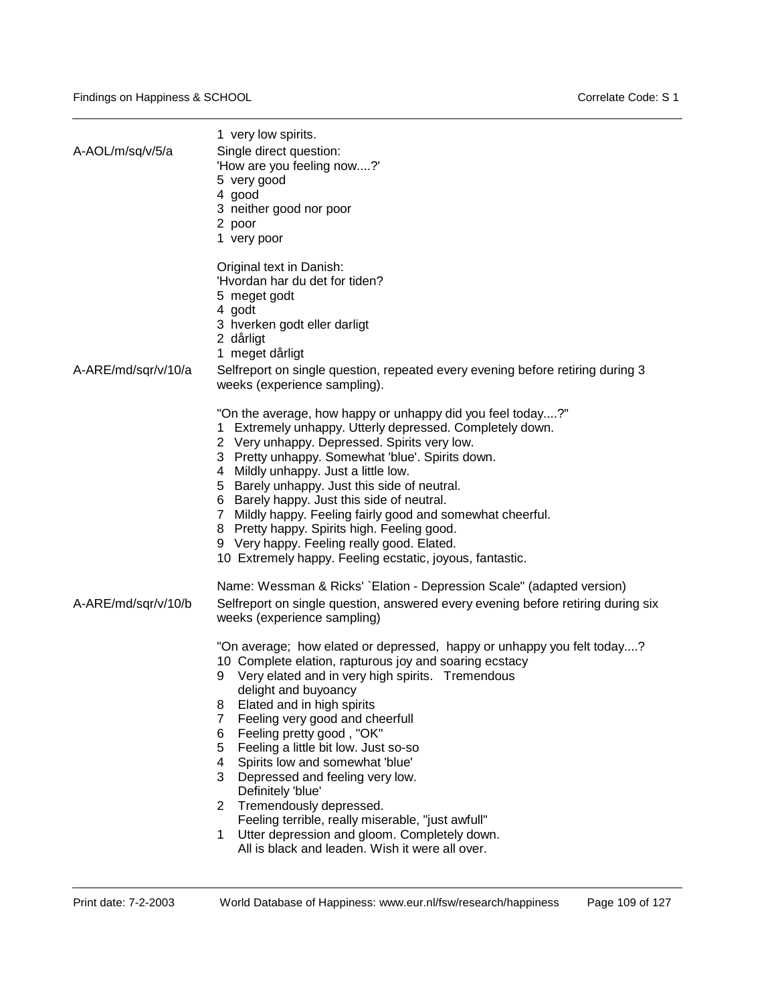| A-AOL/m/sq/v/5/a    | 1 very low spirits.<br>Single direct question:<br>'How are you feeling now?'<br>5 very good<br>4 good<br>3 neither good nor poor<br>2 poor<br>1 very poor                                                                                                                                                                                                                                                                                                                                                                                                                                                                                                                                                                                                                                                                                                                         |
|---------------------|-----------------------------------------------------------------------------------------------------------------------------------------------------------------------------------------------------------------------------------------------------------------------------------------------------------------------------------------------------------------------------------------------------------------------------------------------------------------------------------------------------------------------------------------------------------------------------------------------------------------------------------------------------------------------------------------------------------------------------------------------------------------------------------------------------------------------------------------------------------------------------------|
| A-ARE/md/sqr/v/10/a | Original text in Danish:<br>'Hyordan har du det for tiden?<br>5 meget godt<br>4 godt<br>3 hverken godt eller darligt<br>2 dårligt<br>1 meget dårligt<br>Selfreport on single question, repeated every evening before retiring during 3<br>weeks (experience sampling).                                                                                                                                                                                                                                                                                                                                                                                                                                                                                                                                                                                                            |
|                     | "On the average, how happy or unhappy did you feel today?"<br>Extremely unhappy. Utterly depressed. Completely down.<br>2 Very unhappy. Depressed. Spirits very low.<br>3 Pretty unhappy. Somewhat 'blue'. Spirits down.<br>4 Mildly unhappy. Just a little low.<br>5 Barely unhappy. Just this side of neutral.<br>6 Barely happy. Just this side of neutral.<br>7 Mildly happy. Feeling fairly good and somewhat cheerful.<br>8 Pretty happy. Spirits high. Feeling good.<br>9 Very happy. Feeling really good. Elated.<br>10 Extremely happy. Feeling ecstatic, joyous, fantastic.                                                                                                                                                                                                                                                                                             |
| A-ARE/md/sqr/v/10/b | Name: Wessman & Ricks' `Elation - Depression Scale" (adapted version)<br>Selfreport on single question, answered every evening before retiring during six<br>weeks (experience sampling)<br>"On average; how elated or depressed, happy or unhappy you felt today?<br>10 Complete elation, rapturous joy and soaring ecstacy<br>Very elated and in very high spirits. Tremendous<br>delight and buyoancy<br>Elated and in high spirits<br>8<br>$\overline{7}$<br>Feeling very good and cheerfull<br>Feeling pretty good, "OK"<br>6<br>Feeling a little bit low. Just so-so<br>5<br>Spirits low and somewhat 'blue'<br>4<br>3<br>Depressed and feeling very low.<br>Definitely 'blue'<br>Tremendously depressed.<br>2<br>Feeling terrible, really miserable, "just awfull"<br>Utter depression and gloom. Completely down.<br>1<br>All is black and leaden. Wish it were all over. |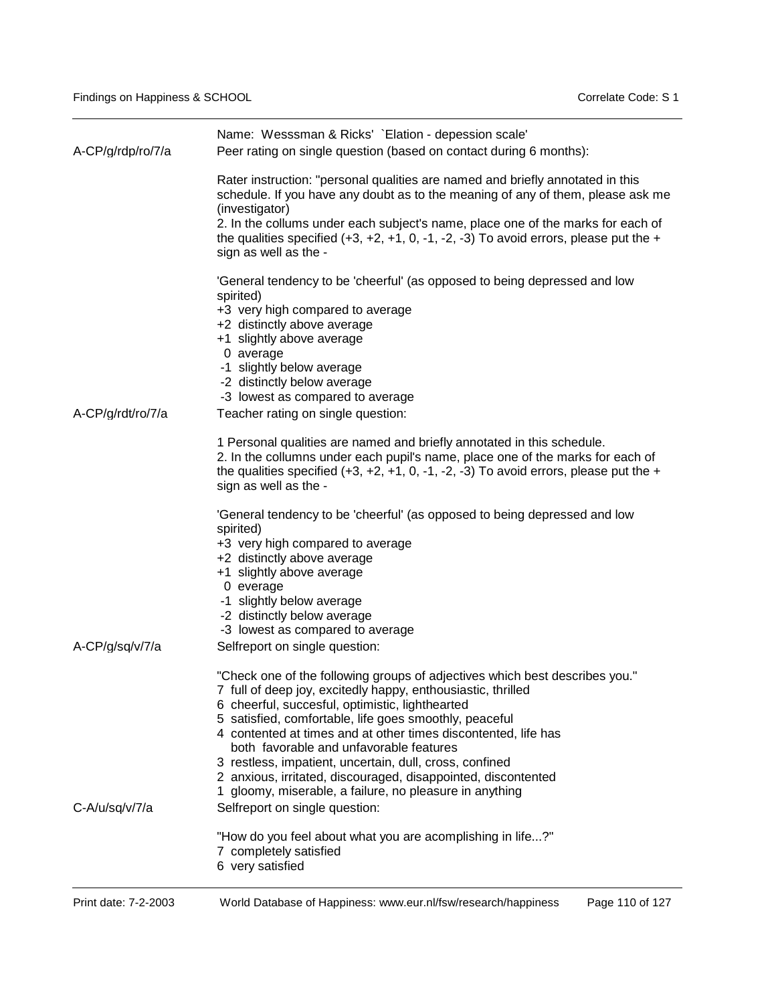| A-CP/g/rdp/ro/7/a | Name: Wesssman & Ricks' `Elation - depession scale'<br>Peer rating on single question (based on contact during 6 months):                                                                                                                                                                                                                                                                                                                                                                                                                                        |
|-------------------|------------------------------------------------------------------------------------------------------------------------------------------------------------------------------------------------------------------------------------------------------------------------------------------------------------------------------------------------------------------------------------------------------------------------------------------------------------------------------------------------------------------------------------------------------------------|
|                   | Rater instruction: "personal qualities are named and briefly annotated in this<br>schedule. If you have any doubt as to the meaning of any of them, please ask me<br>(investigator)<br>2. In the collums under each subject's name, place one of the marks for each of<br>the qualities specified $(+3, +2, +1, 0, -1, -2, -3)$ To avoid errors, please put the $+$<br>sign as well as the -                                                                                                                                                                     |
| A-CP/g/rdt/ro/7/a | 'General tendency to be 'cheerful' (as opposed to being depressed and low<br>spirited)<br>+3 very high compared to average<br>+2 distinctly above average<br>+1 slightly above average<br>0 average<br>-1 slightly below average<br>-2 distinctly below average<br>-3 lowest as compared to average<br>Teacher rating on single question:                                                                                                                                                                                                                        |
|                   | 1 Personal qualities are named and briefly annotated in this schedule.<br>2. In the collumns under each pupil's name, place one of the marks for each of<br>the qualities specified $(+3, +2, +1, 0, -1, -2, -3)$ To avoid errors, please put the $+$<br>sign as well as the -                                                                                                                                                                                                                                                                                   |
|                   | 'General tendency to be 'cheerful' (as opposed to being depressed and low<br>spirited)<br>+3 very high compared to average<br>+2 distinctly above average<br>+1 slightly above average<br>0 everage<br>-1 slightly below average<br>-2 distinctly below average<br>-3 lowest as compared to average                                                                                                                                                                                                                                                              |
| A-CP/g/sq/v/7/a   | Selfreport on single question:                                                                                                                                                                                                                                                                                                                                                                                                                                                                                                                                   |
|                   | "Check one of the following groups of adjectives which best describes you."<br>7 full of deep joy, excitedly happy, enthousiastic, thrilled<br>6 cheerful, succesful, optimistic, lighthearted<br>5 satisfied, comfortable, life goes smoothly, peaceful<br>4 contented at times and at other times discontented, life has<br>both favorable and unfavorable features<br>3 restless, impatient, uncertain, dull, cross, confined<br>2 anxious, irritated, discouraged, disappointed, discontented<br>gloomy, miserable, a failure, no pleasure in anything<br>1. |
| C-A/u/sq/v/7/a    | Selfreport on single question:                                                                                                                                                                                                                                                                                                                                                                                                                                                                                                                                   |
|                   | "How do you feel about what you are acomplishing in life?"<br>7 completely satisfied<br>6 very satisfied                                                                                                                                                                                                                                                                                                                                                                                                                                                         |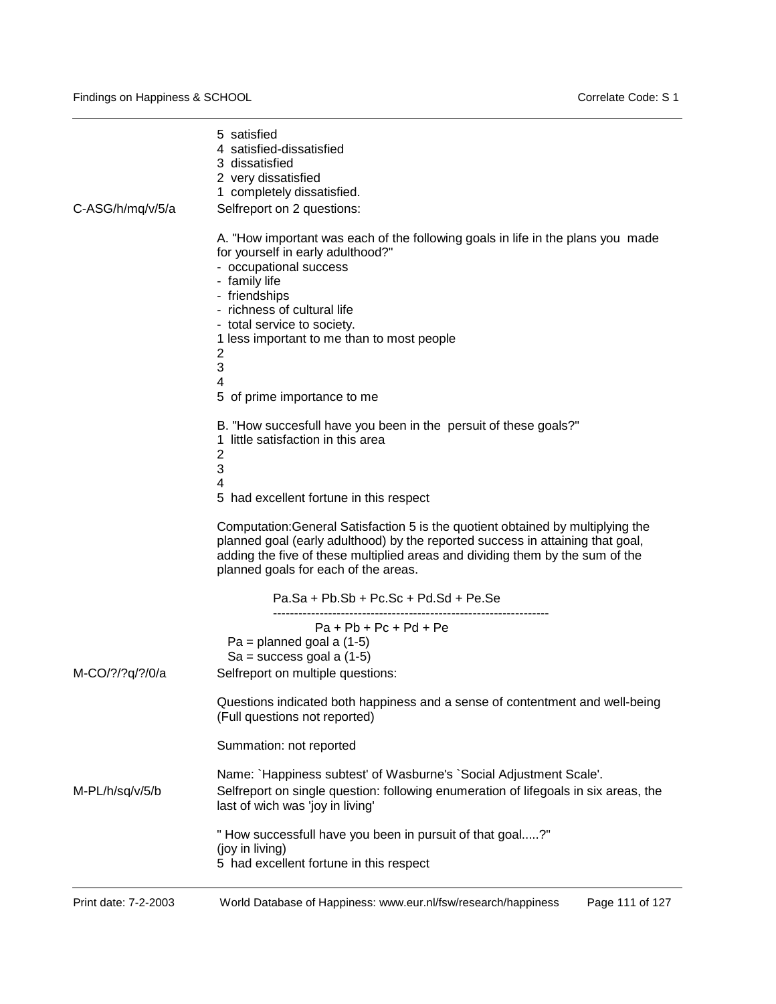| C-ASG/h/mg/v/5/a | 5 satisfied<br>4 satisfied-dissatisfied<br>3 dissatisfied<br>2 very dissatisfied<br>1 completely dissatisfied.<br>Selfreport on 2 questions:                                                                                                                                                                                               |
|------------------|--------------------------------------------------------------------------------------------------------------------------------------------------------------------------------------------------------------------------------------------------------------------------------------------------------------------------------------------|
|                  | A. "How important was each of the following goals in life in the plans you made<br>for yourself in early adulthood?"<br>- occupational success<br>- family life<br>- friendships<br>- richness of cultural life<br>- total service to society.<br>1 less important to me than to most people<br>2<br>3<br>4<br>5 of prime importance to me |
|                  | B. "How succesfull have you been in the persuit of these goals?"<br>little satisfaction in this area<br>1.<br>2<br>3<br>4<br>5 had excellent fortune in this respect                                                                                                                                                                       |
|                  | Computation: General Satisfaction 5 is the quotient obtained by multiplying the<br>planned goal (early adulthood) by the reported success in attaining that goal,<br>adding the five of these multiplied areas and dividing them by the sum of the<br>planned goals for each of the areas.                                                 |
|                  | Pa.Sa + Pb.Sb + Pc.Sc + Pd.Sd + Pe.Se                                                                                                                                                                                                                                                                                                      |
|                  | $Pa + Pb + Pc + Pd + Pe$<br>$Pa = planned goal a (1-5)$<br>$Sa = success goal a (1-5)$                                                                                                                                                                                                                                                     |
| M-CO/?/?q/?/0/a  | Selfreport on multiple questions:<br>Questions indicated both happiness and a sense of contentment and well-being<br>(Full questions not reported)                                                                                                                                                                                         |
|                  | Summation: not reported                                                                                                                                                                                                                                                                                                                    |
| M-PL/h/sq/v/5/b  | Name: `Happiness subtest' of Wasburne's `Social Adjustment Scale'.<br>Selfreport on single question: following enumeration of lifegoals in six areas, the<br>last of wich was 'joy in living'                                                                                                                                              |
|                  | "How successfull have you been in pursuit of that goal?"<br>(joy in living)<br>5 had excellent fortune in this respect                                                                                                                                                                                                                     |
|                  |                                                                                                                                                                                                                                                                                                                                            |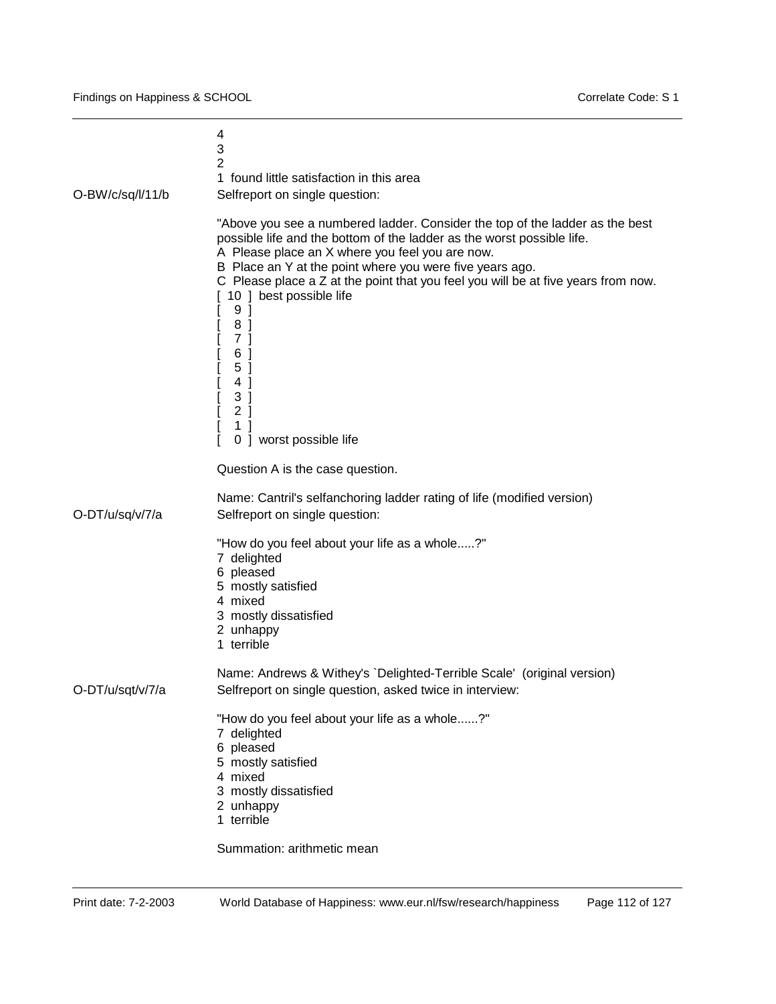| O-BW/c/sq/l/11/b | 4<br>3<br>$\overline{2}$<br>1 found little satisfaction in this area<br>Selfreport on single question:                                                                                                                                                                                                                                                                                                                                                                                               |
|------------------|------------------------------------------------------------------------------------------------------------------------------------------------------------------------------------------------------------------------------------------------------------------------------------------------------------------------------------------------------------------------------------------------------------------------------------------------------------------------------------------------------|
|                  | "Above you see a numbered ladder. Consider the top of the ladder as the best<br>possible life and the bottom of the ladder as the worst possible life.<br>A Please place an X where you feel you are now.<br>B Place an Y at the point where you were five years ago.<br>C Please place a Z at the point that you feel you will be at five years from now.<br>10   best possible life<br>9 ]<br>8 ]<br>7 <sup>1</sup><br>6 ]<br>5 ]<br>4 ]<br>3]<br>2 <sub>1</sub><br>1 ]<br>0 ] worst possible life |
|                  | Question A is the case question.                                                                                                                                                                                                                                                                                                                                                                                                                                                                     |
| O-DT/u/sq/v/7/a  | Name: Cantril's selfanchoring ladder rating of life (modified version)<br>Selfreport on single question:                                                                                                                                                                                                                                                                                                                                                                                             |
|                  | "How do you feel about your life as a whole?"<br>7 delighted<br>6 pleased<br>5 mostly satisfied<br>4 mixed<br>3 mostly dissatisfied<br>2 unhappy<br>1 terrible                                                                                                                                                                                                                                                                                                                                       |
| O-DT/u/sqt/v/7/a | Name: Andrews & Withey's `Delighted-Terrible Scale' (original version)<br>Selfreport on single question, asked twice in interview:                                                                                                                                                                                                                                                                                                                                                                   |
|                  | "How do you feel about your life as a whole?"<br>7 delighted<br>6 pleased<br>5 mostly satisfied<br>4 mixed<br>3 mostly dissatisfied<br>2 unhappy<br>1 terrible                                                                                                                                                                                                                                                                                                                                       |
|                  | Summation: arithmetic mean                                                                                                                                                                                                                                                                                                                                                                                                                                                                           |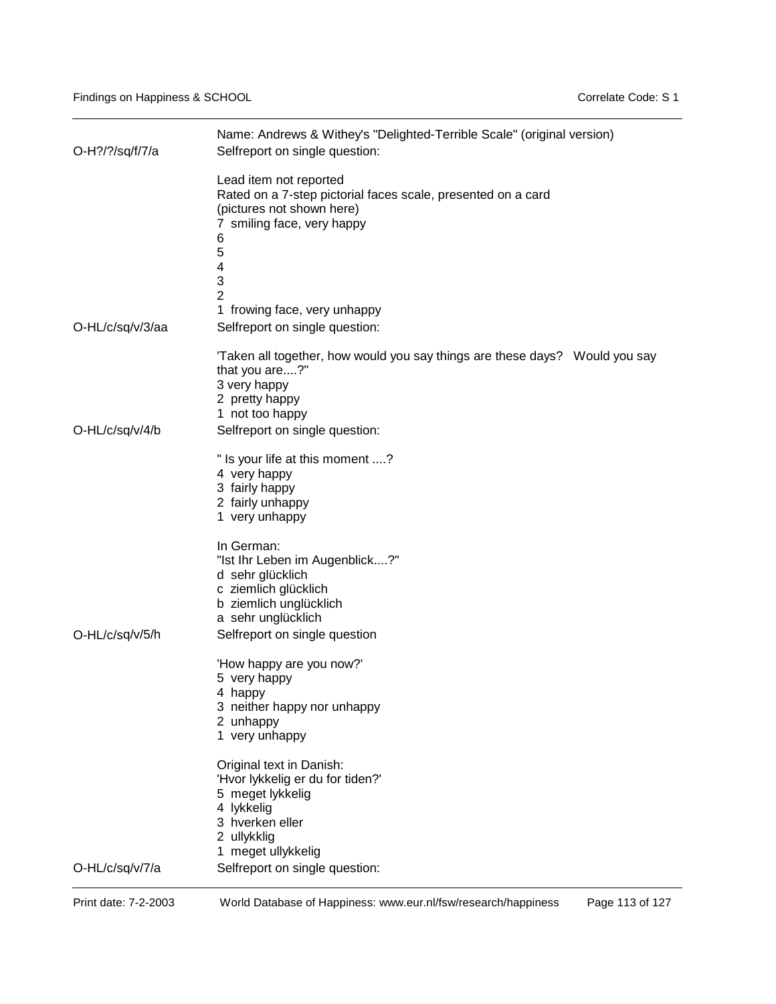| O-H?/?/sq/f/7/a  | Name: Andrews & Withey's "Delighted-Terrible Scale" (original version)<br>Selfreport on single question:                                                                                                   |  |  |
|------------------|------------------------------------------------------------------------------------------------------------------------------------------------------------------------------------------------------------|--|--|
|                  | Lead item not reported<br>Rated on a 7-step pictorial faces scale, presented on a card<br>(pictures not shown here)<br>7 smiling face, very happy<br>6<br>5<br>4<br>3<br>2<br>1 frowing face, very unhappy |  |  |
| O-HL/c/sq/v/3/aa | Selfreport on single question:                                                                                                                                                                             |  |  |
| O-HL/c/sq/v/4/b  | 'Taken all together, how would you say things are these days?  Would you say<br>that you are?"<br>3 very happy<br>2 pretty happy<br>1 not too happy<br>Selfreport on single question:                      |  |  |
|                  | " Is your life at this moment ?<br>4 very happy<br>3 fairly happy<br>2 fairly unhappy<br>1 very unhappy                                                                                                    |  |  |
| O-HL/c/sq/v/5/h  | In German:<br>"Ist Ihr Leben im Augenblick?"<br>d sehr glücklich<br>c ziemlich glücklich<br>b ziemlich unglücklich<br>a sehr unglücklich<br>Selfreport on single question                                  |  |  |
|                  | 'How happy are you now?'<br>5 very happy<br>4 happy<br>3 neither happy nor unhappy<br>2 unhappy<br>1 very unhappy                                                                                          |  |  |
|                  | Original text in Danish:<br>'Hvor lykkelig er du for tiden?'<br>5 meget lykkelig<br>4 lykkelig<br>3 hverken eller<br>2 ullykklig<br>1 meget ullykkelig                                                     |  |  |
| O-HL/c/sq/v/7/a  | Selfreport on single question:                                                                                                                                                                             |  |  |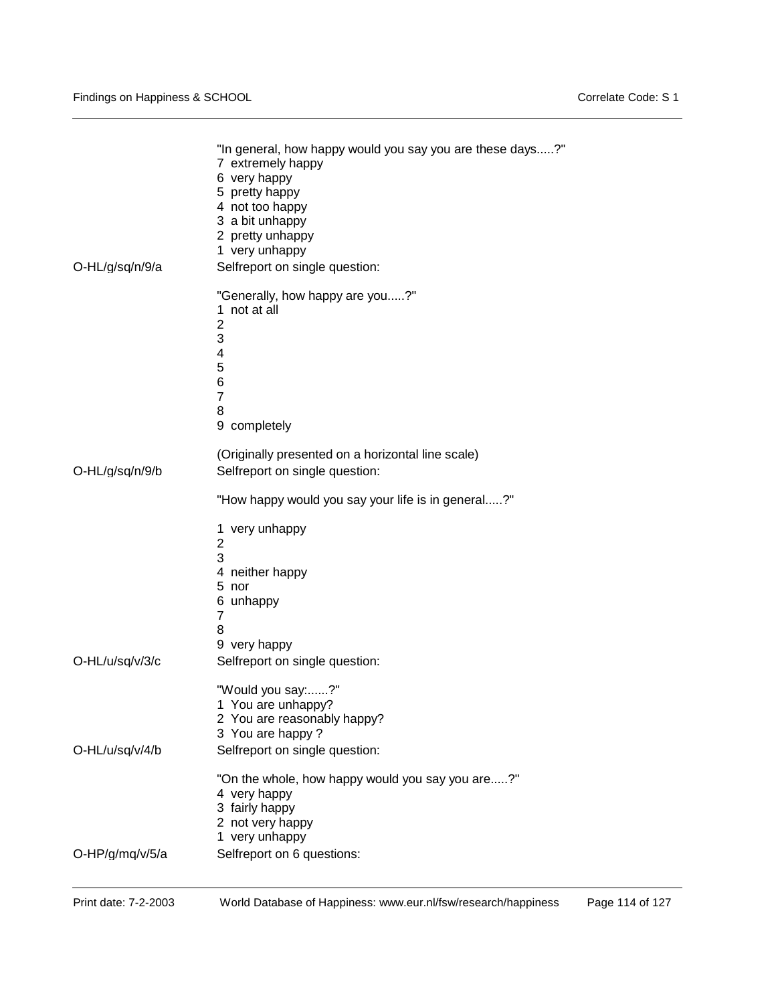| O-HL/g/sq/n/9/a | "In general, how happy would you say you are these days?"<br>7 extremely happy<br>6 very happy<br>5 pretty happy<br>4 not too happy<br>3 a bit unhappy<br>2 pretty unhappy<br>1 very unhappy<br>Selfreport on single question: |
|-----------------|--------------------------------------------------------------------------------------------------------------------------------------------------------------------------------------------------------------------------------|
|                 | "Generally, how happy are you?"<br>1 not at all<br>$\overline{2}$<br>3<br>4<br>5<br>6<br>$\overline{7}$<br>8<br>9 completely                                                                                                   |
| O-HL/g/sq/n/9/b | (Originally presented on a horizontal line scale)<br>Selfreport on single question:                                                                                                                                            |
|                 | "How happy would you say your life is in general?"<br>1 very unhappy<br>2<br>3<br>4 neither happy                                                                                                                              |
| O-HL/u/sq/v/3/c | 5 nor<br>6 unhappy<br>$\overline{7}$<br>8<br>9 very happy<br>Selfreport on single question:                                                                                                                                    |
| O-HL/u/sq/v/4/b | "Would you say:?"<br>1 You are unhappy?<br>2 You are reasonably happy?<br>3 You are happy?<br>Selfreport on single question:                                                                                                   |
| O-HP/g/mq/v/5/a | "On the whole, how happy would you say you are?"<br>4 very happy<br>3 fairly happy<br>2 not very happy<br>1 very unhappy<br>Selfreport on 6 questions:                                                                         |
|                 |                                                                                                                                                                                                                                |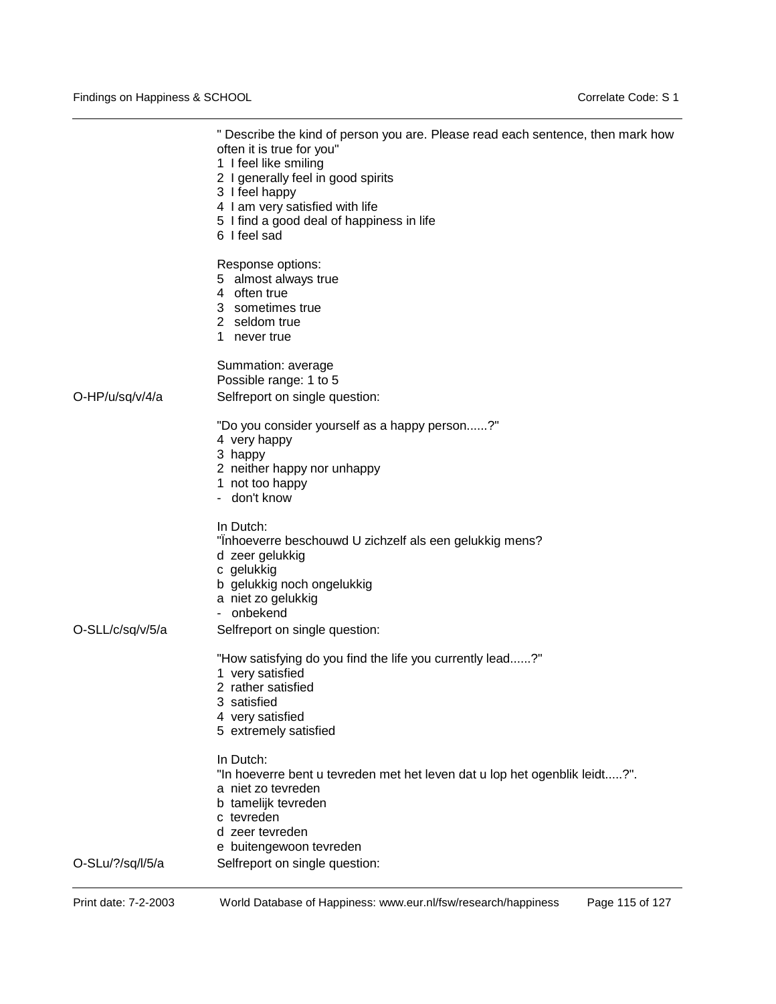|                  | " Describe the kind of person you are. Please read each sentence, then mark how<br>often it is true for you"<br>1 I feel like smiling<br>2 I generally feel in good spirits<br>3 I feel happy<br>4 I am very satisfied with life<br>5 I find a good deal of happiness in life<br>6 I feel sad |
|------------------|-----------------------------------------------------------------------------------------------------------------------------------------------------------------------------------------------------------------------------------------------------------------------------------------------|
|                  | Response options:<br>5 almost always true<br>4 often true<br>3 sometimes true<br>2 seldom true<br>1 never true                                                                                                                                                                                |
| O-HP/u/sq/v/4/a  | Summation: average<br>Possible range: 1 to 5<br>Selfreport on single question:                                                                                                                                                                                                                |
|                  | "Do you consider yourself as a happy person?"<br>4 very happy<br>3 happy<br>2 neither happy nor unhappy<br>1 not too happy<br>- don't know                                                                                                                                                    |
| O-SLL/c/sq/v/5/a | In Dutch:<br>"Inhoeverre beschouwd U zichzelf als een gelukkig mens?<br>d zeer gelukkig<br>c gelukkig<br>b gelukkig noch ongelukkig<br>a niet zo gelukkig<br>- onbekend<br>Selfreport on single question:                                                                                     |
|                  | "How satisfying do you find the life you currently lead?"<br>1 very satisfied<br>2 rather satisfied<br>3 satisfied<br>4 very satisfied<br>5 extremely satisfied                                                                                                                               |
|                  | In Dutch:<br>"In hoeverre bent u tevreden met het leven dat u lop het ogenblik leidt?".<br>a niet zo tevreden<br>b tamelijk tevreden<br>c tevreden<br>d zeer tevreden<br>e buitengewoon tevreden                                                                                              |
| O-SLu/?/sq/l/5/a | Selfreport on single question:                                                                                                                                                                                                                                                                |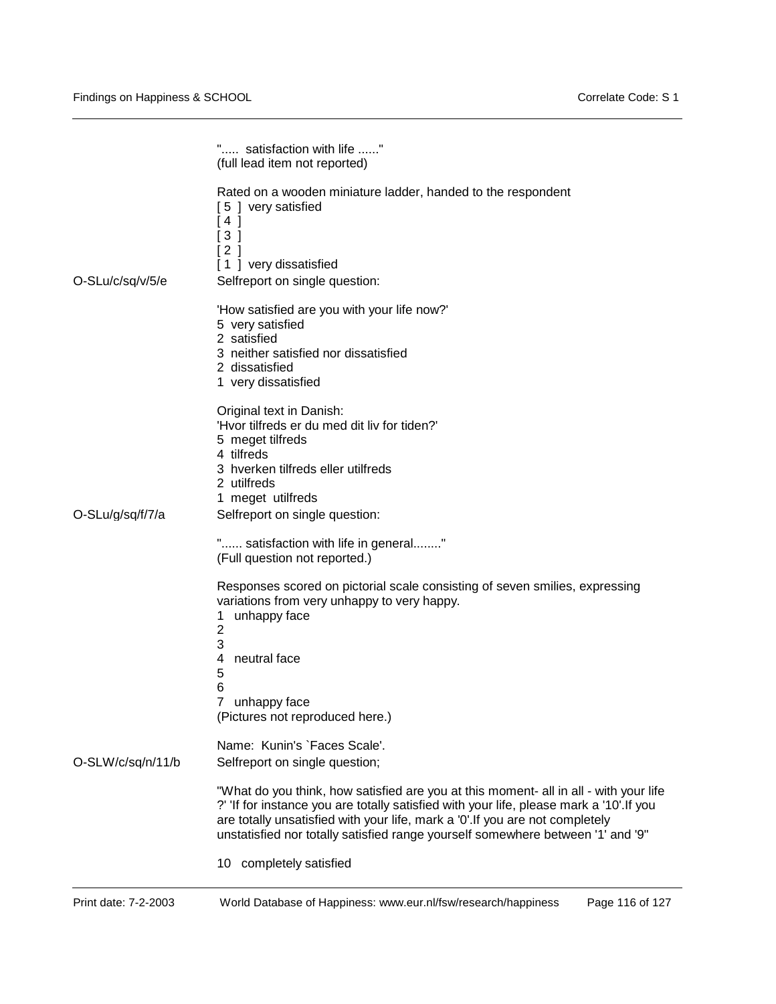|                   | " satisfaction with life "<br>(full lead item not reported)                                                                                                                                                                                                                                                                                           |
|-------------------|-------------------------------------------------------------------------------------------------------------------------------------------------------------------------------------------------------------------------------------------------------------------------------------------------------------------------------------------------------|
| O-SLu/c/sq/v/5/e  | Rated on a wooden miniature ladder, handed to the respondent<br>[5] very satisfied<br>[4]<br>[3]<br>[2]<br>[1] very dissatisfied<br>Selfreport on single question:                                                                                                                                                                                    |
|                   | 'How satisfied are you with your life now?'<br>5 very satisfied<br>2 satisfied<br>3 neither satisfied nor dissatisfied<br>2 dissatisfied<br>1 very dissatisfied                                                                                                                                                                                       |
| O-SLu/g/sq/f/7/a  | Original text in Danish:<br>'Hvor tilfreds er du med dit liv for tiden?'<br>5 meget tilfreds<br>4 tilfreds<br>3 hverken tilfreds eller utilfreds<br>2 utilfreds<br>1 meget utilfreds<br>Selfreport on single question:                                                                                                                                |
|                   | " satisfaction with life in general"<br>(Full question not reported.)<br>Responses scored on pictorial scale consisting of seven smilies, expressing<br>variations from very unhappy to very happy.                                                                                                                                                   |
|                   | unhappy face<br>1<br>2<br>3<br>neutral face<br>4<br>5<br>6<br>7<br>unhappy face<br>(Pictures not reproduced here.)                                                                                                                                                                                                                                    |
| O-SLW/c/sq/n/11/b | Name: Kunin's `Faces Scale'.<br>Selfreport on single question;                                                                                                                                                                                                                                                                                        |
|                   | "What do you think, how satisfied are you at this moment- all in all - with your life<br>?' 'If for instance you are totally satisfied with your life, please mark a '10'. If you<br>are totally unsatisfied with your life, mark a '0'. If you are not completely<br>unstatisfied nor totally satisfied range yourself somewhere between '1' and '9" |
|                   | 10 completely satisfied                                                                                                                                                                                                                                                                                                                               |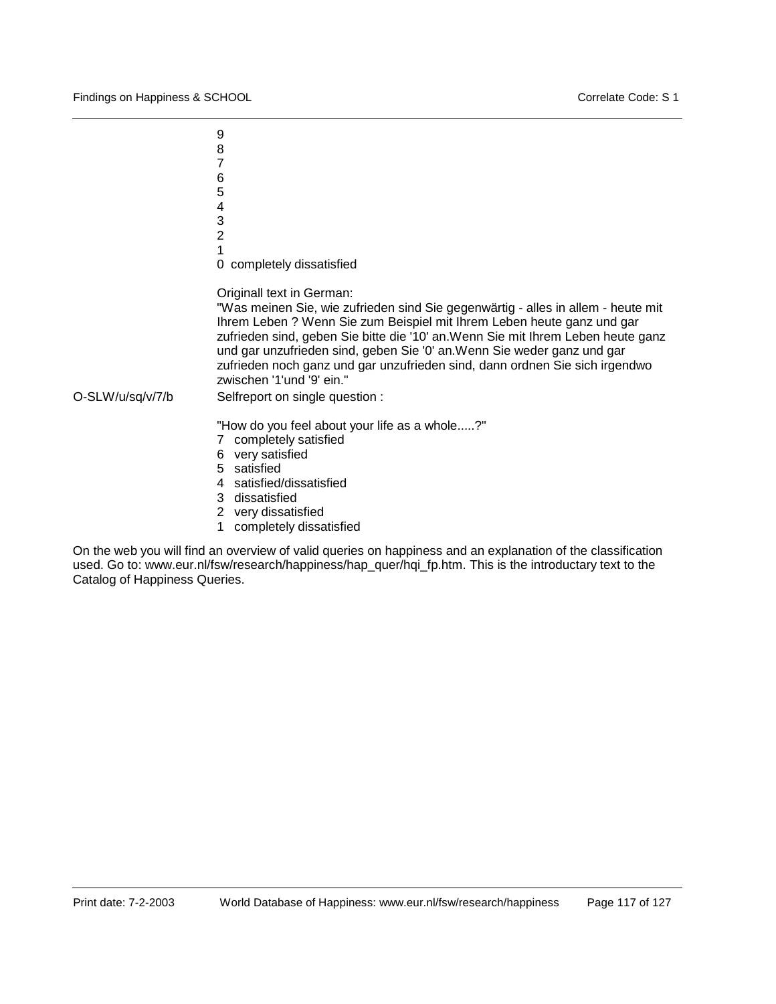9 8 7 6 5 4 3  $\mathfrak{p}$ 1 0 completely dissatisfied Originall text in German: "Was meinen Sie, wie zufrieden sind Sie gegenwärtig - alles in allem - heute mit Ihrem Leben ? Wenn Sie zum Beispiel mit Ihrem Leben heute ganz und gar zufrieden sind, geben Sie bitte die '10' an.Wenn Sie mit Ihrem Leben heute ganz und gar unzufrieden sind, geben Sie '0' an.Wenn Sie weder ganz und gar zufrieden noch ganz und gar unzufrieden sind, dann ordnen Sie sich irgendwo zwischen '1'und '9' ein." O-SLW/u/sq/v/7/b Selfreport on single question : "How do you feel about your life as a whole.....?" 7 completely satisfied 6 very satisfied 5 satisfied 4 satisfied/dissatisfied 3 dissatisfied

- 2 very dissatisfied
- 1 completely dissatisfied

On the web you will find an overview of valid queries on happiness and an explanation of the classification used. Go to: www.eur.nl/fsw/research/happiness/hap\_quer/hqi\_fp.htm. This is the introductary text to the Catalog of Happiness Queries.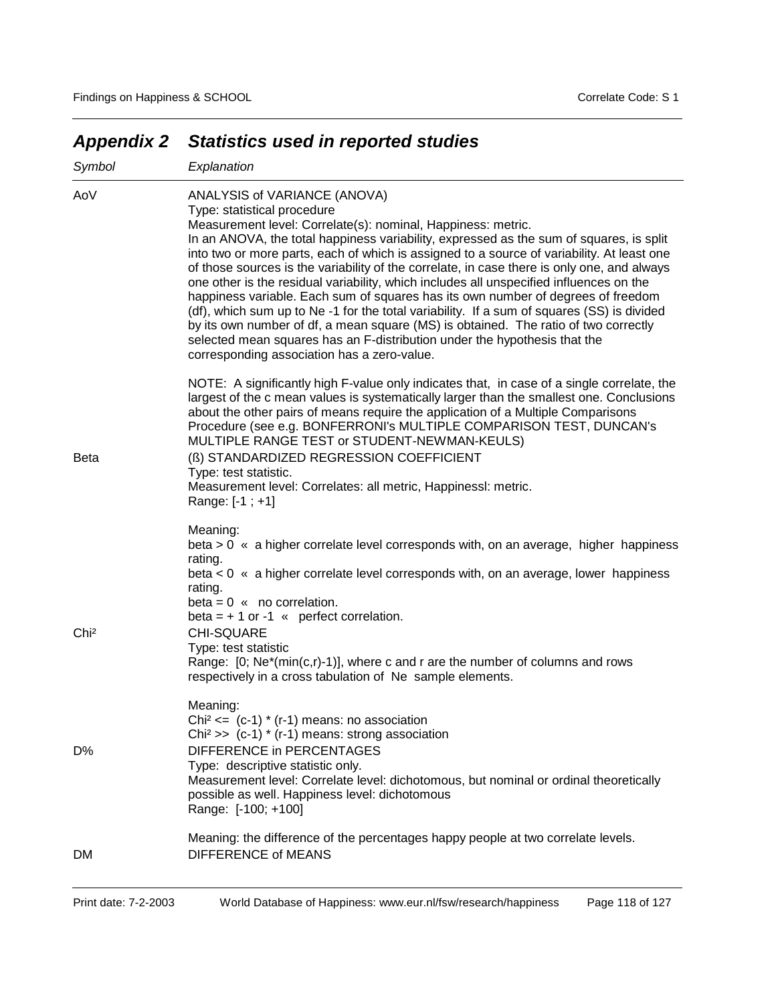| Symbol           | Explanation                                                                                                                                                                                                                                                                                                                                                                                                                                                                                                                                                                                                                                                                                                                                                                                                                                                                                                         |
|------------------|---------------------------------------------------------------------------------------------------------------------------------------------------------------------------------------------------------------------------------------------------------------------------------------------------------------------------------------------------------------------------------------------------------------------------------------------------------------------------------------------------------------------------------------------------------------------------------------------------------------------------------------------------------------------------------------------------------------------------------------------------------------------------------------------------------------------------------------------------------------------------------------------------------------------|
| AoV              | ANALYSIS of VARIANCE (ANOVA)<br>Type: statistical procedure<br>Measurement level: Correlate(s): nominal, Happiness: metric.<br>In an ANOVA, the total happiness variability, expressed as the sum of squares, is split<br>into two or more parts, each of which is assigned to a source of variability. At least one<br>of those sources is the variability of the correlate, in case there is only one, and always<br>one other is the residual variability, which includes all unspecified influences on the<br>happiness variable. Each sum of squares has its own number of degrees of freedom<br>(df), which sum up to Ne -1 for the total variability. If a sum of squares (SS) is divided<br>by its own number of df, a mean square (MS) is obtained. The ratio of two correctly<br>selected mean squares has an F-distribution under the hypothesis that the<br>corresponding association has a zero-value. |
| <b>Beta</b>      | NOTE: A significantly high F-value only indicates that, in case of a single correlate, the<br>largest of the c mean values is systematically larger than the smallest one. Conclusions<br>about the other pairs of means require the application of a Multiple Comparisons<br>Procedure (see e.g. BONFERRONI's MULTIPLE COMPARISON TEST, DUNCAN's<br>MULTIPLE RANGE TEST or STUDENT-NEWMAN-KEULS)<br>(ß) STANDARDIZED REGRESSION COEFFICIENT<br>Type: test statistic.<br>Measurement level: Correlates: all metric, Happinessl: metric.<br>Range: [-1 ; +1]                                                                                                                                                                                                                                                                                                                                                         |
| Chi <sup>2</sup> | Meaning:<br>beta > 0 « a higher correlate level corresponds with, on an average, higher happiness<br>rating.<br>beta < 0 « a higher correlate level corresponds with, on an average, lower happiness<br>rating.<br>$beta = 0$ « no correlation.<br>beta = $+1$ or -1 « perfect correlation.<br><b>CHI-SQUARE</b><br>Type: test statistic<br>Range: $[0; Ne^*(min(c,r)-1)]$ , where c and r are the number of columns and rows<br>respectively in a cross tabulation of Ne sample elements.                                                                                                                                                                                                                                                                                                                                                                                                                          |
| D%               | Meaning:<br>Chi <sup>2</sup> <= $(c-1)$ * $(r-1)$ means: no association<br>Chi <sup>2</sup> >> $(c-1)$ * $(r-1)$ means: strong association<br>DIFFERENCE in PERCENTAGES<br>Type: descriptive statistic only.<br>Measurement level: Correlate level: dichotomous, but nominal or ordinal theoretically<br>possible as well. Happiness level: dichotomous<br>Range: [-100; +100]                                                                                                                                                                                                                                                                                                                                                                                                                                                                                                                                      |
| DM.              | Meaning: the difference of the percentages happy people at two correlate levels.<br><b>DIFFERENCE of MEANS</b>                                                                                                                                                                                                                                                                                                                                                                                                                                                                                                                                                                                                                                                                                                                                                                                                      |

## *Appendix 2 Statistics used in reported studies*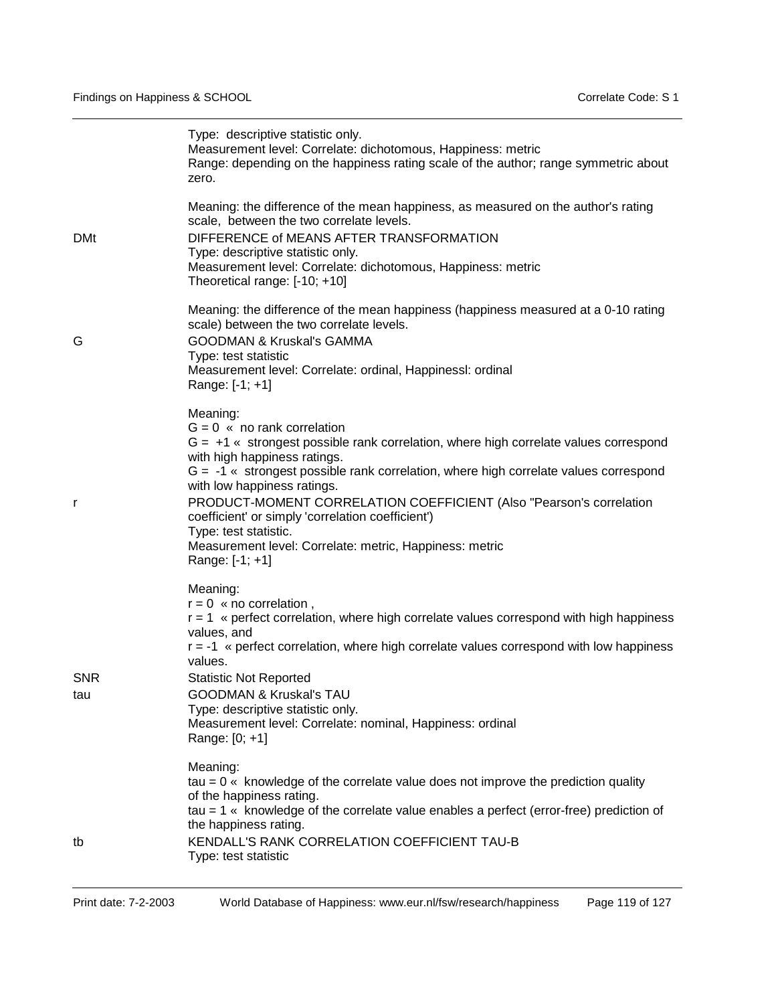|                   | Type: descriptive statistic only.<br>Measurement level: Correlate: dichotomous, Happiness: metric<br>Range: depending on the happiness rating scale of the author; range symmetric about<br>zero.                                                                                                                                                                                                                                                                                                                               |
|-------------------|---------------------------------------------------------------------------------------------------------------------------------------------------------------------------------------------------------------------------------------------------------------------------------------------------------------------------------------------------------------------------------------------------------------------------------------------------------------------------------------------------------------------------------|
| <b>DMt</b>        | Meaning: the difference of the mean happiness, as measured on the author's rating<br>scale, between the two correlate levels.<br>DIFFERENCE of MEANS AFTER TRANSFORMATION<br>Type: descriptive statistic only.<br>Measurement level: Correlate: dichotomous, Happiness: metric<br>Theoretical range: [-10; +10]                                                                                                                                                                                                                 |
| G                 | Meaning: the difference of the mean happiness (happiness measured at a 0-10 rating<br>scale) between the two correlate levels.<br><b>GOODMAN &amp; Kruskal's GAMMA</b><br>Type: test statistic<br>Measurement level: Correlate: ordinal, Happinessl: ordinal<br>Range: [-1; +1]                                                                                                                                                                                                                                                 |
| r                 | Meaning:<br>$G = 0$ « no rank correlation<br>$G = +1$ « strongest possible rank correlation, where high correlate values correspond<br>with high happiness ratings.<br>$G = -1$ « strongest possible rank correlation, where high correlate values correspond<br>with low happiness ratings.<br>PRODUCT-MOMENT CORRELATION COEFFICIENT (Also "Pearson's correlation<br>coefficient' or simply 'correlation coefficient')<br>Type: test statistic.<br>Measurement level: Correlate: metric, Happiness: metric<br>Range: [-1; +1] |
| <b>SNR</b><br>tau | Meaning:<br>$r = 0$ « no correlation,<br>$r = 1$ « perfect correlation, where high correlate values correspond with high happiness<br>values, and<br>$r = -1$ « perfect correlation, where high correlate values correspond with low happiness<br>values.<br><b>Statistic Not Reported</b><br><b>GOODMAN &amp; Kruskal's TAU</b><br>Type: descriptive statistic only.<br>Measurement level: Correlate: nominal, Happiness: ordinal<br>Range: [0; +1]                                                                            |
| tb                | Meaning:<br>$tau = 0$ « knowledge of the correlate value does not improve the prediction quality<br>of the happiness rating.<br>$tau = 1$ « knowledge of the correlate value enables a perfect (error-free) prediction of<br>the happiness rating.<br>KENDALL'S RANK CORRELATION COEFFICIENT TAU-B<br>Type: test statistic                                                                                                                                                                                                      |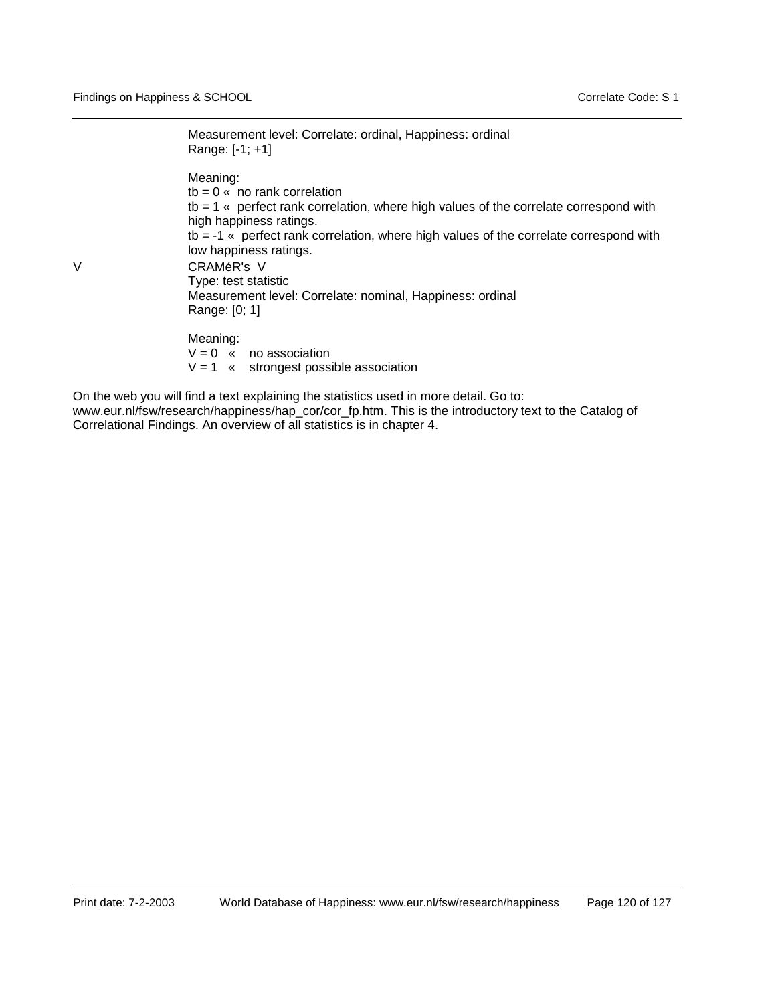Measurement level: Correlate: ordinal, Happiness: ordinal Range: [-1; +1]

Meaning:  $tb = 0$  « no rank correlation tb = 1 « perfect rank correlation, where high values of the correlate correspond with high happiness ratings. tb = -1 « perfect rank correlation, where high values of the correlate correspond with low happiness ratings. V CRAMéR's V Type: test statistic Measurement level: Correlate: nominal, Happiness: ordinal Range: [0; 1]

Meaning:

 $V = 0$  « no association  $V = 1$  « strongest possible association

On the web you will find a text explaining the statistics used in more detail. Go to: www.eur.nl/fsw/research/happiness/hap\_cor/cor\_fp.htm. This is the introductory text to the Catalog of Correlational Findings. An overview of all statistics is in chapter 4.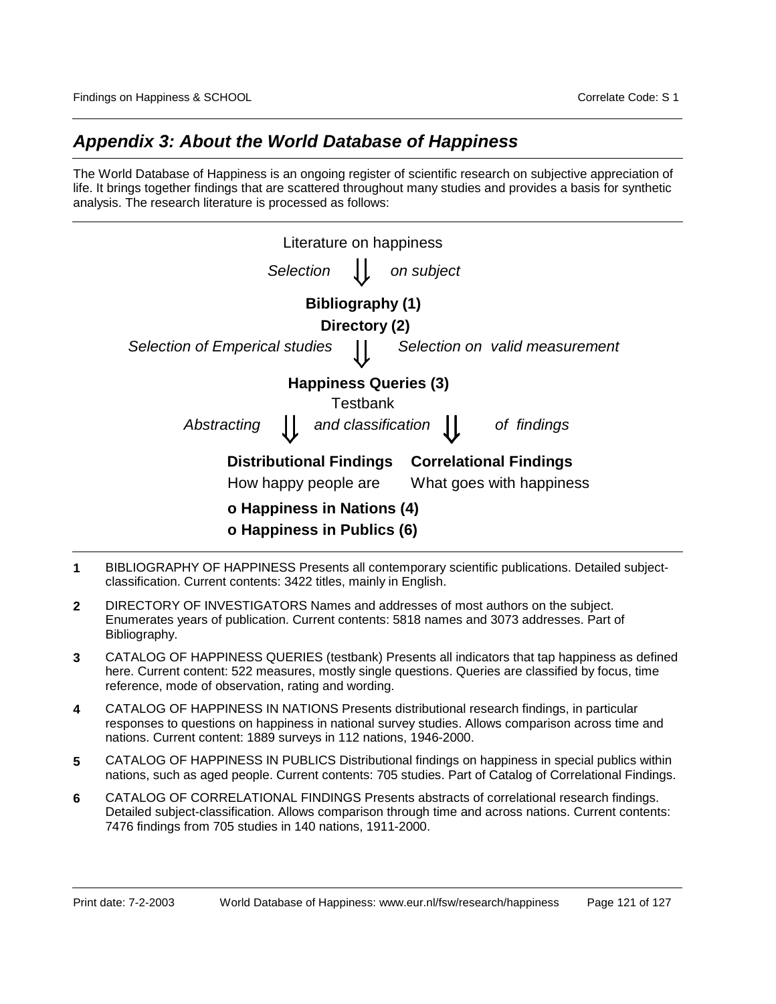## *Appendix 3: About the World Database of Happiness*

The World Database of Happiness is an ongoing register of scientific research on subjective appreciation of life. It brings together findings that are scattered throughout many studies and provides a basis for synthetic analysis. The research literature is processed as follows:

| Literature on happiness        |                  |                           |                                |
|--------------------------------|------------------|---------------------------|--------------------------------|
| Selection                      |                  | on subject                |                                |
|                                | Bibliography (1) |                           |                                |
|                                | Directory (2)    |                           |                                |
| Selection of Emperical studies |                  |                           | Selection on valid measurement |
| <b>Happiness Queries (3)</b>   |                  |                           |                                |
|                                | Testbank         |                           |                                |
| Abstracting                    |                  | and classification $\int$ | of findings                    |
| <b>Distributional Findings</b> |                  |                           | <b>Correlational Findings</b>  |
| How happy people are           |                  |                           | What goes with happiness       |
| o Happiness in Nations (4)     |                  |                           |                                |
| o Happiness in Publics (6)     |                  |                           |                                |

- **1** BIBLIOGRAPHY OF HAPPINESS Presents all contemporary scientific publications. Detailed subjectclassification. Current contents: 3422 titles, mainly in English.
- **2** DIRECTORY OF INVESTIGATORS Names and addresses of most authors on the subject. Enumerates years of publication. Current contents: 5818 names and 3073 addresses. Part of Bibliography.
- **3** CATALOG OF HAPPINESS QUERIES (testbank) Presents all indicators that tap happiness as defined here. Current content: 522 measures, mostly single questions. Queries are classified by focus, time reference, mode of observation, rating and wording.
- **4** CATALOG OF HAPPINESS IN NATIONS Presents distributional research findings, in particular responses to questions on happiness in national survey studies. Allows comparison across time and nations. Current content: 1889 surveys in 112 nations, 1946-2000.
- **5** CATALOG OF HAPPINESS IN PUBLICS Distributional findings on happiness in special publics within nations, such as aged people. Current contents: 705 studies. Part of Catalog of Correlational Findings.
- **6** CATALOG OF CORRELATIONAL FINDINGS Presents abstracts of correlational research findings. Detailed subject-classification. Allows comparison through time and across nations. Current contents: 7476 findings from 705 studies in 140 nations, 1911-2000.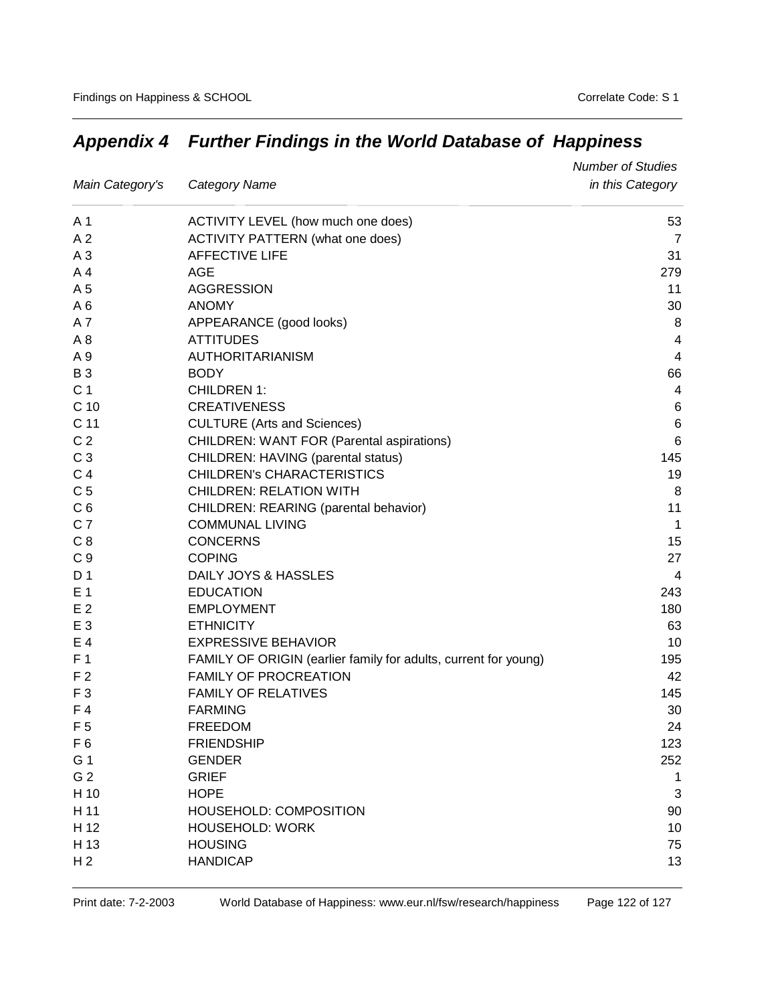|                 |                                                                 | <b>Number of Studies</b> |
|-----------------|-----------------------------------------------------------------|--------------------------|
| Main Category's | Category Name                                                   | in this Category         |
| A 1             | ACTIVITY LEVEL (how much one does)                              | 53                       |
| A <sub>2</sub>  | <b>ACTIVITY PATTERN (what one does)</b>                         | 7                        |
| A <sub>3</sub>  | <b>AFFECTIVE LIFE</b>                                           | 31                       |
| A <sub>4</sub>  | AGE                                                             | 279                      |
| A 5             | <b>AGGRESSION</b>                                               | 11                       |
| A6              | <b>ANOMY</b>                                                    | 30                       |
| A7              | APPEARANCE (good looks)                                         | 8                        |
| A <sub>8</sub>  | <b>ATTITUDES</b>                                                | 4                        |
| A 9             | AUTHORITARIANISM                                                | 4                        |
| <b>B3</b>       | <b>BODY</b>                                                     | 66                       |
| C <sub>1</sub>  | <b>CHILDREN 1:</b>                                              | 4                        |
| C <sub>10</sub> | <b>CREATIVENESS</b>                                             | 6                        |
| C <sub>11</sub> | <b>CULTURE (Arts and Sciences)</b>                              | $\,6$                    |
| C <sub>2</sub>  | <b>CHILDREN: WANT FOR (Parental aspirations)</b>                | 6                        |
| C <sub>3</sub>  | CHILDREN: HAVING (parental status)                              | 145                      |
| C <sub>4</sub>  | <b>CHILDREN's CHARACTERISTICS</b>                               | 19                       |
| C <sub>5</sub>  | <b>CHILDREN: RELATION WITH</b>                                  | 8                        |
| C <sub>6</sub>  | CHILDREN: REARING (parental behavior)                           | 11                       |
| C <sub>7</sub>  | <b>COMMUNAL LIVING</b>                                          | $\mathbf{1}$             |
| C <sub>8</sub>  | <b>CONCERNS</b>                                                 | 15                       |
| C <sub>9</sub>  | <b>COPING</b>                                                   | 27                       |
| D 1             | DAILY JOYS & HASSLES                                            | 4                        |
| E <sub>1</sub>  | <b>EDUCATION</b>                                                | 243                      |
| E <sub>2</sub>  | <b>EMPLOYMENT</b>                                               | 180                      |
| E <sub>3</sub>  | <b>ETHNICITY</b>                                                | 63                       |
| E 4             | <b>EXPRESSIVE BEHAVIOR</b>                                      | 10                       |
| F <sub>1</sub>  | FAMILY OF ORIGIN (earlier family for adults, current for young) | 195                      |
| F <sub>2</sub>  | <b>FAMILY OF PROCREATION</b>                                    | 42                       |
| F <sub>3</sub>  | <b>FAMILY OF RELATIVES</b>                                      | 145                      |
| F4              | <b>FARMING</b>                                                  | 30                       |
| F <sub>5</sub>  | <b>FREEDOM</b>                                                  | 24                       |
| F <sub>6</sub>  | <b>FRIENDSHIP</b>                                               | 123                      |
| G 1             | <b>GENDER</b>                                                   | 252                      |
| G <sub>2</sub>  | <b>GRIEF</b>                                                    | 1                        |
| H 10            | <b>HOPE</b>                                                     | 3                        |
| H 11            | HOUSEHOLD: COMPOSITION                                          | 90                       |
| H 12            | <b>HOUSEHOLD: WORK</b>                                          | 10                       |
| H 13            | <b>HOUSING</b>                                                  | 75                       |
| H <sub>2</sub>  | <b>HANDICAP</b>                                                 | 13                       |

## *Appendix 4 Further Findings in the World Database of Happiness*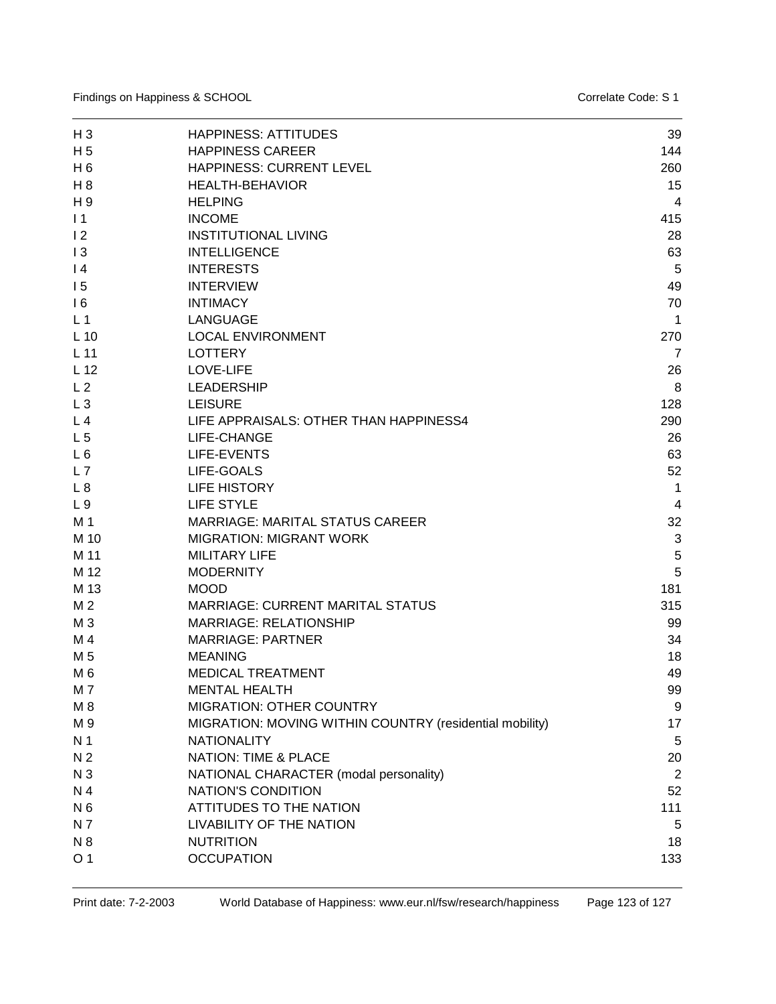Findings on Happiness & SCHOOL **Contract Code: S 1** Correlate Code: S 1

| $H_3$           | <b>HAPPINESS: ATTITUDES</b>                             | 39             |
|-----------------|---------------------------------------------------------|----------------|
| H <sub>5</sub>  | <b>HAPPINESS CAREER</b>                                 | 144            |
| $H_6$           | HAPPINESS: CURRENT LEVEL                                | 260            |
| $H_8$           | <b>HEALTH-BEHAVIOR</b>                                  | 15             |
| H 9             | <b>HELPING</b>                                          | 4              |
| $\vert$ 1       | <b>INCOME</b>                                           | 415            |
| 12              | <b>INSTITUTIONAL LIVING</b>                             | 28             |
| 13              | <b>INTELLIGENCE</b>                                     | 63             |
| $\overline{14}$ | <b>INTERESTS</b>                                        | 5              |
| 15              | <b>INTERVIEW</b>                                        | 49             |
| 16              | <b>INTIMACY</b>                                         | 70             |
| L <sub>1</sub>  | <b>LANGUAGE</b>                                         | 1              |
| $L$ 10          | <b>LOCAL ENVIRONMENT</b>                                | 270            |
| L <sub>11</sub> | <b>LOTTERY</b>                                          | $\overline{7}$ |
| L <sub>12</sub> | LOVE-LIFE                                               | 26             |
| L <sub>2</sub>  | <b>LEADERSHIP</b>                                       | 8              |
| $L_3$           | <b>LEISURE</b>                                          | 128            |
| L <sub>4</sub>  | LIFE APPRAISALS: OTHER THAN HAPPINESS4                  | 290            |
| L <sub>5</sub>  | LIFE-CHANGE                                             | 26             |
| L6              | LIFE-EVENTS                                             | 63             |
| L7              | LIFE-GOALS                                              | 52             |
| L8              | <b>LIFE HISTORY</b>                                     | 1              |
| L <sub>9</sub>  | <b>LIFE STYLE</b>                                       | 4              |
| M 1             | <b>MARRIAGE: MARITAL STATUS CAREER</b>                  | 32             |
| M 10            | <b>MIGRATION: MIGRANT WORK</b>                          | 3              |
| M 11            | <b>MILITARY LIFE</b>                                    | 5              |
| M 12            | <b>MODERNITY</b>                                        | 5              |
| M 13            | <b>MOOD</b>                                             | 181            |
| M 2             | <b>MARRIAGE: CURRENT MARITAL STATUS</b>                 | 315            |
| M <sub>3</sub>  | <b>MARRIAGE: RELATIONSHIP</b>                           | 99             |
| M 4             | <b>MARRIAGE: PARTNER</b>                                | 34             |
| M 5             | <b>MEANING</b>                                          | 18             |
| M <sub>6</sub>  | <b>MEDICAL TREATMENT</b>                                | 49             |
| M7              | <b>MENTAL HEALTH</b>                                    | 99             |
| M8              | <b>MIGRATION: OTHER COUNTRY</b>                         | 9              |
| M 9             | MIGRATION: MOVING WITHIN COUNTRY (residential mobility) | 17             |
| N <sub>1</sub>  | <b>NATIONALITY</b>                                      | 5              |
| N <sub>2</sub>  | <b>NATION: TIME &amp; PLACE</b>                         | 20             |
| N <sub>3</sub>  | NATIONAL CHARACTER (modal personality)                  | 2              |
| N 4             | NATION'S CONDITION                                      | 52             |
| N <sub>6</sub>  | <b>ATTITUDES TO THE NATION</b>                          | 111            |
| N 7             | LIVABILITY OF THE NATION                                | 5              |
| N 8             | <b>NUTRITION</b>                                        | 18             |
| O <sub>1</sub>  | <b>OCCUPATION</b>                                       | 133            |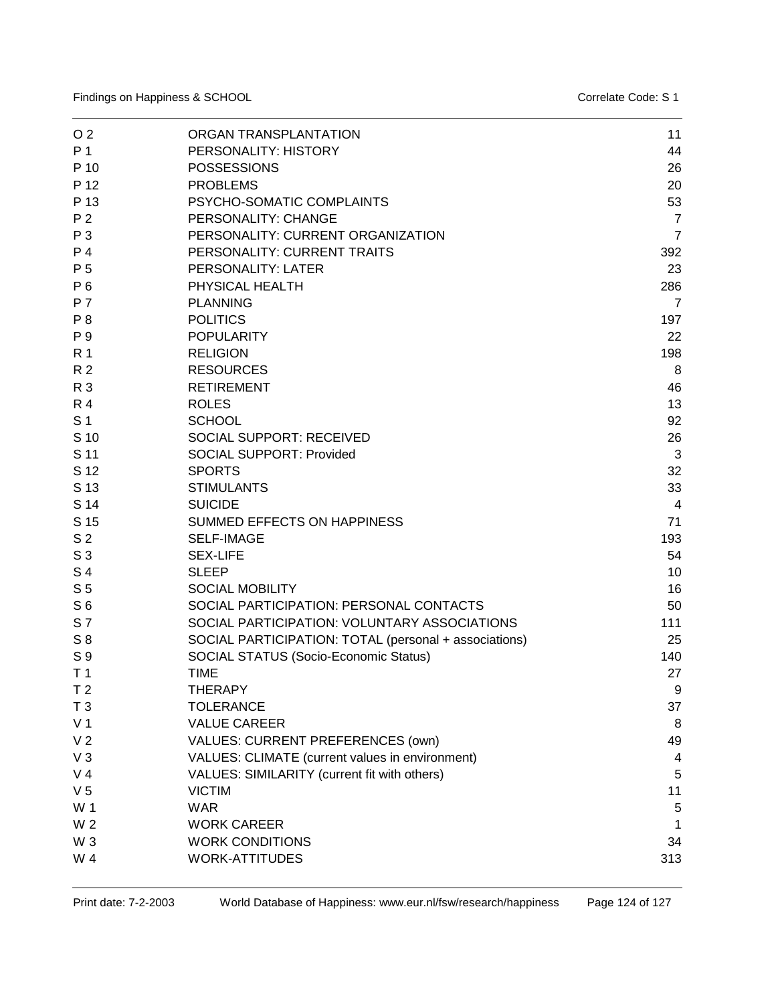| O <sub>2</sub> | ORGAN TRANSPLANTATION                                 | 11             |
|----------------|-------------------------------------------------------|----------------|
| P 1            | PERSONALITY: HISTORY                                  | 44             |
| P 10           | <b>POSSESSIONS</b>                                    | 26             |
| P 12           | <b>PROBLEMS</b>                                       | 20             |
| P 13           | PSYCHO-SOMATIC COMPLAINTS                             | 53             |
| P <sub>2</sub> | PERSONALITY: CHANGE                                   | $\overline{7}$ |
| P 3            | PERSONALITY: CURRENT ORGANIZATION                     | $\overline{7}$ |
| P 4            | PERSONALITY: CURRENT TRAITS                           | 392            |
| P 5            | PERSONALITY: LATER                                    | 23             |
| P 6            | PHYSICAL HEALTH                                       | 286            |
| <b>P7</b>      | <b>PLANNING</b>                                       | $\overline{7}$ |
| P <sub>8</sub> | <b>POLITICS</b>                                       | 197            |
| P 9            | <b>POPULARITY</b>                                     | 22             |
| R 1            | <b>RELIGION</b>                                       | 198            |
| R <sub>2</sub> | <b>RESOURCES</b>                                      | 8              |
| R 3            | <b>RETIREMENT</b>                                     | 46             |
| <b>R4</b>      | <b>ROLES</b>                                          | 13             |
| S <sub>1</sub> | <b>SCHOOL</b>                                         | 92             |
| S 10           | <b>SOCIAL SUPPORT: RECEIVED</b>                       | 26             |
| S 11           | <b>SOCIAL SUPPORT: Provided</b>                       | 3              |
| S 12           | <b>SPORTS</b>                                         | 32             |
| S 13           | <b>STIMULANTS</b>                                     | 33             |
| S 14           | <b>SUICIDE</b>                                        | 4              |
| S 15           | SUMMED EFFECTS ON HAPPINESS                           | 71             |
| S <sub>2</sub> | <b>SELF-IMAGE</b>                                     | 193            |
| S <sub>3</sub> | <b>SEX-LIFE</b>                                       | 54             |
| S 4            | <b>SLEEP</b>                                          | 10             |
| S <sub>5</sub> | <b>SOCIAL MOBILITY</b>                                | 16             |
| S <sub>6</sub> | SOCIAL PARTICIPATION: PERSONAL CONTACTS               | 50             |
| S 7            | SOCIAL PARTICIPATION: VOLUNTARY ASSOCIATIONS          | 111            |
| $S_8$          | SOCIAL PARTICIPATION: TOTAL (personal + associations) | 25             |
| S 9            | SOCIAL STATUS (Socio-Economic Status)                 | 140            |
| T <sub>1</sub> | <b>TIME</b>                                           | 27             |
| T <sub>2</sub> | <b>THERAPY</b>                                        | 9              |
| T <sub>3</sub> | <b>TOLERANCE</b>                                      | 37             |
| V <sub>1</sub> | <b>VALUE CAREER</b>                                   | 8              |
| V <sub>2</sub> | VALUES: CURRENT PREFERENCES (own)                     | 49             |
| $V_3$          | VALUES: CLIMATE (current values in environment)       | 4              |
| V <sub>4</sub> | VALUES: SIMILARITY (current fit with others)          | 5              |
| V <sub>5</sub> | <b>VICTIM</b>                                         | 11             |
| W 1            | <b>WAR</b>                                            | 5              |
| W <sub>2</sub> | <b>WORK CAREER</b>                                    | 1              |
| W <sub>3</sub> | <b>WORK CONDITIONS</b>                                | 34             |
| W 4            | <b>WORK-ATTITUDES</b>                                 | 313            |
|                |                                                       |                |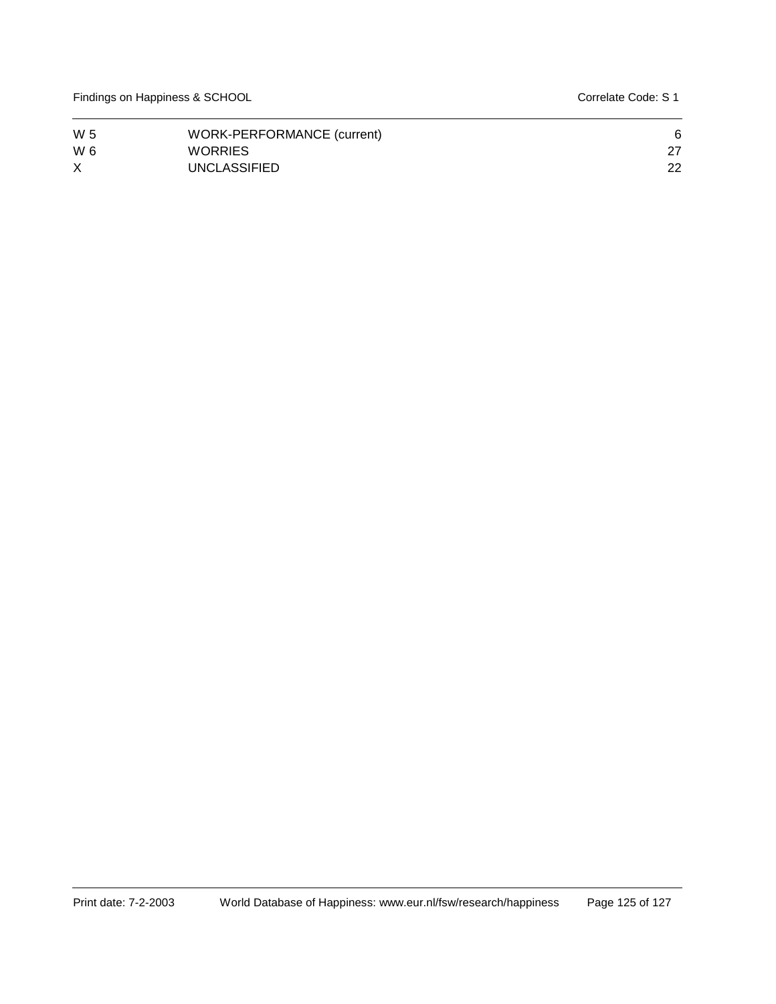Findings on Happiness & SCHOOL **Contract Code: S 1** Correlate Code: S 1

| W 5      | WORK-PERFORMANCE (current) |    |
|----------|----------------------------|----|
| W 6      | <b>WORRIES</b>             |    |
| $\times$ | <b>UNCLASSIFIED</b>        | 22 |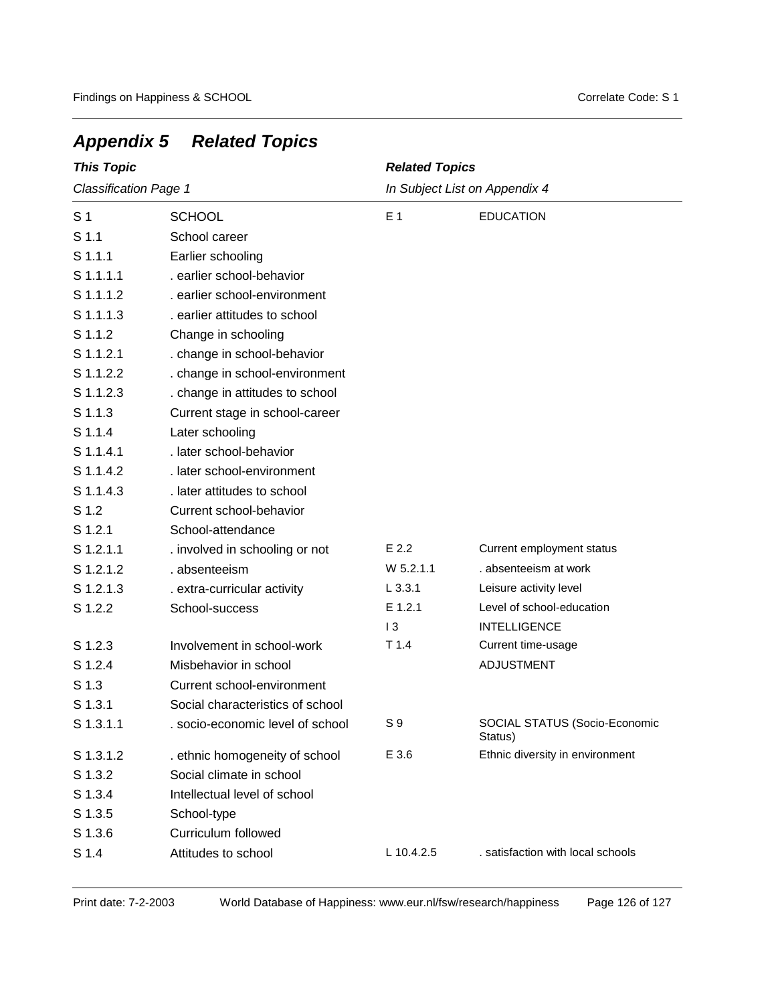| <b>This Topic</b>            |                                  | <b>Related Topics</b>         |                                          |
|------------------------------|----------------------------------|-------------------------------|------------------------------------------|
| <b>Classification Page 1</b> |                                  | In Subject List on Appendix 4 |                                          |
| S <sub>1</sub>               | <b>SCHOOL</b>                    | E <sub>1</sub>                | <b>EDUCATION</b>                         |
| S <sub>1.1</sub>             | School career                    |                               |                                          |
| $S$ 1.1.1                    | Earlier schooling                |                               |                                          |
| S 1.1.1.1                    | . earlier school-behavior        |                               |                                          |
| S 1.1.1.2                    | . earlier school-environment     |                               |                                          |
| S 1.1.1.3                    | . earlier attitudes to school    |                               |                                          |
| S 1.1.2                      | Change in schooling              |                               |                                          |
| S 1.1.2.1                    | . change in school-behavior      |                               |                                          |
| S 1.1.2.2                    | . change in school-environment   |                               |                                          |
| S 1.1.2.3                    | . change in attitudes to school  |                               |                                          |
| S 1.1.3                      | Current stage in school-career   |                               |                                          |
| S 1.1.4                      | Later schooling                  |                               |                                          |
| S 1.1.4.1                    | . later school-behavior          |                               |                                          |
| S 1.1.4.2                    | . later school-environment       |                               |                                          |
| S 1.1.4.3                    | . later attitudes to school      |                               |                                          |
| S 1.2                        | Current school-behavior          |                               |                                          |
| S 1.2.1                      | School-attendance                |                               |                                          |
| S 1.2.1.1                    | . involved in schooling or not   | $E$ 2.2                       | Current employment status                |
| S 1.2.1.2                    | . absenteeism                    | $W$ 5.2.1.1                   | . absenteeism at work                    |
| S 1.2.1.3                    | . extra-curricular activity      | $L$ 3.3.1                     | Leisure activity level                   |
| S 1.2.2                      | School-success                   | E 1.2.1                       | Level of school-education                |
|                              |                                  | 13                            | <b>INTELLIGENCE</b>                      |
| S 1.2.3                      | Involvement in school-work       | $T$ 1.4                       | Current time-usage                       |
| S 1.2.4                      | Misbehavior in school            |                               | ADJUSTMENT                               |
| S <sub>1.3</sub>             | Current school-environment       |                               |                                          |
| S 1.3.1                      | Social characteristics of school |                               |                                          |
| S 1.3.1.1                    | . socio-economic level of school | S9                            | SOCIAL STATUS (Socio-Economic<br>Status) |
| S 1.3.1.2                    | . ethnic homogeneity of school   | E 3.6                         | Ethnic diversity in environment          |
| S 1.3.2                      | Social climate in school         |                               |                                          |
| S 1.3.4                      | Intellectual level of school     |                               |                                          |
| S 1.3.5                      | School-type                      |                               |                                          |
| S 1.3.6                      | <b>Curriculum followed</b>       |                               |                                          |
| S 1.4                        | Attitudes to school              | L 10.4.2.5                    | . satisfaction with local schools        |

## *Appendix 5 Related Topics*